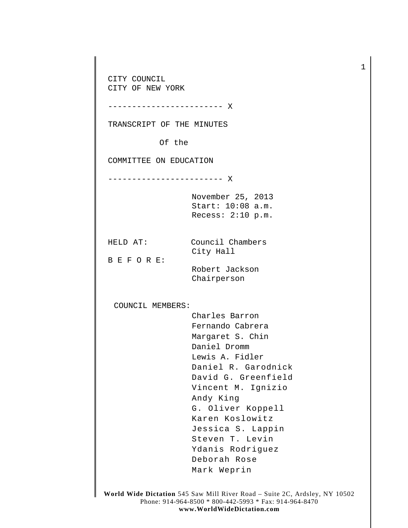CITY COUNCIL CITY OF NEW YORK ------------------------ X TRANSCRIPT OF THE MINUTES Of the COMMITTEE ON EDUCATION ------------------------ X November 25, 2013 Start: 10:08 a.m. Recess: 2:10 p.m. HELD AT: Council Chambers City Hall B E F O R E: Robert Jackson Chairperson COUNCIL MEMBERS: Charles Barron Fernando Cabrera Margaret S. Chin Daniel Dromm Lewis A. Fidler Daniel R. Garodnick David G. Greenfield Vincent M. Ignizio Andy King G. Oliver Koppell Karen Koslowitz Jessica S. Lappin Steven T. Levin Ydanis Rodriguez Deborah Rose Mark Weprin

1

**World Wide Dictation** 545 Saw Mill River Road – Suite 2C, Ardsley, NY 10502 Phone: 914-964-8500 \* 800-442-5993 \* Fax: 914-964-8470 **www.WorldWideDictation.com**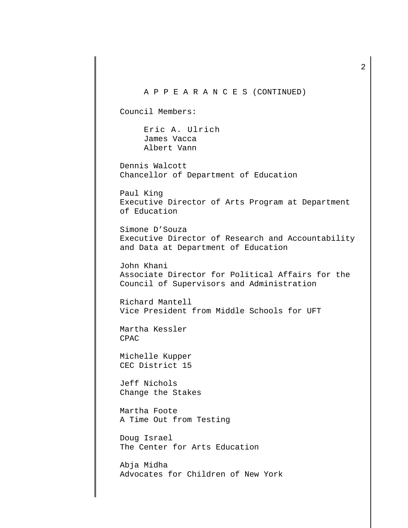A P P E A R A N C E S (CONTINUED) Council Members: Eric A. Ulrich James Vacca Albert Vann Dennis Walcott Chancellor of Department of Education Paul King Executive Director of Arts Program at Department of Education Simone D'Souza Executive Director of Research and Accountability and Data at Department of Education John Khani Associate Director for Political Affairs for the Council of Supervisors and Administration Richard Mantell Vice President from Middle Schools for UFT Martha Kessler CPAC Michelle Kupper CEC District 15 Jeff Nichols Change the Stakes Martha Foote A Time Out from Testing Doug Israel The Center for Arts Education Abja Midha Advocates for Children of New York

2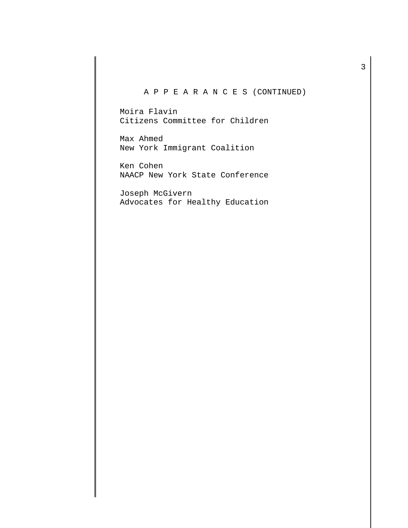# A P P E A R A N C E S (CONTINUED)

Moira Flavin Citizens Committee for Children

Max Ahmed New York Immigrant Coalition

Ken Cohen NAACP New York State Conference

Joseph McGivern Advocates for Healthy Education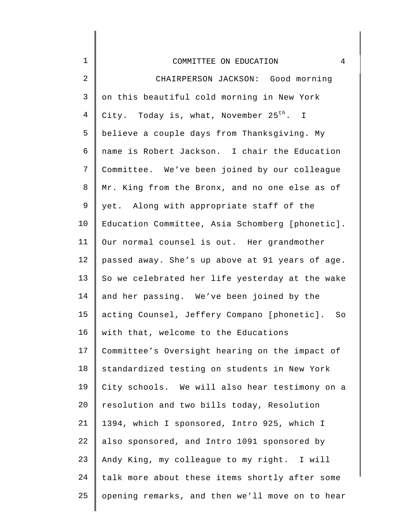| $\mathbf 1$ | COMMITTEE ON EDUCATION<br>4                         |
|-------------|-----------------------------------------------------|
| 2           | CHAIRPERSON JACKSON: Good morning                   |
| 3           | on this beautiful cold morning in New York          |
| 4           | City. Today is, what, November 25 <sup>th</sup> . I |
| 5           | believe a couple days from Thanksgiving. My         |
| 6           | name is Robert Jackson. I chair the Education       |
| 7           | Committee. We've been joined by our colleague       |
| 8           | Mr. King from the Bronx, and no one else as of      |
| 9           | yet. Along with appropriate staff of the            |
| 10          | Education Committee, Asia Schomberg [phonetic].     |
| 11          | Our normal counsel is out. Her grandmother          |
| 12          | passed away. She's up above at 91 years of age.     |
| 13          | So we celebrated her life yesterday at the wake     |
| 14          | and her passing. We've been joined by the           |
| 15          | acting Counsel, Jeffery Compano [phonetic]. So      |
| 16          | with that, welcome to the Educations                |
| 17          | Committee's Oversight hearing on the impact of      |
| 18          | standardized testing on students in New York        |
| 19          | City schools. We will also hear testimony on a      |
| 20          | resolution and two bills today, Resolution          |
| 21          | 1394, which I sponsored, Intro 925, which I         |
| 22          | also sponsored, and Intro 1091 sponsored by         |
| 23          | Andy King, my colleague to my right. I will         |
| 24          | talk more about these items shortly after some      |
| 25          | opening remarks, and then we'll move on to hear     |
|             |                                                     |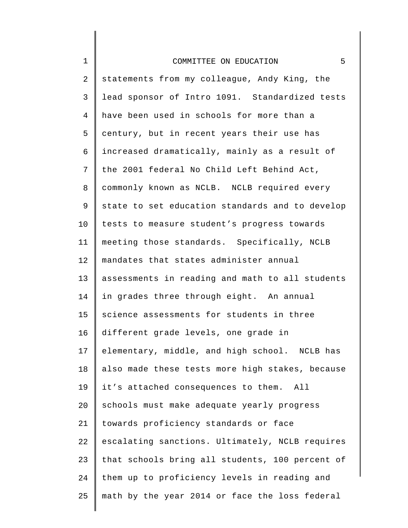| $\mathbf 1$    | 5<br>COMMITTEE ON EDUCATION                     |
|----------------|-------------------------------------------------|
| $\overline{2}$ | statements from my colleague, Andy King, the    |
| 3              | lead sponsor of Intro 1091. Standardized tests  |
| $\overline{4}$ | have been used in schools for more than a       |
| 5              | century, but in recent years their use has      |
| 6              | increased dramatically, mainly as a result of   |
| 7              | the 2001 federal No Child Left Behind Act,      |
| 8              | commonly known as NCLB. NCLB required every     |
| 9              | state to set education standards and to develop |
| 10             | tests to measure student's progress towards     |
| 11             | meeting those standards. Specifically, NCLB     |
| 12             | mandates that states administer annual          |
| 13             | assessments in reading and math to all students |
| 14             | in grades three through eight. An annual        |
| 15             | science assessments for students in three       |
| 16             | different grade levels, one grade in            |
| 17             | elementary, middle, and high school. NCLB has   |
| 18             | also made these tests more high stakes, because |
| 19             | it's attached consequences to them. All         |
| 20             | schools must make adequate yearly progress      |
| 21             | towards proficiency standards or face           |
| 22             | escalating sanctions. Ultimately, NCLB requires |
| 23             | that schools bring all students, 100 percent of |
| 24             | them up to proficiency levels in reading and    |
| 25             | math by the year 2014 or face the loss federal  |

║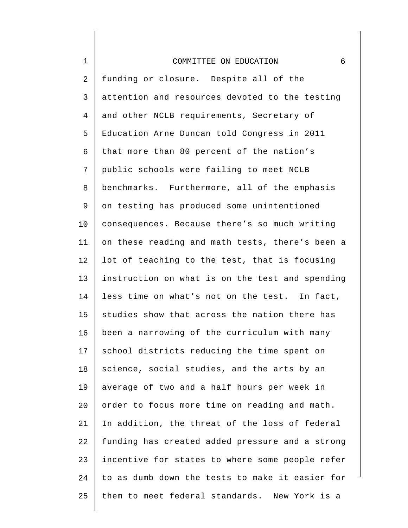1

2 3 4 5 6 7 8 9 10 11 12 13 14 15 16 17 18 19  $20^{\circ}$ 21 22 23 24 25 funding or closure. Despite all of the attention and resources devoted to the testing and other NCLB requirements, Secretary of Education Arne Duncan told Congress in 2011 that more than 80 percent of the nation's public schools were failing to meet NCLB benchmarks. Furthermore, all of the emphasis on testing has produced some unintentioned consequences. Because there's so much writing on these reading and math tests, there's been a lot of teaching to the test, that is focusing instruction on what is on the test and spending less time on what's not on the test. In fact, studies show that across the nation there has been a narrowing of the curriculum with many school districts reducing the time spent on science, social studies, and the arts by an average of two and a half hours per week in order to focus more time on reading and math. In addition, the threat of the loss of federal funding has created added pressure and a strong incentive for states to where some people refer to as dumb down the tests to make it easier for them to meet federal standards. New York is a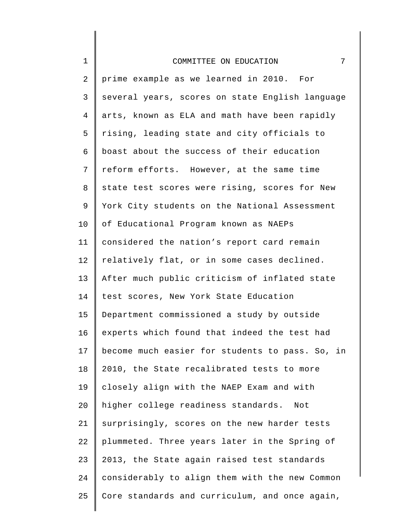| $\mathbf 1$    | 7<br>COMMITTEE ON EDUCATION                     |
|----------------|-------------------------------------------------|
| $\overline{2}$ | prime example as we learned in 2010. For        |
| $\mathsf{3}$   | several years, scores on state English language |
| $\overline{4}$ | arts, known as ELA and math have been rapidly   |
| 5              | rising, leading state and city officials to     |
| 6              | boast about the success of their education      |
| 7              | reform efforts. However, at the same time       |
| 8              | state test scores were rising, scores for New   |
| 9              | York City students on the National Assessment   |
| 10             | of Educational Program known as NAEPs           |
| 11             | considered the nation's report card remain      |
| 12             | relatively flat, or in some cases declined.     |
| 13             | After much public criticism of inflated state   |
| 14             | test scores, New York State Education           |
| 15             | Department commissioned a study by outside      |
| 16             | experts which found that indeed the test had    |
| 17             | become much easier for students to pass. So, in |
| 18             | 2010, the State recalibrated tests to more      |
| 19             | closely align with the NAEP Exam and with       |
| 20             | higher college readiness standards.<br>Not      |
| 21             | surprisingly, scores on the new harder tests    |
| 22             | plummeted. Three years later in the Spring of   |
| 23             | 2013, the State again raised test standards     |
| 24             | considerably to align them with the new Common  |
| 25             | Core standards and curriculum, and once again,  |
|                |                                                 |

I ∥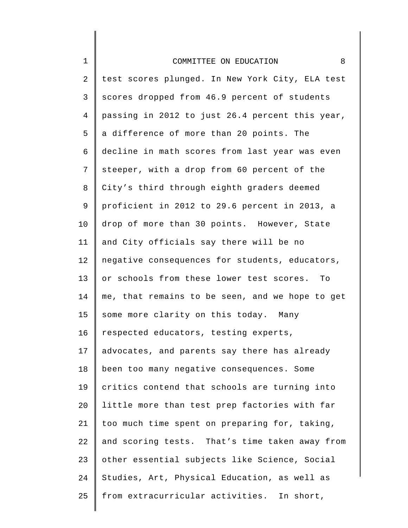# 1 2 3 4 5 6 7 8 9 10 11 12 13 14 15 16 17 18 19 20 21 22 23 24 25 COMMITTEE ON EDUCATION 8 test scores plunged. In New York City, ELA test scores dropped from 46.9 percent of students passing in 2012 to just 26.4 percent this year, a difference of more than 20 points. The decline in math scores from last year was even steeper, with a drop from 60 percent of the City's third through eighth graders deemed proficient in 2012 to 29.6 percent in 2013, a drop of more than 30 points. However, State and City officials say there will be no negative consequences for students, educators, or schools from these lower test scores. To me, that remains to be seen, and we hope to get some more clarity on this today. Many respected educators, testing experts, advocates, and parents say there has already been too many negative consequences. Some critics contend that schools are turning into little more than test prep factories with far too much time spent on preparing for, taking, and scoring tests. That's time taken away from other essential subjects like Science, Social Studies, Art, Physical Education, as well as from extracurricular activities. In short,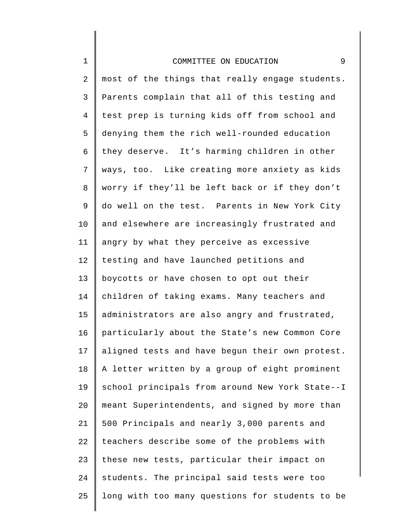# 1 2 3 4 5 6 7 8 9 10 11 12 13 14 15 16 17 18 19 20 21 22 23 24 25 COMMITTEE ON EDUCATION 9 most of the things that really engage students. Parents complain that all of this testing and test prep is turning kids off from school and denying them the rich well-rounded education they deserve. It's harming children in other ways, too. Like creating more anxiety as kids worry if they'll be left back or if they don't do well on the test. Parents in New York City and elsewhere are increasingly frustrated and angry by what they perceive as excessive testing and have launched petitions and boycotts or have chosen to opt out their children of taking exams. Many teachers and administrators are also angry and frustrated, particularly about the State's new Common Core aligned tests and have begun their own protest. A letter written by a group of eight prominent school principals from around New York State--I meant Superintendents, and signed by more than 500 Principals and nearly 3,000 parents and teachers describe some of the problems with these new tests, particular their impact on students. The principal said tests were too long with too many questions for students to be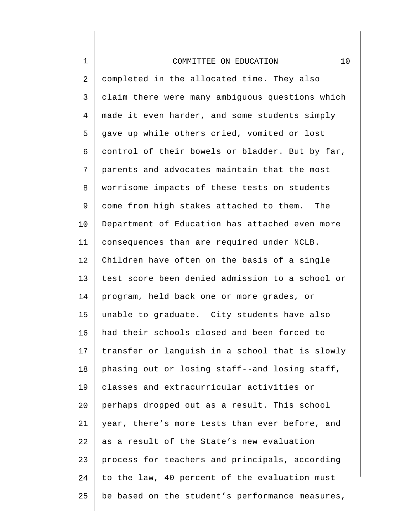| $\mathbf 1$ | 10<br>COMMITTEE ON EDUCATION                    |
|-------------|-------------------------------------------------|
| 2           | completed in the allocated time. They also      |
| 3           | claim there were many ambiguous questions which |
| 4           | made it even harder, and some students simply   |
| 5           | gave up while others cried, vomited or lost     |
| б           | control of their bowels or bladder. But by far, |
| 7           | parents and advocates maintain that the most    |
| 8           | worrisome impacts of these tests on students    |
| 9           | come from high stakes attached to them. The     |
| $10 \,$     | Department of Education has attached even more  |
| 11          | consequences than are required under NCLB.      |
| 12          | Children have often on the basis of a single    |
| 13          | test score been denied admission to a school or |
| 14          | program, held back one or more grades, or       |
| 15          | unable to graduate. City students have also     |
| 16          | had their schools closed and been forced to     |
| 17          | transfer or languish in a school that is slowly |
| 18          | phasing out or losing staff--and losing staff,  |
| 19          | classes and extracurricular activities or       |
| 20          | perhaps dropped out as a result. This school    |
| 21          | year, there's more tests than ever before, and  |
| 22          | as a result of the State's new evaluation       |
| 23          | process for teachers and principals, according  |
| 24          | to the law, 40 percent of the evaluation must   |
| 25          | be based on the student's performance measures, |
|             |                                                 |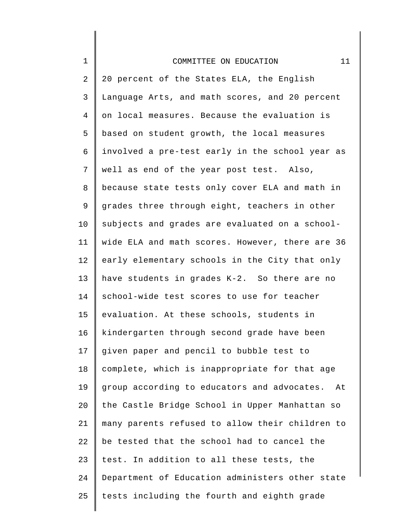| $\mathbf 1$    | 11<br>COMMITTEE ON EDUCATION                      |
|----------------|---------------------------------------------------|
| $\overline{2}$ | 20 percent of the States ELA, the English         |
| 3              | Language Arts, and math scores, and 20 percent    |
| 4              | on local measures. Because the evaluation is      |
| 5              | based on student growth, the local measures       |
| 6              | involved a pre-test early in the school year as   |
| 7              | well as end of the year post test. Also,          |
| 8              | because state tests only cover ELA and math in    |
| 9              | grades three through eight, teachers in other     |
| 10             | subjects and grades are evaluated on a school-    |
| 11             | wide ELA and math scores. However, there are 36   |
| 12             | early elementary schools in the City that only    |
| 13             | have students in grades K-2. So there are no      |
| 14             | school-wide test scores to use for teacher        |
| 15             | evaluation. At these schools, students in         |
| 16             | kindergarten through second grade have been       |
| 17             | given paper and pencil to bubble test to          |
| 18             | complete, which is inappropriate for that age     |
| 19             | group according to educators and advocates.<br>At |
| 20             | the Castle Bridge School in Upper Manhattan so    |
| 21             | many parents refused to allow their children to   |
| 22             | be tested that the school had to cancel the       |
| 23             | test. In addition to all these tests, the         |
| 24             | Department of Education administers other state   |
| 25             | tests including the fourth and eighth grade       |
|                |                                                   |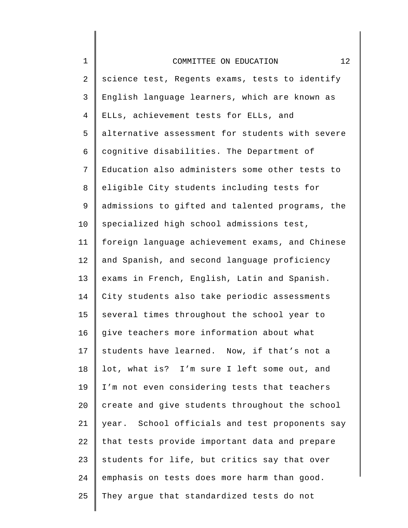| $\mathbf 1$ | 12<br>COMMITTEE ON EDUCATION                    |
|-------------|-------------------------------------------------|
| 2           | science test, Regents exams, tests to identify  |
| 3           | English language learners, which are known as   |
| 4           | ELLs, achievement tests for ELLs, and           |
| 5           | alternative assessment for students with severe |
| 6           | cognitive disabilities. The Department of       |
| 7           | Education also administers some other tests to  |
| 8           | eligible City students including tests for      |
| 9           | admissions to gifted and talented programs, the |
| 10          | specialized high school admissions test,        |
| 11          | foreign language achievement exams, and Chinese |
| 12          | and Spanish, and second language proficiency    |
| 13          | exams in French, English, Latin and Spanish.    |
| 14          | City students also take periodic assessments    |
| 15          | several times throughout the school year to     |
| 16          | give teachers more information about what       |
| 17          | students have learned. Now, if that's not a     |
| 18          | lot, what is? I'm sure I left some out, and     |
| 19          | I'm not even considering tests that teachers    |
| 20          | create and give students throughout the school  |
| 21          | year. School officials and test proponents say  |
| 22          | that tests provide important data and prepare   |
| 23          | students for life, but critics say that over    |
| 24          | emphasis on tests does more harm than good.     |
| 25          | They argue that standardized tests do not       |
|             |                                                 |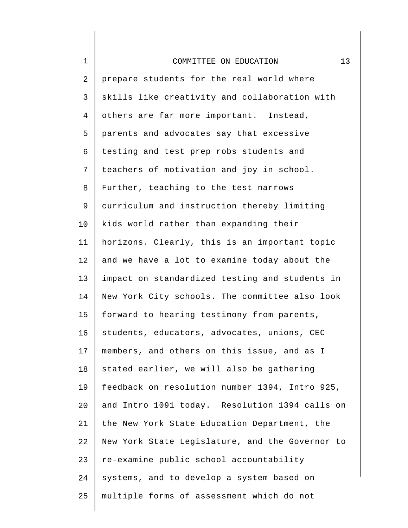| $\mathbf 1$    | 13<br>COMMITTEE ON EDUCATION                    |
|----------------|-------------------------------------------------|
| 2              | prepare students for the real world where       |
| 3              | skills like creativity and collaboration with   |
| $\overline{4}$ | others are far more important. Instead,         |
| 5              | parents and advocates say that excessive        |
| 6              | testing and test prep robs students and         |
| 7              | teachers of motivation and joy in school.       |
| 8              | Further, teaching to the test narrows           |
| 9              | curriculum and instruction thereby limiting     |
| 10             | kids world rather than expanding their          |
| 11             | horizons. Clearly, this is an important topic   |
| 12             | and we have a lot to examine today about the    |
| 13             | impact on standardized testing and students in  |
| 14             | New York City schools. The committee also look  |
| 15             | forward to hearing testimony from parents,      |
| 16             | students, educators, advocates, unions, CEC     |
| 17             | members, and others on this issue, and as I     |
| 18             | stated earlier, we will also be gathering       |
| 19             | feedback on resolution number 1394, Intro 925,  |
| 20             | and Intro 1091 today. Resolution 1394 calls on  |
| 21             | the New York State Education Department, the    |
| 22             | New York State Legislature, and the Governor to |
| 23             | re-examine public school accountability         |
| 24             | systems, and to develop a system based on       |
| 25             | multiple forms of assessment which do not       |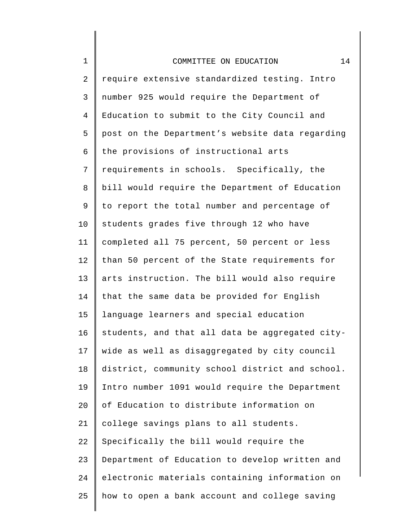| $\mathbf 1$    | 14<br>COMMITTEE ON EDUCATION                    |
|----------------|-------------------------------------------------|
| 2              | require extensive standardized testing. Intro   |
| 3              | number 925 would require the Department of      |
| $\overline{4}$ | Education to submit to the City Council and     |
| 5              | post on the Department's website data regarding |
| 6              | the provisions of instructional arts            |
| 7              | requirements in schools. Specifically, the      |
| 8              | bill would require the Department of Education  |
| 9              | to report the total number and percentage of    |
| 10             | students grades five through 12 who have        |
| 11             | completed all 75 percent, 50 percent or less    |
| 12             | than 50 percent of the State requirements for   |
| 13             | arts instruction. The bill would also require   |
| 14             | that the same data be provided for English      |
| 15             | language learners and special education         |
| 16             | students, and that all data be aggregated city- |
| 17             | wide as well as disaggregated by city council   |
| 18             | district, community school district and school. |
| 19             | Intro number 1091 would require the Department  |
| 20             | of Education to distribute information on       |
| 21             | college savings plans to all students.          |
| 22             | Specifically the bill would require the         |
| 23             | Department of Education to develop written and  |
| 24             | electronic materials containing information on  |
| 25             | how to open a bank account and college saving   |
|                |                                                 |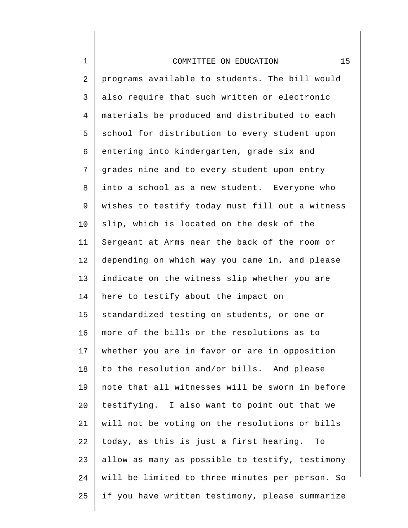1

2 3 4 5 6 7 8 9 10 11 12 13 14 15 16 17 18 19 20 21 22 23 24 25 programs available to students. The bill would also require that such written or electronic materials be produced and distributed to each school for distribution to every student upon entering into kindergarten, grade six and grades nine and to every student upon entry into a school as a new student. Everyone who wishes to testify today must fill out a witness slip, which is located on the desk of the Sergeant at Arms near the back of the room or depending on which way you came in, and please indicate on the witness slip whether you are here to testify about the impact on standardized testing on students, or one or more of the bills or the resolutions as to whether you are in favor or are in opposition to the resolution and/or bills. And please note that all witnesses will be sworn in before testifying. I also want to point out that we will not be voting on the resolutions or bills today, as this is just a first hearing. To allow as many as possible to testify, testimony will be limited to three minutes per person. So if you have written testimony, please summarize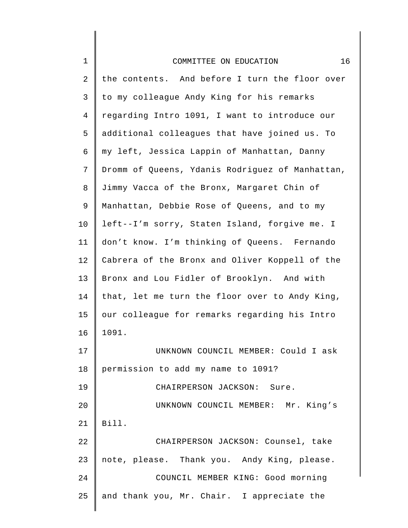| $\mathbf 1$    | 16<br>COMMITTEE ON EDUCATION                    |
|----------------|-------------------------------------------------|
| $\overline{2}$ | the contents. And before I turn the floor over  |
| 3              | to my colleague Andy King for his remarks       |
| $\overline{4}$ | regarding Intro 1091, I want to introduce our   |
| 5              | additional colleagues that have joined us. To   |
| 6              | my left, Jessica Lappin of Manhattan, Danny     |
| 7              | Dromm of Queens, Ydanis Rodriguez of Manhattan, |
| 8              | Jimmy Vacca of the Bronx, Margaret Chin of      |
| 9              | Manhattan, Debbie Rose of Queens, and to my     |
| 10             | left--I'm sorry, Staten Island, forgive me. I   |
| 11             | don't know. I'm thinking of Queens. Fernando    |
| 12             | Cabrera of the Bronx and Oliver Koppell of the  |
| 13             | Bronx and Lou Fidler of Brooklyn. And with      |
| 14             | that, let me turn the floor over to Andy King,  |
| 15             | our colleague for remarks regarding his Intro   |
| 16             | 1091.                                           |
| 17             | UNKNOWN COUNCIL MEMBER: Could I ask             |
| 18             | permission to add my name to 1091?              |
| 19             | CHAIRPERSON JACKSON: Sure.                      |
| 20             | UNKNOWN COUNCIL MEMBER: Mr. King's              |
| 21             | Bill.                                           |
| 22             | CHAIRPERSON JACKSON: Counsel, take              |
| 23             | note, please. Thank you. Andy King, please.     |
| 24             | COUNCIL MEMBER KING: Good morning               |
| 25             | and thank you, Mr. Chair. I appreciate the      |
|                |                                                 |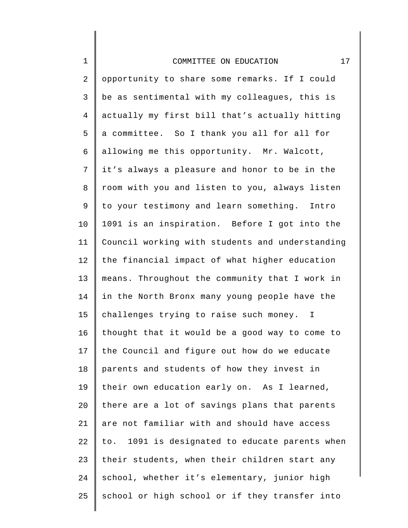| $\mathbf 1$    | 17<br>COMMITTEE ON EDUCATION                    |
|----------------|-------------------------------------------------|
| $\overline{2}$ | opportunity to share some remarks. If I could   |
| 3              | be as sentimental with my colleagues, this is   |
| $\overline{4}$ | actually my first bill that's actually hitting  |
| 5              | a committee. So I thank you all for all for     |
| 6              | allowing me this opportunity. Mr. Walcott,      |
| 7              | it's always a pleasure and honor to be in the   |
| 8              | room with you and listen to you, always listen  |
| 9              | to your testimony and learn something. Intro    |
| 10             | 1091 is an inspiration. Before I got into the   |
| 11             | Council working with students and understanding |
| 12             | the financial impact of what higher education   |
| 13             | means. Throughout the community that I work in  |
| 14             | in the North Bronx many young people have the   |
| 15             | challenges trying to raise such money. I        |
| 16             | thought that it would be a good way to come to  |
| 17             | the Council and figure out how do we educate    |
| 18             | parents and students of how they invest in      |
| 19             | their own education early on. As I learned,     |
| 20             | there are a lot of savings plans that parents   |
| 21             | are not familiar with and should have access    |
| 22             | to. 1091 is designated to educate parents when  |
| 23             | their students, when their children start any   |
| 24             | school, whether it's elementary, junior high    |
| 25             | school or high school or if they transfer into  |
|                |                                                 |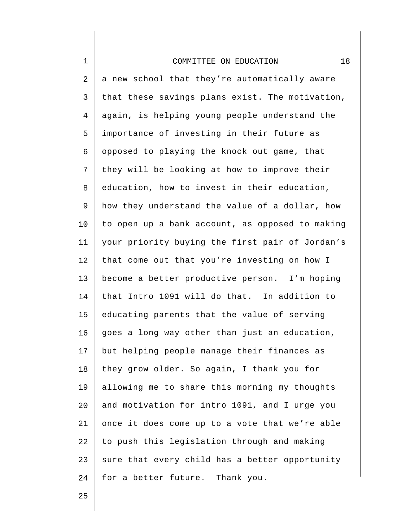2 3 4 5 6 7 8 9 10 11 12 13 14 15 16 17 18 19 20 21 22 23 24 a new school that they're automatically aware that these savings plans exist. The motivation, again, is helping young people understand the importance of investing in their future as opposed to playing the knock out game, that they will be looking at how to improve their education, how to invest in their education, how they understand the value of a dollar, how to open up a bank account, as opposed to making your priority buying the first pair of Jordan's that come out that you're investing on how I become a better productive person. I'm hoping that Intro 1091 will do that. In addition to educating parents that the value of serving goes a long way other than just an education, but helping people manage their finances as they grow older. So again, I thank you for allowing me to share this morning my thoughts and motivation for intro 1091, and I urge you once it does come up to a vote that we're able to push this legislation through and making sure that every child has a better opportunity for a better future. Thank you.

25

1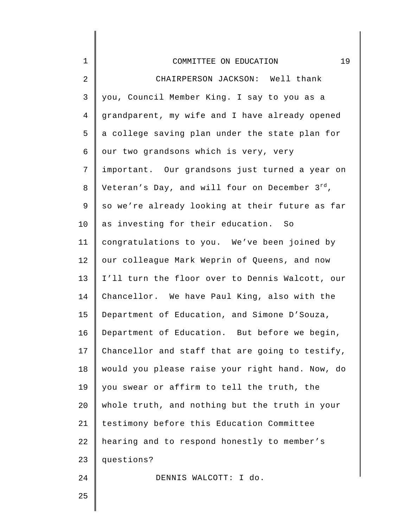| $\mathbf 1$    | 19<br>COMMITTEE ON EDUCATION                        |
|----------------|-----------------------------------------------------|
| $\overline{2}$ | CHAIRPERSON JACKSON: Well thank                     |
| 3              | you, Council Member King. I say to you as a         |
| $\overline{4}$ | grandparent, my wife and I have already opened      |
| 5              | a college saving plan under the state plan for      |
| 6              | our two grandsons which is very, very               |
| 7              | important. Our grandsons just turned a year on      |
| $\, 8$         | Veteran's Day, and will four on December $3^{rd}$ , |
| 9              | so we're already looking at their future as far     |
| 10             | as investing for their education. So                |
| 11             | congratulations to you. We've been joined by        |
| 12             | our colleague Mark Weprin of Queens, and now        |
| 13             | I'll turn the floor over to Dennis Walcott, our     |
| 14             | Chancellor. We have Paul King, also with the        |
| 15             | Department of Education, and Simone D'Souza,        |
| 16             | Department of Education. But before we begin,       |
| 17             | Chancellor and staff that are going to testify,     |
| 18             | would you please raise your right hand. Now, do     |
| 19             | you swear or affirm to tell the truth, the          |
| 20             | whole truth, and nothing but the truth in your      |
| 21             | testimony before this Education Committee           |
| 22             | hearing and to respond honestly to member's         |
| 23             | questions?                                          |
| 24             | DENNIS WALCOTT: I do.                               |
| 25             |                                                     |

25

 $\Big\}$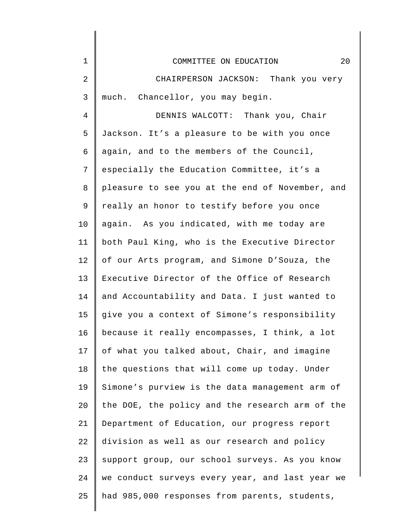| 1  | 20<br>COMMITTEE ON EDUCATION                    |
|----|-------------------------------------------------|
| 2  | CHAIRPERSON JACKSON: Thank you very             |
| 3  | much. Chancellor, you may begin.                |
| 4  | DENNIS WALCOTT: Thank you, Chair                |
| 5  | Jackson. It's a pleasure to be with you once    |
| 6  | again, and to the members of the Council,       |
| 7  | especially the Education Committee, it's a      |
| 8  | pleasure to see you at the end of November, and |
| 9  | really an honor to testify before you once      |
| 10 | again. As you indicated, with me today are      |
| 11 | both Paul King, who is the Executive Director   |
| 12 | of our Arts program, and Simone D'Souza, the    |
| 13 | Executive Director of the Office of Research    |
| 14 | and Accountability and Data. I just wanted to   |
| 15 | give you a context of Simone's responsibility   |
| 16 | because it really encompasses, I think, a lot   |
| 17 | of what you talked about, Chair, and imagine    |
| 18 | the questions that will come up today. Under    |
| 19 | Simone's purview is the data management arm of  |
| 20 | the DOE, the policy and the research arm of the |
| 21 | Department of Education, our progress report    |
| 22 | division as well as our research and policy     |
| 23 | support group, our school surveys. As you know  |
| 24 | we conduct surveys every year, and last year we |
| 25 | had 985,000 responses from parents, students,   |
|    |                                                 |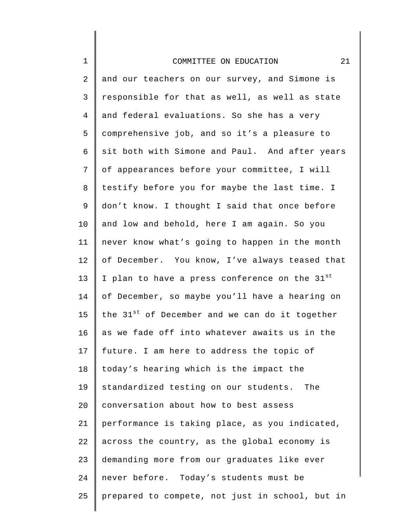1

2 3 4 5 6 7 8 9 10 11 12 13 14 15 16 17 18 19 20 21 22 23 24 25 and our teachers on our survey, and Simone is responsible for that as well, as well as state and federal evaluations. So she has a very comprehensive job, and so it's a pleasure to sit both with Simone and Paul. And after years of appearances before your committee, I will testify before you for maybe the last time. I don't know. I thought I said that once before and low and behold, here I am again. So you never know what's going to happen in the month of December. You know, I've always teased that I plan to have a press conference on the 31st of December, so maybe you'll have a hearing on the  $31<sup>st</sup>$  of December and we can do it together as we fade off into whatever awaits us in the future. I am here to address the topic of today's hearing which is the impact the standardized testing on our students. The conversation about how to best assess performance is taking place, as you indicated, across the country, as the global economy is demanding more from our graduates like ever never before. Today's students must be prepared to compete, not just in school, but in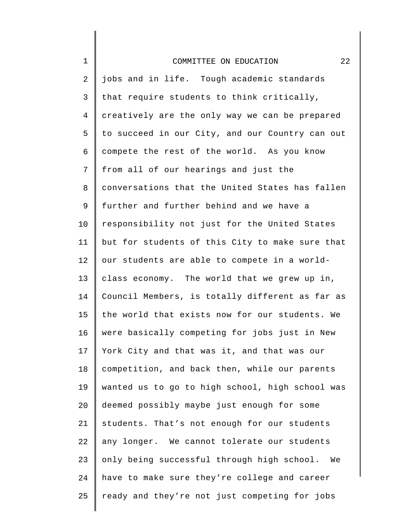| $\mathbf 1$    | 22<br>COMMITTEE ON EDUCATION                    |
|----------------|-------------------------------------------------|
| 2              | jobs and in life. Tough academic standards      |
| 3              | that require students to think critically,      |
| $\overline{4}$ | creatively are the only way we can be prepared  |
| 5              | to succeed in our City, and our Country can out |
| 6              | compete the rest of the world. As you know      |
| 7              | from all of our hearings and just the           |
| 8              | conversations that the United States has fallen |
| 9              | further and further behind and we have a        |
| 10             | responsibility not just for the United States   |
| 11             | but for students of this City to make sure that |
| 12             | our students are able to compete in a world-    |
| 13             | class economy. The world that we grew up in,    |
| 14             | Council Members, is totally different as far as |
| 15             | the world that exists now for our students. We  |
| 16             | were basically competing for jobs just in New   |
| 17             | York City and that was it, and that was our     |
| 18             | competition, and back then, while our parents   |
| 19             | wanted us to go to high school, high school was |
| 20             | deemed possibly maybe just enough for some      |
| 21             | students. That's not enough for our students    |
| 22             | any longer. We cannot tolerate our students     |
| 23             | only being successful through high school. We   |
| 24             | have to make sure they're college and career    |
| 25             | ready and they're not just competing for jobs   |

║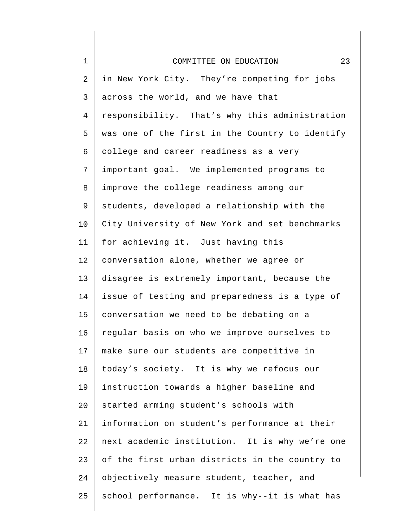| $\mathbf 1$ | 23<br>COMMITTEE ON EDUCATION                    |
|-------------|-------------------------------------------------|
| 2           | in New York City. They're competing for jobs    |
| 3           | across the world, and we have that              |
| 4           | responsibility. That's why this administration  |
| 5           | was one of the first in the Country to identify |
| 6           | college and career readiness as a very          |
| 7           | important goal. We implemented programs to      |
| 8           | improve the college readiness among our         |
| 9           | students, developed a relationship with the     |
| $10 \,$     | City University of New York and set benchmarks  |
| 11          | for achieving it. Just having this              |
| 12          | conversation alone, whether we agree or         |
| 13          | disagree is extremely important, because the    |
| 14          | issue of testing and preparedness is a type of  |
| 15          | conversation we need to be debating on a        |
| 16          | regular basis on who we improve ourselves to    |
| 17          | make sure our students are competitive in       |
| 18          | today's society. It is why we refocus our       |
| 19          | instruction towards a higher baseline and       |
| 20          | started arming student's schools with           |
| 21          | information on student's performance at their   |
| 22          | next academic institution. It is why we're one  |
| 23          | of the first urban districts in the country to  |
| 24          | objectively measure student, teacher, and       |
| 25          | school performance. It is why--it is what has   |
|             |                                                 |

║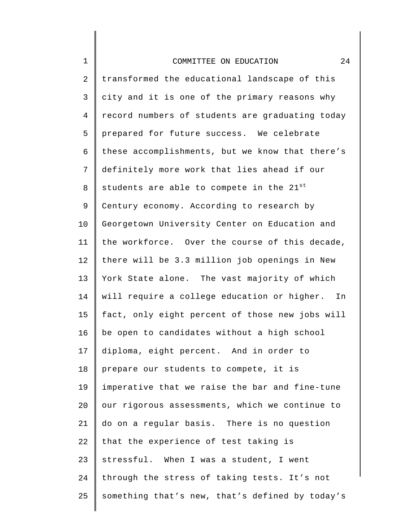1

2 3 4 5 6 7 8 9 10 11 12 13 14 15 16 17 18 19 20 21 22 23 24 25 transformed the educational landscape of this city and it is one of the primary reasons why record numbers of students are graduating today prepared for future success. We celebrate these accomplishments, but we know that there's definitely more work that lies ahead if our students are able to compete in the  $21^{st}$ Century economy. According to research by Georgetown University Center on Education and the workforce. Over the course of this decade, there will be 3.3 million job openings in New York State alone. The vast majority of which will require a college education or higher. In fact, only eight percent of those new jobs will be open to candidates without a high school diploma, eight percent. And in order to prepare our students to compete, it is imperative that we raise the bar and fine-tune our rigorous assessments, which we continue to do on a regular basis. There is no question that the experience of test taking is stressful. When I was a student, I went through the stress of taking tests. It's not something that's new, that's defined by today's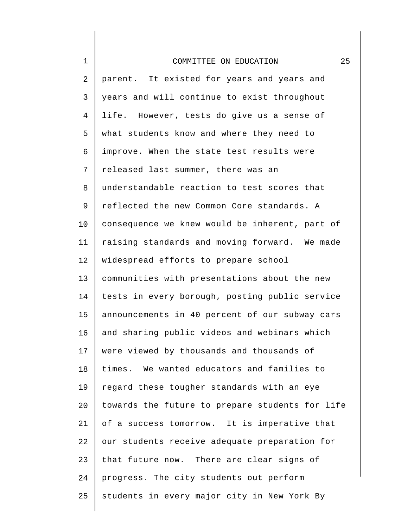| $\mathbf 1$ | 25<br>COMMITTEE ON EDUCATION                    |
|-------------|-------------------------------------------------|
| 2           | parent. It existed for years and years and      |
| 3           | years and will continue to exist throughout     |
| 4           | life. However, tests do give us a sense of      |
| 5           | what students know and where they need to       |
| 6           | improve. When the state test results were       |
| 7           | released last summer, there was an              |
| 8           | understandable reaction to test scores that     |
| 9           | reflected the new Common Core standards. A      |
| $10 \,$     | consequence we knew would be inherent, part of  |
| 11          | raising standards and moving forward. We made   |
| 12          | widespread efforts to prepare school            |
| 13          | communities with presentations about the new    |
| 14          | tests in every borough, posting public service  |
| 15          | announcements in 40 percent of our subway cars  |
| 16          | and sharing public videos and webinars which    |
| 17          | were viewed by thousands and thousands of       |
| 18          | times. We wanted educators and families to      |
| 19          | regard these tougher standards with an eye      |
| 20          | towards the future to prepare students for life |
| 21          | of a success tomorrow. It is imperative that    |
| 22          | our students receive adequate preparation for   |
| 23          | that future now. There are clear signs of       |
| 24          | progress. The city students out perform         |
| 25          | students in every major city in New York By     |
|             |                                                 |

║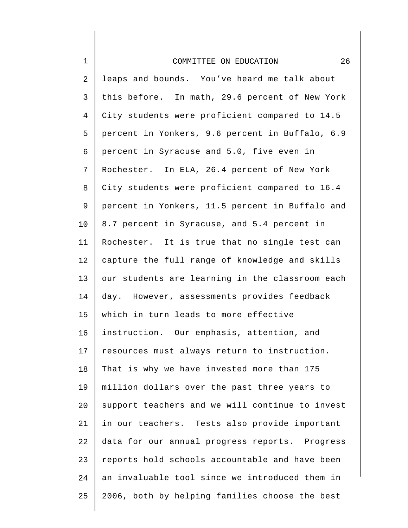| $1\,$          | 26<br>COMMITTEE ON EDUCATION                    |
|----------------|-------------------------------------------------|
| 2              | leaps and bounds. You've heard me talk about    |
| $\mathfrak{Z}$ | this before. In math, 29.6 percent of New York  |
| $\overline{4}$ | City students were proficient compared to 14.5  |
| 5              | percent in Yonkers, 9.6 percent in Buffalo, 6.9 |
| 6              | percent in Syracuse and 5.0, five even in       |
| $\overline{7}$ | Rochester. In ELA, 26.4 percent of New York     |
| 8              | City students were proficient compared to 16.4  |
| 9              | percent in Yonkers, 11.5 percent in Buffalo and |
| 10             | 8.7 percent in Syracuse, and 5.4 percent in     |
| 11             | Rochester. It is true that no single test can   |
| 12             | capture the full range of knowledge and skills  |
| 13             | our students are learning in the classroom each |
| 14             | day. However, assessments provides feedback     |
| 15             | which in turn leads to more effective           |
| 16             | instruction. Our emphasis, attention, and       |
| 17             | resources must always return to instruction.    |
| 18             | That is why we have invested more than 175      |
| 19             | million dollars over the past three years to    |
| 20             | support teachers and we will continue to invest |
| 21             | in our teachers. Tests also provide important   |
| 22             | data for our annual progress reports. Progress  |
| 23             | reports hold schools accountable and have been  |
| 24             | an invaluable tool since we introduced them in  |
| 25             | 2006, both by helping families choose the best  |
|                |                                                 |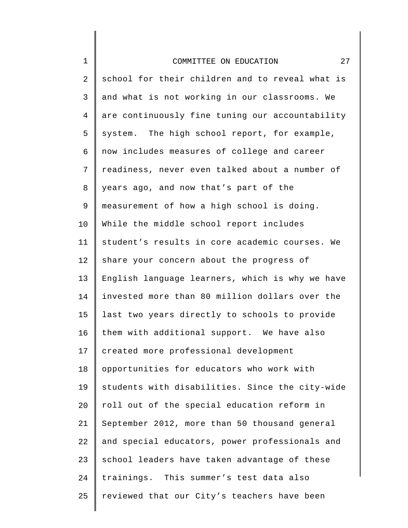| $\mathbf 1$    | 27<br>COMMITTEE ON EDUCATION                    |
|----------------|-------------------------------------------------|
| $\overline{2}$ | school for their children and to reveal what is |
| 3              | and what is not working in our classrooms. We   |
| $\overline{4}$ | are continuously fine tuning our accountability |
| 5              | system. The high school report, for example,    |
| 6              | now includes measures of college and career     |
| 7              | readiness, never even talked about a number of  |
| 8              | years ago, and now that's part of the           |
| 9              | measurement of how a high school is doing.      |
| 10             | While the middle school report includes         |
| 11             | student's results in core academic courses. We  |
| 12             | share your concern about the progress of        |
| 13             | English language learners, which is why we have |
| 14             | invested more than 80 million dollars over the  |
| 15             | last two years directly to schools to provide   |
| 16             | them with additional support. We have also      |
| 17             | created more professional development           |
| 18             | opportunities for educators who work with       |
| 19             | students with disabilities. Since the city-wide |
| 20             | roll out of the special education reform in     |
| 21             | September 2012, more than 50 thousand general   |
| 22             | and special educators, power professionals and  |
| 23             | school leaders have taken advantage of these    |
| 24             | trainings. This summer's test data also         |
| 25             | reviewed that our City's teachers have been     |
|                |                                                 |

∥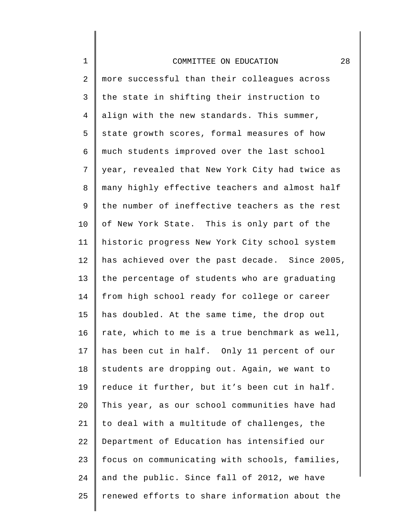1

2 3 4 5 6 7 8 9 10 11 12 13 14 15 16 17 18 19 20 21 22 23 24 25 more successful than their colleagues across the state in shifting their instruction to align with the new standards. This summer, state growth scores, formal measures of how much students improved over the last school year, revealed that New York City had twice as many highly effective teachers and almost half the number of ineffective teachers as the rest of New York State. This is only part of the historic progress New York City school system has achieved over the past decade. Since 2005, the percentage of students who are graduating from high school ready for college or career has doubled. At the same time, the drop out rate, which to me is a true benchmark as well, has been cut in half. Only 11 percent of our students are dropping out. Again, we want to reduce it further, but it's been cut in half. This year, as our school communities have had to deal with a multitude of challenges, the Department of Education has intensified our focus on communicating with schools, families, and the public. Since fall of 2012, we have renewed efforts to share information about the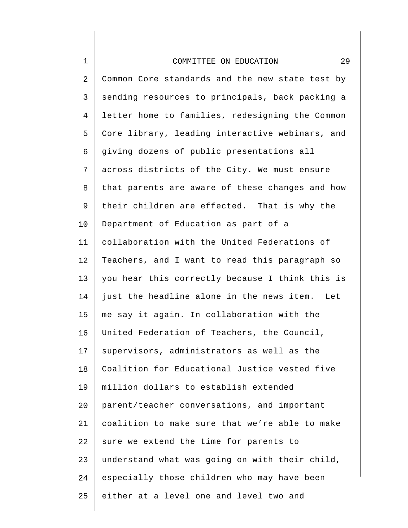1

2 3 4 5 6 7 8 9 10 11 12 13 14 15 16 17 18 19 20 21 22 23 24 25 Common Core standards and the new state test by sending resources to principals, back packing a letter home to families, redesigning the Common Core library, leading interactive webinars, and giving dozens of public presentations all across districts of the City. We must ensure that parents are aware of these changes and how their children are effected. That is why the Department of Education as part of a collaboration with the United Federations of Teachers, and I want to read this paragraph so you hear this correctly because I think this is just the headline alone in the news item. Let me say it again. In collaboration with the United Federation of Teachers, the Council, supervisors, administrators as well as the Coalition for Educational Justice vested five million dollars to establish extended parent/teacher conversations, and important coalition to make sure that we're able to make sure we extend the time for parents to understand what was going on with their child, especially those children who may have been either at a level one and level two and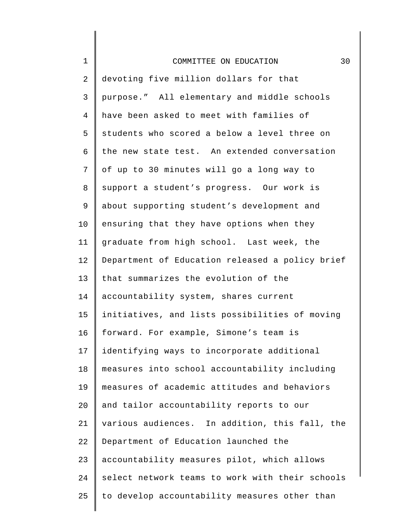| $\mathbf 1$    | 30<br>COMMITTEE ON EDUCATION                    |  |  |  |
|----------------|-------------------------------------------------|--|--|--|
| $\overline{c}$ | devoting five million dollars for that          |  |  |  |
| 3              | purpose." All elementary and middle schools     |  |  |  |
| 4              | have been asked to meet with families of        |  |  |  |
| 5              | students who scored a below a level three on    |  |  |  |
| 6              | the new state test. An extended conversation    |  |  |  |
| 7              | of up to 30 minutes will go a long way to       |  |  |  |
| 8              | support a student's progress. Our work is       |  |  |  |
| $\mathsf 9$    | about supporting student's development and      |  |  |  |
| 10             | ensuring that they have options when they       |  |  |  |
| 11             | graduate from high school. Last week, the       |  |  |  |
| 12             | Department of Education released a policy brief |  |  |  |
| 13             | that summarizes the evolution of the            |  |  |  |
| 14             | accountability system, shares current           |  |  |  |
| 15             | initiatives, and lists possibilities of moving  |  |  |  |
| 16             | forward. For example, Simone's team is          |  |  |  |
| 17             | identifying ways to incorporate additional      |  |  |  |
| 18             | measures into school accountability including   |  |  |  |
| 19             | measures of academic attitudes and behaviors    |  |  |  |
| 20             | and tailor accountability reports to our        |  |  |  |
| 21             | various audiences. In addition, this fall, the  |  |  |  |
| 22             | Department of Education launched the            |  |  |  |
| 23             | accountability measures pilot, which allows     |  |  |  |
| 24             | select network teams to work with their schools |  |  |  |
| 25             | to develop accountability measures other than   |  |  |  |
|                |                                                 |  |  |  |

 $\begin{array}{c} \hline \end{array}$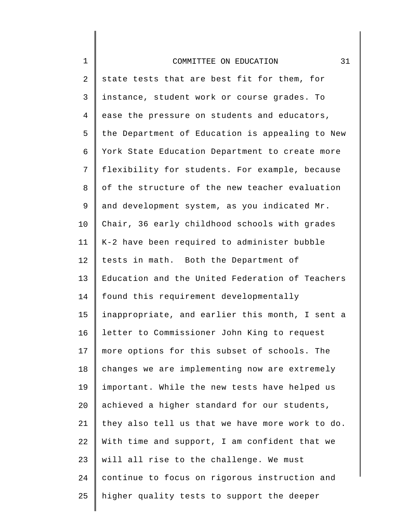| $\mathbf 1$    | 31<br>COMMITTEE ON EDUCATION                    |
|----------------|-------------------------------------------------|
| $\overline{a}$ | state tests that are best fit for them, for     |
| 3              | instance, student work or course grades. To     |
| 4              | ease the pressure on students and educators,    |
| 5              | the Department of Education is appealing to New |
| б              | York State Education Department to create more  |
| 7              | flexibility for students. For example, because  |
| 8              | of the structure of the new teacher evaluation  |
| 9              | and development system, as you indicated Mr.    |
| 10             | Chair, 36 early childhood schools with grades   |
| 11             | K-2 have been required to administer bubble     |
| 12             | tests in math. Both the Department of           |
| 13             | Education and the United Federation of Teachers |
| 14             | found this requirement developmentally          |
| 15             | inappropriate, and earlier this month, I sent a |
| 16             | letter to Commissioner John King to request     |
| 17             | more options for this subset of schools. The    |
| 18             | changes we are implementing now are extremely   |
| 19             | important. While the new tests have helped us   |
| 20             | achieved a higher standard for our students,    |
| 21             | they also tell us that we have more work to do. |
| 22             | With time and support, I am confident that we   |
| 23             | will all rise to the challenge. We must         |
| 24             | continue to focus on rigorous instruction and   |
| 25             | higher quality tests to support the deeper      |
|                |                                                 |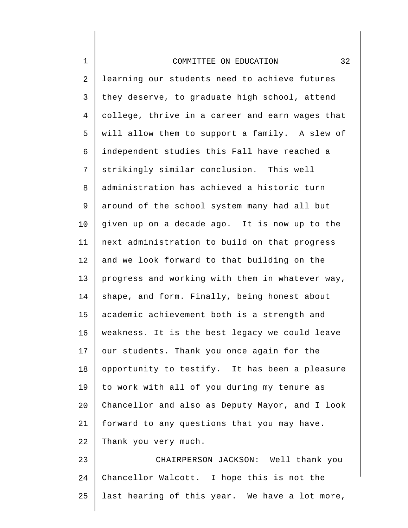1

2 3 4 5 6 7 8 9 10 11 12 13 14 15 16 17 18 19 20 21 22 23 learning our students need to achieve futures they deserve, to graduate high school, attend college, thrive in a career and earn wages that will allow them to support a family. A slew of independent studies this Fall have reached a strikingly similar conclusion. This well administration has achieved a historic turn around of the school system many had all but given up on a decade ago. It is now up to the next administration to build on that progress and we look forward to that building on the progress and working with them in whatever way, shape, and form. Finally, being honest about academic achievement both is a strength and weakness. It is the best legacy we could leave our students. Thank you once again for the opportunity to testify. It has been a pleasure to work with all of you during my tenure as Chancellor and also as Deputy Mayor, and I look forward to any questions that you may have. Thank you very much. CHAIRPERSON JACKSON: Well thank you

24 25 Chancellor Walcott. I hope this is not the last hearing of this year. We have a lot more,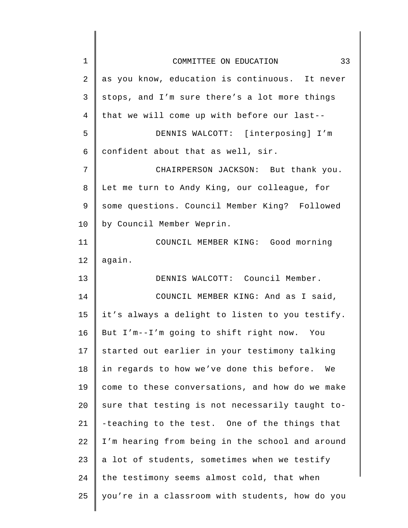| $\mathbf 1$ | 33<br>COMMITTEE ON EDUCATION                    |  |  |  |
|-------------|-------------------------------------------------|--|--|--|
| 2           | as you know, education is continuous. It never  |  |  |  |
| 3           | stops, and I'm sure there's a lot more things   |  |  |  |
| 4           | that we will come up with before our last--     |  |  |  |
| 5           | DENNIS WALCOTT: [interposing] I'm               |  |  |  |
| 6           | confident about that as well, sir.              |  |  |  |
| 7           | CHAIRPERSON JACKSON: But thank you.             |  |  |  |
| 8           | Let me turn to Andy King, our colleague, for    |  |  |  |
| 9           | some questions. Council Member King? Followed   |  |  |  |
| 10          | by Council Member Weprin.                       |  |  |  |
| 11          | COUNCIL MEMBER KING: Good morning               |  |  |  |
| 12          | again.                                          |  |  |  |
| 13          | DENNIS WALCOTT: Council Member.                 |  |  |  |
| 14          | COUNCIL MEMBER KING: And as I said,             |  |  |  |
| 15          | it's always a delight to listen to you testify. |  |  |  |
| 16          | But I'm--I'm going to shift right now. You      |  |  |  |
| 17          | started out earlier in your testimony talking   |  |  |  |
| 18          | in regards to how we've done this before. We    |  |  |  |
| 19          | come to these conversations, and how do we make |  |  |  |
| 20          | sure that testing is not necessarily taught to- |  |  |  |
| 21          | -teaching to the test. One of the things that   |  |  |  |
| 22          | I'm hearing from being in the school and around |  |  |  |
| 23          | a lot of students, sometimes when we testify    |  |  |  |
| 24          | the testimony seems almost cold, that when      |  |  |  |
| 25          | you're in a classroom with students, how do you |  |  |  |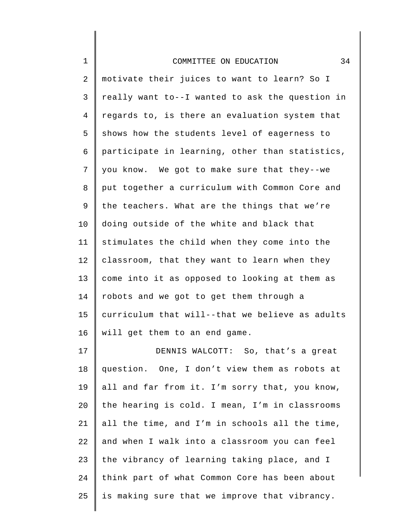1

2 3 4 5 6 7 8 9 10 11 12 13 14 15 16 motivate their juices to want to learn? So I really want to--I wanted to ask the question in regards to, is there an evaluation system that shows how the students level of eagerness to participate in learning, other than statistics, you know. We got to make sure that they--we put together a curriculum with Common Core and the teachers. What are the things that we're doing outside of the white and black that stimulates the child when they come into the classroom, that they want to learn when they come into it as opposed to looking at them as robots and we got to get them through a curriculum that will--that we believe as adults will get them to an end game.

17 18 19  $20^{\circ}$ 21 22 23 24 25 DENNIS WALCOTT: So, that's a great question. One, I don't view them as robots at all and far from it. I'm sorry that, you know, the hearing is cold. I mean, I'm in classrooms all the time, and I'm in schools all the time, and when I walk into a classroom you can feel the vibrancy of learning taking place, and I think part of what Common Core has been about is making sure that we improve that vibrancy.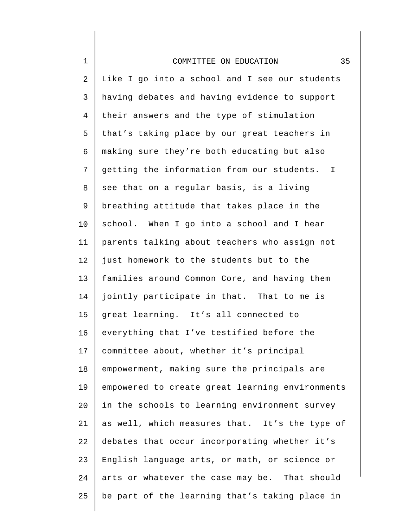| $\mathbf 1$ | 35<br>COMMITTEE ON EDUCATION                    |
|-------------|-------------------------------------------------|
| 2           | Like I go into a school and I see our students  |
| 3           | having debates and having evidence to support   |
| 4           | their answers and the type of stimulation       |
| 5           | that's taking place by our great teachers in    |
| 6           | making sure they're both educating but also     |
| 7           | getting the information from our students. I    |
| 8           | see that on a regular basis, is a living        |
| 9           | breathing attitude that takes place in the      |
| 10          | school. When I go into a school and I hear      |
| 11          | parents talking about teachers who assign not   |
| 12          | just homework to the students but to the        |
| 13          | families around Common Core, and having them    |
| 14          | jointly participate in that. That to me is      |
| 15          | great learning. It's all connected to           |
| 16          | everything that I've testified before the       |
| 17          | committee about, whether it's principal         |
| 18          | empowerment, making sure the principals are     |
| 19          | empowered to create great learning environments |
| 20          | in the schools to learning environment survey   |
| 21          | as well, which measures that. It's the type of  |
| 22          | debates that occur incorporating whether it's   |
| 23          | English language arts, or math, or science or   |
| 24          | arts or whatever the case may be. That should   |
| 25          | be part of the learning that's taking place in  |
|             |                                                 |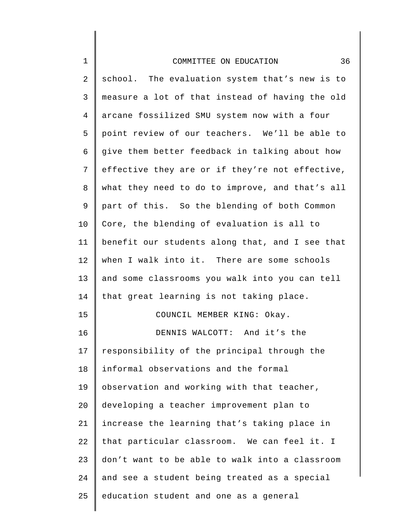| COMMITTEE ON EDUCATION |  |  |  |
|------------------------|--|--|--|
|------------------------|--|--|--|

1

2 3 4 5 6 7 8 9 10 11 12 13 14 15 16 17 18 19 20 21 22 23 24 25 school. The evaluation system that's new is to measure a lot of that instead of having the old arcane fossilized SMU system now with a four point review of our teachers. We'll be able to give them better feedback in talking about how effective they are or if they're not effective, what they need to do to improve, and that's all part of this. So the blending of both Common Core, the blending of evaluation is all to benefit our students along that, and I see that when I walk into it. There are some schools and some classrooms you walk into you can tell that great learning is not taking place. COUNCIL MEMBER KING: Okay. DENNIS WALCOTT: And it's the responsibility of the principal through the informal observations and the formal observation and working with that teacher, developing a teacher improvement plan to increase the learning that's taking place in that particular classroom. We can feel it. I don't want to be able to walk into a classroom and see a student being treated as a special education student and one as a general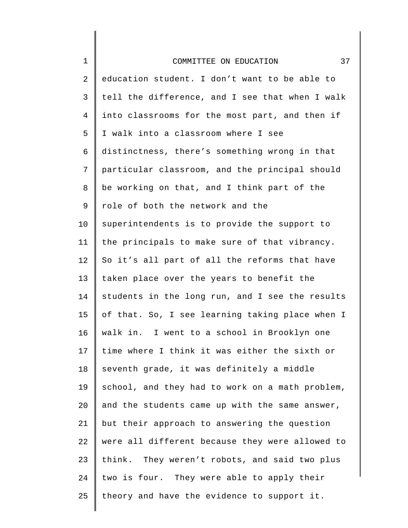| $\mathbf 1$  | 37<br>COMMITTEE ON EDUCATION                    |
|--------------|-------------------------------------------------|
| $\mathbf{2}$ | education student. I don't want to be able to   |
| 3            | tell the difference, and I see that when I walk |
| 4            | into classrooms for the most part, and then if  |
| 5            | I walk into a classroom where I see             |
| 6            | distinctness, there's something wrong in that   |
| 7            | particular classroom, and the principal should  |
| 8            | be working on that, and I think part of the     |
| 9            | role of both the network and the                |
| 10           | superintendents is to provide the support to    |
| 11           | the principals to make sure of that vibrancy.   |
| 12           | So it's all part of all the reforms that have   |
| 13           | taken place over the years to benefit the       |
| 14           | students in the long run, and I see the results |
| 15           | of that. So, I see learning taking place when I |
| 16           | walk in. I went to a school in Brooklyn one     |
| 17           | time where I think it was either the sixth or   |
| 18           | seventh grade, it was definitely a middle       |
| 19           | school, and they had to work on a math problem, |
| 20           | and the students came up with the same answer,  |
| 21           | but their approach to answering the question    |
| 22           | were all different because they were allowed to |
| 23           | think. They weren't robots, and said two plus   |
| 24           | two is four. They were able to apply their      |
| 25           | theory and have the evidence to support it.     |
|              |                                                 |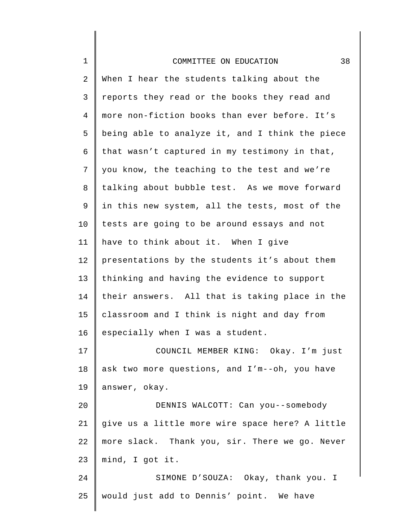| $1\,$          | 38<br>COMMITTEE ON EDUCATION                    |
|----------------|-------------------------------------------------|
| $\overline{2}$ | When I hear the students talking about the      |
| $\mathsf{3}$   | reports they read or the books they read and    |
| $\overline{4}$ | more non-fiction books than ever before. It's   |
| 5              | being able to analyze it, and I think the piece |
| 6              | that wasn't captured in my testimony in that,   |
| 7              | you know, the teaching to the test and we're    |
| 8              | talking about bubble test. As we move forward   |
| 9              | in this new system, all the tests, most of the  |
| 10             | tests are going to be around essays and not     |
| 11             | have to think about it. When I give             |
| 12             | presentations by the students it's about them   |
| 13             | thinking and having the evidence to support     |
| 14             | their answers. All that is taking place in the  |
| 15             | classroom and I think is night and day from     |
| 16             | especially when I was a student.                |
| 17             | COUNCIL MEMBER KING: Okay. I'm just             |
| 18             | ask two more questions, and I'm--oh, you have   |
| 19             | answer, okay.                                   |
| 20             | DENNIS WALCOTT: Can you--somebody               |
| 21             | give us a little more wire space here? A little |
| 22             | more slack. Thank you, sir. There we go. Never  |
| 23             | mind, I got it.                                 |
| 24             | SIMONE D'SOUZA: Okay, thank you. I              |
| 25             | would just add to Dennis' point. We have        |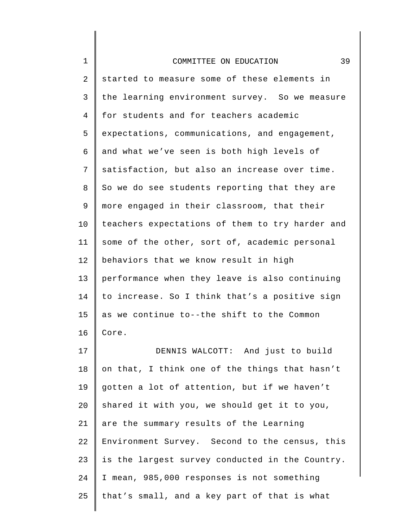| 1  | 39<br>COMMITTEE ON EDUCATION                    |
|----|-------------------------------------------------|
| 2  | started to measure some of these elements in    |
| 3  | the learning environment survey. So we measure  |
| 4  | for students and for teachers academic          |
| 5  | expectations, communications, and engagement,   |
| 6  | and what we've seen is both high levels of      |
| 7  | satisfaction, but also an increase over time.   |
| 8  | So we do see students reporting that they are   |
| 9  | more engaged in their classroom, that their     |
| 10 | teachers expectations of them to try harder and |
| 11 | some of the other, sort of, academic personal   |
| 12 | behaviors that we know result in high           |
| 13 | performance when they leave is also continuing  |
| 14 | to increase. So I think that's a positive sign  |
| 15 | as we continue to--the shift to the Common      |
| 16 | Core.                                           |
| 17 | DENNIS WALCOTT: And just to build               |
| 18 | on that, I think one of the things that hasn't  |
| 19 | gotten a lot of attention, but if we haven't    |
| 20 | shared it with you, we should get it to you,    |
| 21 | are the summary results of the Learning         |
| 22 | Environment Survey. Second to the census, this  |
| 23 | is the largest survey conducted in the Country. |
| 24 | I mean, 985,000 responses is not something      |
| 25 | that's small, and a key part of that is what    |
|    |                                                 |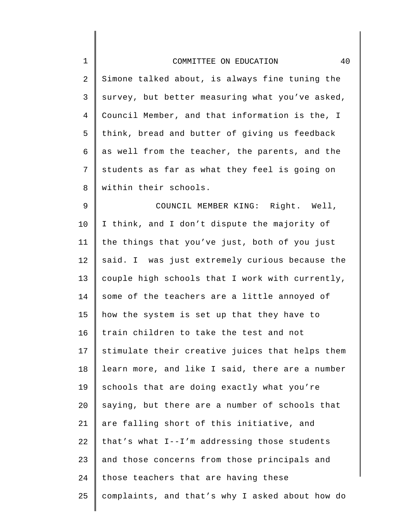| $\mathbf 1$ | 40<br>COMMITTEE ON EDUCATION                    |
|-------------|-------------------------------------------------|
| 2           | Simone talked about, is always fine tuning the  |
| 3           | survey, but better measuring what you've asked, |
| 4           | Council Member, and that information is the, I  |
| 5           | think, bread and butter of giving us feedback   |
| 6           | as well from the teacher, the parents, and the  |
| 7           | students as far as what they feel is going on   |
| 8           | within their schools.                           |
| 9           | COUNCIL MEMBER KING: Right. Well,               |
| $10 \,$     | I think, and I don't dispute the majority of    |
| 11          | the things that you've just, both of you just   |
| 12          | said. I was just extremely curious because the  |
| 13          | couple high schools that I work with currently, |
| 14          | some of the teachers are a little annoyed of    |
| 15          | how the system is set up that they have to      |
| 16          | train children to take the test and not         |
| 17          | stimulate their creative juices that helps them |
| 18          | learn more, and like I said, there are a number |
| 19          | schools that are doing exactly what you're      |
| 20          | saying, but there are a number of schools that  |
| 21          | are falling short of this initiative, and       |
| 22          | that's what I--I'm addressing those students    |
| 23          | and those concerns from those principals and    |
| 24          | those teachers that are having these            |
| 25          | complaints, and that's why I asked about how do |
|             |                                                 |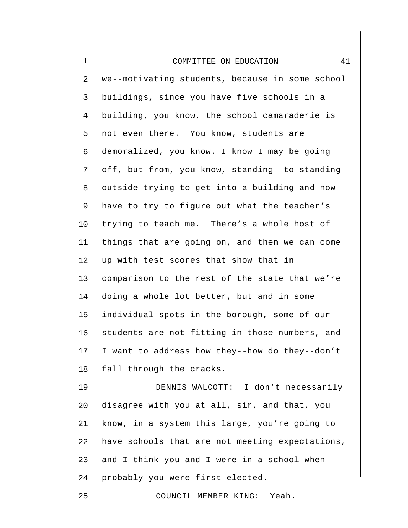| $\mathbf 1$     | 41<br>COMMITTEE ON EDUCATION                    |
|-----------------|-------------------------------------------------|
| $\overline{2}$  | we--motivating students, because in some school |
| 3               | buildings, since you have five schools in a     |
| $\overline{4}$  | building, you know, the school camaraderie is   |
| 5               | not even there. You know, students are          |
| 6               | demoralized, you know. I know I may be going    |
| 7               | off, but from, you know, standing--to standing  |
| 8               | outside trying to get into a building and now   |
| $\mathsf 9$     | have to try to figure out what the teacher's    |
| 10              | trying to teach me. There's a whole host of     |
| 11              | things that are going on, and then we can come  |
| 12              | up with test scores that show that in           |
| 13              | comparison to the rest of the state that we're  |
| 14              | doing a whole lot better, but and in some       |
| 15              | individual spots in the borough, some of our    |
| 16              | students are not fitting in those numbers, and  |
| 17 <sub>2</sub> | I want to address how they--how do they--don't  |
| 18              | fall through the cracks.                        |
| 19              | DENNIS WALCOTT: I don't necessarily             |
| 20              | disagree with you at all, sir, and that, you    |
| 21              | know, in a system this large, you're going to   |
| 22              | have schools that are not meeting expectations, |
| 23              | and I think you and I were in a school when     |
| 24              | probably you were first elected.                |
|                 |                                                 |

 $\mathsf I$ 

COUNCIL MEMBER KING: Yeah.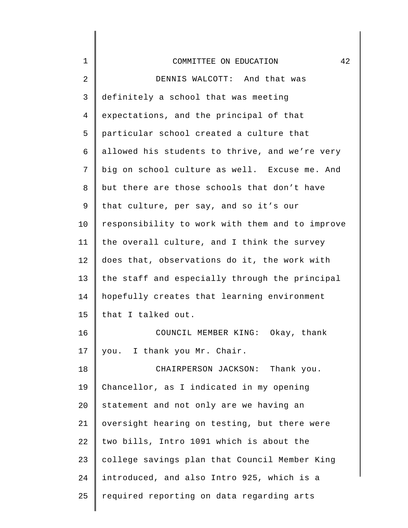| $\mathbf 1$ | 42<br>COMMITTEE ON EDUCATION                    |
|-------------|-------------------------------------------------|
| 2           | DENNIS WALCOTT: And that was                    |
| 3           | definitely a school that was meeting            |
| 4           | expectations, and the principal of that         |
| 5           | particular school created a culture that        |
| 6           | allowed his students to thrive, and we're very  |
| 7           | big on school culture as well. Excuse me. And   |
| 8           | but there are those schools that don't have     |
| 9           | that culture, per say, and so it's our          |
| 10          | responsibility to work with them and to improve |
| 11          | the overall culture, and I think the survey     |
| 12          | does that, observations do it, the work with    |
| 13          | the staff and especially through the principal  |
| 14          | hopefully creates that learning environment     |
| 15          | that I talked out.                              |
| 16          | COUNCIL MEMBER KING: Okay, thank                |
| 17          | you. I thank you Mr. Chair.                     |
| 18          | CHAIRPERSON JACKSON: Thank you.                 |
| 19          | Chancellor, as I indicated in my opening        |
| 20          | statement and not only are we having an         |
| 21          | oversight hearing on testing, but there were    |
| 22          | two bills, Intro 1091 which is about the        |
| 23          | college savings plan that Council Member King   |
| 24          | introduced, and also Intro 925, which is a      |
| 25          | required reporting on data regarding arts       |
|             |                                                 |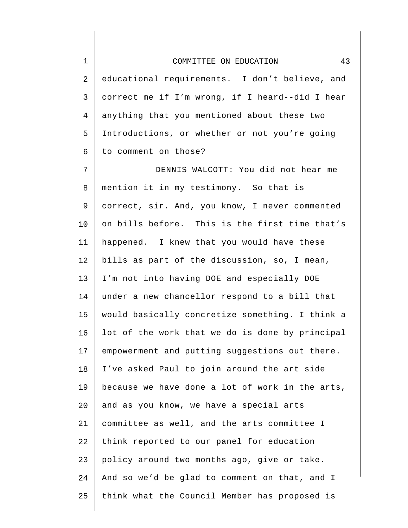2 3 4 5 6 educational requirements. I don't believe, and correct me if I'm wrong, if I heard--did I hear anything that you mentioned about these two Introductions, or whether or not you're going to comment on those?

7 8 9 10 11 12 13 14 15 16 17 18 19 20 21 22 23 24 25 DENNIS WALCOTT: You did not hear me mention it in my testimony. So that is correct, sir. And, you know, I never commented on bills before. This is the first time that's happened. I knew that you would have these bills as part of the discussion, so, I mean, I'm not into having DOE and especially DOE under a new chancellor respond to a bill that would basically concretize something. I think a lot of the work that we do is done by principal empowerment and putting suggestions out there. I've asked Paul to join around the art side because we have done a lot of work in the arts, and as you know, we have a special arts committee as well, and the arts committee I think reported to our panel for education policy around two months ago, give or take. And so we'd be glad to comment on that, and I think what the Council Member has proposed is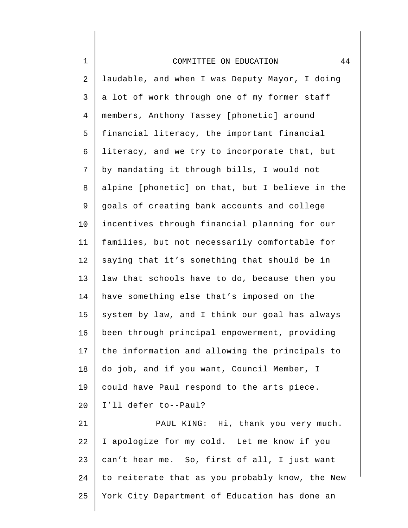| $\mathbf 1$    | 44<br>COMMITTEE ON EDUCATION                    |
|----------------|-------------------------------------------------|
| 2              | laudable, and when I was Deputy Mayor, I doing  |
| 3              | a lot of work through one of my former staff    |
| $\overline{4}$ | members, Anthony Tassey [phonetic] around       |
| 5              | financial literacy, the important financial     |
| 6              | literacy, and we try to incorporate that, but   |
| 7              | by mandating it through bills, I would not      |
| 8              | alpine [phonetic] on that, but I believe in the |
| $\mathsf 9$    | goals of creating bank accounts and college     |
| 10             | incentives through financial planning for our   |
| 11             | families, but not necessarily comfortable for   |
| 12             | saying that it's something that should be in    |
| 13             | law that schools have to do, because then you   |
| 14             | have something else that's imposed on the       |
| 15             | system by law, and I think our goal has always  |
| 16             | been through principal empowerment, providing   |
| 17             | the information and allowing the principals to  |
| 18             | do job, and if you want, Council Member, I      |
| 19             | could have Paul respond to the arts piece.      |
| 20             | I'll defer to--Paul?                            |
| 21             | PAUL KING: Hi, thank you very much.             |
| 22             | I apologize for my cold. Let me know if you     |

22 23 24 25 I apologize for my cold. Let me know if you can't hear me. So, first of all, I just want to reiterate that as you probably know, the New York City Department of Education has done an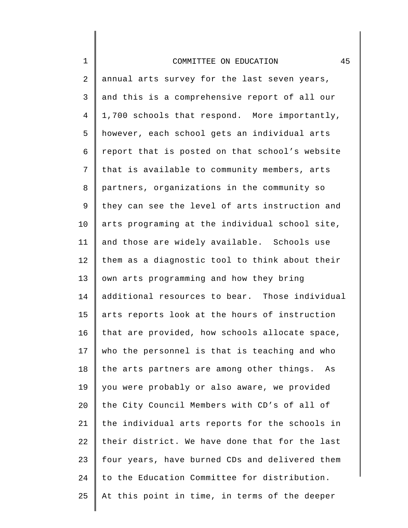## COMMITTEE ON EDUCATION 45

1

2 3 4 5 6 7 8 9 10 11 12 13 14 15 16 17 18 19 20 21 22 23 24 25 annual arts survey for the last seven years, and this is a comprehensive report of all our 1,700 schools that respond. More importantly, however, each school gets an individual arts report that is posted on that school's website that is available to community members, arts partners, organizations in the community so they can see the level of arts instruction and arts programing at the individual school site, and those are widely available. Schools use them as a diagnostic tool to think about their own arts programming and how they bring additional resources to bear. Those individual arts reports look at the hours of instruction that are provided, how schools allocate space, who the personnel is that is teaching and who the arts partners are among other things. As you were probably or also aware, we provided the City Council Members with CD's of all of the individual arts reports for the schools in their district. We have done that for the last four years, have burned CDs and delivered them to the Education Committee for distribution. At this point in time, in terms of the deeper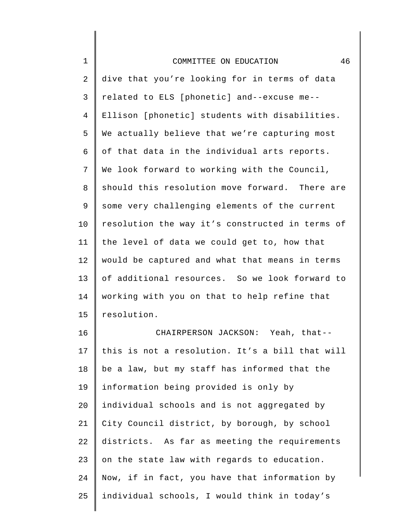| $1\,$          | 46<br>COMMITTEE ON EDUCATION                    |
|----------------|-------------------------------------------------|
| $\overline{2}$ | dive that you're looking for in terms of data   |
| 3              | related to ELS [phonetic] and--excuse me--      |
| $\overline{4}$ | Ellison [phonetic] students with disabilities.  |
| 5              | We actually believe that we're capturing most   |
| 6              | of that data in the individual arts reports.    |
| 7              | We look forward to working with the Council,    |
| 8              | should this resolution move forward. There are  |
| 9              | some very challenging elements of the current   |
| 10             | resolution the way it's constructed in terms of |
| 11             | the level of data we could get to, how that     |
| 12             | would be captured and what that means in terms  |
| 13             | of additional resources. So we look forward to  |
| 14             | working with you on that to help refine that    |
| 15             | resolution.                                     |
|                |                                                 |

16 17 18 19 20 21 22 23 24 25 CHAIRPERSON JACKSON: Yeah, that- this is not a resolution. It's a bill that will be a law, but my staff has informed that the information being provided is only by individual schools and is not aggregated by City Council district, by borough, by school districts. As far as meeting the requirements on the state law with regards to education. Now, if in fact, you have that information by individual schools, I would think in today's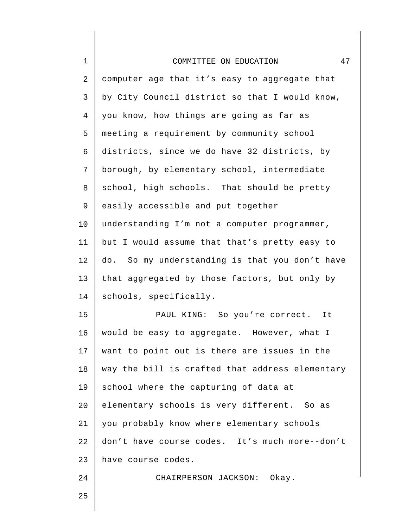| $\mathbf 1$ | 47<br>COMMITTEE ON EDUCATION                    |
|-------------|-------------------------------------------------|
| 2           | computer age that it's easy to aggregate that   |
| 3           | by City Council district so that I would know,  |
| 4           | you know, how things are going as far as        |
| 5           | meeting a requirement by community school       |
| 6           | districts, since we do have 32 districts, by    |
| 7           | borough, by elementary school, intermediate     |
| 8           | school, high schools. That should be pretty     |
| 9           | easily accessible and put together              |
| 10          | understanding I'm not a computer programmer,    |
| 11          | but I would assume that that's pretty easy to   |
| 12          | do. So my understanding is that you don't have  |
| 13          | that aggregated by those factors, but only by   |
| 14          | schools, specifically.                          |
| 15          | PAUL KING: So you're correct. It                |
| 16          | would be easy to aggregate. However, what I     |
| 17          | want to point out is there are issues in the    |
| 18          | way the bill is crafted that address elementary |
| 19          | school where the capturing of data at           |
| 20          | elementary schools is very different. So as     |
| 21          | you probably know where elementary schools      |
| 22          | don't have course codes. It's much more--don't  |
| 23          | have course codes.                              |
| 24          | CHAIRPERSON JACKSON: Okay.                      |
| 25          |                                                 |
|             |                                                 |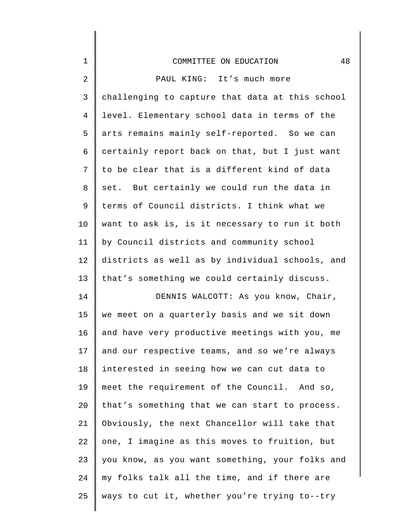| $\mathbf 1$    | 48<br>COMMITTEE ON EDUCATION                    |
|----------------|-------------------------------------------------|
| $\overline{2}$ | PAUL KING: It's much more                       |
| 3              | challenging to capture that data at this school |
| $\overline{4}$ | level. Elementary school data in terms of the   |
| 5              | arts remains mainly self-reported. So we can    |
| 6              | certainly report back on that, but I just want  |
| 7              | to be clear that is a different kind of data    |
| 8              | set. But certainly we could run the data in     |
| 9              | terms of Council districts. I think what we     |
| 10             | want to ask is, is it necessary to run it both  |
| 11             | by Council districts and community school       |
| 12             | districts as well as by individual schools, and |
| 13             | that's something we could certainly discuss.    |
| 14             | DENNIS WALCOTT: As you know, Chair,             |
| 15             | we meet on a quarterly basis and we sit down    |
| 16             | and have very productive meetings with you, me  |
| 17             | and our respective teams, and so we're always   |
| 18             | interested in seeing how we can cut data to     |
| 19             | meet the requirement of the Council. And so,    |
| 20             | that's something that we can start to process.  |
| 21             | Obviously, the next Chancellor will take that   |
| 22             | one, I imagine as this moves to fruition, but   |
| 23             | you know, as you want something, your folks and |
| 24             | my folks talk all the time, and if there are    |
| 25             | ways to cut it, whether you're trying to--try   |
|                |                                                 |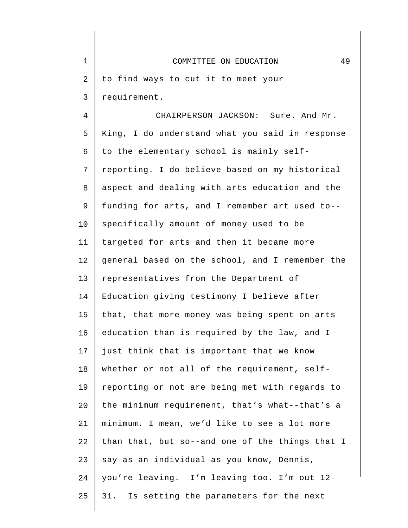| $\mathbf 1$ | 49<br>COMMITTEE ON EDUCATION                    |
|-------------|-------------------------------------------------|
| 2           | to find ways to cut it to meet your             |
| 3           | requirement.                                    |
| 4           | CHAIRPERSON JACKSON: Sure. And Mr.              |
| 5           | King, I do understand what you said in response |
| 6           | to the elementary school is mainly self-        |
| 7           | reporting. I do believe based on my historical  |
| 8           | aspect and dealing with arts education and the  |
| 9           | funding for arts, and I remember art used to--  |
| 10          | specifically amount of money used to be         |
| 11          | targeted for arts and then it became more       |
| 12          | general based on the school, and I remember the |
| 13          | representatives from the Department of          |
| 14          | Education giving testimony I believe after      |
| 15          | that, that more money was being spent on arts   |
| 16          | education than is required by the law, and I    |
| 17          | just think that is important that we know       |
| 18          | whether or not all of the requirement, self-    |
| 19          | reporting or not are being met with regards to  |
| 20          | the minimum requirement, that's what--that's a  |
| 21          | minimum. I mean, we'd like to see a lot more    |
| 22          | than that, but so--and one of the things that I |
| 23          | say as an individual as you know, Dennis,       |
| 24          | you're leaving. I'm leaving too. I'm out 12-    |
| 25          | Is setting the parameters for the next<br>31.   |

 $\parallel$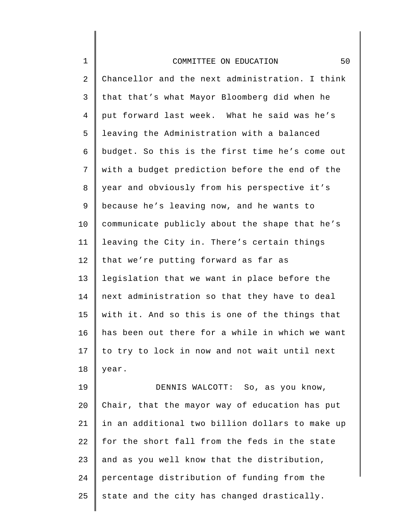| $1\,$          | 50<br>COMMITTEE ON EDUCATION                    |
|----------------|-------------------------------------------------|
| $\overline{2}$ | Chancellor and the next administration. I think |
| $\mathsf 3$    | that that's what Mayor Bloomberg did when he    |
| $\overline{4}$ | put forward last week. What he said was he's    |
| 5              | leaving the Administration with a balanced      |
| 6              | budget. So this is the first time he's come out |
| 7              | with a budget prediction before the end of the  |
| 8              | year and obviously from his perspective it's    |
| 9              | because he's leaving now, and he wants to       |
| 10             | communicate publicly about the shape that he's  |
| 11             | leaving the City in. There's certain things     |
| 12             | that we're putting forward as far as            |
| 13             | legislation that we want in place before the    |
| 14             | next administration so that they have to deal   |
| 15             | with it. And so this is one of the things that  |
| 16             | has been out there for a while in which we want |
| 17             | to try to lock in now and not wait until next   |
| 18             | year.                                           |
| 19             | DENNIS WALCOTT: So, as you know,                |
| 20             | Chair, that the mayor way of education has put  |
| 21             | in an additional two billion dollars to make up |
| 22             | for the short fall from the feds in the state   |
| 23             | and as you well know that the distribution,     |
| 24             | percentage distribution of funding from the     |

25 state and the city has changed drastically.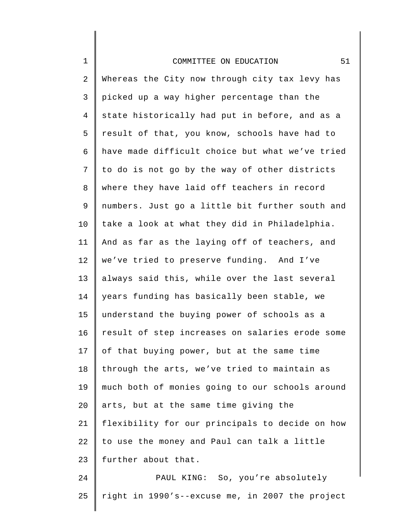## COMMITTEE ON EDUCATION 51

1

2 3 4 5 6 7 8 9 10 11 12 13 14 15 16 17 18 19 20 21 22 23 Whereas the City now through city tax levy has picked up a way higher percentage than the state historically had put in before, and as a result of that, you know, schools have had to have made difficult choice but what we've tried to do is not go by the way of other districts where they have laid off teachers in record numbers. Just go a little bit further south and take a look at what they did in Philadelphia. And as far as the laying off of teachers, and we've tried to preserve funding. And I've always said this, while over the last several years funding has basically been stable, we understand the buying power of schools as a result of step increases on salaries erode some of that buying power, but at the same time through the arts, we've tried to maintain as much both of monies going to our schools around arts, but at the same time giving the flexibility for our principals to decide on how to use the money and Paul can talk a little further about that.

24 25 PAUL KING: So, you're absolutely right in 1990's--excuse me, in 2007 the project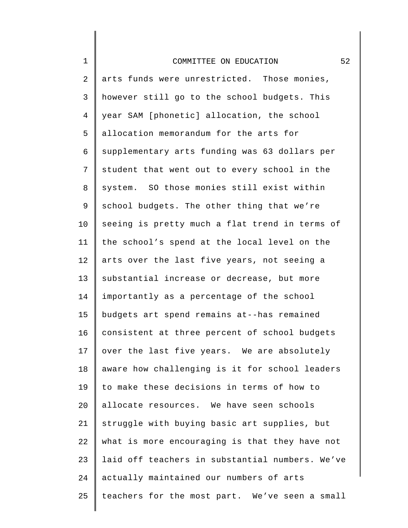## COMMITTEE ON EDUCATION 52

1

2 3 4 5 6 7 8 9 10 11 12 13 14 15 16 17 18 19  $20^{\circ}$ 21 22 23 24 25 arts funds were unrestricted. Those monies, however still go to the school budgets. This year SAM [phonetic] allocation, the school allocation memorandum for the arts for supplementary arts funding was 63 dollars per student that went out to every school in the system. SO those monies still exist within school budgets. The other thing that we're seeing is pretty much a flat trend in terms of the school's spend at the local level on the arts over the last five years, not seeing a substantial increase or decrease, but more importantly as a percentage of the school budgets art spend remains at--has remained consistent at three percent of school budgets over the last five years. We are absolutely aware how challenging is it for school leaders to make these decisions in terms of how to allocate resources. We have seen schools struggle with buying basic art supplies, but what is more encouraging is that they have not laid off teachers in substantial numbers. We've actually maintained our numbers of arts teachers for the most part. We've seen a small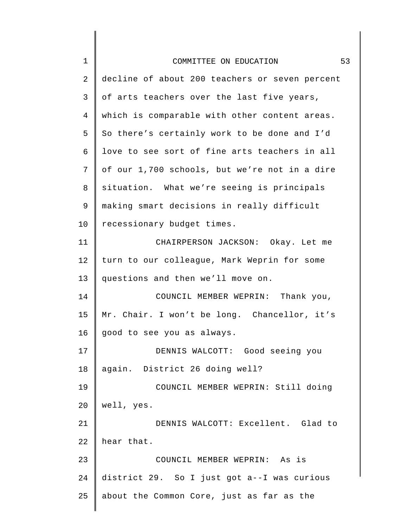| $\mathbf 1$    | 53<br>COMMITTEE ON EDUCATION                   |
|----------------|------------------------------------------------|
| $\overline{2}$ | decline of about 200 teachers or seven percent |
| 3              | of arts teachers over the last five years,     |
| 4              | which is comparable with other content areas.  |
| 5              | So there's certainly work to be done and I'd   |
| 6              | love to see sort of fine arts teachers in all  |
| 7              | of our 1,700 schools, but we're not in a dire  |
| 8              | situation. What we're seeing is principals     |
| 9              | making smart decisions in really difficult     |
| 10             | recessionary budget times.                     |
| 11             | CHAIRPERSON JACKSON: Okay. Let me              |
| 12             | turn to our colleague, Mark Weprin for some    |
| 13             | questions and then we'll move on.              |
| 14             | COUNCIL MEMBER WEPRIN: Thank you,              |
| 15             | Mr. Chair. I won't be long. Chancellor, it's   |
| 16             | good to see you as always.                     |
| 17             | DENNIS WALCOTT: Good seeing you                |
| 18             | again. District 26 doing well?                 |
| 19             | COUNCIL MEMBER WEPRIN: Still doing             |
| 20             | well, yes.                                     |
| 21             | DENNIS WALCOTT: Excellent. Glad to             |
| 22             | hear that.                                     |
| 23             | COUNCIL MEMBER WEPRIN: As is                   |
| 24             | district 29. So I just got a--I was curious    |
| 25             | about the Common Core, just as far as the      |
|                |                                                |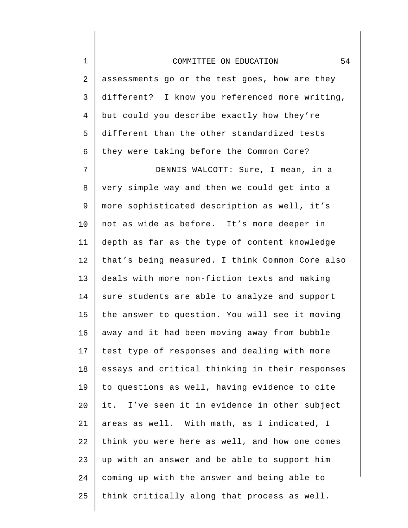| $\mathbf 1$    | 54<br>COMMITTEE ON EDUCATION                    |
|----------------|-------------------------------------------------|
| 2              | assessments go or the test goes, how are they   |
| 3              | different? I know you referenced more writing,  |
| $\overline{4}$ | but could you describe exactly how they're      |
| 5              | different than the other standardized tests     |
| 6              | they were taking before the Common Core?        |
| 7              | DENNIS WALCOTT: Sure, I mean, in a              |
| 8              | very simple way and then we could get into a    |
| 9              | more sophisticated description as well, it's    |
| 10             | not as wide as before. It's more deeper in      |
| 11             | depth as far as the type of content knowledge   |
| 12             | that's being measured. I think Common Core also |
| 13             | deals with more non-fiction texts and making    |
| 14             | sure students are able to analyze and support   |
| 15             | the answer to question. You will see it moving  |
| 16             | away and it had been moving away from bubble    |
| 17             | test type of responses and dealing with more    |
| 18             | essays and critical thinking in their responses |
| 19             | to questions as well, having evidence to cite   |
| 20             | it. I've seen it in evidence in other subject   |
| 21             | areas as well. With math, as I indicated, I     |
| 22             | think you were here as well, and how one comes  |
| 23             | up with an answer and be able to support him    |
| 24             | coming up with the answer and being able to     |
| 25             | think critically along that process as well.    |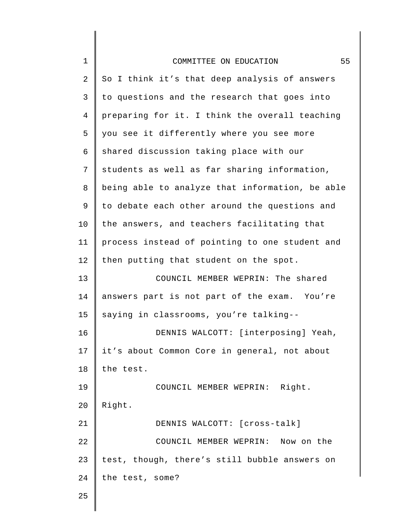| $\mathbf 1$ | 55<br>COMMITTEE ON EDUCATION                    |
|-------------|-------------------------------------------------|
| 2           | So I think it's that deep analysis of answers   |
| 3           | to questions and the research that goes into    |
| 4           | preparing for it. I think the overall teaching  |
| 5           | you see it differently where you see more       |
| 6           | shared discussion taking place with our         |
| 7           | students as well as far sharing information,    |
| 8           | being able to analyze that information, be able |
| 9           | to debate each other around the questions and   |
| 10          | the answers, and teachers facilitating that     |
| 11          | process instead of pointing to one student and  |
| 12          | then putting that student on the spot.          |
| 13          | COUNCIL MEMBER WEPRIN: The shared               |
| 14          | answers part is not part of the exam. You're    |
| 15          | saying in classrooms, you're talking--          |
| 16          | DENNIS WALCOTT: [interposing] Yeah,             |
| 17          | it's about Common Core in general, not about    |
| $1\,8$      | the test.                                       |
| 19          | COUNCIL MEMBER WEPRIN: Right.                   |
| 20          | Right.                                          |
| 21          | DENNIS WALCOTT: [cross-talk]                    |
| 22          | COUNCIL MEMBER WEPRIN: Now on the               |
| 23          | test, though, there's still bubble answers on   |
| 24          | the test, some?                                 |
| 25          |                                                 |
|             |                                                 |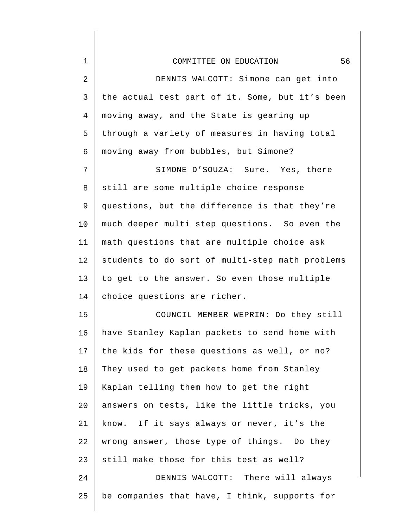| $\mathbf 1$    | 56<br>COMMITTEE ON EDUCATION                    |
|----------------|-------------------------------------------------|
| $\overline{2}$ | DENNIS WALCOTT: Simone can get into             |
| 3              | the actual test part of it. Some, but it's been |
| 4              | moving away, and the State is gearing up        |
| 5              | through a variety of measures in having total   |
| 6              | moving away from bubbles, but Simone?           |
| 7              | SIMONE D'SOUZA: Sure. Yes, there                |
| 8              | still are some multiple choice response         |
| $\mathsf 9$    | questions, but the difference is that they're   |
| 10             | much deeper multi step questions. So even the   |
| 11             | math questions that are multiple choice ask     |
| 12             | students to do sort of multi-step math problems |
| 13             | to get to the answer. So even those multiple    |
| 14             | choice questions are richer.                    |
| 15             | COUNCIL MEMBER WEPRIN: Do they still            |
| 16             | have Stanley Kaplan packets to send home with   |
| 17             | the kids for these questions as well, or no?    |
| 18             | They used to get packets home from Stanley      |
| 19             | Kaplan telling them how to get the right        |
| 20             | answers on tests, like the little tricks, you   |
| 21             | know. If it says always or never, it's the      |
| 22             | wrong answer, those type of things. Do they     |
| 23             | still make those for this test as well?         |
| 24             | DENNIS WALCOTT: There will always               |
| 25             | be companies that have, I think, supports for   |

 $\parallel$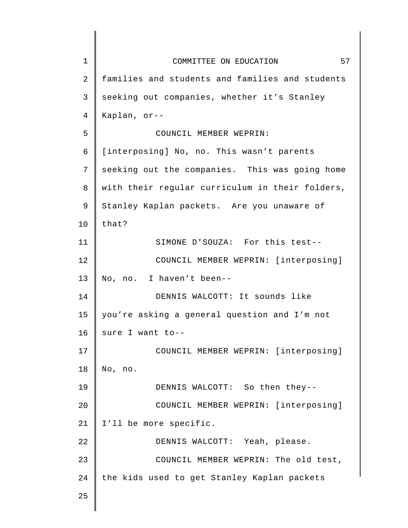| $\mathbf 1$ | 57<br>COMMITTEE ON EDUCATION                    |
|-------------|-------------------------------------------------|
| 2           | families and students and families and students |
| 3           | seeking out companies, whether it's Stanley     |
| 4           | Kaplan, or--                                    |
| 5           | COUNCIL MEMBER WEPRIN:                          |
| 6           | [interposing] No, no. This wasn't parents       |
| 7           | seeking out the companies. This was going home  |
| 8           | with their regular curriculum in their folders, |
| 9           | Stanley Kaplan packets. Are you unaware of      |
| 10          | that?                                           |
| 11          | SIMONE D'SOUZA: For this test--                 |
| 12          | COUNCIL MEMBER WEPRIN: [interposing]            |
| 13          | No, no. I haven't been--                        |
| 14          | DENNIS WALCOTT: It sounds like                  |
| 15          | you're asking a general question and I'm not    |
| 16          | sure I want to--                                |
| 17          | COUNCIL MEMBER WEPRIN: [interposing]            |
| 18          | No, no.                                         |
| 19          | DENNIS WALCOTT: So then they--                  |
| 20          | COUNCIL MEMBER WEPRIN: [interposing]            |
| 21          | I'll be more specific.                          |
| 22          | DENNIS WALCOTT: Yeah, please.                   |
| 23          | COUNCIL MEMBER WEPRIN: The old test,            |
| 24          | the kids used to get Stanley Kaplan packets     |
| 25          |                                                 |
|             |                                                 |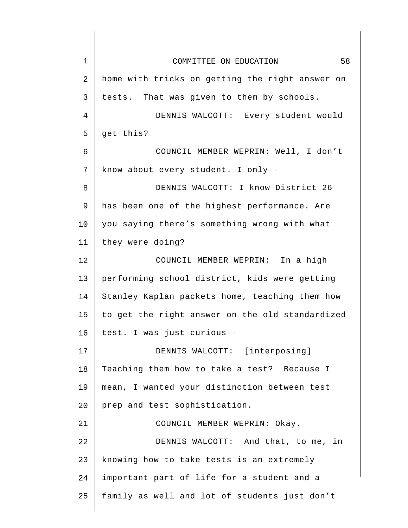| $\mathbf{1}$ | 58<br>COMMITTEE ON EDUCATION                    |
|--------------|-------------------------------------------------|
| 2            | home with tricks on getting the right answer on |
| 3            | tests. That was given to them by schools.       |
| 4            | DENNIS WALCOTT: Every student would             |
| 5            | get this?                                       |
| 6            | COUNCIL MEMBER WEPRIN: Well, I don't            |
| 7            | know about every student. I only--              |
| 8            | DENNIS WALCOTT: I know District 26              |
| 9            | has been one of the highest performance. Are    |
| 10           | you saying there's something wrong with what    |
| 11           | they were doing?                                |
| 12           | COUNCIL MEMBER WEPRIN: In a high                |
| 13           | performing school district, kids were getting   |
| 14           | Stanley Kaplan packets home, teaching them how  |
| 15           | to get the right answer on the old standardized |
| 16           | test. I was just curious--                      |
| 17           | DENNIS WALCOTT: [interposing]                   |
| 18           | Teaching them how to take a test? Because I     |
| 19           | mean, I wanted your distinction between test    |
| 20           | prep and test sophistication.                   |
| 21           | COUNCIL MEMBER WEPRIN: Okay.                    |
| 22           | DENNIS WALCOTT: And that, to me, in             |
| 23           | knowing how to take tests is an extremely       |
| 24           | important part of life for a student and a      |
| 25           | family as well and lot of students just don't   |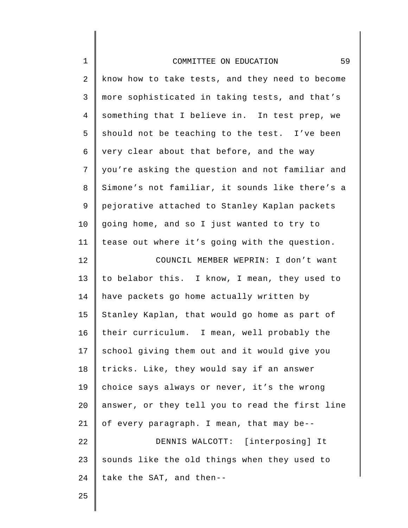| $\mathbf 1$    | 59<br>COMMITTEE ON EDUCATION                    |
|----------------|-------------------------------------------------|
| $\mathbf{2}$   | know how to take tests, and they need to become |
| 3              | more sophisticated in taking tests, and that's  |
| $\overline{4}$ | something that I believe in. In test prep, we   |
| 5              | should not be teaching to the test. I've been   |
| 6              | very clear about that before, and the way       |
| 7              | you're asking the question and not familiar and |
| 8              | Simone's not familiar, it sounds like there's a |
| 9              | pejorative attached to Stanley Kaplan packets   |
| 10             | going home, and so I just wanted to try to      |
| 11             | tease out where it's going with the question.   |
| 12             | COUNCIL MEMBER WEPRIN: I don't want             |
| 13             | to belabor this. I know, I mean, they used to   |
| 14             | have packets go home actually written by        |
| 15             | Stanley Kaplan, that would go home as part of   |
| 16             | their curriculum. I mean, well probably the     |
| 17             | school giving them out and it would give you    |
| 18             | tricks. Like, they would say if an answer       |
| 19             | choice says always or never, it's the wrong     |
| 20             | answer, or they tell you to read the first line |
| 21             | of every paragraph. I mean, that may be--       |
| 22             | DENNIS WALCOTT: [interposing] It                |
| 23             | sounds like the old things when they used to    |
| 24             | take the SAT, and then--                        |
| 25             |                                                 |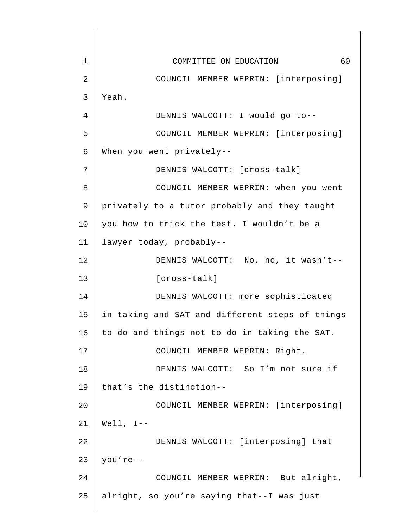1 2 3 4 5 6 7 8 9 10 11 12 13 14 15 16 17 18 19 20 21 22 23 24 25 COMMITTEE ON EDUCATION 60 COUNCIL MEMBER WEPRIN: [interposing] Yeah. DENNIS WALCOTT: I would go to-- COUNCIL MEMBER WEPRIN: [interposing] When you went privately-- DENNIS WALCOTT: [cross-talk] COUNCIL MEMBER WEPRIN: when you went privately to a tutor probably and they taught you how to trick the test. I wouldn't be a lawyer today, probably-- DENNIS WALCOTT: No, no, it wasn't-- [cross-talk] DENNIS WALCOTT: more sophisticated in taking and SAT and different steps of things to do and things not to do in taking the SAT. COUNCIL MEMBER WEPRIN: Right. DENNIS WALCOTT: So I'm not sure if that's the distinction-- COUNCIL MEMBER WEPRIN: [interposing] Well, I-- DENNIS WALCOTT: [interposing] that you're-- COUNCIL MEMBER WEPRIN: But alright, alright, so you're saying that--I was just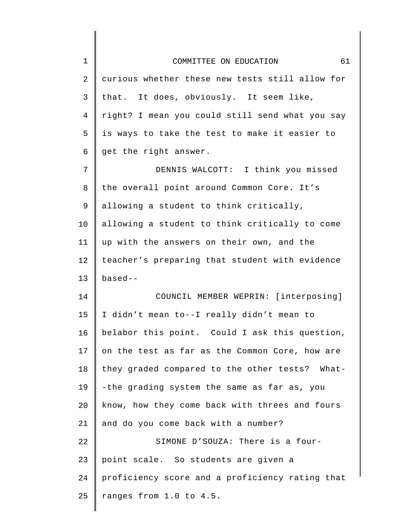| $\mathbf 1$    | 61<br>COMMITTEE ON EDUCATION                    |
|----------------|-------------------------------------------------|
| $\overline{2}$ | curious whether these new tests still allow for |
| $\mathsf{3}$   | that. It does, obviously. It seem like,         |
| 4              | right? I mean you could still send what you say |
| 5              | is ways to take the test to make it easier to   |
| 6              | get the right answer.                           |
| 7              | DENNIS WALCOTT: I think you missed              |
| 8              | the overall point around Common Core. It's      |
| 9              | allowing a student to think critically,         |
| 10             | allowing a student to think critically to come  |
| 11             | up with the answers on their own, and the       |
| 12             | teacher's preparing that student with evidence  |
| 13             | $based -$                                       |
| 14             | COUNCIL MEMBER WEPRIN: [interposing]            |
| 15             | I didn't mean to--I really didn't mean to       |
| 16             | belabor this point. Could I ask this question,  |
| 17             | on the test as far as the Common Core, how are  |
| 18             | they graded compared to the other tests? What-  |
| 19             | -the grading system the same as far as, you     |
| 20             | know, how they come back with threes and fours  |
| 21             | and do you come back with a number?             |
| 22             | SIMONE D'SOUZA: There is a four-                |
| 23             | point scale. So students are given a            |
| 24             | proficiency score and a proficiency rating that |
| 25             | ranges from 1.0 to 4.5.                         |
|                |                                                 |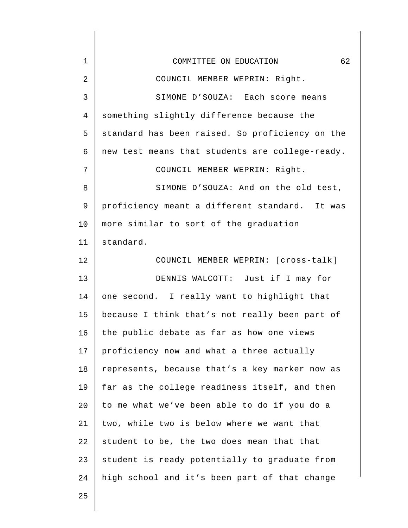| $\mathbf 1$ | 62<br>COMMITTEE ON EDUCATION                    |
|-------------|-------------------------------------------------|
| 2           | COUNCIL MEMBER WEPRIN: Right.                   |
| 3           | SIMONE D'SOUZA: Each score means                |
| 4           | something slightly difference because the       |
| 5           | standard has been raised. So proficiency on the |
| 6           | new test means that students are college-ready. |
| 7           | COUNCIL MEMBER WEPRIN: Right.                   |
| 8           | SIMONE D'SOUZA: And on the old test,            |
| 9           | proficiency meant a different standard. It was  |
| 10          | more similar to sort of the graduation          |
| 11          | standard.                                       |
| 12          | COUNCIL MEMBER WEPRIN: [cross-talk]             |
| 13          | DENNIS WALCOTT: Just if I may for               |
| 14          | one second. I really want to highlight that     |
| 15          | because I think that's not really been part of  |
| 16          | the public debate as far as how one views       |
| 17          | proficiency now and what a three actually       |
| 18          | represents, because that's a key marker now as  |
| 19          | far as the college readiness itself, and then   |
| 20          | to me what we've been able to do if you do a    |
| 21          | two, while two is below where we want that      |
| 22          | student to be, the two does mean that that      |
| 23          | student is ready potentially to graduate from   |
| 24          | high school and it's been part of that change   |
| 25          |                                                 |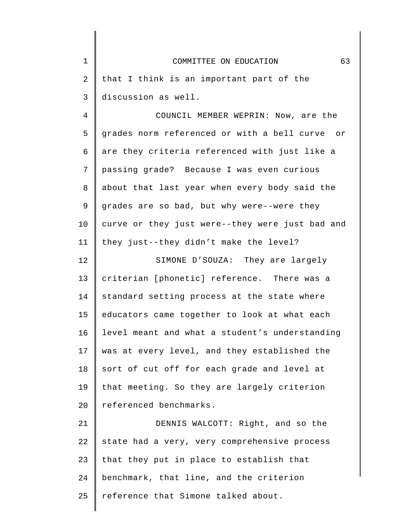| 1  | 63<br>COMMITTEE ON EDUCATION                    |
|----|-------------------------------------------------|
| 2  | that I think is an important part of the        |
| 3  | discussion as well.                             |
| 4  | COUNCIL MEMBER WEPRIN: Now, are the             |
| 5  | grades norm referenced or with a bell curve or  |
| б  | are they criteria referenced with just like a   |
| 7  | passing grade? Because I was even curious       |
| 8  | about that last year when every body said the   |
| 9  | grades are so bad, but why were--were they      |
| 10 | curve or they just were--they were just bad and |
| 11 | they just--they didn't make the level?          |
| 12 | SIMONE D'SOUZA: They are largely                |
| 13 | criterian [phonetic] reference. There was a     |
| 14 | standard setting process at the state where     |
| 15 | educators came together to look at what each    |
| 16 | level meant and what a student's understanding  |
| 17 | was at every level, and they established the    |
| 18 | sort of cut off for each grade and level at     |
| 19 | that meeting. So they are largely criterion     |
| 20 | referenced benchmarks.                          |
| 21 | DENNIS WALCOTT: Right, and so the               |
| 22 | state had a very, very comprehensive process    |
| 23 | that they put in place to establish that        |
| 24 | benchmark, that line, and the criterion         |
| 25 | reference that Simone talked about.             |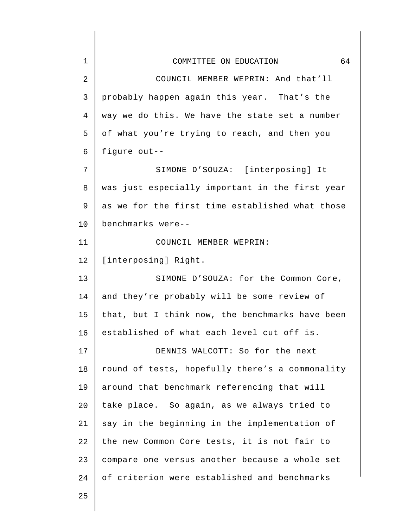| $\mathbf 1$ | 64<br>COMMITTEE ON EDUCATION                    |
|-------------|-------------------------------------------------|
| 2           | COUNCIL MEMBER WEPRIN: And that'll              |
| 3           | probably happen again this year. That's the     |
| 4           | way we do this. We have the state set a number  |
| 5           | of what you're trying to reach, and then you    |
| 6           | figure out--                                    |
| 7           | SIMONE D'SOUZA: [interposing] It                |
| 8           | was just especially important in the first year |
| 9           | as we for the first time established what those |
| 10          | benchmarks were--                               |
| 11          | COUNCIL MEMBER WEPRIN:                          |
| 12          | [interposing] Right.                            |
| 13          | SIMONE D'SOUZA: for the Common Core,            |
| 14          | and they're probably will be some review of     |
| 15          | that, but I think now, the benchmarks have been |
| 16          | established of what each level cut off is.      |
| 17          | DENNIS WALCOTT: So for the next                 |
| 18          | round of tests, hopefully there's a commonality |
| 19          | around that benchmark referencing that will     |
| 20          | take place. So again, as we always tried to     |
| 21          | say in the beginning in the implementation of   |
| 22          | the new Common Core tests, it is not fair to    |
| 23          | compare one versus another because a whole set  |
| 24          | of criterion were established and benchmarks    |
| 25          |                                                 |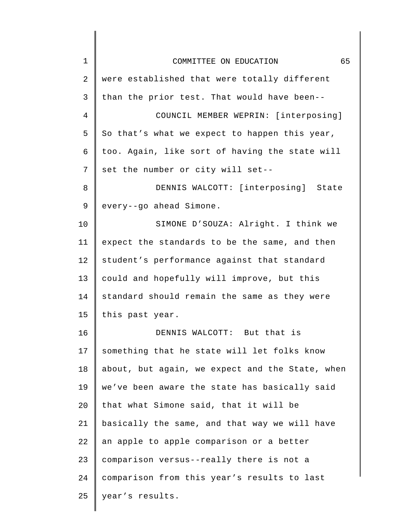| 1  | 65<br>COMMITTEE ON EDUCATION                    |
|----|-------------------------------------------------|
| 2  | were established that were totally different    |
| 3  | than the prior test. That would have been--     |
| 4  | COUNCIL MEMBER WEPRIN: [interposing]            |
| 5  | So that's what we expect to happen this year,   |
| 6  | too. Again, like sort of having the state will  |
| 7  | set the number or city will set--               |
| 8  | DENNIS WALCOTT: [interposing] State             |
| 9  | every--go ahead Simone.                         |
| 10 | SIMONE D'SOUZA: Alright. I think we             |
| 11 | expect the standards to be the same, and then   |
| 12 | student's performance against that standard     |
| 13 | could and hopefully will improve, but this      |
| 14 | standard should remain the same as they were    |
| 15 | this past year.                                 |
| 16 | DENNIS WALCOTT: But that is                     |
| 17 | something that he state will let folks know     |
| 18 | about, but again, we expect and the State, when |
| 19 | we've been aware the state has basically said   |
| 20 | that what Simone said, that it will be          |
| 21 | basically the same, and that way we will have   |
| 22 | an apple to apple comparison or a better        |
| 23 | comparison versus--really there is not a        |
| 24 | comparison from this year's results to last     |
| 25 | year's results.                                 |
|    |                                                 |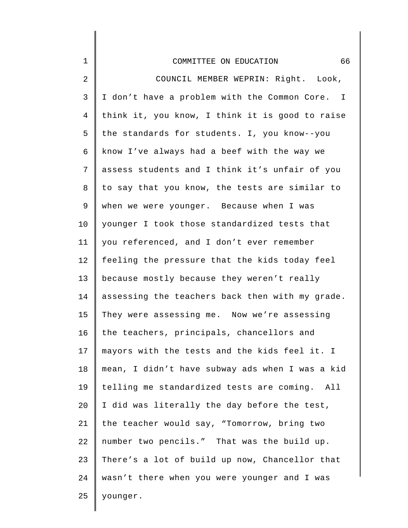| 1              | 66<br>COMMITTEE ON EDUCATION                    |
|----------------|-------------------------------------------------|
| $\overline{2}$ | COUNCIL MEMBER WEPRIN: Right. Look,             |
| $\mathsf{3}$   | I don't have a problem with the Common Core. I  |
| $\overline{4}$ | think it, you know, I think it is good to raise |
| 5              | the standards for students. I, you know--you    |
| 6              | know I've always had a beef with the way we     |
| 7              | assess students and I think it's unfair of you  |
| 8              | to say that you know, the tests are similar to  |
| 9              | when we were younger. Because when I was        |
| 10             | younger I took those standardized tests that    |
| 11             | you referenced, and I don't ever remember       |
| 12             | feeling the pressure that the kids today feel   |
| 13             | because mostly because they weren't really      |
| 14             | assessing the teachers back then with my grade. |
| 15             | They were assessing me. Now we're assessing     |
| 16             | the teachers, principals, chancellors and       |
| 17             | mayors with the tests and the kids feel it. I   |
| $18\,$         | mean, I didn't have subway ads when I was a kid |
| 19             | telling me standardized tests are coming. All   |
| 20             | I did was literally the day before the test,    |
| 21             | the teacher would say, "Tomorrow, bring two     |
| 22             | number two pencils." That was the build up.     |
| 23             | There's a lot of build up now, Chancellor that  |
| 24             | wasn't there when you were younger and I was    |
| 25             | younger.                                        |
|                |                                                 |

 $\begin{array}{c} \hline \end{array}$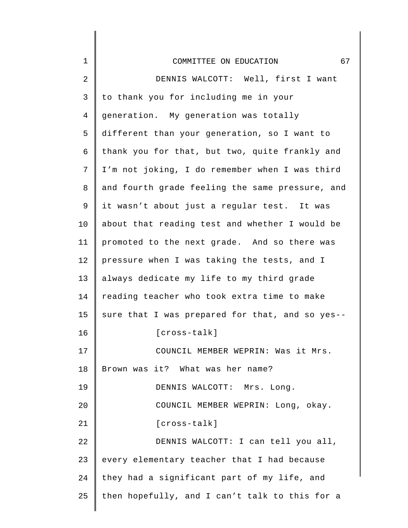| $\mathbf 1$ | 67<br>COMMITTEE ON EDUCATION                    |
|-------------|-------------------------------------------------|
| 2           | DENNIS WALCOTT: Well, first I want              |
| 3           | to thank you for including me in your           |
| 4           | generation. My generation was totally           |
| 5           | different than your generation, so I want to    |
| 6           | thank you for that, but two, quite frankly and  |
| 7           | I'm not joking, I do remember when I was third  |
| 8           | and fourth grade feeling the same pressure, and |
| 9           | it wasn't about just a regular test. It was     |
| 10          | about that reading test and whether I would be  |
| 11          | promoted to the next grade. And so there was    |
| 12          | pressure when I was taking the tests, and I     |
| 13          | always dedicate my life to my third grade       |
| 14          | reading teacher who took extra time to make     |
| 15          | sure that I was prepared for that, and so yes-- |
| 16          | $[cross-talk]$                                  |
| 17          | COUNCIL MEMBER WEPRIN: Was it Mrs.              |
| 18          | Brown was it? What was her name?                |
| 19          | DENNIS WALCOTT: Mrs. Long.                      |
| 20          | COUNCIL MEMBER WEPRIN: Long, okay.              |
| 21          | [cross-talk]                                    |
| 22          | DENNIS WALCOTT: I can tell you all,             |
| 23          | every elementary teacher that I had because     |
| 24          | they had a significant part of my life, and     |
| 25          | then hopefully, and I can't talk to this for a  |
|             |                                                 |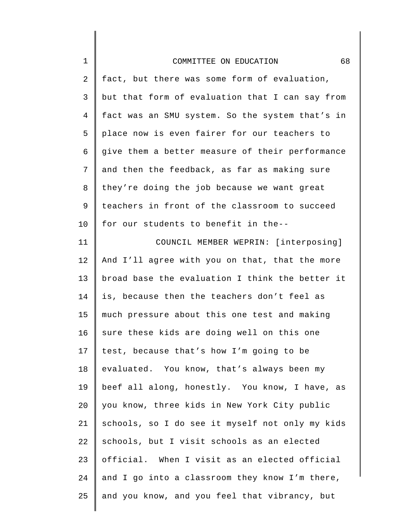| $\mathbf 1$    | 68<br>COMMITTEE ON EDUCATION                    |
|----------------|-------------------------------------------------|
| $\sqrt{2}$     | fact, but there was some form of evaluation,    |
| 3              | but that form of evaluation that I can say from |
| $\overline{4}$ | fact was an SMU system. So the system that's in |
| 5              | place now is even fairer for our teachers to    |
| 6              | give them a better measure of their performance |
| 7              | and then the feedback, as far as making sure    |
| 8              | they're doing the job because we want great     |
| 9              | teachers in front of the classroom to succeed   |
| 10             | for our students to benefit in the--            |
| 11             | COUNCIL MEMBER WEPRIN: [interposing]            |
| 12             | And I'll agree with you on that, that the more  |
| 13             | broad base the evaluation I think the better it |
| 14             | is, because then the teachers don't feel as     |
| 15             | much pressure about this one test and making    |
| 16             | sure these kids are doing well on this one      |
| 17             | test, because that's how I'm going to be        |
| 18             | evaluated. You know, that's always been my      |
| 19             | beef all along, honestly. You know, I have, as  |
| 20             | you know, three kids in New York City public    |
| 21             | schools, so I do see it myself not only my kids |
| 22             | schools, but I visit schools as an elected      |
| 23             | official. When I visit as an elected official   |
| 24             | and I go into a classroom they know I'm there,  |
| 25             | and you know, and you feel that vibrancy, but   |
|                |                                                 |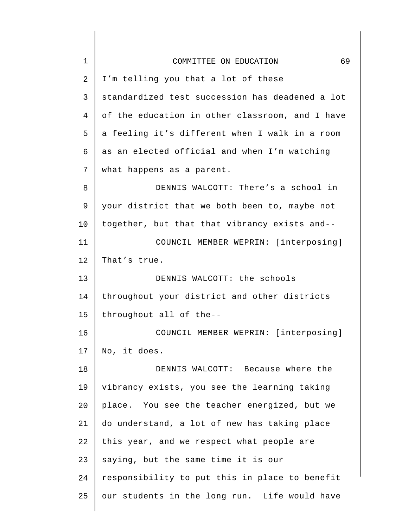| $\mathbf 1$ | 69<br>COMMITTEE ON EDUCATION                    |
|-------------|-------------------------------------------------|
| 2           | I'm telling you that a lot of these             |
| 3           | standardized test succession has deadened a lot |
| 4           | of the education in other classroom, and I have |
| 5           | a feeling it's different when I walk in a room  |
| 6           | as an elected official and when I'm watching    |
| 7           | what happens as a parent.                       |
| 8           | DENNIS WALCOTT: There's a school in             |
| 9           | your district that we both been to, maybe not   |
| 10          | together, but that that vibrancy exists and--   |
| 11          | COUNCIL MEMBER WEPRIN: [interposing]            |
| 12          | That's true.                                    |
| 13          | DENNIS WALCOTT: the schools                     |
| 14          | throughout your district and other districts    |
| 15          | throughout all of the--                         |
| 16          | COUNCIL MEMBER WEPRIN: [interposing]            |
| 17          | No, it does.                                    |
| 18          | DENNIS WALCOTT: Because where the               |
| 19          | vibrancy exists, you see the learning taking    |
| 20          | place. You see the teacher energized, but we    |
| 21          | do understand, a lot of new has taking place    |
| 22          | this year, and we respect what people are       |
| 23          | saying, but the same time it is our             |
| 24          | responsibility to put this in place to benefit  |
| 25          | our students in the long run. Life would have   |
|             |                                                 |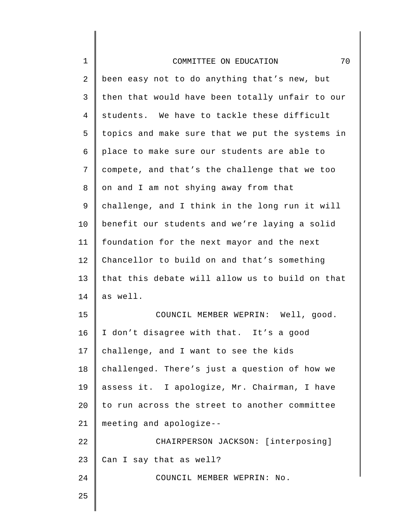| $\mathbf 1$    | 70<br>COMMITTEE ON EDUCATION                    |
|----------------|-------------------------------------------------|
| $\overline{2}$ | been easy not to do anything that's new, but    |
| 3              | then that would have been totally unfair to our |
| $\overline{4}$ | students. We have to tackle these difficult     |
| 5              | topics and make sure that we put the systems in |
| 6              | place to make sure our students are able to     |
| 7              | compete, and that's the challenge that we too   |
| 8              | on and I am not shying away from that           |
| 9              | challenge, and I think in the long run it will  |
| 10             | benefit our students and we're laying a solid   |
| 11             | foundation for the next mayor and the next      |
| 12             | Chancellor to build on and that's something     |
| 13             | that this debate will allow us to build on that |
| 14             | as well.                                        |
| 15             | COUNCIL MEMBER WEPRIN: Well, good.              |
| 16             | I don't disagree with that. It's a good         |
| 17             | challenge, and I want to see the kids           |
| 18             | challenged. There's just a question of how we   |
| 19             | assess it. I apologize, Mr. Chairman, I have    |
| 20             | to run across the street to another committee   |
| 21             | meeting and apologize--                         |
| 22             | CHAIRPERSON JACKSON: [interposing]              |
| 23             | Can I say that as well?                         |
| 24             | COUNCIL MEMBER WEPRIN: No.                      |
| 25             |                                                 |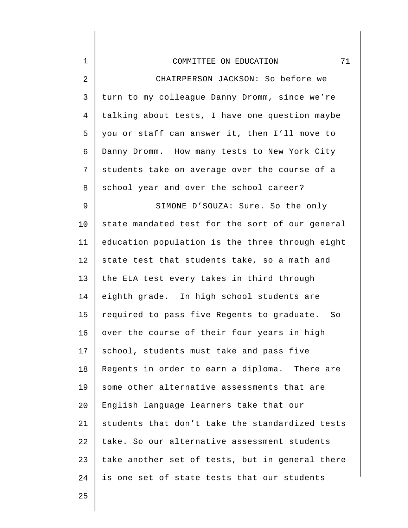| $1\,$          | 71<br>COMMITTEE ON EDUCATION                    |
|----------------|-------------------------------------------------|
| $\overline{2}$ | CHAIRPERSON JACKSON: So before we               |
| 3              | turn to my colleague Danny Dromm, since we're   |
| 4              | talking about tests, I have one question maybe  |
| 5              | you or staff can answer it, then I'll move to   |
| 6              | Danny Dromm. How many tests to New York City    |
| 7              | students take on average over the course of a   |
| 8              | school year and over the school career?         |
| $\mathsf 9$    | SIMONE D'SOUZA: Sure. So the only               |
| 10             | state mandated test for the sort of our general |
| 11             | education population is the three through eight |
| 12             | state test that students take, so a math and    |
| 13             | the ELA test every takes in third through       |
| 14             | eighth grade. In high school students are       |
| 15             | required to pass five Regents to graduate. So   |
| 16             | over the course of their four years in high     |
| 17             | school, students must take and pass five        |
| 18             | Regents in order to earn a diploma. There are   |
| 19             | some other alternative assessments that are     |
| 20             | English language learners take that our         |
| 21             | students that don't take the standardized tests |
| 22             | take. So our alternative assessment students    |
| 23             | take another set of tests, but in general there |
| 24             | is one set of state tests that our students     |
|                |                                                 |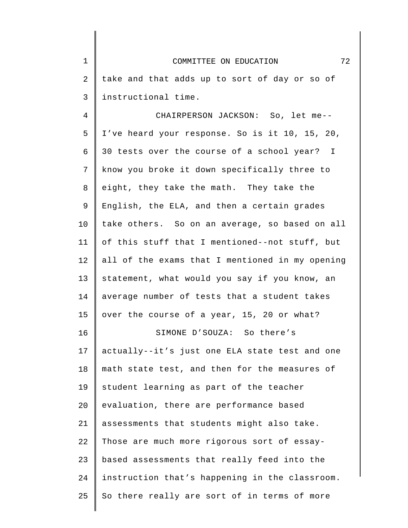1 2 3 COMMITTEE ON EDUCATION 72 take and that adds up to sort of day or so of instructional time.

4 5 6 7 8 9 10 11 12 13 14 15 16 17 18 19 20 21 22 23 24 25 CHAIRPERSON JACKSON: So, let me-- I've heard your response. So is it 10, 15, 20, 30 tests over the course of a school year? I know you broke it down specifically three to eight, they take the math. They take the English, the ELA, and then a certain grades take others. So on an average, so based on all of this stuff that I mentioned--not stuff, but all of the exams that I mentioned in my opening statement, what would you say if you know, an average number of tests that a student takes over the course of a year, 15, 20 or what? SIMONE D'SOUZA: So there's actually--it's just one ELA state test and one math state test, and then for the measures of student learning as part of the teacher evaluation, there are performance based assessments that students might also take. Those are much more rigorous sort of essaybased assessments that really feed into the instruction that's happening in the classroom. So there really are sort of in terms of more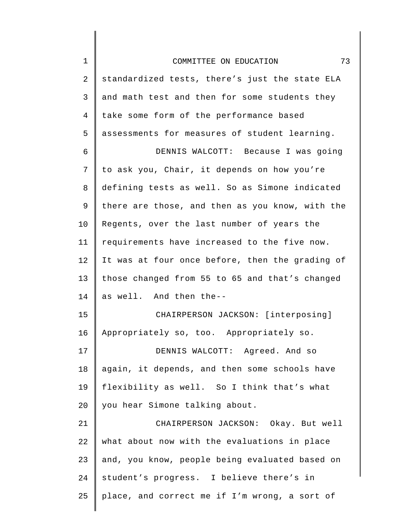| $\mathbf 1$    | 73<br>COMMITTEE ON EDUCATION                    |
|----------------|-------------------------------------------------|
| $\overline{2}$ | standardized tests, there's just the state ELA  |
| $\mathsf{3}$   | and math test and then for some students they   |
| $\overline{4}$ | take some form of the performance based         |
| 5              | assessments for measures of student learning.   |
| 6              | DENNIS WALCOTT: Because I was going             |
| 7              | to ask you, Chair, it depends on how you're     |
| 8              | defining tests as well. So as Simone indicated  |
| 9              | there are those, and then as you know, with the |
| 10             | Regents, over the last number of years the      |
| 11             | requirements have increased to the five now.    |
| 12             | It was at four once before, then the grading of |
| 13             | those changed from 55 to 65 and that's changed  |
| 14             | as well. And then the--                         |
| 15             | CHAIRPERSON JACKSON: [interposing]              |
| 16             | Appropriately so, too. Appropriately so.        |
| 17             | DENNIS WALCOTT: Agreed. And so                  |
| 18             | again, it depends, and then some schools have   |
| 19             | flexibility as well. So I think that's what     |
| 20             | you hear Simone talking about.                  |
| 21             | CHAIRPERSON JACKSON: Okay. But well             |
| 22             | what about now with the evaluations in place    |
| 23             | and, you know, people being evaluated based on  |
| 24             | student's progress. I believe there's in        |
| 25             | place, and correct me if I'm wrong, a sort of   |
|                |                                                 |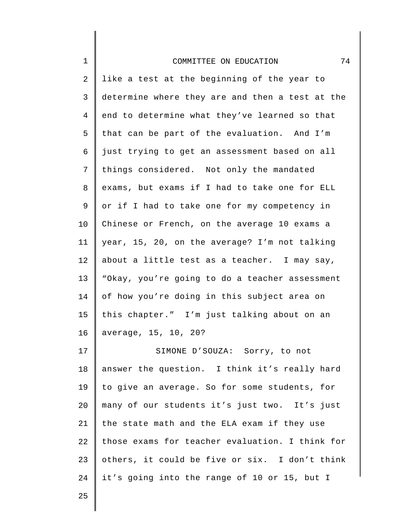| $\mathbf 1$    | 74<br>COMMITTEE ON EDUCATION                    |
|----------------|-------------------------------------------------|
| $\overline{2}$ | like a test at the beginning of the year to     |
| 3              | determine where they are and then a test at the |
| $\overline{4}$ | end to determine what they've learned so that   |
| 5              | that can be part of the evaluation. And I'm     |
| 6              | just trying to get an assessment based on all   |
| 7              | things considered. Not only the mandated        |
| 8              | exams, but exams if I had to take one for ELL   |
| 9              | or if I had to take one for my competency in    |
| 10             | Chinese or French, on the average 10 exams a    |
| 11             | year, 15, 20, on the average? I'm not talking   |
| 12             | about a little test as a teacher. I may say,    |
| 13             | "Okay, you're going to do a teacher assessment  |
| 14             | of how you're doing in this subject area on     |
| 15             | this chapter." I'm just talking about on an     |
| 16             | average, 15, 10, 20?                            |
| 17             | SIMONE D'SOUZA: Sorry, to not                   |
| $18\,$         | answer the question. I think it's really hard   |
| 19             | to give an average. So for some students, for   |
| 20             | many of our students it's just two. It's just   |
| 21             | the state math and the ELA exam if they use     |
| 22             | those exams for teacher evaluation. I think for |
| 23             | others, it could be five or six. I don't think  |
| 24             | it's going into the range of 10 or 15, but I    |
| 25             |                                                 |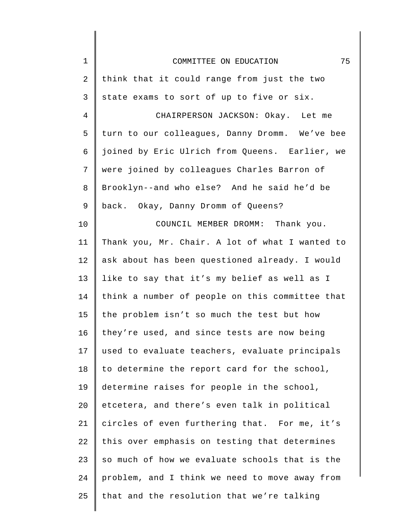| $\mathbf 1$ | 75<br>COMMITTEE ON EDUCATION                    |
|-------------|-------------------------------------------------|
| 2           | think that it could range from just the two     |
| 3           | state exams to sort of up to five or six.       |
| 4           | CHAIRPERSON JACKSON: Okay. Let me               |
| 5           | turn to our colleagues, Danny Dromm. We've bee  |
| 6           | joined by Eric Ulrich from Queens. Earlier, we  |
| 7           | were joined by colleagues Charles Barron of     |
| $\, 8$      | Brooklyn--and who else? And he said he'd be     |
| 9           | back. Okay, Danny Dromm of Queens?              |
| 10          | COUNCIL MEMBER DROMM: Thank you.                |
| 11          | Thank you, Mr. Chair. A lot of what I wanted to |
| 12          | ask about has been questioned already. I would  |
| 13          | like to say that it's my belief as well as I    |
| 14          | think a number of people on this committee that |
| 15          | the problem isn't so much the test but how      |
| 16          | they're used, and since tests are now being     |
| 17          | used to evaluate teachers, evaluate principals  |
| 18          | to determine the report card for the school,    |
| 19          | determine raises for people in the school,      |
| 20          | etcetera, and there's even talk in political    |
| 21          | circles of even furthering that. For me, it's   |
| 22          | this over emphasis on testing that determines   |
| 23          | so much of how we evaluate schools that is the  |
| 24          | problem, and I think we need to move away from  |
| 25          | that and the resolution that we're talking      |
|             |                                                 |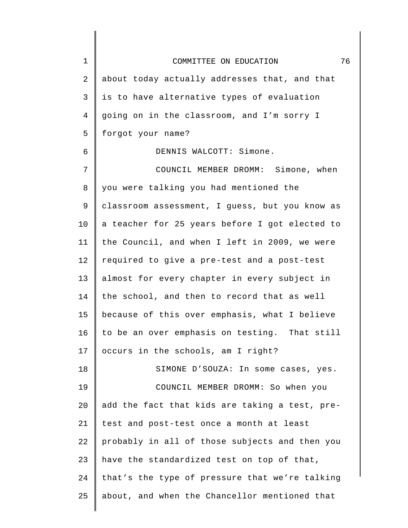| $\mathbf 1$ | 76<br>COMMITTEE ON EDUCATION                   |
|-------------|------------------------------------------------|
| 2           | about today actually addresses that, and that  |
| 3           | is to have alternative types of evaluation     |
| 4           | going on in the classroom, and I'm sorry I     |
| 5           | forgot your name?                              |
| 6           | DENNIS WALCOTT: Simone.                        |
| 7           | COUNCIL MEMBER DROMM: Simone, when             |
| 8           | you were talking you had mentioned the         |
| 9           | classroom assessment, I guess, but you know as |
| 10          | a teacher for 25 years before I got elected to |
| 11          | the Council, and when I left in 2009, we were  |
| 12          | required to give a pre-test and a post-test    |
| 13          | almost for every chapter in every subject in   |
| 14          | the school, and then to record that as well    |
| 15          | because of this over emphasis, what I believe  |
| 16          | to be an over emphasis on testing. That still  |
| 17          | occurs in the schools, am I right?             |
| 18          | SIMONE D'SOUZA: In some cases, yes.            |
| 19          | COUNCIL MEMBER DROMM: So when you              |
| 20          | add the fact that kids are taking a test, pre- |
| 21          | test and post-test once a month at least       |
| 22          | probably in all of those subjects and then you |
| 23          | have the standardized test on top of that,     |
| 24          | that's the type of pressure that we're talking |
| 25          | about, and when the Chancellor mentioned that  |
|             |                                                |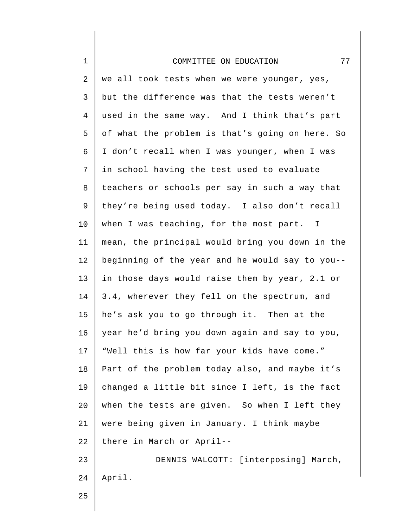| $\mathbf 1$    | 77<br>COMMITTEE ON EDUCATION                    |
|----------------|-------------------------------------------------|
| 2              | we all took tests when we were younger, yes,    |
| 3              | but the difference was that the tests weren't   |
| $\overline{4}$ | used in the same way. And I think that's part   |
| 5              | of what the problem is that's going on here. So |
| 6              | I don't recall when I was younger, when I was   |
| 7              | in school having the test used to evaluate      |
| 8              | teachers or schools per say in such a way that  |
| 9              | they're being used today. I also don't recall   |
| 10             | when I was teaching, for the most part. I       |
| 11             | mean, the principal would bring you down in the |
| 12             | beginning of the year and he would say to you-- |
| 13             | in those days would raise them by year, 2.1 or  |
| 14             | 3.4, wherever they fell on the spectrum, and    |
| 15             | he's ask you to go through it. Then at the      |
| 16             | year he'd bring you down again and say to you,  |
| 17             | "Well this is how far your kids have come."     |
| 18             | Part of the problem today also, and maybe it's  |
| 19             | changed a little bit since I left, is the fact  |
| 20             | when the tests are given. So when I left they   |
| 21             | were being given in January. I think maybe      |
| 22             | there in March or April--                       |
| 23             | DENNIS WALCOTT: [interposing] March,            |
| 24             | April.                                          |
| 25             |                                                 |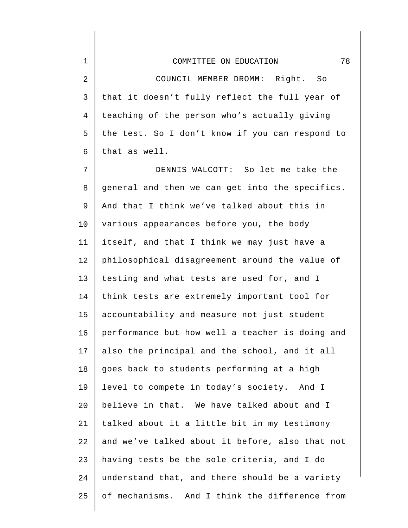1

2 3 4 5 6 COUNCIL MEMBER DROMM: Right. So that it doesn't fully reflect the full year of teaching of the person who's actually giving the test. So I don't know if you can respond to that as well.

7 8 9 10 11 12 13 14 15 16 17 18 19  $20^{\circ}$ 21 22 23 24 25 DENNIS WALCOTT: So let me take the general and then we can get into the specifics. And that I think we've talked about this in various appearances before you, the body itself, and that I think we may just have a philosophical disagreement around the value of testing and what tests are used for, and I think tests are extremely important tool for accountability and measure not just student performance but how well a teacher is doing and also the principal and the school, and it all goes back to students performing at a high level to compete in today's society. And I believe in that. We have talked about and I talked about it a little bit in my testimony and we've talked about it before, also that not having tests be the sole criteria, and I do understand that, and there should be a variety of mechanisms. And I think the difference from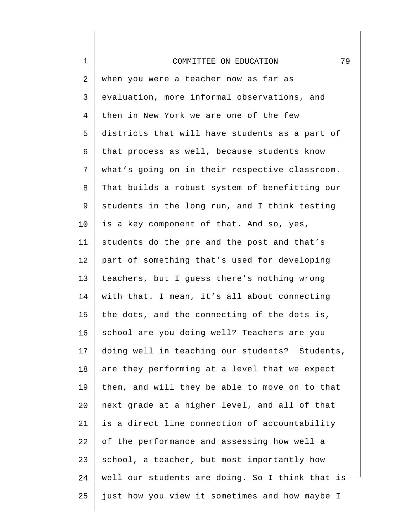| $\mathbf 1$    | 79<br>COMMITTEE ON EDUCATION                    |
|----------------|-------------------------------------------------|
| 2              | when you were a teacher now as far as           |
| 3              | evaluation, more informal observations, and     |
| $\overline{4}$ | then in New York we are one of the few          |
| 5              | districts that will have students as a part of  |
| б              | that process as well, because students know     |
| 7              | what's going on in their respective classroom.  |
| 8              | That builds a robust system of benefitting our  |
| 9              | students in the long run, and I think testing   |
| $10 \,$        | is a key component of that. And so, yes,        |
| 11             | students do the pre and the post and that's     |
| 12             | part of something that's used for developing    |
| 13             | teachers, but I guess there's nothing wrong     |
| 14             | with that. I mean, it's all about connecting    |
| 15             | the dots, and the connecting of the dots is,    |
| 16             | school are you doing well? Teachers are you     |
| 17             | doing well in teaching our students? Students,  |
| 18             | are they performing at a level that we expect   |
| 19             | them, and will they be able to move on to that  |
| 20             | next grade at a higher level, and all of that   |
| 21             | is a direct line connection of accountability   |
| 22             | of the performance and assessing how well a     |
| 23             | school, a teacher, but most importantly how     |
| 24             | well our students are doing. So I think that is |
| 25             | just how you view it sometimes and how maybe I  |
|                |                                                 |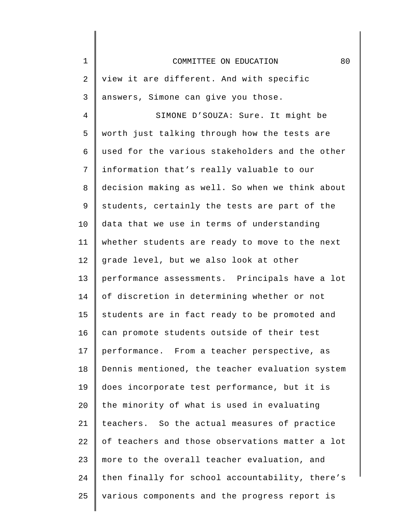| $\mathbf 1$ | 80<br>COMMITTEE ON EDUCATION                    |
|-------------|-------------------------------------------------|
| 2           | view it are different. And with specific        |
| 3           | answers, Simone can give you those.             |
| 4           | SIMONE D'SOUZA: Sure. It might be               |
| 5           | worth just talking through how the tests are    |
| 6           | used for the various stakeholders and the other |
| 7           | information that's really valuable to our       |
| 8           | decision making as well. So when we think about |
| 9           | students, certainly the tests are part of the   |
| 10          | data that we use in terms of understanding      |
| 11          | whether students are ready to move to the next  |
| 12          | grade level, but we also look at other          |
| 13          | performance assessments. Principals have a lot  |
| 14          | of discretion in determining whether or not     |
| 15          | students are in fact ready to be promoted and   |
| 16          | can promote students outside of their test      |
| 17          | performance. From a teacher perspective, as     |
| 18          | Dennis mentioned, the teacher evaluation system |
| 19          | does incorporate test performance, but it is    |
| 20          | the minority of what is used in evaluating      |
| 21          | teachers. So the actual measures of practice    |
| 22          | of teachers and those observations matter a lot |
| 23          | more to the overall teacher evaluation, and     |
| 24          | then finally for school accountability, there's |
| 25          | various components and the progress report is   |
|             |                                                 |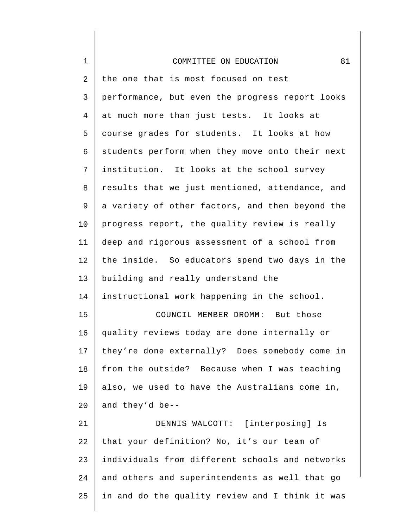| $\mathbf 1$     | 81<br>COMMITTEE ON EDUCATION                    |
|-----------------|-------------------------------------------------|
| 2               | the one that is most focused on test            |
| 3               | performance, but even the progress report looks |
| 4               | at much more than just tests. It looks at       |
| 5               | course grades for students. It looks at how     |
| 6               | students perform when they move onto their next |
| 7               | institution. It looks at the school survey      |
| 8               | results that we just mentioned, attendance, and |
| 9               | a variety of other factors, and then beyond the |
| 10 <sub>1</sub> | progress report, the quality review is really   |
| 11              | deep and rigorous assessment of a school from   |
| 12              | the inside. So educators spend two days in the  |
| 13              | building and really understand the              |
| 14              | instructional work happening in the school.     |
| 15              | COUNCIL MEMBER DROMM: But those                 |
| 16              | quality reviews today are done internally or    |
| 17              | they're done externally? Does somebody come in  |
| 18              | from the outside? Because when I was teaching   |
| 19              | also, we used to have the Australians come in,  |
| 20              | and they'd be--                                 |
| 21              | DENNIS WALCOTT: [interposing] Is                |
| 22              | that your definition? No, it's our team of      |
| 23              | individuals from different schools and networks |
| 24              | and others and superintendents as well that go  |
| 25              | in and do the quality review and I think it was |
|                 |                                                 |

∥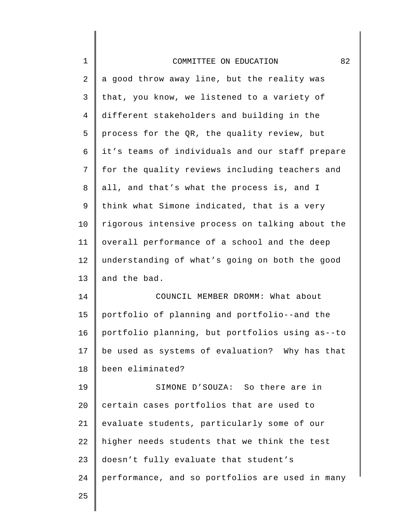| $\mathbf 1$    | 82<br>COMMITTEE ON EDUCATION                    |
|----------------|-------------------------------------------------|
| 2              | a good throw away line, but the reality was     |
| 3              | that, you know, we listened to a variety of     |
| $\overline{4}$ | different stakeholders and building in the      |
| 5              | process for the QR, the quality review, but     |
| 6              | it's teams of individuals and our staff prepare |
| 7              | for the quality reviews including teachers and  |
| 8              | all, and that's what the process is, and I      |
| 9              | think what Simone indicated, that is a very     |
| 10             | rigorous intensive process on talking about the |
| 11             | overall performance of a school and the deep    |
| 12             | understanding of what's going on both the good  |
| 13             | and the bad.                                    |
| 14             | COUNCIL MEMBER DROMM: What about                |
| 15             | portfolio of planning and portfolio--and the    |
| 16             | portfolio planning, but portfolios using as--to |
| 17             | be used as systems of evaluation? Why has that  |
| 18             | been eliminated?                                |
| 19             | SIMONE D'SOUZA: So there are in                 |
| 20             | certain cases portfolios that are used to       |
| 21             | evaluate students, particularly some of our     |
| 22             | higher needs students that we think the test    |
| 23             | doesn't fully evaluate that student's           |
| 24             | performance, and so portfolios are used in many |
| 25             |                                                 |
|                |                                                 |

 $\Big\}$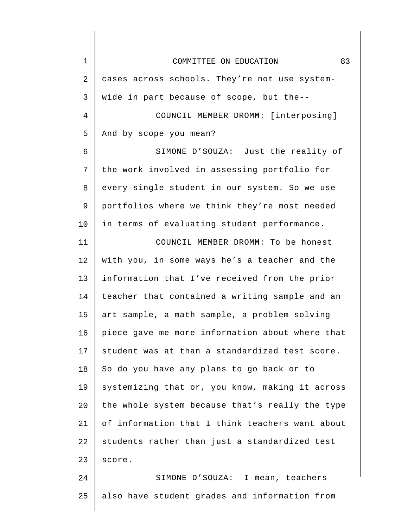| $\mathbf 1$    | 83<br>COMMITTEE ON EDUCATION                    |
|----------------|-------------------------------------------------|
| $\overline{a}$ | cases across schools. They're not use system-   |
| 3              | wide in part because of scope, but the--        |
| $\overline{4}$ | COUNCIL MEMBER DROMM: [interposing]             |
| 5              | And by scope you mean?                          |
| 6              | SIMONE D'SOUZA: Just the reality of             |
| 7              | the work involved in assessing portfolio for    |
| 8              | every single student in our system. So we use   |
| 9              | portfolios where we think they're most needed   |
| 10             | in terms of evaluating student performance.     |
| 11             | COUNCIL MEMBER DROMM: To be honest              |
| 12             | with you, in some ways he's a teacher and the   |
| 13             | information that I've received from the prior   |
| 14             | teacher that contained a writing sample and an  |
| 15             | art sample, a math sample, a problem solving    |
| 16             | piece gave me more information about where that |
| 17             | student was at than a standardized test score.  |
| 18             | So do you have any plans to go back or to       |
| 19             | systemizing that or, you know, making it across |
| 20             | the whole system because that's really the type |
| 21             | of information that I think teachers want about |
| 22             | students rather than just a standardized test   |
| 23             | score.                                          |
| 24             | SIMONE D'SOUZA: I mean, teachers                |
| 25             | also have student grades and information from   |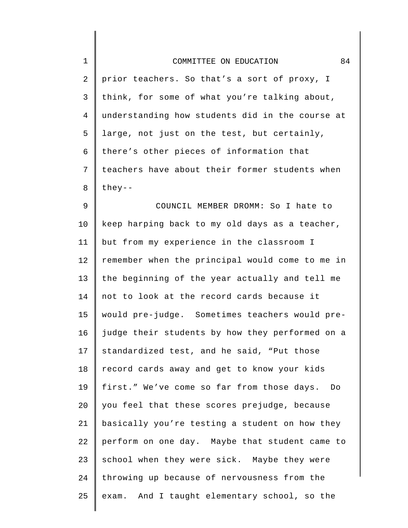| $\mathbf 1$    | 84<br>COMMITTEE ON EDUCATION                    |
|----------------|-------------------------------------------------|
| $\overline{2}$ | prior teachers. So that's a sort of proxy, I    |
| $\mathsf{3}$   | think, for some of what you're talking about,   |
| 4              | understanding how students did in the course at |
| 5              | large, not just on the test, but certainly,     |
| 6              | there's other pieces of information that        |
| 7              | teachers have about their former students when  |
| 8              | $they--$                                        |
| $\mathsf 9$    | COUNCIL MEMBER DROMM: So I hate to              |
| 10             | keep harping back to my old days as a teacher,  |
| 11             | but from my experience in the classroom I       |
| 12             | remember when the principal would come to me in |
| 13             | the beginning of the year actually and tell me  |
| 14             | not to look at the record cards because it      |
| 15             | would pre-judge. Sometimes teachers would pre-  |
| 16             | judge their students by how they performed on a |
| 17             | standardized test, and he said, "Put those      |
| 18             | record cards away and get to know your kids     |
| 19             | first." We've come so far from those days. Do   |
| 20             | you feel that these scores prejudge, because    |
| 21             | basically you're testing a student on how they  |
| 22             | perform on one day. Maybe that student came to  |
| 23             | school when they were sick. Maybe they were     |
| 24             | throwing up because of nervousness from the     |
| 25             | exam. And I taught elementary school, so the    |
|                |                                                 |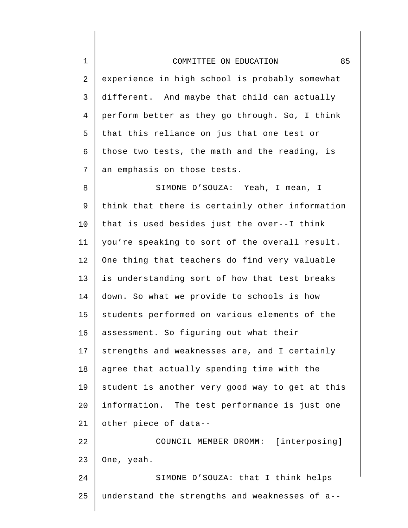## COMMITTEE ON EDUCATION 85

1

2 3 4 5 6 7 experience in high school is probably somewhat different. And maybe that child can actually perform better as they go through. So, I think that this reliance on jus that one test or those two tests, the math and the reading, is an emphasis on those tests.

8 9 10 11 12 13 14 15 16 17 18 19 20 21 SIMONE D'SOUZA: Yeah, I mean, I think that there is certainly other information that is used besides just the over--I think you're speaking to sort of the overall result. One thing that teachers do find very valuable is understanding sort of how that test breaks down. So what we provide to schools is how students performed on various elements of the assessment. So figuring out what their strengths and weaknesses are, and I certainly agree that actually spending time with the student is another very good way to get at this information. The test performance is just one other piece of data--

22 23 COUNCIL MEMBER DROMM: [interposing] One, yeah.

24 25 SIMONE D'SOUZA: that I think helps understand the strengths and weaknesses of a--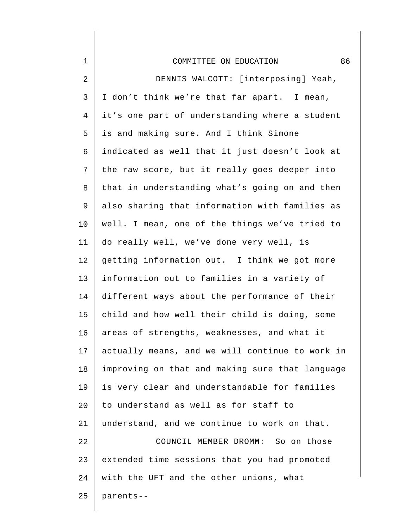| $\mathbf 1$    | 86<br>COMMITTEE ON EDUCATION                    |
|----------------|-------------------------------------------------|
| $\overline{a}$ | DENNIS WALCOTT: [interposing] Yeah,             |
| 3              | I don't think we're that far apart. I mean,     |
| $\overline{4}$ | it's one part of understanding where a student  |
| 5              | is and making sure. And I think Simone          |
| 6              | indicated as well that it just doesn't look at  |
| 7              | the raw score, but it really goes deeper into   |
| 8              | that in understanding what's going on and then  |
| 9              | also sharing that information with families as  |
| 10             | well. I mean, one of the things we've tried to  |
| 11             | do really well, we've done very well, is        |
| 12             | getting information out. I think we got more    |
| 13             | information out to families in a variety of     |
| 14             | different ways about the performance of their   |
| 15             | child and how well their child is doing, some   |
| 16             | areas of strengths, weaknesses, and what it     |
| 17             | actually means, and we will continue to work in |
| 18             | improving on that and making sure that language |
| 19             | is very clear and understandable for families   |
| 20             | to understand as well as for staff to           |
| 21             | understand, and we continue to work on that.    |
| 22             | COUNCIL MEMBER DROMM: So on those               |
| 23             | extended time sessions that you had promoted    |
| 24             | with the UFT and the other unions, what         |
| 25             | parents--                                       |

 $\Big\}$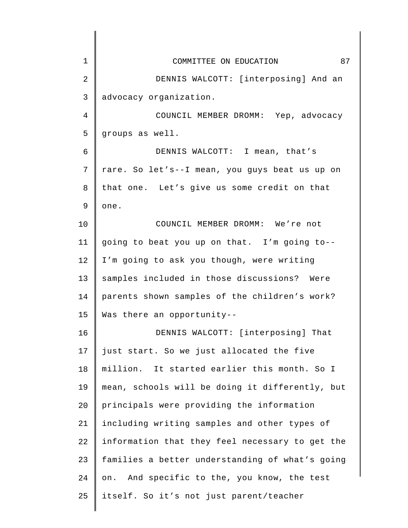| $\mathbf 1$ | 87<br>COMMITTEE ON EDUCATION                    |
|-------------|-------------------------------------------------|
| 2           | DENNIS WALCOTT: [interposing] And an            |
| 3           | advocacy organization.                          |
| 4           | COUNCIL MEMBER DROMM: Yep, advocacy             |
| 5           | groups as well.                                 |
| 6           | DENNIS WALCOTT: I mean, that's                  |
| 7           | rare. So let's--I mean, you guys beat us up on  |
| 8           | that one. Let's give us some credit on that     |
| 9           | one.                                            |
| 10          | COUNCIL MEMBER DROMM: We're not                 |
| 11          | going to beat you up on that. I'm going to--    |
| 12          | I'm going to ask you though, were writing       |
| 13          | samples included in those discussions? Were     |
| 14          | parents shown samples of the children's work?   |
| 15          | Was there an opportunity--                      |
| 16          | DENNIS WALCOTT: [interposing] That              |
| 17          | just start. So we just allocated the five       |
| 18          | million. It started earlier this month. So I    |
| 19          | mean, schools will be doing it differently, but |
| 20          | principals were providing the information       |
| 21          | including writing samples and other types of    |
| 22          | information that they feel necessary to get the |
| 23          | families a better understanding of what's going |
| 24          | on. And specific to the, you know, the test     |
| 25          | itself. So it's not just parent/teacher         |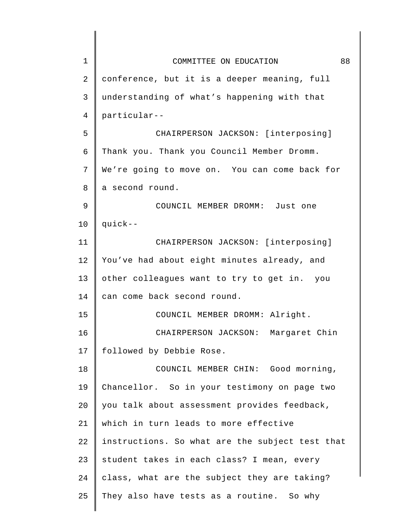| $\mathbf 1$    | 88<br>COMMITTEE ON EDUCATION                    |
|----------------|-------------------------------------------------|
| $\overline{a}$ | conference, but it is a deeper meaning, full    |
| 3              | understanding of what's happening with that     |
| 4              | particular--                                    |
| 5              | CHAIRPERSON JACKSON: [interposing]              |
| 6              | Thank you. Thank you Council Member Dromm.      |
| 7              | We're going to move on. You can come back for   |
| 8              | a second round.                                 |
| 9              | COUNCIL MEMBER DROMM: Just one                  |
| 10             | quick--                                         |
| 11             | CHAIRPERSON JACKSON: [interposing]              |
| 12             | You've had about eight minutes already, and     |
| 13             | other colleagues want to try to get in. you     |
| 14             | can come back second round.                     |
| 15             | COUNCIL MEMBER DROMM: Alright.                  |
| 16             | CHAIRPERSON JACKSON: Margaret Chin              |
| 17             | followed by Debbie Rose.                        |
| 18             | COUNCIL MEMBER CHIN: Good morning,              |
| 19             | Chancellor. So in your testimony on page two    |
| 20             | you talk about assessment provides feedback,    |
| 21             | which in turn leads to more effective           |
| 22             | instructions. So what are the subject test that |
| 23             | student takes in each class? I mean, every      |
| 24             | class, what are the subject they are taking?    |
| 25             | They also have tests as a routine. So why       |
|                |                                                 |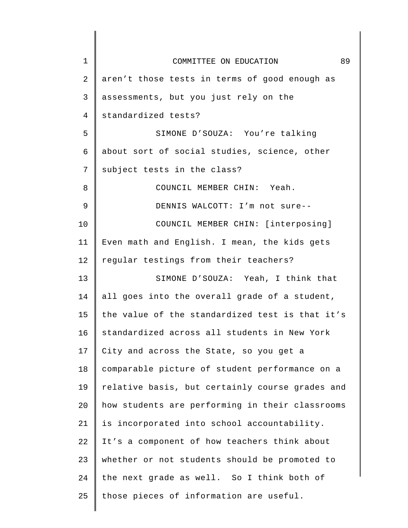| $\mathbf 1$ | 89<br>COMMITTEE ON EDUCATION                    |
|-------------|-------------------------------------------------|
| 2           | aren't those tests in terms of good enough as   |
| 3           | assessments, but you just rely on the           |
| 4           | standardized tests?                             |
| 5           | SIMONE D'SOUZA: You're talking                  |
| 6           | about sort of social studies, science, other    |
| 7           | subject tests in the class?                     |
| 8           | COUNCIL MEMBER CHIN: Yeah.                      |
| 9           | DENNIS WALCOTT: I'm not sure--                  |
| 10          | COUNCIL MEMBER CHIN: [interposing]              |
| 11          | Even math and English. I mean, the kids gets    |
| 12          | regular testings from their teachers?           |
| 13          | SIMONE D'SOUZA: Yeah, I think that              |
| 14          | all goes into the overall grade of a student,   |
| 15          | the value of the standardized test is that it's |
| 16          | standardized across all students in New York    |
| 17          | City and across the State, so you get a         |
| 18          | comparable picture of student performance on a  |
| 19          | relative basis, but certainly course grades and |
| 20          | how students are performing in their classrooms |
| 21          | is incorporated into school accountability.     |
| 22          | It's a component of how teachers think about    |
| 23          | whether or not students should be promoted to   |
| 24          | the next grade as well. So I think both of      |
| 25          | those pieces of information are useful.         |
|             |                                                 |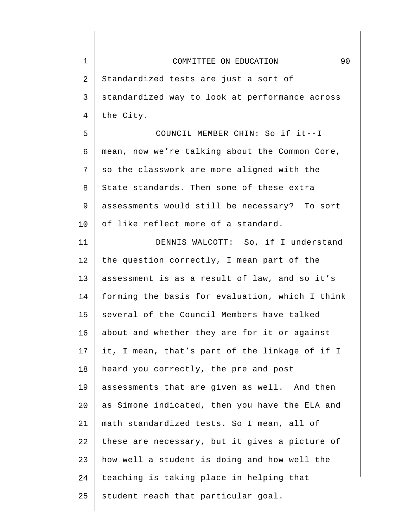| $\mathbf 1$     | 90<br>COMMITTEE ON EDUCATION                    |
|-----------------|-------------------------------------------------|
| $\overline{2}$  | Standardized tests are just a sort of           |
| 3               | standardized way to look at performance across  |
| $\overline{4}$  | the City.                                       |
| 5               | COUNCIL MEMBER CHIN: So if it--I                |
| 6               | mean, now we're talking about the Common Core,  |
| 7               | so the classwork are more aligned with the      |
| 8               | State standards. Then some of these extra       |
| 9               | assessments would still be necessary? To sort   |
| 10              | of like reflect more of a standard.             |
| 11              | DENNIS WALCOTT: So, if I understand             |
| 12              | the question correctly, I mean part of the      |
| 13              | assessment is as a result of law, and so it's   |
| 14              | forming the basis for evaluation, which I think |
| 15              | several of the Council Members have talked      |
| 16              | about and whether they are for it or against    |
| 17 <sub>2</sub> | it, I mean, that's part of the linkage of if I  |
| 18              | heard you correctly, the pre and post           |
| 19              | assessments that are given as well. And then    |
| 20              | as Simone indicated, then you have the ELA and  |
| 21              | math standardized tests. So I mean, all of      |
| 22              | these are necessary, but it gives a picture of  |
| 23              | how well a student is doing and how well the    |
| 24              | teaching is taking place in helping that        |
| 25              | student reach that particular goal.             |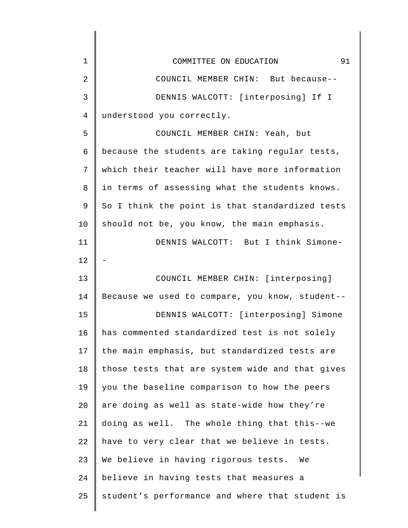| $\mathbf 1$ | 91<br>COMMITTEE ON EDUCATION                    |
|-------------|-------------------------------------------------|
| 2           | COUNCIL MEMBER CHIN: But because--              |
| 3           | DENNIS WALCOTT: [interposing] If I              |
| 4           | understood you correctly.                       |
| 5           | COUNCIL MEMBER CHIN: Yeah, but                  |
| 6           | because the students are taking regular tests,  |
| 7           | which their teacher will have more information  |
| 8           | in terms of assessing what the students knows.  |
| 9           | So I think the point is that standardized tests |
| 10          | should not be, you know, the main emphasis.     |
| 11          | DENNIS WALCOTT: But I think Simone-             |
| 12          |                                                 |
| 13          | COUNCIL MEMBER CHIN: [interposing]              |
| 14          | Because we used to compare, you know, student-- |
| 15          | DENNIS WALCOTT: [interposing] Simone            |
| 16          | has commented standardized test is not solely   |
| 17          | the main emphasis, but standardized tests are   |
| 18          | those tests that are system wide and that gives |
| 19          | you the baseline comparison to how the peers    |
| 20          | are doing as well as state-wide how they're     |
| 21          | doing as well. The whole thing that this--we    |
| 22          | have to very clear that we believe in tests.    |
| 23          | We believe in having rigorous tests. We         |
| 24          | believe in having tests that measures a         |
| 25          | student's performance and where that student is |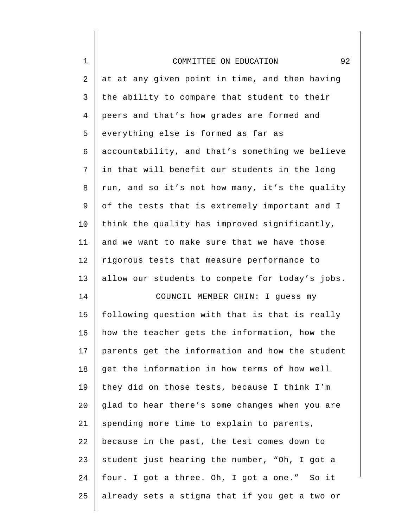| $\mathbf 1$ | 92<br>COMMITTEE ON EDUCATION                    |
|-------------|-------------------------------------------------|
| $\sqrt{2}$  | at at any given point in time, and then having  |
| 3           | the ability to compare that student to their    |
| 4           | peers and that's how grades are formed and      |
| 5           | everything else is formed as far as             |
| 6           | accountability, and that's something we believe |
| 7           | in that will benefit our students in the long   |
| 8           | run, and so it's not how many, it's the quality |
| 9           | of the tests that is extremely important and I  |
| 10          | think the quality has improved significantly,   |
| 11          | and we want to make sure that we have those     |
| 12          | rigorous tests that measure performance to      |
| 13          | allow our students to compete for today's jobs. |
| 14          | COUNCIL MEMBER CHIN: I guess my                 |
| 15          | following question with that is that is really  |
| 16          | how the teacher gets the information, how the   |
| 17          | parents get the information and how the student |
| 18          | get the information in how terms of how well    |
| 19          | they did on those tests, because I think I'm    |
| 20          | glad to hear there's some changes when you are  |
| 21          | spending more time to explain to parents,       |
| 22          | because in the past, the test comes down to     |
| 23          | student just hearing the number, "Oh, I got a   |
| 24          | four. I got a three. Oh, I got a one." So it    |
| 25          | already sets a stigma that if you get a two or  |

 $\Big\}$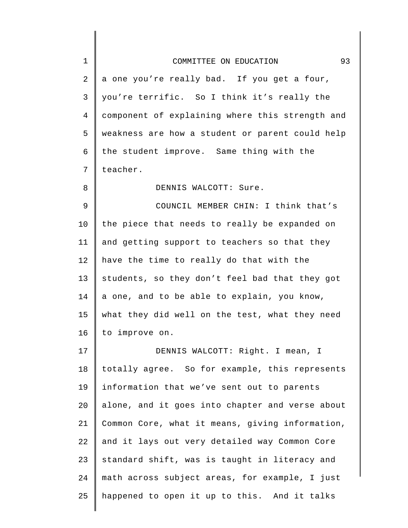## COMMITTEE ON EDUCATION 93

1

8

2 3 4 5 6 7 a one you're really bad. If you get a four, you're terrific. So I think it's really the component of explaining where this strength and weakness are how a student or parent could help the student improve. Same thing with the teacher.

DENNIS WALCOTT: Sure.

9 10 11 12 13 14 15 16 COUNCIL MEMBER CHIN: I think that's the piece that needs to really be expanded on and getting support to teachers so that they have the time to really do that with the students, so they don't feel bad that they got a one, and to be able to explain, you know, what they did well on the test, what they need to improve on.

17 18 19 20 21 22 23 24 25 DENNIS WALCOTT: Right. I mean, I totally agree. So for example, this represents information that we've sent out to parents alone, and it goes into chapter and verse about Common Core, what it means, giving information, and it lays out very detailed way Common Core standard shift, was is taught in literacy and math across subject areas, for example, I just happened to open it up to this. And it talks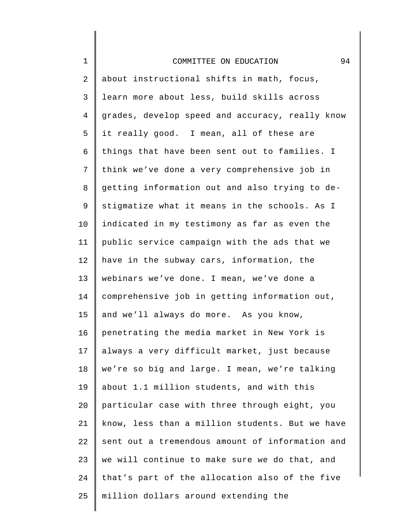| $\mathbf 1$ | 94<br>COMMITTEE ON EDUCATION                    |
|-------------|-------------------------------------------------|
| 2           | about instructional shifts in math, focus,      |
| 3           | learn more about less, build skills across      |
| 4           | grades, develop speed and accuracy, really know |
| 5           | it really good. I mean, all of these are        |
| 6           | things that have been sent out to families. I   |
| 7           | think we've done a very comprehensive job in    |
| 8           | getting information out and also trying to de-  |
| 9           | stigmatize what it means in the schools. As I   |
| $10 \,$     | indicated in my testimony as far as even the    |
| 11          | public service campaign with the ads that we    |
| 12          | have in the subway cars, information, the       |
| 13          | webinars we've done. I mean, we've done a       |
| 14          | comprehensive job in getting information out,   |
| 15          | and we'll always do more. As you know,          |
| 16          | penetrating the media market in New York is     |
| 17          | always a very difficult market, just because    |
| 18          | we're so big and large. I mean, we're talking   |
| 19          | about 1.1 million students, and with this       |
| 20          | particular case with three through eight, you   |
| 21          | know, less than a million students. But we have |
| 22          | sent out a tremendous amount of information and |
| 23          | we will continue to make sure we do that, and   |
| 24          | that's part of the allocation also of the five  |
| 25          | million dollars around extending the            |
|             |                                                 |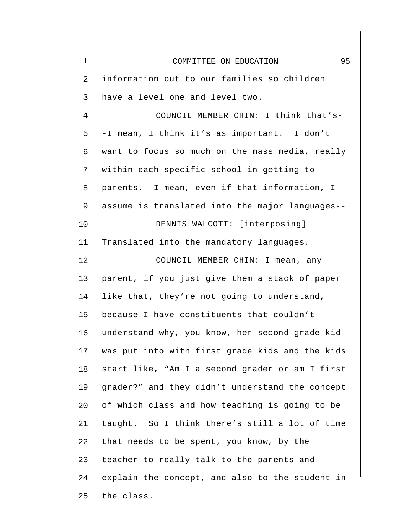| $\mathbf 1$ | 95<br>COMMITTEE ON EDUCATION                    |
|-------------|-------------------------------------------------|
| 2           | information out to our families so children     |
| 3           | have a level one and level two.                 |
| 4           | COUNCIL MEMBER CHIN: I think that's-            |
| 5           | -I mean, I think it's as important. I don't     |
| 6           | want to focus so much on the mass media, really |
| 7           | within each specific school in getting to       |
| 8           | parents. I mean, even if that information, I    |
| 9           | assume is translated into the major languages-- |
| 10          | DENNIS WALCOTT: [interposing]                   |
| 11          | Translated into the mandatory languages.        |
| 12          | COUNCIL MEMBER CHIN: I mean, any                |
| 13          | parent, if you just give them a stack of paper  |
| 14          | like that, they're not going to understand,     |
| 15          | because I have constituents that couldn't       |
| 16          | understand why, you know, her second grade kid  |
| 17          | was put into with first grade kids and the kids |
| 18          | start like, "Am I a second grader or am I first |
| 19          | grader?" and they didn't understand the concept |
| 20          | of which class and how teaching is going to be  |
| 21          | taught. So I think there's still a lot of time  |
| 22          | that needs to be spent, you know, by the        |
| 23          | teacher to really talk to the parents and       |
| 24          | explain the concept, and also to the student in |
| 25          | the class.                                      |
|             |                                                 |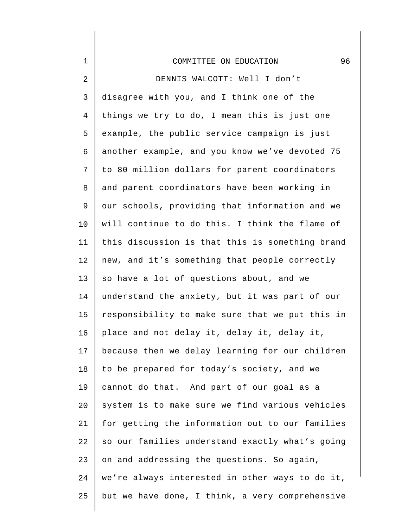| $\mathbf 1$    | 96<br>COMMITTEE ON EDUCATION                    |
|----------------|-------------------------------------------------|
| $\sqrt{2}$     | DENNIS WALCOTT: Well I don't                    |
| $\mathsf 3$    | disagree with you, and I think one of the       |
| $\overline{4}$ | things we try to do, I mean this is just one    |
| 5              | example, the public service campaign is just    |
| 6              | another example, and you know we've devoted 75  |
| 7              | to 80 million dollars for parent coordinators   |
| 8              | and parent coordinators have been working in    |
| 9              | our schools, providing that information and we  |
| 10             | will continue to do this. I think the flame of  |
| 11             | this discussion is that this is something brand |
| 12             | new, and it's something that people correctly   |
| 13             | so have a lot of questions about, and we        |
| 14             | understand the anxiety, but it was part of our  |
| 15             | responsibility to make sure that we put this in |
| 16             | place and not delay it, delay it, delay it,     |
| 17             | because then we delay learning for our children |
| 18             | to be prepared for today's society, and we      |
| 19             | cannot do that. And part of our goal as a       |
| 20             | system is to make sure we find various vehicles |
| 21             | for getting the information out to our families |
| 22             | so our families understand exactly what's going |
| 23             | on and addressing the questions. So again,      |
| 24             | we're always interested in other ways to do it, |
| 25             | but we have done, I think, a very comprehensive |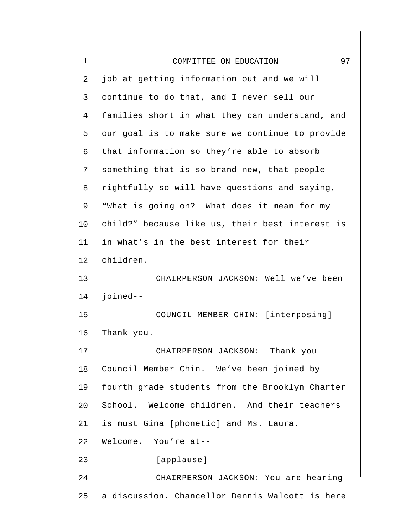| $\mathbf 1$    | 97<br>COMMITTEE ON EDUCATION                    |
|----------------|-------------------------------------------------|
| $\overline{2}$ | job at getting information out and we will      |
| 3              | continue to do that, and I never sell our       |
| 4              | families short in what they can understand, and |
| 5              | our goal is to make sure we continue to provide |
| 6              | that information so they're able to absorb      |
| 7              | something that is so brand new, that people     |
| 8              | rightfully so will have questions and saying,   |
| 9              | "What is going on? What does it mean for my     |
| 10             | child?" because like us, their best interest is |
| 11             | in what's in the best interest for their        |
| 12             | children.                                       |
| 13             | CHAIRPERSON JACKSON: Well we've been            |
| 14             | joined--                                        |
| 15             | COUNCIL MEMBER CHIN: [interposing]              |
| 16             | Thank you.                                      |
| 17             | CHAIRPERSON JACKSON: Thank you                  |
| 18             | Council Member Chin. We've been joined by       |
| 19             | fourth grade students from the Brooklyn Charter |
| 20             | School. Welcome children. And their teachers    |
| 21             | is must Gina [phonetic] and Ms. Laura.          |
| 22             | Welcome. You're at--                            |
| 23             | [applause]                                      |
| 24             | CHAIRPERSON JACKSON: You are hearing            |
| 25             | a discussion. Chancellor Dennis Walcott is here |
|                |                                                 |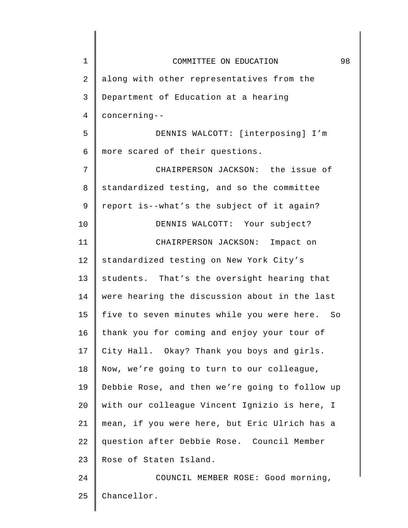| $\mathbf 1$    | 98<br>COMMITTEE ON EDUCATION                     |
|----------------|--------------------------------------------------|
| $\overline{2}$ | along with other representatives from the        |
| 3              | Department of Education at a hearing             |
| 4              | concerning--                                     |
| 5              | DENNIS WALCOTT: [interposing] I'm                |
| 6              | more scared of their questions.                  |
| 7              | CHAIRPERSON JACKSON: the issue of                |
| 8              | standardized testing, and so the committee       |
| 9              | report is--what's the subject of it again?       |
| 10             | DENNIS WALCOTT: Your subject?                    |
| 11             | CHAIRPERSON JACKSON: Impact on                   |
| 12             | standardized testing on New York City's          |
| 13             | students. That's the oversight hearing that      |
| 14             | were hearing the discussion about in the last    |
| 15             | five to seven minutes while you were here.<br>So |
| 16             | thank you for coming and enjoy your tour of      |
| 17             | City Hall. Okay? Thank you boys and girls.       |
| 18             | Now, we're going to turn to our colleague,       |
| 19             | Debbie Rose, and then we're going to follow up   |
| 20             | with our colleague Vincent Ignizio is here, I    |
| 21             | mean, if you were here, but Eric Ulrich has a    |
| 22             | question after Debbie Rose. Council Member       |
| 23             | Rose of Staten Island.                           |
| 24             | COUNCIL MEMBER ROSE: Good morning,               |
| 25             | Chancellor.                                      |
|                |                                                  |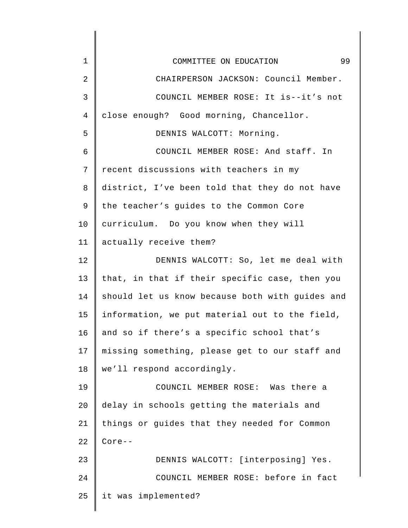| 1              | 99<br>COMMITTEE ON EDUCATION                    |
|----------------|-------------------------------------------------|
| $\overline{2}$ | CHAIRPERSON JACKSON: Council Member.            |
| 3              | COUNCIL MEMBER ROSE: It is--it's not            |
| 4              | close enough? Good morning, Chancellor.         |
| 5              | DENNIS WALCOTT: Morning.                        |
| 6              | COUNCIL MEMBER ROSE: And staff. In              |
| 7              | recent discussions with teachers in my          |
| 8              | district, I've been told that they do not have  |
| 9              | the teacher's guides to the Common Core         |
| 10             | curriculum. Do you know when they will          |
| 11             | actually receive them?                          |
| 12             | DENNIS WALCOTT: So, let me deal with            |
| 13             | that, in that if their specific case, then you  |
| 14             | should let us know because both with guides and |
| 15             | information, we put material out to the field,  |
| 16             | and so if there's a specific school that's      |
| 17             | missing something, please get to our staff and  |
| 18             | we'll respond accordingly.                      |
| 19             | COUNCIL MEMBER ROSE: Was there a                |
| 20             | delay in schools getting the materials and      |
| 21             | things or guides that they needed for Common    |
| 22             | $Core--$                                        |
| 23             | DENNIS WALCOTT: [interposing] Yes.              |
| 24             | COUNCIL MEMBER ROSE: before in fact             |
| 25             | it was implemented?                             |
|                |                                                 |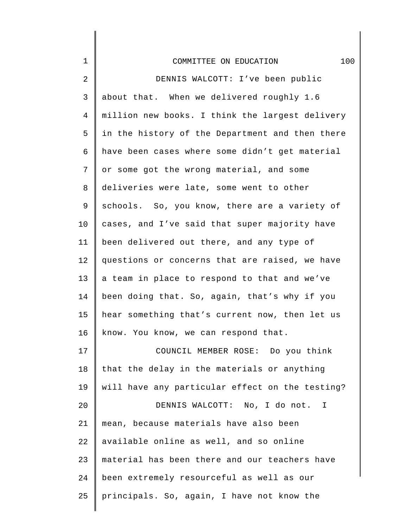| $\mathbf 1$ | 100<br>COMMITTEE ON EDUCATION                   |
|-------------|-------------------------------------------------|
| 2           | DENNIS WALCOTT: I've been public                |
| 3           | about that. When we delivered roughly 1.6       |
| 4           | million new books. I think the largest delivery |
| 5           | in the history of the Department and then there |
| 6           | have been cases where some didn't get material  |
| 7           | or some got the wrong material, and some        |
| 8           | deliveries were late, some went to other        |
| 9           | schools. So, you know, there are a variety of   |
| 10          | cases, and I've said that super majority have   |
| 11          | been delivered out there, and any type of       |
| 12          | questions or concerns that are raised, we have  |
| 13          | a team in place to respond to that and we've    |
| 14          | been doing that. So, again, that's why if you   |
| 15          | hear something that's current now, then let us  |
| 16          | know. You know, we can respond that.            |
| 17          | COUNCIL MEMBER ROSE: Do you think               |
| 18          | that the delay in the materials or anything     |
| 19          | will have any particular effect on the testing? |
| 20          | DENNIS WALCOTT: No, I do not. I                 |
| 21          | mean, because materials have also been          |
| 22          | available online as well, and so online         |
| 23          | material has been there and our teachers have   |
| 24          | been extremely resourceful as well as our       |
| 25          | principals. So, again, I have not know the      |

 $\mathsf I$ 

∥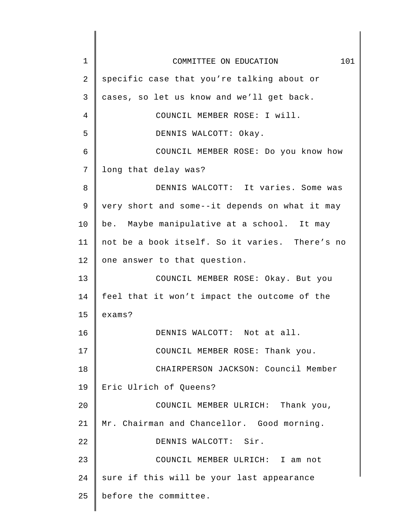| $\mathbf 1$ | 101<br>COMMITTEE ON EDUCATION                  |
|-------------|------------------------------------------------|
| 2           | specific case that you're talking about or     |
| 3           | cases, so let us know and we'll get back.      |
| 4           | COUNCIL MEMBER ROSE: I will.                   |
| 5           | DENNIS WALCOTT: Okay.                          |
| 6           | COUNCIL MEMBER ROSE: Do you know how           |
| 7           | long that delay was?                           |
| 8           | DENNIS WALCOTT: It varies. Some was            |
| 9           | very short and some--it depends on what it may |
| 10          | be. Maybe manipulative at a school. It may     |
| 11          | not be a book itself. So it varies. There's no |
| 12          | one answer to that question.                   |
| 13          | COUNCIL MEMBER ROSE: Okay. But you             |
| 14          | feel that it won't impact the outcome of the   |
| 15          | exams?                                         |
| 16          | DENNIS WALCOTT: Not at all.                    |
| 17          | COUNCIL MEMBER ROSE: Thank you.                |
| 18          | CHAIRPERSON JACKSON: Council Member            |
| 19          | Eric Ulrich of Queens?                         |
| 20          | COUNCIL MEMBER ULRICH: Thank you,              |
| 21          | Mr. Chairman and Chancellor. Good morning.     |
| 22          | DENNIS WALCOTT: Sir.                           |
| 23          | COUNCIL MEMBER ULRICH: I am not                |
| 24          | sure if this will be your last appearance      |
| 25          | before the committee.                          |
|             |                                                |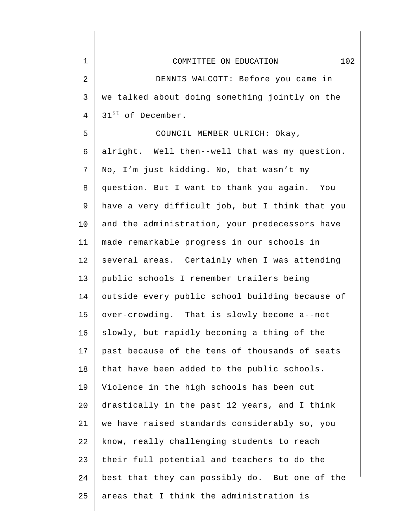| $\mathbf 1$    | 102<br>COMMITTEE ON EDUCATION                   |
|----------------|-------------------------------------------------|
| $\overline{2}$ | DENNIS WALCOTT: Before you came in              |
| $\mathsf{3}$   | we talked about doing something jointly on the  |
| 4              | 31 <sup>st</sup> of December.                   |
| 5              | COUNCIL MEMBER ULRICH: Okay,                    |
| 6              | alright. Well then--well that was my question.  |
| 7              | No, I'm just kidding. No, that wasn't my        |
| 8              | question. But I want to thank you again. You    |
| 9              | have a very difficult job, but I think that you |
| 10             | and the administration, your predecessors have  |
| 11             | made remarkable progress in our schools in      |
| 12             | several areas. Certainly when I was attending   |
| 13             | public schools I remember trailers being        |
| 14             | outside every public school building because of |
| 15             | over-crowding. That is slowly become a--not     |
| 16             | slowly, but rapidly becoming a thing of the     |
| 17             | past because of the tens of thousands of seats  |
| 18             | that have been added to the public schools.     |
| 19             | Violence in the high schools has been cut       |
| 20             | drastically in the past 12 years, and I think   |
| 21             | we have raised standards considerably so, you   |
| 22             | know, really challenging students to reach      |
| 23             | their full potential and teachers to do the     |
| 24             | best that they can possibly do. But one of the  |
| 25             | areas that I think the administration is        |
|                |                                                 |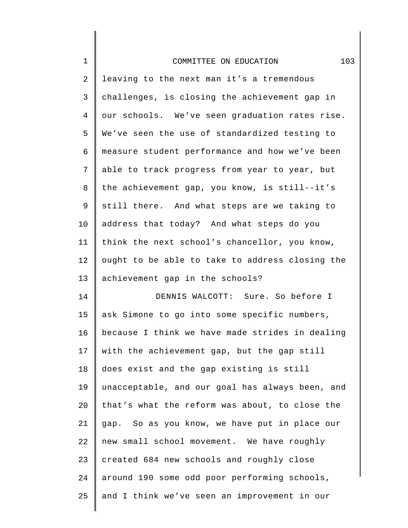| $\mathbf 1$    | 103<br>COMMITTEE ON EDUCATION                   |
|----------------|-------------------------------------------------|
|                |                                                 |
| $\overline{c}$ | leaving to the next man it's a tremendous       |
| $\mathsf{3}$   | challenges, is closing the achievement gap in   |
| $\overline{4}$ | our schools. We've seen graduation rates rise.  |
| 5              | We've seen the use of standardized testing to   |
| 6              | measure student performance and how we've been  |
| 7              | able to track progress from year to year, but   |
| 8              | the achievement gap, you know, is still--it's   |
| 9              | still there. And what steps are we taking to    |
| 10             | address that today? And what steps do you       |
| 11             | think the next school's chancellor, you know,   |
| 12             | ought to be able to take to address closing the |
| 13             | achievement gap in the schools?                 |
| 14             | DENNIS WALCOTT: Sure. So before I               |
| 15             | ask Simone to go into some specific numbers,    |
| 16             | because I think we have made strides in dealing |
| 17             | with the achievement gap, but the gap still     |
| 18             | does exist and the gap existing is still        |
| 19             | unacceptable, and our goal has always been, and |
| 20             | that's what the reform was about, to close the  |
| 21             | gap. So as you know, we have put in place our   |
| 22             | new small school movement. We have roughly      |
| 23             | created 684 new schools and roughly close       |
| 24             | around 190 some odd poor performing schools,    |
| 25             | and I think we've seen an improvement in our    |
|                |                                                 |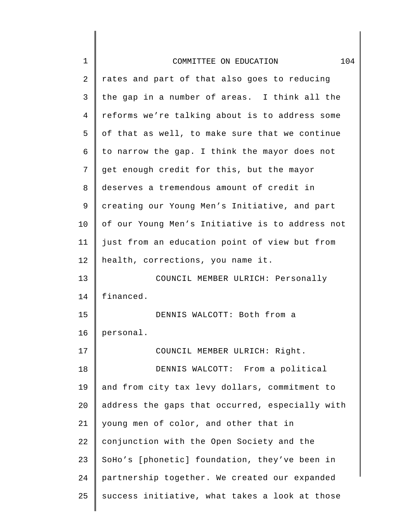| $\mathbf 1$ | 104<br>COMMITTEE ON EDUCATION                   |
|-------------|-------------------------------------------------|
| 2           | rates and part of that also goes to reducing    |
| 3           | the gap in a number of areas. I think all the   |
| 4           | reforms we're talking about is to address some  |
| 5           | of that as well, to make sure that we continue  |
| 6           | to narrow the gap. I think the mayor does not   |
| 7           | get enough credit for this, but the mayor       |
| 8           | deserves a tremendous amount of credit in       |
| 9           | creating our Young Men's Initiative, and part   |
| 10          | of our Young Men's Initiative is to address not |
| 11          | just from an education point of view but from   |
| 12          | health, corrections, you name it.               |
| 13          | COUNCIL MEMBER ULRICH: Personally               |
| 14          | financed.                                       |
| 15          | DENNIS WALCOTT: Both from a                     |
| 16          | personal.                                       |
| 17          | COUNCIL MEMBER ULRICH: Right.                   |
| 18          | DENNIS WALCOTT: From a political                |
| 19          | and from city tax levy dollars, commitment to   |
| 20          | address the gaps that occurred, especially with |
| 21          | young men of color, and other that in           |
| 22          | conjunction with the Open Society and the       |
| 23          | SoHo's [phonetic] foundation, they've been in   |
| 24          | partnership together. We created our expanded   |
| 25          | success initiative, what takes a look at those  |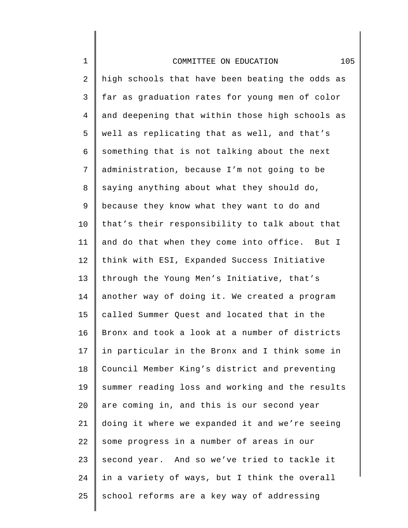| $\mathbf 1$    | 105<br>COMMITTEE ON EDUCATION                   |
|----------------|-------------------------------------------------|
| 2              | high schools that have been beating the odds as |
| $\mathsf{3}$   | far as graduation rates for young men of color  |
| $\overline{4}$ | and deepening that within those high schools as |
| 5              | well as replicating that as well, and that's    |
| 6              | something that is not talking about the next    |
| 7              | administration, because I'm not going to be     |
| 8              | saying anything about what they should do,      |
| 9              | because they know what they want to do and      |
| 10             | that's their responsibility to talk about that  |
| 11             | and do that when they come into office. But I   |
| 12             | think with ESI, Expanded Success Initiative     |
| 13             | through the Young Men's Initiative, that's      |
| 14             | another way of doing it. We created a program   |
| 15             | called Summer Quest and located that in the     |
| 16             | Bronx and took a look at a number of districts  |
| 17             | in particular in the Bronx and I think some in  |
| 18             | Council Member King's district and preventing   |
| 19             | summer reading loss and working and the results |
| 20             | are coming in, and this is our second year      |
| 21             | doing it where we expanded it and we're seeing  |
| 22             | some progress in a number of areas in our       |
| 23             | second year. And so we've tried to tackle it    |
| 24             | in a variety of ways, but I think the overall   |
| 25             | school reforms are a key way of addressing      |

 $\mathsf I$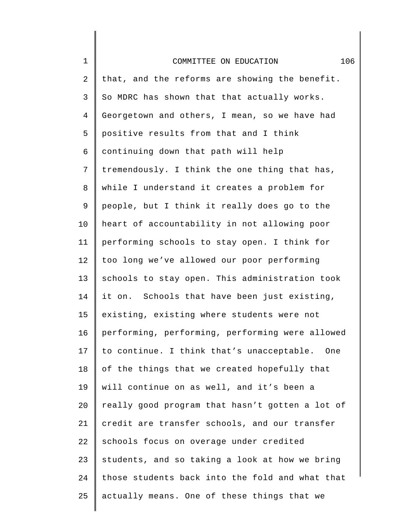| $\mathbf 1$    | 106<br>COMMITTEE ON EDUCATION                   |
|----------------|-------------------------------------------------|
| $\overline{c}$ | that, and the reforms are showing the benefit.  |
| $\mathsf{3}$   | So MDRC has shown that that actually works.     |
| $\overline{4}$ | Georgetown and others, I mean, so we have had   |
| 5              | positive results from that and I think          |
| 6              | continuing down that path will help             |
| 7              | tremendously. I think the one thing that has,   |
| 8              | while I understand it creates a problem for     |
| 9              | people, but I think it really does go to the    |
| 10             | heart of accountability in not allowing poor    |
| 11             | performing schools to stay open. I think for    |
| 12             | too long we've allowed our poor performing      |
| 13             | schools to stay open. This administration took  |
| 14             | it on. Schools that have been just existing,    |
| 15             | existing, existing where students were not      |
| 16             | performing, performing, performing were allowed |
| 17             | to continue. I think that's unacceptable. One   |
| 18             | of the things that we created hopefully that    |
| 19             | will continue on as well, and it's been a       |
| 20             | really good program that hasn't gotten a lot of |
| 21             | credit are transfer schools, and our transfer   |
| 22             | schools focus on overage under credited         |
| 23             | students, and so taking a look at how we bring  |
| 24             | those students back into the fold and what that |
| 25             | actually means. One of these things that we     |
|                |                                                 |

∥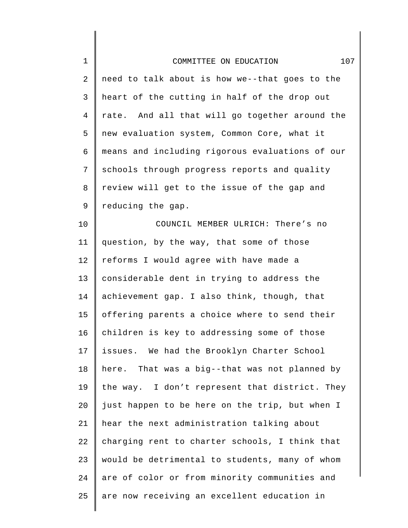| $\mathbf 1$ | 107<br>COMMITTEE ON EDUCATION                   |
|-------------|-------------------------------------------------|
| 2           | need to talk about is how we--that goes to the  |
| 3           | heart of the cutting in half of the drop out    |
| 4           | rate. And all that will go together around the  |
| 5           | new evaluation system, Common Core, what it     |
| 6           | means and including rigorous evaluations of our |
| 7           | schools through progress reports and quality    |
| 8           | review will get to the issue of the gap and     |
| 9           | reducing the gap.                               |
| 10          | COUNCIL MEMBER ULRICH: There's no               |
| 11          | question, by the way, that some of those        |
| 12          | reforms I would agree with have made a          |
| 13          | considerable dent in trying to address the      |
| 14          | achievement gap. I also think, though, that     |
| 15          | offering parents a choice where to send their   |
| 16          | children is key to addressing some of those     |
| 17          | issues. We had the Brooklyn Charter School      |
| 18          | here. That was a big--that was not planned by   |
| 19          | the way. I don't represent that district. They  |
| 20          | just happen to be here on the trip, but when I  |
| 21          | hear the next administration talking about      |
| 22          | charging rent to charter schools, I think that  |
| 23          | would be detrimental to students, many of whom  |
| 24          | are of color or from minority communities and   |
| 25          | are now receiving an excellent education in     |

 $\begin{array}{c} \hline \end{array}$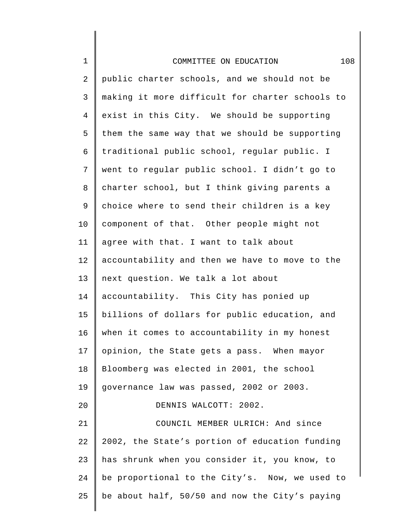| $\mathbf 1$ | 108<br>COMMITTEE ON EDUCATION                   |
|-------------|-------------------------------------------------|
| 2           | public charter schools, and we should not be    |
| 3           | making it more difficult for charter schools to |
| 4           | exist in this City. We should be supporting     |
| 5           | them the same way that we should be supporting  |
| 6           | traditional public school, regular public. I    |
| 7           | went to regular public school. I didn't go to   |
| 8           | charter school, but I think giving parents a    |
| 9           | choice where to send their children is a key    |
| 10          | component of that. Other people might not       |
| 11          | agree with that. I want to talk about           |
| 12          | accountability and then we have to move to the  |
| 13          | next question. We talk a lot about              |
| 14          | accountability. This City has ponied up         |
| 15          | billions of dollars for public education, and   |
| 16          | when it comes to accountability in my honest    |
| 17          | opinion, the State gets a pass. When mayor      |
| 18          | Bloomberg was elected in 2001, the school       |
| 19          | governance law was passed, 2002 or 2003.        |
| 20          | DENNIS WALCOTT: 2002.                           |
| 21          | COUNCIL MEMBER ULRICH: And since                |
| 22          | 2002, the State's portion of education funding  |
| 23          | has shrunk when you consider it, you know, to   |
| 24          | be proportional to the City's. Now, we used to  |
| 25          | be about half, 50/50 and now the City's paying  |
|             |                                                 |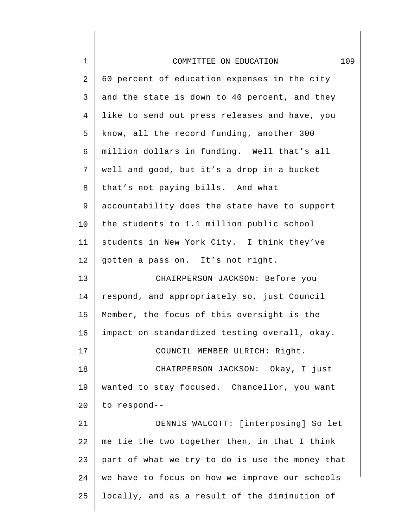| $\mathbf 1$ | 109<br>COMMITTEE ON EDUCATION                   |
|-------------|-------------------------------------------------|
| 2           | 60 percent of education expenses in the city    |
| 3           | and the state is down to 40 percent, and they   |
| 4           | like to send out press releases and have, you   |
| 5           | know, all the record funding, another 300       |
| 6           | million dollars in funding. Well that's all     |
| 7           | well and good, but it's a drop in a bucket      |
| 8           | that's not paying bills. And what               |
| 9           | accountability does the state have to support   |
| 10          | the students to 1.1 million public school       |
| 11          | students in New York City. I think they've      |
| 12          | gotten a pass on. It's not right.               |
| 13          | CHAIRPERSON JACKSON: Before you                 |
| 14          | respond, and appropriately so, just Council     |
| 15          | Member, the focus of this oversight is the      |
| 16          | impact on standardized testing overall, okay.   |
| 17          | COUNCIL MEMBER ULRICH: Right.                   |
| 18          | CHAIRPERSON JACKSON: Okay, I just               |
| 19          | wanted to stay focused. Chancellor, you want    |
| 20          | to respond--                                    |
| 21          | DENNIS WALCOTT: [interposing] So let            |
| 22          | me tie the two together then, in that I think   |
| 23          | part of what we try to do is use the money that |
| 24          | we have to focus on how we improve our schools  |
| 25          | locally, and as a result of the diminution of   |
|             |                                                 |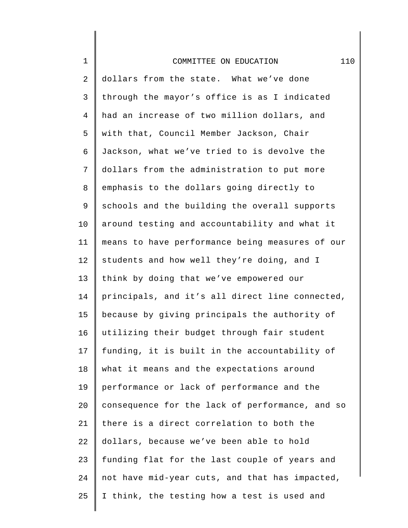| $\mathbf 1$    | 110<br>COMMITTEE ON EDUCATION                   |
|----------------|-------------------------------------------------|
| 2              | dollars from the state. What we've done         |
| 3              | through the mayor's office is as I indicated    |
| $\overline{4}$ | had an increase of two million dollars, and     |
| 5              | with that, Council Member Jackson, Chair        |
| 6              | Jackson, what we've tried to is devolve the     |
| 7              | dollars from the administration to put more     |
| 8              | emphasis to the dollars going directly to       |
| $\mathsf 9$    | schools and the building the overall supports   |
| 10             | around testing and accountability and what it   |
| 11             | means to have performance being measures of our |
| 12             | students and how well they're doing, and I      |
| 13             | think by doing that we've empowered our         |
| 14             | principals, and it's all direct line connected, |
| 15             | because by giving principals the authority of   |
| 16             | utilizing their budget through fair student     |
| 17             | funding, it is built in the accountability of   |
| 18             | what it means and the expectations around       |
| 19             | performance or lack of performance and the      |
| 20             | consequence for the lack of performance, and so |
| 21             | there is a direct correlation to both the       |
| 22             | dollars, because we've been able to hold        |
| 23             | funding flat for the last couple of years and   |
| 24             | not have mid-year cuts, and that has impacted,  |
| 25             | I think, the testing how a test is used and     |
|                |                                                 |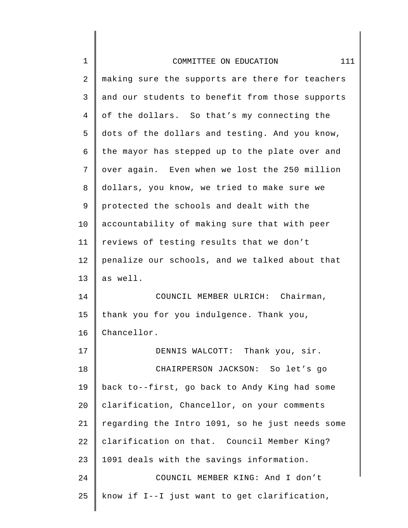| $\mathbf 1$    | COMMITTEE ON EDUCATION<br>111                   |
|----------------|-------------------------------------------------|
|                |                                                 |
| $\overline{2}$ | making sure the supports are there for teachers |
| $\mathsf{3}$   | and our students to benefit from those supports |
| 4              | of the dollars. So that's my connecting the     |
| 5              | dots of the dollars and testing. And you know,  |
| 6              | the mayor has stepped up to the plate over and  |
| 7              | over again. Even when we lost the 250 million   |
| 8              | dollars, you know, we tried to make sure we     |
| 9              | protected the schools and dealt with the        |
| 10             | accountability of making sure that with peer    |
| 11             | reviews of testing results that we don't        |
| 12             | penalize our schools, and we talked about that  |
| 13             | as well.                                        |
| 14             | COUNCIL MEMBER ULRICH: Chairman,                |
| 15             | thank you for you indulgence. Thank you,        |
| 16             | Chancellor.                                     |
| 17             | DENNIS WALCOTT: Thank you, sir.                 |
| 18             | CHAIRPERSON JACKSON: So let's go                |
| 19             | back to--first, go back to Andy King had some   |
| 20             | clarification, Chancellor, on your comments     |
| 21             | regarding the Intro 1091, so he just needs some |
| 22             | clarification on that. Council Member King?     |
| 23             | 1091 deals with the savings information.        |
| 24             | COUNCIL MEMBER KING: And I don't                |
| 25             | know if I--I just want to get clarification,    |
|                |                                                 |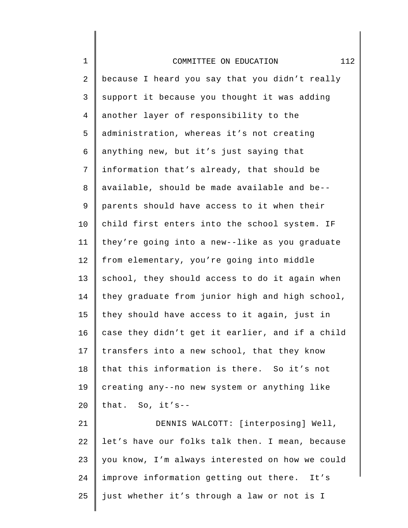| $\mathbf 1$ | 112<br>COMMITTEE ON EDUCATION                   |
|-------------|-------------------------------------------------|
| 2           | because I heard you say that you didn't really  |
| 3           | support it because you thought it was adding    |
| 4           | another layer of responsibility to the          |
| 5           | administration, whereas it's not creating       |
| 6           | anything new, but it's just saying that         |
| 7           | information that's already, that should be      |
| 8           | available, should be made available and be--    |
| 9           | parents should have access to it when their     |
| 10          | child first enters into the school system. IF   |
| 11          | they're going into a new--like as you graduate  |
| 12          | from elementary, you're going into middle       |
| 13          | school, they should access to do it again when  |
| 14          | they graduate from junior high and high school, |
| 15          | they should have access to it again, just in    |
| 16          | case they didn't get it earlier, and if a child |
| 17          | transfers into a new school, that they know     |
| 18          | that this information is there. So it's not     |
| 19          | creating any--no new system or anything like    |
| 20          | that. So, it's--                                |
| 21          | DENNIS WALCOTT: [interposing] Well,             |
| 22          | let's have our folks talk then. I mean, because |
| 23          | you know, I'm always interested on how we could |
| 24          | improve information getting out there. It's     |
| 25          | just whether it's through a law or not is I     |
|             |                                                 |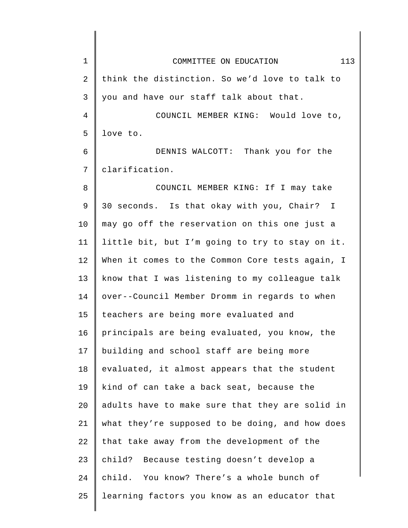| $\mathbf 1$ | 113<br>COMMITTEE ON EDUCATION                   |
|-------------|-------------------------------------------------|
| 2           | think the distinction. So we'd love to talk to  |
| 3           | you and have our staff talk about that.         |
| 4           | COUNCIL MEMBER KING: Would love to,             |
| 5           | love to.                                        |
| 6           | DENNIS WALCOTT: Thank you for the               |
| 7           | clarification.                                  |
| 8           | COUNCIL MEMBER KING: If I may take              |
| 9           | 30 seconds. Is that okay with you, Chair? I     |
| 10          | may go off the reservation on this one just a   |
| 11          | little bit, but I'm going to try to stay on it. |
| 12          | When it comes to the Common Core tests again, I |
| 13          | know that I was listening to my colleague talk  |
| 14          | over--Council Member Dromm in regards to when   |
| 15          | teachers are being more evaluated and           |
| 16          | principals are being evaluated, you know, the   |
| 17          | building and school staff are being more        |
| 18          | evaluated, it almost appears that the student   |
| 19          | kind of can take a back seat, because the       |
| 20          | adults have to make sure that they are solid in |
| 21          | what they're supposed to be doing, and how does |
| 22          | that take away from the development of the      |
| 23          | child? Because testing doesn't develop a        |
| 24          | child. You know? There's a whole bunch of       |
| 25          | learning factors you know as an educator that   |
|             |                                                 |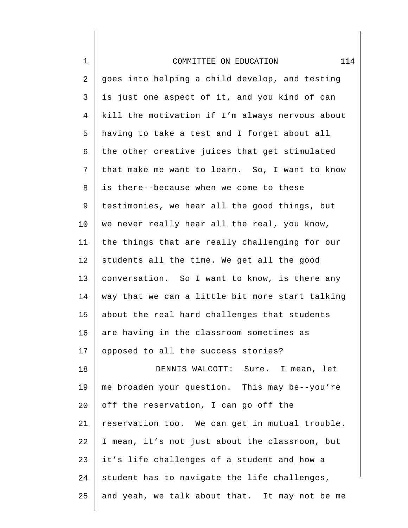| $\mathbf 1$    | 114<br>COMMITTEE ON EDUCATION                   |
|----------------|-------------------------------------------------|
| $\overline{2}$ | goes into helping a child develop, and testing  |
| 3              | is just one aspect of it, and you kind of can   |
| $\overline{4}$ | kill the motivation if I'm always nervous about |
| 5              | having to take a test and I forget about all    |
| 6              | the other creative juices that get stimulated   |
| 7              | that make me want to learn. So, I want to know  |
| 8              | is there--because when we come to these         |
| 9              | testimonies, we hear all the good things, but   |
| 10             | we never really hear all the real, you know,    |
| 11             | the things that are really challenging for our  |
| 12             | students all the time. We get all the good      |
| 13             | conversation. So I want to know, is there any   |
| 14             | way that we can a little bit more start talking |
| 15             | about the real hard challenges that students    |
| 16             | are having in the classroom sometimes as        |
| 17             | opposed to all the success stories?             |
| 18             | DENNIS WALCOTT: Sure. I mean, let               |
| 19             | me broaden your question. This may be--you're   |
| 20             | off the reservation, I can go off the           |
| 21             | reservation too. We can get in mutual trouble.  |
| 22             | I mean, it's not just about the classroom, but  |
| 23             | it's life challenges of a student and how a     |
| 24             | student has to navigate the life challenges,    |
| 25             | and yeah, we talk about that. It may not be me  |

∥ ∥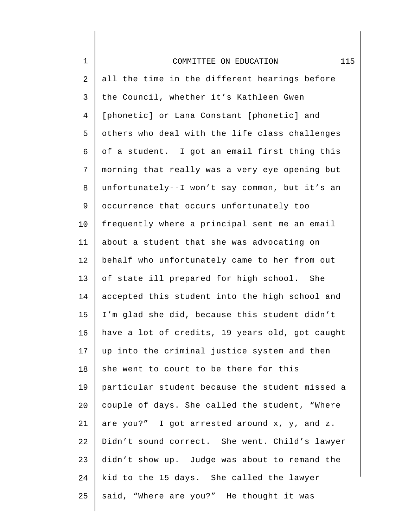| $\mathbf 1$    | 115<br>COMMITTEE ON EDUCATION                   |
|----------------|-------------------------------------------------|
| $\overline{2}$ | all the time in the different hearings before   |
| 3              | the Council, whether it's Kathleen Gwen         |
| $\overline{4}$ | [phonetic] or Lana Constant [phonetic] and      |
| 5              | others who deal with the life class challenges  |
| 6              | of a student. I got an email first thing this   |
| 7              | morning that really was a very eye opening but  |
| 8              | unfortunately--I won't say common, but it's an  |
| 9              | occurrence that occurs unfortunately too        |
| 10             | frequently where a principal sent me an email   |
| 11             | about a student that she was advocating on      |
| 12             | behalf who unfortunately came to her from out   |
| 13             | of state ill prepared for high school. She      |
| 14             | accepted this student into the high school and  |
| 15             | I'm glad she did, because this student didn't   |
| 16             | have a lot of credits, 19 years old, got caught |
| 17             | up into the criminal justice system and then    |
| 18             | she went to court to be there for this          |
| 19             | particular student because the student missed a |
| 20             | couple of days. She called the student, "Where  |
| 21             | are you?" I got arrested around x, y, and z.    |
| 22             | Didn't sound correct. She went. Child's lawyer  |
| 23             | didn't show up. Judge was about to remand the   |
| 24             | kid to the 15 days. She called the lawyer       |
| 25             | said, "Where are you?" He thought it was        |
|                |                                                 |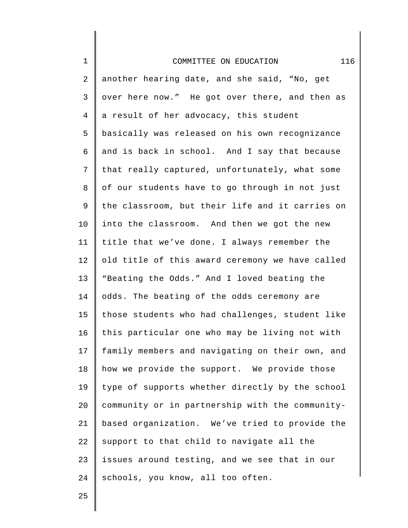| $\mathbf 1$    | 116<br>COMMITTEE ON EDUCATION                   |
|----------------|-------------------------------------------------|
| 2              | another hearing date, and she said, "No, get    |
| 3              | over here now." He got over there, and then as  |
| $\overline{4}$ | a result of her advocacy, this student          |
| 5              | basically was released on his own recognizance  |
| 6              | and is back in school. And I say that because   |
| 7              | that really captured, unfortunately, what some  |
| 8              | of our students have to go through in not just  |
| 9              | the classroom, but their life and it carries on |
| 10             | into the classroom. And then we got the new     |
| 11             | title that we've done. I always remember the    |
| 12             | old title of this award ceremony we have called |
| 13             | "Beating the Odds." And I loved beating the     |
| 14             | odds. The beating of the odds ceremony are      |
| 15             | those students who had challenges, student like |
| 16             | this particular one who may be living not with  |
| 17             | family members and navigating on their own, and |
| 18             | how we provide the support. We provide those    |
| 19             | type of supports whether directly by the school |
| 20             | community or in partnership with the community- |
| 21             | based organization. We've tried to provide the  |
| 22             | support to that child to navigate all the       |
| 23             | issues around testing, and we see that in our   |
| 24             | schools, you know, all too often.               |

∥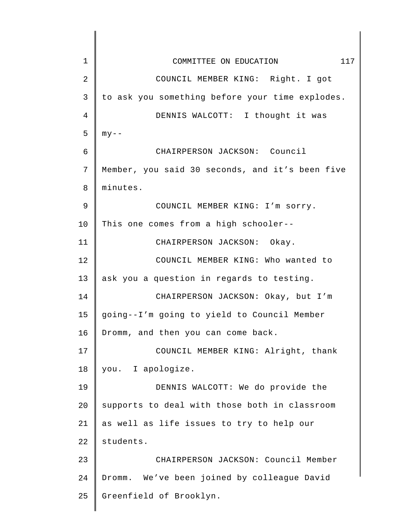| 1  | 117<br>COMMITTEE ON EDUCATION                   |
|----|-------------------------------------------------|
| 2  | COUNCIL MEMBER KING: Right. I got               |
| 3  | to ask you something before your time explodes. |
| 4  | DENNIS WALCOTT: I thought it was                |
| 5  | $my - -$                                        |
| 6  | CHAIRPERSON JACKSON: Council                    |
| 7  | Member, you said 30 seconds, and it's been five |
| 8  | minutes.                                        |
| 9  | COUNCIL MEMBER KING: I'm sorry.                 |
| 10 | This one comes from a high schooler--           |
| 11 | CHAIRPERSON JACKSON: Okay.                      |
| 12 | COUNCIL MEMBER KING: Who wanted to              |
| 13 | ask you a question in regards to testing.       |
| 14 | CHAIRPERSON JACKSON: Okay, but I'm              |
| 15 | going--I'm going to yield to Council Member     |
| 16 | Dromm, and then you can come back.              |
| 17 | COUNCIL MEMBER KING: Alright, thank             |
| 18 | you. I apologize.                               |
| 19 | DENNIS WALCOTT: We do provide the               |
| 20 | supports to deal with those both in classroom   |
| 21 | as well as life issues to try to help our       |
| 22 | students.                                       |
| 23 | CHAIRPERSON JACKSON: Council Member             |
| 24 | Dromm. We've been joined by colleague David     |
| 25 | Greenfield of Brooklyn.                         |
|    |                                                 |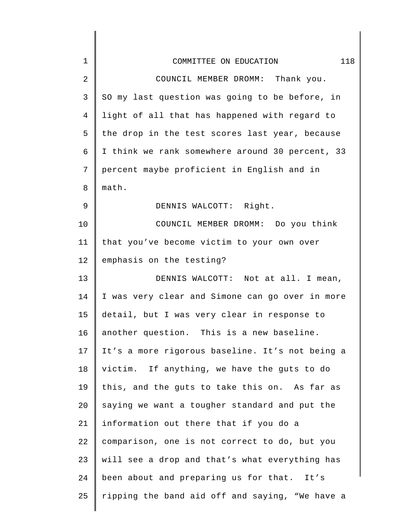| $\mathbf{1}$ | 118<br>COMMITTEE ON EDUCATION                   |
|--------------|-------------------------------------------------|
| 2            | COUNCIL MEMBER DROMM: Thank you.                |
| 3            | SO my last question was going to be before, in  |
| 4            | light of all that has happened with regard to   |
| 5            | the drop in the test scores last year, because  |
| 6            | I think we rank somewhere around 30 percent, 33 |
| 7            | percent maybe proficient in English and in      |
| 8            | math.                                           |
| 9            | DENNIS WALCOTT: Right.                          |
| 10           | COUNCIL MEMBER DROMM: Do you think              |
| 11           | that you've become victim to your own over      |
| 12           | emphasis on the testing?                        |
| 13           | DENNIS WALCOTT: Not at all. I mean,             |
| 14           | I was very clear and Simone can go over in more |
| 15           | detail, but I was very clear in response to     |
| 16           | another question. This is a new baseline.       |
| 17           | It's a more rigorous baseline. It's not being a |
| 18           | victim. If anything, we have the guts to do     |
| 19           | this, and the guts to take this on. As far as   |
| 20           | saying we want a tougher standard and put the   |
| 21           | information out there that if you do a          |
| 22           | comparison, one is not correct to do, but you   |
| 23           | will see a drop and that's what everything has  |
| 24           | been about and preparing us for that. It's      |
| 25           | ripping the band aid off and saying, "We have a |
|              |                                                 |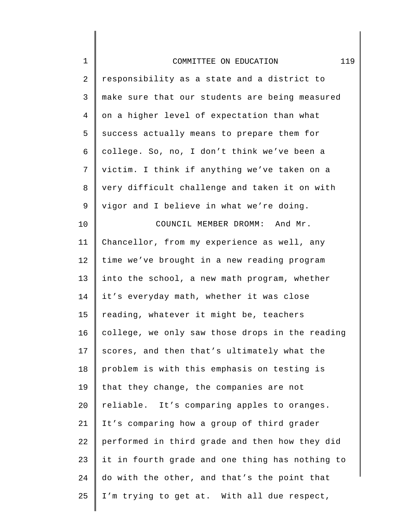| $\mathbf 1$    | 119<br>COMMITTEE ON EDUCATION                   |
|----------------|-------------------------------------------------|
| $\overline{2}$ | responsibility as a state and a district to     |
| $\mathsf{3}$   | make sure that our students are being measured  |
| $\overline{4}$ | on a higher level of expectation than what      |
| 5              | success actually means to prepare them for      |
| 6              | college. So, no, I don't think we've been a     |
| 7              | victim. I think if anything we've taken on a    |
| 8              | very difficult challenge and taken it on with   |
| 9              | vigor and I believe in what we're doing.        |
| 10             | COUNCIL MEMBER DROMM: And Mr.                   |
| 11             | Chancellor, from my experience as well, any     |
| 12             | time we've brought in a new reading program     |
| 13             | into the school, a new math program, whether    |
| 14             | it's everyday math, whether it was close        |
| 15             | reading, whatever it might be, teachers         |
| 16             | college, we only saw those drops in the reading |
| 17             | scores, and then that's ultimately what the     |
| 18             | problem is with this emphasis on testing is     |
| 19             | that they change, the companies are not         |
| 20             | reliable. It's comparing apples to oranges.     |
| 21             | It's comparing how a group of third grader      |
| 22             | performed in third grade and then how they did  |
| 23             | it in fourth grade and one thing has nothing to |
| 24             | do with the other, and that's the point that    |
| 25             | I'm trying to get at. With all due respect,     |
|                |                                                 |

 $\begin{array}{c} \hline \end{array}$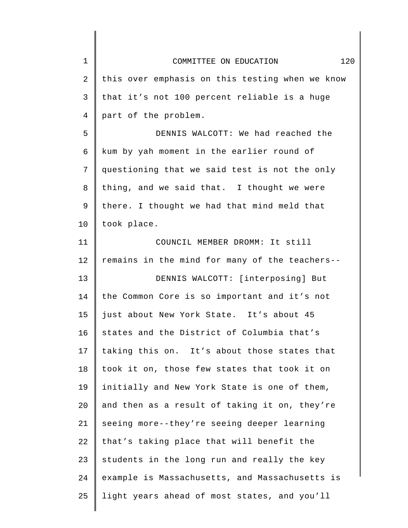| $\mathbf 1$ | 120<br>COMMITTEE ON EDUCATION                   |
|-------------|-------------------------------------------------|
| 2           | this over emphasis on this testing when we know |
| 3           | that it's not 100 percent reliable is a huge    |
| 4           | part of the problem.                            |
| 5           | DENNIS WALCOTT: We had reached the              |
| 6           | kum by yah moment in the earlier round of       |
| 7           | questioning that we said test is not the only   |
| 8           | thing, and we said that. I thought we were      |
| 9           | there. I thought we had that mind meld that     |
| 10          | took place.                                     |
| 11          | COUNCIL MEMBER DROMM: It still                  |
| 12          | remains in the mind for many of the teachers--  |
| 13          | DENNIS WALCOTT: [interposing] But               |
| 14          | the Common Core is so important and it's not    |
| 15          | just about New York State. It's about 45        |
| 16          | states and the District of Columbia that's      |
| 17          | taking this on. It's about those states that    |
| 18          | took it on, those few states that took it on    |
| 19          | initially and New York State is one of them,    |
| 20          | and then as a result of taking it on, they're   |
| 21          | seeing more--they're seeing deeper learning     |
| 22          | that's taking place that will benefit the       |
| 23          | students in the long run and really the key     |
| 24          | example is Massachusetts, and Massachusetts is  |
| 25          | light years ahead of most states, and you'll    |
|             |                                                 |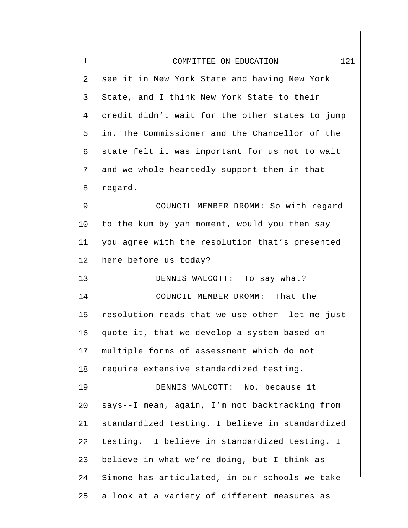| $\mathbf 1$ | 121<br>COMMITTEE ON EDUCATION                   |
|-------------|-------------------------------------------------|
| 2           | see it in New York State and having New York    |
| 3           | State, and I think New York State to their      |
| 4           | credit didn't wait for the other states to jump |
| 5           | in. The Commissioner and the Chancellor of the  |
| 6           | state felt it was important for us not to wait  |
| 7           | and we whole heartedly support them in that     |
| 8           | regard.                                         |
| 9           | COUNCIL MEMBER DROMM: So with regard            |
| 10          | to the kum by yah moment, would you then say    |
| 11          | you agree with the resolution that's presented  |
| 12          | here before us today?                           |
| 13          | DENNIS WALCOTT: To say what?                    |
| 14          | COUNCIL MEMBER DROMM: That the                  |
| 15          | resolution reads that we use other--let me just |
| 16          | quote it, that we develop a system based on     |
| 17          | multiple forms of assessment which do not       |
| 18          | require extensive standardized testing.         |
| 19          | DENNIS WALCOTT: No, because it                  |
| 20          | says--I mean, again, I'm not backtracking from  |
| 21          | standardized testing. I believe in standardized |
| 22          | testing. I believe in standardized testing. I   |
| 23          | believe in what we're doing, but I think as     |
| 24          | Simone has articulated, in our schools we take  |
| 25          | a look at a variety of different measures as    |
|             |                                                 |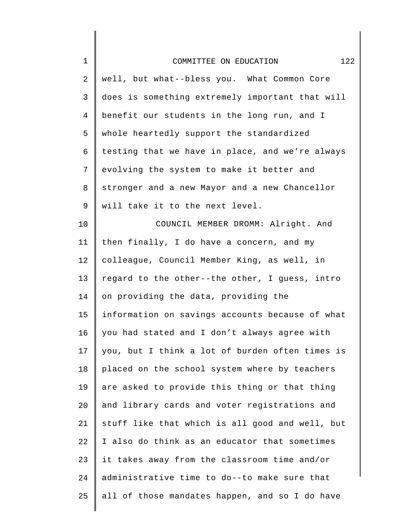| $\mathbf 1$ | 122<br>COMMITTEE ON EDUCATION                   |
|-------------|-------------------------------------------------|
| 2           | well, but what--bless you. What Common Core     |
| 3           | does is something extremely important that will |
| 4           | benefit our students in the long run, and I     |
| 5           | whole heartedly support the standardized        |
| 6           | testing that we have in place, and we're always |
| 7           | evolving the system to make it better and       |
| 8           | stronger and a new Mayor and a new Chancellor   |
| 9           | will take it to the next level.                 |
| 10          | COUNCIL MEMBER DROMM: Alright. And              |
| 11          | then finally, I do have a concern, and my       |
| 12          | colleague, Council Member King, as well, in     |
| 13          | regard to the other--the other, I guess, intro  |
| 14          | on providing the data, providing the            |
| 15          | information on savings accounts because of what |
| 16          | you had stated and I don't always agree with    |
| 17          | you, but I think a lot of burden often times is |
| 18          | placed on the school system where by teachers   |
| 19          | are asked to provide this thing or that thing   |
| 20          | and library cards and voter registrations and   |
| 21          | stuff like that which is all good and well, but |
| 22          | I also do think as an educator that sometimes   |
| 23          | it takes away from the classroom time and/or    |
| 24          | administrative time to do--to make sure that    |
| 25          | all of those mandates happen, and so I do have  |
|             |                                                 |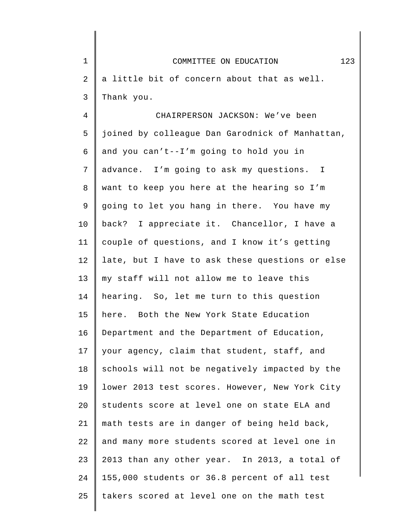| $\mathbf 1$    | 123<br>COMMITTEE ON EDUCATION                   |
|----------------|-------------------------------------------------|
| $\overline{2}$ | a little bit of concern about that as well.     |
| 3              | Thank you.                                      |
| 4              | CHAIRPERSON JACKSON: We've been                 |
| 5              | joined by colleague Dan Garodnick of Manhattan, |
| 6              | and you can't--I'm going to hold you in         |
| 7              | advance. I'm going to ask my questions. I       |
| 8              | want to keep you here at the hearing so I'm     |
| 9              | going to let you hang in there. You have my     |
| 10             | back? I appreciate it. Chancellor, I have a     |
| 11             | couple of questions, and I know it's getting    |
| 12             | late, but I have to ask these questions or else |
| 13             | my staff will not allow me to leave this        |
| 14             | hearing. So, let me turn to this question       |
| 15             | here. Both the New York State Education         |
| 16             | Department and the Department of Education,     |
| 17             | your agency, claim that student, staff, and     |
| 18             | schools will not be negatively impacted by the  |
| 19             | lower 2013 test scores. However, New York City  |
| 20             | students score at level one on state ELA and    |
| 21             | math tests are in danger of being held back,    |
| 22             | and many more students scored at level one in   |
| 23             | 2013 than any other year. In 2013, a total of   |
| 24             | 155,000 students or 36.8 percent of all test    |
| 25             | takers scored at level one on the math test     |
|                |                                                 |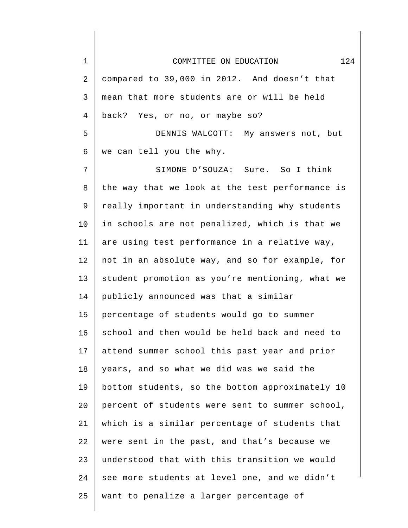| $\mathbf 1$ | 124<br>COMMITTEE ON EDUCATION                   |
|-------------|-------------------------------------------------|
| 2           | compared to 39,000 in 2012. And doesn't that    |
| 3           | mean that more students are or will be held     |
| 4           | back? Yes, or no, or maybe so?                  |
| 5           | DENNIS WALCOTT: My answers not, but             |
| 6           | we can tell you the why.                        |
| 7           | SIMONE D'SOUZA: Sure. So I think                |
| 8           | the way that we look at the test performance is |
| 9           | really important in understanding why students  |
| 10          | in schools are not penalized, which is that we  |
| 11          | are using test performance in a relative way,   |
| 12          | not in an absolute way, and so for example, for |
| 13          | student promotion as you're mentioning, what we |
| 14          | publicly announced was that a similar           |
| 15          | percentage of students would go to summer       |
| 16          | school and then would be held back and need to  |
| 17          | attend summer school this past year and prior   |
| 18          | years, and so what we did was we said the       |
| 19          | bottom students, so the bottom approximately 10 |
| 20          | percent of students were sent to summer school, |
| 21          | which is a similar percentage of students that  |
| 22          | were sent in the past, and that's because we    |
| 23          | understood that with this transition we would   |
| 24          | see more students at level one, and we didn't   |
| 25          | want to penalize a larger percentage of         |
|             |                                                 |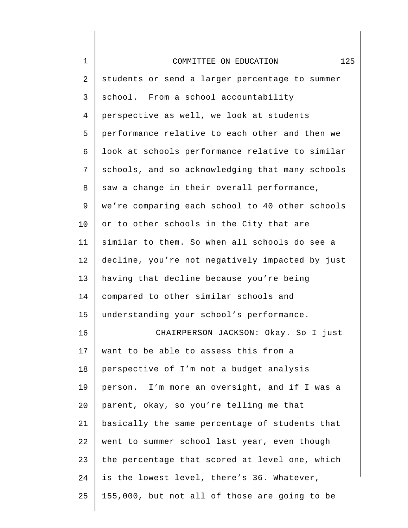| $\mathbf 1$    | 125<br>COMMITTEE ON EDUCATION                   |
|----------------|-------------------------------------------------|
| 2              | students or send a larger percentage to summer  |
| 3              | school. From a school accountability            |
| $\overline{4}$ | perspective as well, we look at students        |
| 5              | performance relative to each other and then we  |
| 6              | look at schools performance relative to similar |
| 7              | schools, and so acknowledging that many schools |
| 8              | saw a change in their overall performance,      |
| 9              | we're comparing each school to 40 other schools |
| 10             | or to other schools in the City that are        |
| 11             | similar to them. So when all schools do see a   |
| 12             | decline, you're not negatively impacted by just |
| 13             | having that decline because you're being        |
| 14             | compared to other similar schools and           |
| 15             | understanding your school's performance.        |
| 16             | CHAIRPERSON JACKSON: Okay. So I just            |
| 17             | want to be able to assess this from a           |
| 18             | perspective of I'm not a budget analysis        |
| 19             | person. I'm more an oversight, and if I was a   |
| 20             | parent, okay, so you're telling me that         |
| 21             | basically the same percentage of students that  |
| 22             | went to summer school last year, even though    |
| 23             | the percentage that scored at level one, which  |
| 24             | is the lowest level, there's 36. Whatever,      |
| 25             | 155,000, but not all of those are going to be   |
|                |                                                 |

║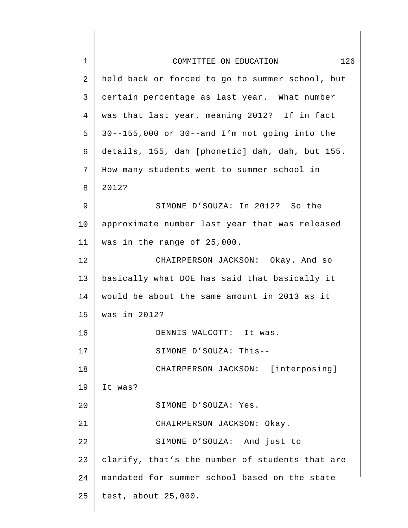| $\mathbf{1}$ | 126<br>COMMITTEE ON EDUCATION                   |
|--------------|-------------------------------------------------|
| 2            | held back or forced to go to summer school, but |
| 3            | certain percentage as last year. What number    |
| 4            | was that last year, meaning 2012? If in fact    |
| 5            | 30--155,000 or 30--and I'm not going into the   |
| 6            | details, 155, dah [phonetic] dah, dah, but 155. |
| 7            | How many students went to summer school in      |
| 8            | 2012?                                           |
| 9            | SIMONE D'SOUZA: In 2012? So the                 |
| 10           | approximate number last year that was released  |
| 11           | was in the range of 25,000.                     |
| 12           | CHAIRPERSON JACKSON: Okay. And so               |
| 13           | basically what DOE has said that basically it   |
| 14           | would be about the same amount in 2013 as it    |
| 15           | was in 2012?                                    |
| 16           | DENNIS WALCOTT: It was.                         |
| 17           | SIMONE D'SOUZA: This--                          |
| 18           | CHAIRPERSON JACKSON: [interposing]              |
| 19           | It was?                                         |
| 20           | SIMONE D'SOUZA: Yes.                            |
| 21           | CHAIRPERSON JACKSON: Okay.                      |
| 22           | SIMONE D'SOUZA: And just to                     |
| 23           | clarify, that's the number of students that are |
| 24           | mandated for summer school based on the state   |
| 25           | test, about 25,000.                             |
|              |                                                 |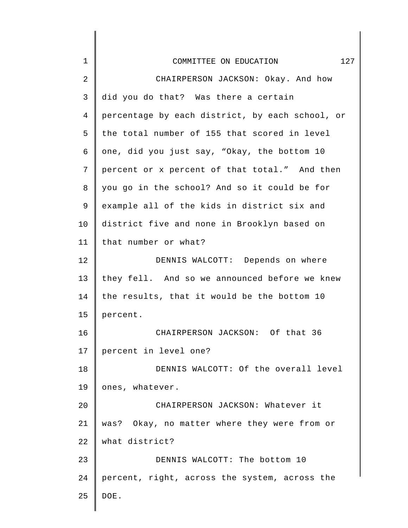| $\mathbf 1$ | 127<br>COMMITTEE ON EDUCATION                   |
|-------------|-------------------------------------------------|
| 2           | CHAIRPERSON JACKSON: Okay. And how              |
| 3           | did you do that? Was there a certain            |
| 4           | percentage by each district, by each school, or |
| 5           | the total number of 155 that scored in level    |
| 6           | one, did you just say, "Okay, the bottom 10     |
| 7           | percent or x percent of that total." And then   |
| 8           | you go in the school? And so it could be for    |
| 9           | example all of the kids in district six and     |
| 10          | district five and none in Brooklyn based on     |
| 11          | that number or what?                            |
| 12          | DENNIS WALCOTT: Depends on where                |
| 13          | they fell. And so we announced before we knew   |
| 14          | the results, that it would be the bottom 10     |
| 15          | percent.                                        |
| 16          | CHAIRPERSON JACKSON: Of that 36                 |
| 17          | percent in level one?                           |
| 18          | DENNIS WALCOTT: Of the overall level            |
| 19          | ones, whatever.                                 |
| 20          | CHAIRPERSON JACKSON: Whatever it                |
| 21          | was? Okay, no matter where they were from or    |
| 22          | what district?                                  |
| 23          | DENNIS WALCOTT: The bottom 10                   |
| 24          | percent, right, across the system, across the   |
| 25          | DOE.                                            |
|             |                                                 |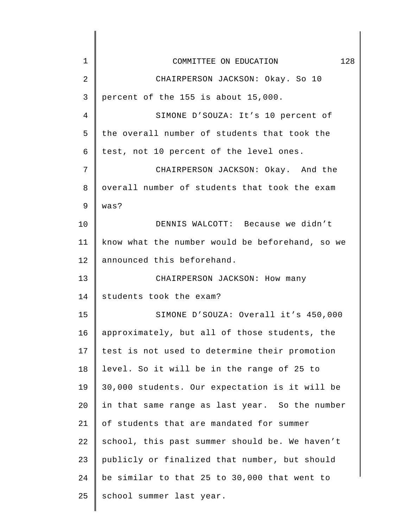| $\mathbf 1$ | 128<br>COMMITTEE ON EDUCATION                   |
|-------------|-------------------------------------------------|
| 2           | CHAIRPERSON JACKSON: Okay. So 10                |
| 3           | percent of the 155 is about 15,000.             |
| 4           | SIMONE D'SOUZA: It's 10 percent of              |
| 5           | the overall number of students that took the    |
| 6           | test, not 10 percent of the level ones.         |
| 7           | CHAIRPERSON JACKSON: Okay. And the              |
| 8           | overall number of students that took the exam   |
| 9           | was?                                            |
| 10          | DENNIS WALCOTT: Because we didn't               |
| 11          | know what the number would be beforehand, so we |
| 12          | announced this beforehand.                      |
| 13          | CHAIRPERSON JACKSON: How many                   |
| 14          | students took the exam?                         |
| 15          | SIMONE D'SOUZA: Overall it's 450,000            |
| 16          | approximately, but all of those students, the   |
| 17          | test is not used to determine their promotion   |
| 18          | level. So it will be in the range of 25 to      |
| 19          | 30,000 students. Our expectation is it will be  |
| 20          | in that same range as last year. So the number  |
| 21          | of students that are mandated for summer        |
| 22          | school, this past summer should be. We haven't  |
| 23          | publicly or finalized that number, but should   |
| 24          | be similar to that 25 to 30,000 that went to    |
| 25          | school summer last year.                        |
|             |                                                 |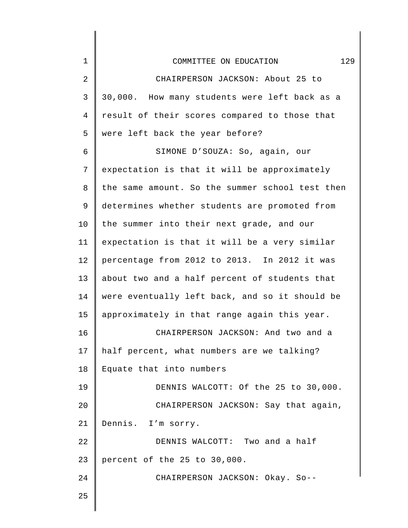| $\mathbf 1$ | 129<br>COMMITTEE ON EDUCATION                   |
|-------------|-------------------------------------------------|
| 2           | CHAIRPERSON JACKSON: About 25 to                |
| 3           | 30,000. How many students were left back as a   |
| 4           | result of their scores compared to those that   |
| 5           | were left back the year before?                 |
| 6           | SIMONE D'SOUZA: So, again, our                  |
| 7           | expectation is that it will be approximately    |
| 8           | the same amount. So the summer school test then |
| 9           | determines whether students are promoted from   |
| 10          | the summer into their next grade, and our       |
| 11          | expectation is that it will be a very similar   |
| 12          | percentage from 2012 to 2013. In 2012 it was    |
| 13          | about two and a half percent of students that   |
| 14          | were eventually left back, and so it should be  |
| 15          | approximately in that range again this year.    |
| 16          | CHAIRPERSON JACKSON: And two and a              |
| 17          | half percent, what numbers are we talking?      |
| 18          | Equate that into numbers                        |
| 19          | DENNIS WALCOTT: Of the 25 to 30,000.            |
| 20          | CHAIRPERSON JACKSON: Say that again,            |
| 21          | Dennis. I'm sorry.                              |
| 22          | DENNIS WALCOTT: Two and a half                  |
| 23          | percent of the 25 to 30,000.                    |
| 24          | CHAIRPERSON JACKSON: Okay. So--                 |
| 25          |                                                 |
|             |                                                 |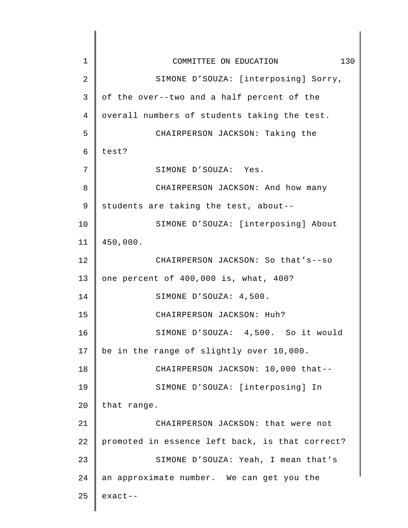| $\mathbf 1$ | 130<br>COMMITTEE ON EDUCATION                   |
|-------------|-------------------------------------------------|
| 2           | SIMONE D'SOUZA: [interposing] Sorry,            |
| 3           | of the over--two and a half percent of the      |
| 4           | overall numbers of students taking the test.    |
| 5           | CHAIRPERSON JACKSON: Taking the                 |
| 6           | test?                                           |
| 7           | SIMONE D'SOUZA: Yes.                            |
| 8           | CHAIRPERSON JACKSON: And how many               |
| 9           | students are taking the test, about--           |
| 10          | SIMONE D'SOUZA: [interposing] About             |
| 11          | 450,000.                                        |
| 12          | CHAIRPERSON JACKSON: So that's--so              |
| 13          | one percent of 400,000 is, what, 400?           |
| 14          | SIMONE D'SOUZA: 4,500.                          |
| 15          | CHAIRPERSON JACKSON: Huh?                       |
| 16          | SIMONE D'SOUZA: 4,500. So it would              |
| 17          | be in the range of slightly over 10,000.        |
| 18          | CHAIRPERSON JACKSON: 10,000 that--              |
| 19          | SIMONE D'SOUZA: [interposing] In                |
| 20          | that range.                                     |
| 21          | CHAIRPERSON JACKSON: that were not              |
| 22          | promoted in essence left back, is that correct? |
| 23          | SIMONE D'SOUZA: Yeah, I mean that's             |
| 24          | an approximate number. We can get you the       |
| 25          | $exact--$                                       |
|             |                                                 |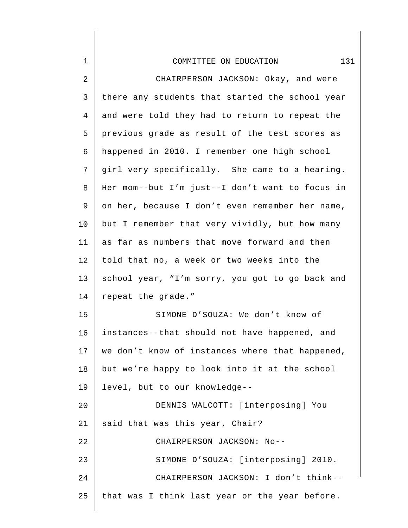| $\mathbf 1$    | 131<br>COMMITTEE ON EDUCATION                   |
|----------------|-------------------------------------------------|
| 2              | CHAIRPERSON JACKSON: Okay, and were             |
| 3              | there any students that started the school year |
| $\overline{4}$ | and were told they had to return to repeat the  |
| 5              | previous grade as result of the test scores as  |
| 6              | happened in 2010. I remember one high school    |
| 7              | girl very specifically. She came to a hearing.  |
| 8              | Her mom--but I'm just--I don't want to focus in |
| 9              | on her, because I don't even remember her name, |
| 10             | but I remember that very vividly, but how many  |
| 11             | as far as numbers that move forward and then    |
| 12             | told that no, a week or two weeks into the      |
| 13             | school year, "I'm sorry, you got to go back and |
| 14             | repeat the grade."                              |
| 15             | SIMONE D'SOUZA: We don't know of                |
| 16             | instances--that should not have happened, and   |
| 17             | we don't know of instances where that happened, |
| 18             | but we're happy to look into it at the school   |
| 19             | level, but to our knowledge--                   |
| 20             | DENNIS WALCOTT: [interposing] You               |
| 21             | said that was this year, Chair?                 |
| 22             | CHAIRPERSON JACKSON: No--                       |
| 23             | SIMONE D'SOUZA: [interposing] 2010.             |
| 24             | CHAIRPERSON JACKSON: I don't think--            |
| 25             | that was I think last year or the year before.  |
|                |                                                 |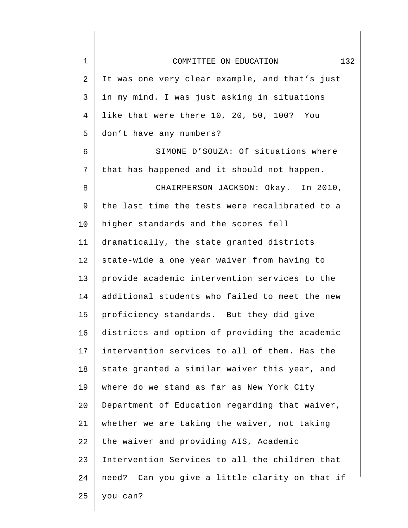| $\mathbf 1$    | 132<br>COMMITTEE ON EDUCATION                  |
|----------------|------------------------------------------------|
| 2              | It was one very clear example, and that's just |
| 3              | in my mind. I was just asking in situations    |
| $\overline{4}$ | like that were there 10, 20, 50, 100? You      |
| 5              | don't have any numbers?                        |
| 6              | SIMONE D'SOUZA: Of situations where            |
| 7              | that has happened and it should not happen.    |
| 8              | CHAIRPERSON JACKSON: Okay. In 2010,            |
| 9              | the last time the tests were recalibrated to a |
| 10             | higher standards and the scores fell           |
| 11             | dramatically, the state granted districts      |
| 12             | state-wide a one year waiver from having to    |
| 13             | provide academic intervention services to the  |
| 14             | additional students who failed to meet the new |
| 15             | proficiency standards. But they did give       |
| 16             | districts and option of providing the academic |
| 17             | intervention services to all of them. Has the  |
| 18             | state granted a similar waiver this year, and  |
| 19             | where do we stand as far as New York City      |
| 20             | Department of Education regarding that waiver, |
| 21             | whether we are taking the waiver, not taking   |
| 22             | the waiver and providing AIS, Academic         |
| 23             | Intervention Services to all the children that |
| 24             | need? Can you give a little clarity on that if |
| 25             | you can?                                       |
|                |                                                |

 $\begin{array}{c} \hline \end{array}$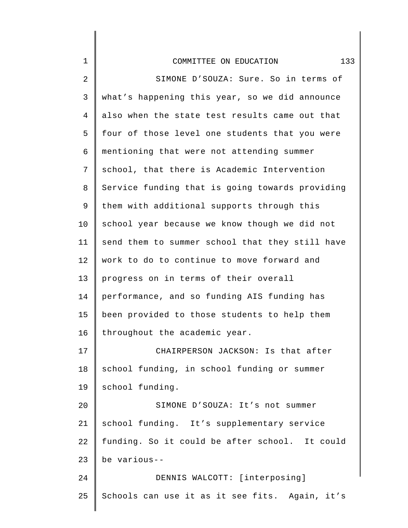| $\mathbf 1$    | 133<br>COMMITTEE ON EDUCATION                   |
|----------------|-------------------------------------------------|
| $\overline{a}$ | SIMONE D'SOUZA: Sure. So in terms of            |
| 3              | what's happening this year, so we did announce  |
| $\overline{4}$ | also when the state test results came out that  |
| 5              | four of those level one students that you were  |
| 6              | mentioning that were not attending summer       |
| 7              | school, that there is Academic Intervention     |
| 8              | Service funding that is going towards providing |
| 9              | them with additional supports through this      |
| 10             | school year because we know though we did not   |
| 11             | send them to summer school that they still have |
| 12             | work to do to continue to move forward and      |
| 13             | progress on in terms of their overall           |
| 14             | performance, and so funding AIS funding has     |
| 15             | been provided to those students to help them    |
| 16             | throughout the academic year.                   |
| 17             | CHAIRPERSON JACKSON: Is that after              |
| 18             | school funding, in school funding or summer     |
| 19             | school funding.                                 |
| 20             | SIMONE D'SOUZA: It's not summer                 |
| 21             | school funding. It's supplementary service      |
| 22             | funding. So it could be after school. It could  |
| 23             | be various--                                    |
| 24             | DENNIS WALCOTT: [interposing]                   |
| 25             | Schools can use it as it see fits. Again, it's  |
|                |                                                 |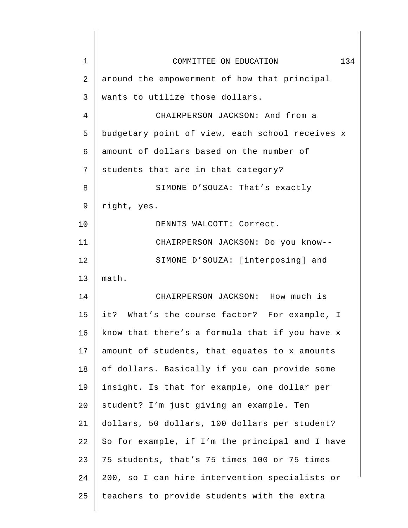| $\mathbf 1$ | COMMITTEE ON EDUCATION<br>134                   |
|-------------|-------------------------------------------------|
| 2           | around the empowerment of how that principal    |
| 3           | wants to utilize those dollars.                 |
| 4           | CHAIRPERSON JACKSON: And from a                 |
| 5           | budgetary point of view, each school receives x |
| 6           | amount of dollars based on the number of        |
| 7           | students that are in that category?             |
| 8           | SIMONE D'SOUZA: That's exactly                  |
| 9           | right, yes.                                     |
| 10          | DENNIS WALCOTT: Correct.                        |
| 11          | CHAIRPERSON JACKSON: Do you know--              |
| 12          | SIMONE D'SOUZA: [interposing] and               |
| 13          | math.                                           |
| 14          | CHAIRPERSON JACKSON: How much is                |
| 15          | it? What's the course factor? For example, I    |
| 16          | know that there's a formula that if you have x  |
| 17          | amount of students, that equates to x amounts   |
| 18          | of dollars. Basically if you can provide some   |
| 19          | insight. Is that for example, one dollar per    |
| 20          | student? I'm just giving an example. Ten        |
| 21          | dollars, 50 dollars, 100 dollars per student?   |
| 22          | So for example, if I'm the principal and I have |
| 23          | 75 students, that's 75 times 100 or 75 times    |
| 24          | 200, so I can hire intervention specialists or  |
| 25          | teachers to provide students with the extra     |
|             |                                                 |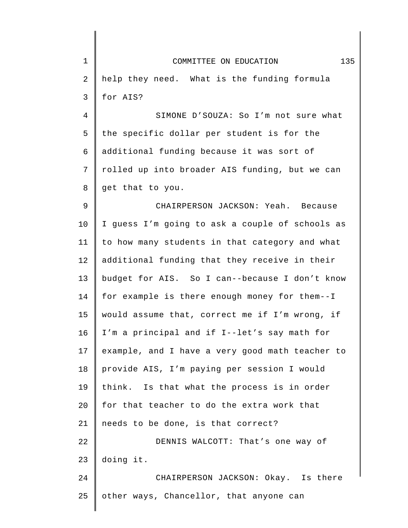| $\mathbf 1$ | 135<br>COMMITTEE ON EDUCATION                   |
|-------------|-------------------------------------------------|
| 2           | help they need. What is the funding formula     |
| 3           | for AIS?                                        |
| 4           | SIMONE D'SOUZA: So I'm not sure what            |
| 5           | the specific dollar per student is for the      |
| 6           | additional funding because it was sort of       |
| 7           | rolled up into broader AIS funding, but we can  |
| $\,8\,$     | get that to you.                                |
| $\mathsf 9$ | CHAIRPERSON JACKSON: Yeah. Because              |
| 10          | I guess I'm going to ask a couple of schools as |
| 11          | to how many students in that category and what  |
| 12          | additional funding that they receive in their   |
| 13          | budget for AIS. So I can--because I don't know  |
| 14          | for example is there enough money for them--I   |
| 15          | would assume that, correct me if I'm wrong, if  |
| 16          | I'm a principal and if I--let's say math for    |
| 17          | example, and I have a very good math teacher to |
| 18          | provide AIS, I'm paying per session I would     |
| 19          | think. Is that what the process is in order     |
| 20          | for that teacher to do the extra work that      |
| 21          | needs to be done, is that correct?              |
| 22          | DENNIS WALCOTT: That's one way of               |
| 23          | doing it.                                       |
| 24          | CHAIRPERSON JACKSON: Okay. Is there             |
| 25          | other ways, Chancellor, that anyone can         |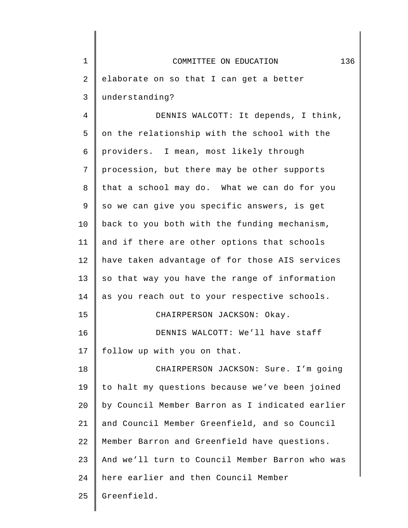| $1\,$          | 136<br>COMMITTEE ON EDUCATION                   |
|----------------|-------------------------------------------------|
| $\sqrt{2}$     | elaborate on so that I can get a better         |
| 3              | understanding?                                  |
| $\overline{4}$ | DENNIS WALCOTT: It depends, I think,            |
| 5              | on the relationship with the school with the    |
| 6              | providers. I mean, most likely through          |
| 7              | procession, but there may be other supports     |
| 8              | that a school may do. What we can do for you    |
| 9              | so we can give you specific answers, is get     |
| 10             | back to you both with the funding mechanism,    |
| 11             | and if there are other options that schools     |
| 12             | have taken advantage of for those AIS services  |
| 13             | so that way you have the range of information   |
| 14             | as you reach out to your respective schools.    |
| 15             | CHAIRPERSON JACKSON: Okay.                      |
| 16             | DENNIS WALCOTT: We'll have staff                |
| 17             | follow up with you on that.                     |
| 18             | CHAIRPERSON JACKSON: Sure. I'm going            |
| 19             | to halt my questions because we've been joined  |
| 20             | by Council Member Barron as I indicated earlier |
| 21             | and Council Member Greenfield, and so Council   |
| 22             | Member Barron and Greenfield have questions.    |
| 23             | And we'll turn to Council Member Barron who was |
| 24             | here earlier and then Council Member            |
| 25             | Greenfield.                                     |
|                |                                                 |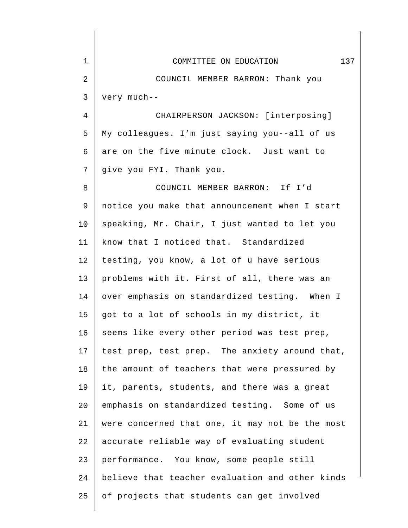| $\mathbf 1$    | 137<br>COMMITTEE ON EDUCATION                   |
|----------------|-------------------------------------------------|
| 2              | COUNCIL MEMBER BARRON: Thank you                |
| 3              | very much--                                     |
| $\overline{4}$ | CHAIRPERSON JACKSON: [interposing]              |
| 5              | My colleagues. I'm just saying you--all of us   |
| 6              | are on the five minute clock. Just want to      |
| 7              | give you FYI. Thank you.                        |
| 8              | COUNCIL MEMBER BARRON: If I'd                   |
| 9              | notice you make that announcement when I start  |
| 10             | speaking, Mr. Chair, I just wanted to let you   |
| 11             | know that I noticed that. Standardized          |
| 12             | testing, you know, a lot of u have serious      |
| 13             | problems with it. First of all, there was an    |
| 14             | over emphasis on standardized testing. When I   |
| 15             | got to a lot of schools in my district, it      |
| 16             | seems like every other period was test prep,    |
| 17             | test prep, test prep. The anxiety around that,  |
| 18             | the amount of teachers that were pressured by   |
| 19             | it, parents, students, and there was a great    |
| 20             | emphasis on standardized testing. Some of us    |
| 21             | were concerned that one, it may not be the most |
| 22             | accurate reliable way of evaluating student     |
| 23             | performance. You know, some people still        |
| 24             | believe that teacher evaluation and other kinds |
| 25             | of projects that students can get involved      |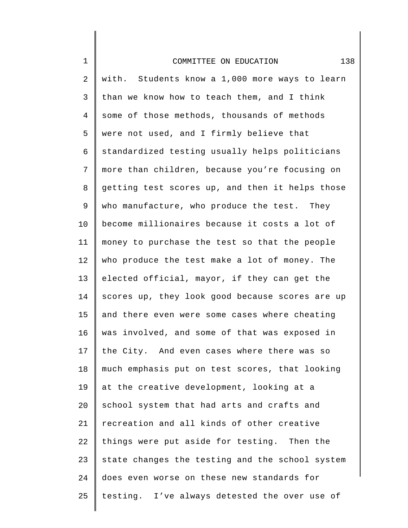| $\mathbf 1$    | 138<br>COMMITTEE ON EDUCATION                   |
|----------------|-------------------------------------------------|
| 2              | with. Students know a 1,000 more ways to learn  |
| 3              | than we know how to teach them, and I think     |
| $\overline{4}$ | some of those methods, thousands of methods     |
| 5              | were not used, and I firmly believe that        |
| 6              | standardized testing usually helps politicians  |
| 7              | more than children, because you're focusing on  |
| 8              | getting test scores up, and then it helps those |
| 9              | who manufacture, who produce the test. They     |
| 10             | become millionaires because it costs a lot of   |
| 11             | money to purchase the test so that the people   |
| 12             | who produce the test make a lot of money. The   |
| 13             | elected official, mayor, if they can get the    |
| 14             | scores up, they look good because scores are up |
| 15             | and there even were some cases where cheating   |
| 16             | was involved, and some of that was exposed in   |
| 17             | the City. And even cases where there was so     |
| 18             | much emphasis put on test scores, that looking  |
| 19             | at the creative development, looking at a       |
| 20             | school system that had arts and crafts and      |
| 21             | recreation and all kinds of other creative      |
| 22             | things were put aside for testing. Then the     |
| 23             | state changes the testing and the school system |
| 24             | does even worse on these new standards for      |
| 25             | testing. I've always detested the over use of   |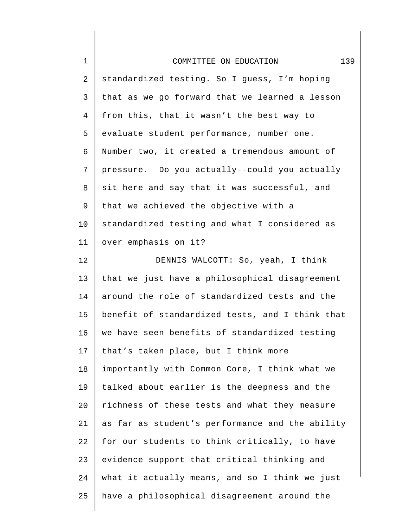| $1\,$          | 139<br>COMMITTEE ON EDUCATION                   |
|----------------|-------------------------------------------------|
| $\sqrt{2}$     | standardized testing. So I guess, I'm hoping    |
| $\mathsf{3}$   | that as we go forward that we learned a lesson  |
| $\overline{4}$ | from this, that it wasn't the best way to       |
| 5              | evaluate student performance, number one.       |
| 6              | Number two, it created a tremendous amount of   |
| 7              | pressure. Do you actually--could you actually   |
| 8              | sit here and say that it was successful, and    |
| 9              | that we achieved the objective with a           |
| 10             | standardized testing and what I considered as   |
| 11             | over emphasis on it?                            |
| 12             | DENNIS WALCOTT: So, yeah, I think               |
| 13             | that we just have a philosophical disagreement  |
| 14             | around the role of standardized tests and the   |
| 15             | benefit of standardized tests, and I think that |
| 16             | we have seen benefits of standardized testing   |
| 17             | that's taken place, but I think more            |
| 18             | importantly with Common Core, I think what we   |
| 19             | talked about earlier is the deepness and the    |
| 20             | richness of these tests and what they measure   |
| 21             | as far as student's performance and the ability |
| 22             | for our students to think critically, to have   |
| 23             | evidence support that critical thinking and     |
| 24             | what it actually means, and so I think we just  |
| 25             | have a philosophical disagreement around the    |
|                |                                                 |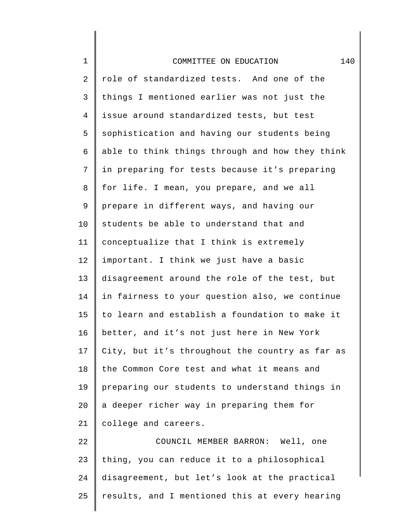| $\mathbf 1$ | 140<br>COMMITTEE ON EDUCATION                   |
|-------------|-------------------------------------------------|
| 2           | role of standardized tests. And one of the      |
| 3           | things I mentioned earlier was not just the     |
| 4           | issue around standardized tests, but test       |
| 5           | sophistication and having our students being    |
| 6           | able to think things through and how they think |
| 7           | in preparing for tests because it's preparing   |
| 8           | for life. I mean, you prepare, and we all       |
| $\mathsf 9$ | prepare in different ways, and having our       |
| 10          | students be able to understand that and         |
| 11          | conceptualize that I think is extremely         |
| 12          | important. I think we just have a basic         |
| 13          | disagreement around the role of the test, but   |
| 14          | in fairness to your question also, we continue  |
| 15          | to learn and establish a foundation to make it  |
| 16          | better, and it's not just here in New York      |
| 17          | City, but it's throughout the country as far as |
| 18          | the Common Core test and what it means and      |
| 19          | preparing our students to understand things in  |
| 20          | a deeper richer way in preparing them for       |
| 21          | college and careers.                            |
| 22          | COUNCIL MEMBER BARRON: Well, one                |
| 23          | thing, you can reduce it to a philosophical     |
| 24          | disagreement, but let's look at the practical   |
| 25          | results, and I mentioned this at every hearing  |
|             |                                                 |

∥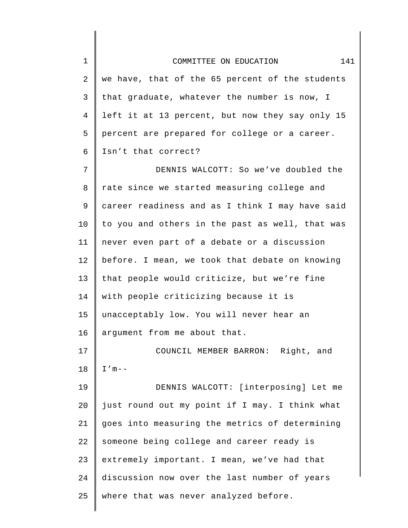| $\mathbf 1$ | 141<br>COMMITTEE ON EDUCATION                   |
|-------------|-------------------------------------------------|
| 2           | we have, that of the 65 percent of the students |
| 3           | that graduate, whatever the number is now, I    |
| 4           | left it at 13 percent, but now they say only 15 |
| 5           | percent are prepared for college or a career.   |
| 6           | Isn't that correct?                             |
| 7           | DENNIS WALCOTT: So we've doubled the            |
| 8           | rate since we started measuring college and     |
| 9           | career readiness and as I think I may have said |
| 10          | to you and others in the past as well, that was |
| 11          | never even part of a debate or a discussion     |
| 12          | before. I mean, we took that debate on knowing  |
| 13          | that people would criticize, but we're fine     |
| 14          | with people criticizing because it is           |
| 15          | unacceptably low. You will never hear an        |
| 16          | argument from me about that.                    |
| 17          | COUNCIL MEMBER BARRON: Right, and               |
| 18          | $I'$ m - -                                      |
| 19          | DENNIS WALCOTT: [interposing] Let me            |
| 20          | just round out my point if I may. I think what  |
| 21          | goes into measuring the metrics of determining  |
| 22          | someone being college and career ready is       |
| 23          | extremely important. I mean, we've had that     |
| 24          | discussion now over the last number of years    |
| 25          | where that was never analyzed before.           |
|             |                                                 |

 $\begin{array}{c} \hline \end{array}$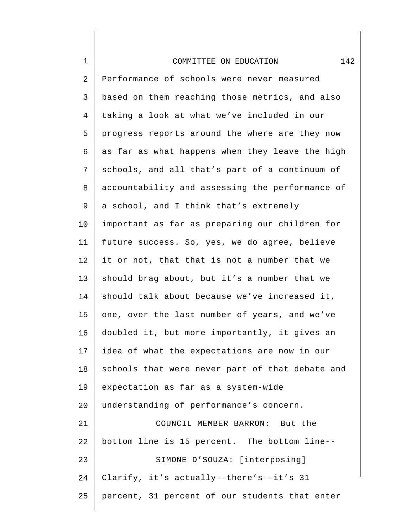|  |  | COMMITTEE ON EDUCATION |  |
|--|--|------------------------|--|
|--|--|------------------------|--|

2 3 4 5 6 7 8 9 10 11 12 13 14 15 16 17 18 19 20 21 22 23 24 25 Performance of schools were never measured based on them reaching those metrics, and also taking a look at what we've included in our progress reports around the where are they now as far as what happens when they leave the high schools, and all that's part of a continuum of accountability and assessing the performance of a school, and I think that's extremely important as far as preparing our children for future success. So, yes, we do agree, believe it or not, that that is not a number that we should brag about, but it's a number that we should talk about because we've increased it, one, over the last number of years, and we've doubled it, but more importantly, it gives an idea of what the expectations are now in our schools that were never part of that debate and expectation as far as a system-wide understanding of performance's concern. COUNCIL MEMBER BARRON: But the bottom line is 15 percent. The bottom line-- SIMONE D'SOUZA: [interposing] Clarify, it's actually--there's--it's 31 percent, 31 percent of our students that enter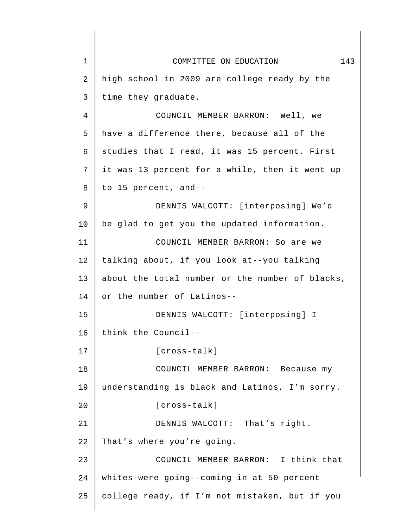| $\mathbf 1$ | 143<br>COMMITTEE ON EDUCATION                   |
|-------------|-------------------------------------------------|
| 2           | high school in 2009 are college ready by the    |
| 3           | time they graduate.                             |
| 4           | COUNCIL MEMBER BARRON: Well, we                 |
| 5           | have a difference there, because all of the     |
| 6           | studies that I read, it was 15 percent. First   |
| 7           | it was 13 percent for a while, then it went up  |
| 8           | to 15 percent, and--                            |
| 9           | DENNIS WALCOTT: [interposing] We'd              |
| 10          | be glad to get you the updated information.     |
| 11          | COUNCIL MEMBER BARRON: So are we                |
| 12          | talking about, if you look at--you talking      |
| 13          | about the total number or the number of blacks, |
| 14          | or the number of Latinos--                      |
| 15          | DENNIS WALCOTT: [interposing] I                 |
| 16          | think the Council--                             |
| 17          | $[cross-talk]$                                  |
| 18          | COUNCIL MEMBER BARRON: Because my               |
| 19          | understanding is black and Latinos, I'm sorry.  |
| 20          | [cross-talk]                                    |
| 21          | DENNIS WALCOTT: That's right.                   |
| 22          | That's where you're going.                      |
| 23          | COUNCIL MEMBER BARRON: I think that             |
| 24          | whites were going--coming in at 50 percent      |
| 25          | college ready, if I'm not mistaken, but if you  |
|             |                                                 |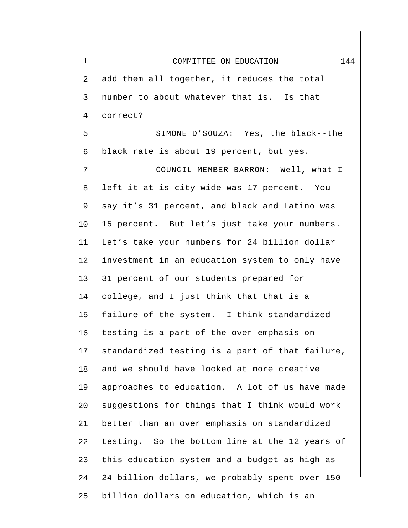| 1  | COMMITTEE ON EDUCATION<br>144                   |
|----|-------------------------------------------------|
| 2  | add them all together, it reduces the total     |
| 3  | number to about whatever that is. Is that       |
| 4  | correct?                                        |
| 5  | SIMONE D'SOUZA: Yes, the black--the             |
| 6  | black rate is about 19 percent, but yes.        |
| 7  | COUNCIL MEMBER BARRON: Well, what I             |
| 8  | left it at is city-wide was 17 percent. You     |
| 9  | say it's 31 percent, and black and Latino was   |
| 10 | 15 percent. But let's just take your numbers.   |
| 11 | Let's take your numbers for 24 billion dollar   |
| 12 | investment in an education system to only have  |
| 13 | 31 percent of our students prepared for         |
| 14 | college, and I just think that that is a        |
| 15 | failure of the system. I think standardized     |
| 16 | testing is a part of the over emphasis on       |
| 17 | standardized testing is a part of that failure, |
| 18 | and we should have looked at more creative      |
| 19 | approaches to education. A lot of us have made  |
| 20 | suggestions for things that I think would work  |
| 21 | better than an over emphasis on standardized    |
| 22 | testing. So the bottom line at the 12 years of  |
| 23 | this education system and a budget as high as   |
| 24 | 24 billion dollars, we probably spent over 150  |
| 25 | billion dollars on education, which is an       |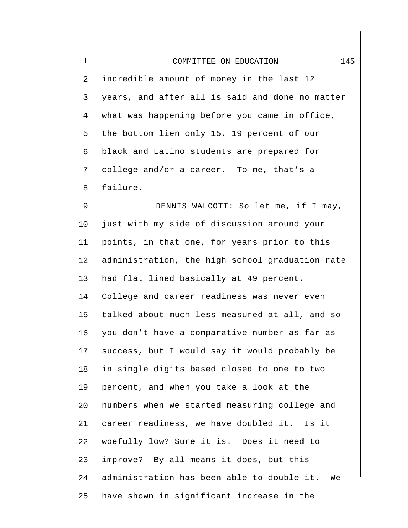| $\mathbf 1$    | 145<br>COMMITTEE ON EDUCATION                    |
|----------------|--------------------------------------------------|
| 2              | incredible amount of money in the last 12        |
| 3              | years, and after all is said and done no matter  |
| $\overline{4}$ | what was happening before you came in office,    |
| 5              | the bottom lien only 15, 19 percent of our       |
| 6              | black and Latino students are prepared for       |
| 7              | college and/or a career. To me, that's a         |
| 8              | failure.                                         |
| $\mathsf 9$    | DENNIS WALCOTT: So let me, if I may,             |
| 10             | just with my side of discussion around your      |
| 11             | points, in that one, for years prior to this     |
| 12             | administration, the high school graduation rate  |
| 13             | had flat lined basically at 49 percent.          |
| 14             | College and career readiness was never even      |
| 15             | talked about much less measured at all, and so   |
| 16             | you don't have a comparative number as far as    |
| 17             | success, but I would say it would probably be    |
| 18             | in single digits based closed to one to two      |
| 19             | percent, and when you take a look at the         |
| 20             | numbers when we started measuring college and    |
| 21             | career readiness, we have doubled it. Is it      |
| 22             | woefully low? Sure it is. Does it need to        |
| 23             | improve? By all means it does, but this          |
| 24             | administration has been able to double it.<br>We |
| 25             | have shown in significant increase in the        |
|                |                                                  |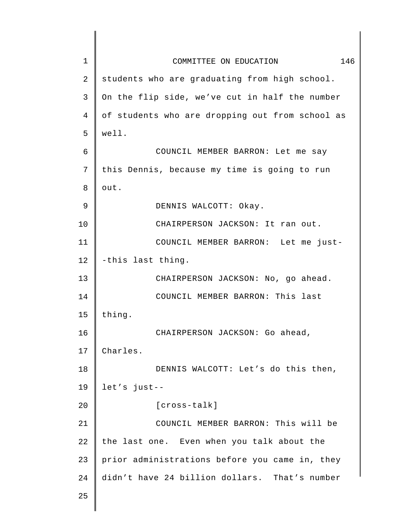| $\mathbf 1$ | 146<br>COMMITTEE ON EDUCATION                   |
|-------------|-------------------------------------------------|
| 2           | students who are graduating from high school.   |
| 3           | On the flip side, we've cut in half the number  |
| 4           | of students who are dropping out from school as |
| 5           | well.                                           |
| 6           | COUNCIL MEMBER BARRON: Let me say               |
| 7           | this Dennis, because my time is going to run    |
| 8           | out.                                            |
| 9           | DENNIS WALCOTT: Okay.                           |
| 10          | CHAIRPERSON JACKSON: It ran out.                |
| 11          | COUNCIL MEMBER BARRON: Let me just-             |
| 12          | -this last thing.                               |
| 13          | CHAIRPERSON JACKSON: No, go ahead.              |
| 14          | COUNCIL MEMBER BARRON: This last                |
| 15          | thing.                                          |
| 16          | CHAIRPERSON JACKSON: Go ahead,                  |
| 17          | Charles.                                        |
| 18          | DENNIS WALCOTT: Let's do this then,             |
| 19          | let's just--                                    |
| 20          | $[cross-talk]$                                  |
| 21          | COUNCIL MEMBER BARRON: This will be             |
| 22          | the last one. Even when you talk about the      |
| 23          | prior administrations before you came in, they  |
| 24          | didn't have 24 billion dollars. That's number   |
| 25          |                                                 |
|             |                                                 |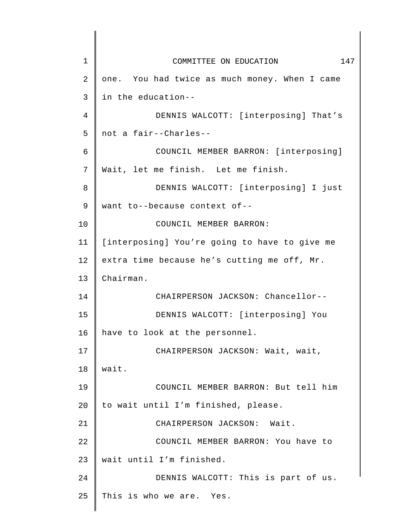| $\mathbf 1$ | COMMITTEE ON EDUCATION<br>147                 |
|-------------|-----------------------------------------------|
| 2           | one. You had twice as much money. When I came |
| 3           | in the education--                            |
| 4           | DENNIS WALCOTT: [interposing] That's          |
| 5           | not a fair--Charles--                         |
| 6           | COUNCIL MEMBER BARRON: [interposing]          |
| 7           | Wait, let me finish. Let me finish.           |
| 8           | DENNIS WALCOTT: [interposing] I just          |
| 9           | want to--because context of--                 |
| 10          | COUNCIL MEMBER BARRON:                        |
| 11          | [interposing] You're going to have to give me |
| 12          | extra time because he's cutting me off, Mr.   |
| 13          | Chairman.                                     |
| 14          | CHAIRPERSON JACKSON: Chancellor--             |
| 15          | DENNIS WALCOTT: [interposing] You             |
| 16          | have to look at the personnel.                |
| 17          | CHAIRPERSON JACKSON: Wait, wait,              |
| 18          | wait.                                         |
| 19          | COUNCIL MEMBER BARRON: But tell him           |
| 20          | to wait until I'm finished, please.           |
| 21          | CHAIRPERSON JACKSON: Wait.                    |
| 22          | COUNCIL MEMBER BARRON: You have to            |
| 23          | wait until I'm finished.                      |
| 24          | DENNIS WALCOTT: This is part of us.           |
| 25          | This is who we are. Yes.                      |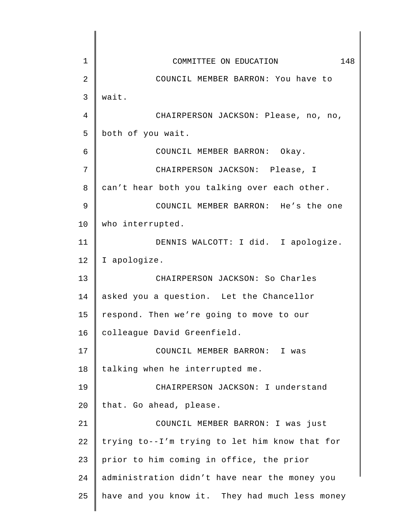| $\mathbf 1$    | 148<br>COMMITTEE ON EDUCATION                  |
|----------------|------------------------------------------------|
| $\overline{2}$ | COUNCIL MEMBER BARRON: You have to             |
| 3              | wait.                                          |
| 4              | CHAIRPERSON JACKSON: Please, no, no,           |
| 5              | both of you wait.                              |
| 6              | COUNCIL MEMBER BARRON: Okay.                   |
| 7              | CHAIRPERSON JACKSON: Please, I                 |
| 8              | can't hear both you talking over each other.   |
| 9              | COUNCIL MEMBER BARRON: He's the one            |
| 10             | who interrupted.                               |
| 11             | DENNIS WALCOTT: I did. I apologize.            |
| 12             | I apologize.                                   |
| 13             | CHAIRPERSON JACKSON: So Charles                |
| 14             | asked you a question. Let the Chancellor       |
| 15             | respond. Then we're going to move to our       |
| 16             | colleague David Greenfield.                    |
| 17             | COUNCIL MEMBER BARRON: I was                   |
| 18             | talking when he interrupted me.                |
| 19             | CHAIRPERSON JACKSON: I understand              |
| 20             | that. Go ahead, please.                        |
| 21             | COUNCIL MEMBER BARRON: I was just              |
| 22             | trying to--I'm trying to let him know that for |
| 23             | prior to him coming in office, the prior       |
| 24             | administration didn't have near the money you  |
| 25             | have and you know it. They had much less money |
|                |                                                |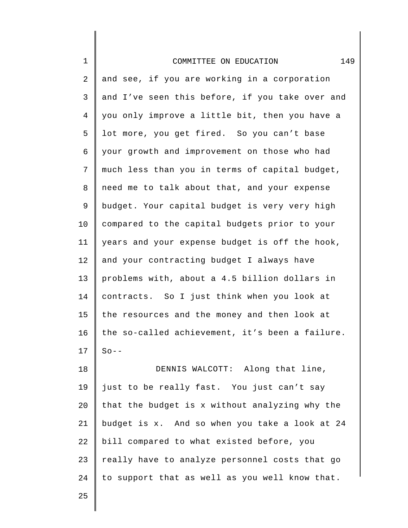| $\mathbf 1$ | 149<br>COMMITTEE ON EDUCATION                   |
|-------------|-------------------------------------------------|
| 2           | and see, if you are working in a corporation    |
| 3           | and I've seen this before, if you take over and |
| 4           | you only improve a little bit, then you have a  |
| 5           | lot more, you get fired. So you can't base      |
| 6           | your growth and improvement on those who had    |
| 7           | much less than you in terms of capital budget,  |
| 8           | need me to talk about that, and your expense    |
| 9           | budget. Your capital budget is very very high   |
| 10          | compared to the capital budgets prior to your   |
| 11          | years and your expense budget is off the hook,  |
| 12          | and your contracting budget I always have       |
| 13          | problems with, about a 4.5 billion dollars in   |
| 14          | contracts. So I just think when you look at     |
| 15          | the resources and the money and then look at    |
| 16          | the so-called achievement, it's been a failure. |
| 17          | $So --$                                         |
| 18          | DENNIS WALCOTT: Along that line,                |
| 19          | just to be really fast. You just can't say      |
| 20          | that the budget is x without analyzing why the  |
| 21          | budget is x. And so when you take a look at 24  |
| 22          | bill compared to what existed before, you       |
| 23          | really have to analyze personnel costs that go  |
| 24          | to support that as well as you well know that.  |
| 25          |                                                 |

25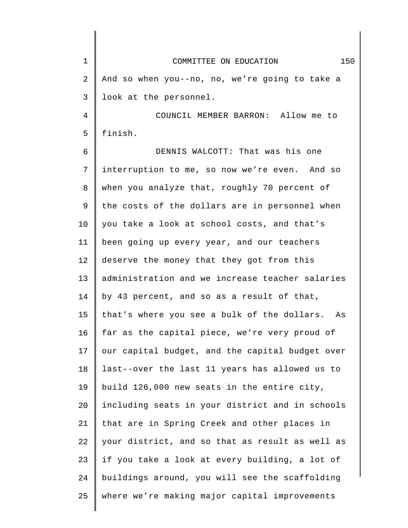| $\mathbf 1$ | 150<br>COMMITTEE ON EDUCATION                   |
|-------------|-------------------------------------------------|
| 2           | And so when you--no, no, we're going to take a  |
| 3           | look at the personnel.                          |
| 4           | COUNCIL MEMBER BARRON: Allow me to              |
| 5           | finish.                                         |
| 6           | DENNIS WALCOTT: That was his one                |
| 7           | interruption to me, so now we're even. And so   |
| 8           | when you analyze that, roughly 70 percent of    |
| 9           | the costs of the dollars are in personnel when  |
| 10          | you take a look at school costs, and that's     |
| 11          | been going up every year, and our teachers      |
| 12          | deserve the money that they got from this       |
| 13          | administration and we increase teacher salaries |
| 14          | by 43 percent, and so as a result of that,      |
| 15          | that's where you see a bulk of the dollars. As  |
| 16          | far as the capital piece, we're very proud of   |
| 17          | our capital budget, and the capital budget over |
| 18          | last--over the last 11 years has allowed us to  |
| 19          | build 126,000 new seats in the entire city,     |
| 20          | including seats in your district and in schools |
| 21          | that are in Spring Creek and other places in    |
| 22          | your district, and so that as result as well as |
| 23          | if you take a look at every building, a lot of  |
| 24          | buildings around, you will see the scaffolding  |
| 25          | where we're making major capital improvements   |
|             |                                                 |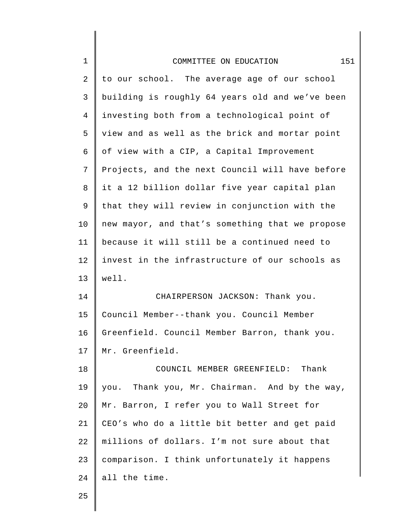| $\mathbf 1$    | 151<br>COMMITTEE ON EDUCATION                   |
|----------------|-------------------------------------------------|
| $\overline{c}$ | to our school. The average age of our school    |
| 3              | building is roughly 64 years old and we've been |
| $\overline{4}$ | investing both from a technological point of    |
| 5              | view and as well as the brick and mortar point  |
| 6              | of view with a CIP, a Capital Improvement       |
| 7              | Projects, and the next Council will have before |
| 8              | it a 12 billion dollar five year capital plan   |
| 9              | that they will review in conjunction with the   |
| 10             | new mayor, and that's something that we propose |
| 11             | because it will still be a continued need to    |
| 12             | invest in the infrastructure of our schools as  |
| 13             | well.                                           |
| 14             | CHAIRPERSON JACKSON: Thank you.                 |
| 15             | Council Member--thank you. Council Member       |
| 16             | Greenfield. Council Member Barron, thank you.   |
| 17             | Mr. Greenfield.                                 |
| 18             | COUNCIL MEMBER GREENFIELD: Thank                |
| 19             | you. Thank you, Mr. Chairman. And by the way,   |
| 20             | Mr. Barron, I refer you to Wall Street for      |
| 21             | CEO's who do a little bit better and get paid   |
| 22             | millions of dollars. I'm not sure about that    |
| 23             | comparison. I think unfortunately it happens    |
| 24             | all the time.                                   |
| 25             |                                                 |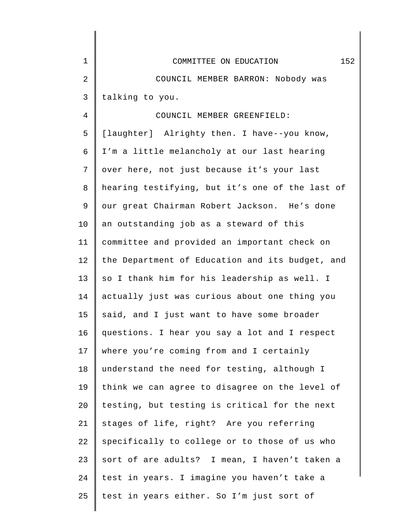| $\mathbf{1}$ | 152<br>COMMITTEE ON EDUCATION                   |
|--------------|-------------------------------------------------|
| 2            | COUNCIL MEMBER BARRON: Nobody was               |
| 3            | talking to you.                                 |
| 4            | COUNCIL MEMBER GREENFIELD:                      |
| 5            | [laughter] Alrighty then. I have--you know,     |
| 6            | I'm a little melancholy at our last hearing     |
| 7            | over here, not just because it's your last      |
| 8            | hearing testifying, but it's one of the last of |
| 9            | our great Chairman Robert Jackson. He's done    |
| 10           | an outstanding job as a steward of this         |
| 11           | committee and provided an important check on    |
| 12           | the Department of Education and its budget, and |
| 13           | so I thank him for his leadership as well. I    |
| 14           | actually just was curious about one thing you   |
| 15           | said, and I just want to have some broader      |
| 16           | questions. I hear you say a lot and I respect   |
| 17           | where you're coming from and I certainly        |
| 18           | understand the need for testing, although I     |
| 19           | think we can agree to disagree on the level of  |
| 20           | testing, but testing is critical for the next   |
| 21           | stages of life, right? Are you referring        |
| 22           | specifically to college or to those of us who   |
| 23           | sort of are adults? I mean, I haven't taken a   |
| 24           | test in years. I imagine you haven't take a     |
| 25           | test in years either. So I'm just sort of       |
|              |                                                 |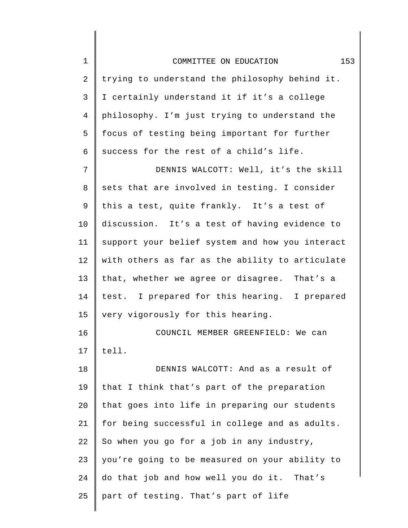| $1\,$          | 153<br>COMMITTEE ON EDUCATION                   |
|----------------|-------------------------------------------------|
| $\overline{2}$ | trying to understand the philosophy behind it.  |
| 3              | I certainly understand it if it's a college     |
| $\overline{4}$ | philosophy. I'm just trying to understand the   |
| 5              | focus of testing being important for further    |
| 6              | success for the rest of a child's life.         |
| 7              | DENNIS WALCOTT: Well, it's the skill            |
| 8              | sets that are involved in testing. I consider   |
| 9              | this a test, quite frankly. It's a test of      |
| 10             | discussion. It's a test of having evidence to   |
| 11             | support your belief system and how you interact |
| 12             | with others as far as the ability to articulate |
| 13             | that, whether we agree or disagree. That's a    |
| 14             | test. I prepared for this hearing. I prepared   |
| 15             | very vigorously for this hearing.               |
| 16             | COUNCIL MEMBER GREENFIELD: We can               |
| 17             | tell.                                           |
| 18             | DENNIS WALCOTT: And as a result of              |
| 19             | that I think that's part of the preparation     |
| 20             | that goes into life in preparing our students   |
| 21             | for being successful in college and as adults.  |
| 22             | So when you go for a job in any industry,       |
| 23             | you're going to be measured on your ability to  |
| 24             | do that job and how well you do it. That's      |
| 25             | part of testing. That's part of life            |

 $\mathsf I$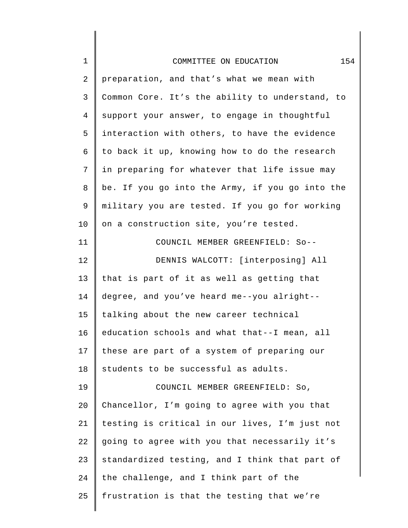| $\mathbf 1$    | 154<br>COMMITTEE ON EDUCATION                   |
|----------------|-------------------------------------------------|
| 2              | preparation, and that's what we mean with       |
| 3              | Common Core. It's the ability to understand, to |
| $\overline{4}$ | support your answer, to engage in thoughtful    |
| 5              | interaction with others, to have the evidence   |
| 6              | to back it up, knowing how to do the research   |
| 7              | in preparing for whatever that life issue may   |
| 8              | be. If you go into the Army, if you go into the |
| 9              | military you are tested. If you go for working  |
| 10             | on a construction site, you're tested.          |
| 11             | COUNCIL MEMBER GREENFIELD: So--                 |
| 12             | DENNIS WALCOTT: [interposing] All               |
| 13             | that is part of it as well as getting that      |
| 14             | degree, and you've heard me--you alright--      |
| 15             | talking about the new career technical          |
| 16             | education schools and what that--I mean, all    |
| 17             | these are part of a system of preparing our     |
| 18             | students to be successful as adults.            |
| 19             | COUNCIL MEMBER GREENFIELD: So,                  |
| 20             | Chancellor, I'm going to agree with you that    |
| 21             | testing is critical in our lives, I'm just not  |
| 22             | going to agree with you that necessarily it's   |
| 23             | standardized testing, and I think that part of  |
| 24             | the challenge, and I think part of the          |
| 25             | frustration is that the testing that we're      |
|                |                                                 |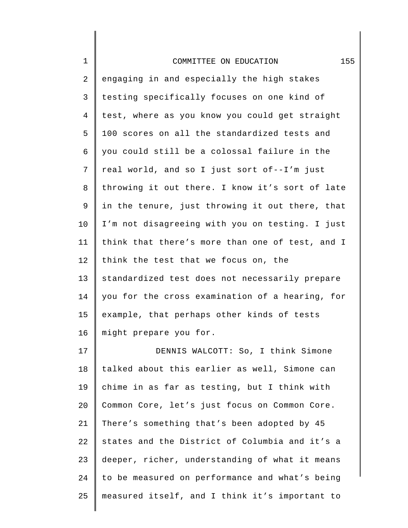| $1\,$ | 155<br>COMMITTEE ON EDUCATION                   |
|-------|-------------------------------------------------|
| 2     | engaging in and especially the high stakes      |
| 3     | testing specifically focuses on one kind of     |
| 4     | test, where as you know you could get straight  |
| 5     | 100 scores on all the standardized tests and    |
| 6     | you could still be a colossal failure in the    |
| 7     | real world, and so I just sort of--I'm just     |
| 8     | throwing it out there. I know it's sort of late |
| 9     | in the tenure, just throwing it out there, that |
| 10    | I'm not disagreeing with you on testing. I just |
| 11    | think that there's more than one of test, and I |
| 12    | think the test that we focus on, the            |
| 13    | standardized test does not necessarily prepare  |
| 14    | you for the cross examination of a hearing, for |
| 15    | example, that perhaps other kinds of tests      |
| 16    | might prepare you for.                          |
| 17    | DENNIS WALCOTT: So, I think Simone              |
| 18    | talked about this earlier as well, Simone can   |
| 19    | chime in as far as testing, but I think with    |
| 20    | Common Core, let's just focus on Common Core.   |
| 21    | There's something that's been adopted by 45     |
| 22    | states and the District of Columbia and it's a  |
| 23    | deeper, richer, understanding of what it means  |
| 24    | to be measured on performance and what's being  |
| 25    | measured itself, and I think it's important to  |

 $\parallel$ 

 $\mathsf{l}$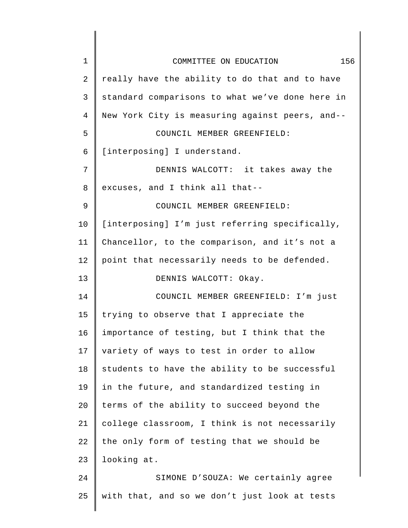| 1  | 156<br>COMMITTEE ON EDUCATION                   |
|----|-------------------------------------------------|
| 2  | really have the ability to do that and to have  |
| 3  | standard comparisons to what we've done here in |
| 4  | New York City is measuring against peers, and-- |
| 5  | COUNCIL MEMBER GREENFIELD:                      |
| 6  | [interposing] I understand.                     |
| 7  | DENNIS WALCOTT: it takes away the               |
| 8  | excuses, and I think all that--                 |
| 9  | COUNCIL MEMBER GREENFIELD:                      |
| 10 | [interposing] I'm just referring specifically,  |
| 11 | Chancellor, to the comparison, and it's not a   |
| 12 | point that necessarily needs to be defended.    |
| 13 | DENNIS WALCOTT: Okay.                           |
| 14 | COUNCIL MEMBER GREENFIELD: I'm just             |
| 15 | trying to observe that I appreciate the         |
| 16 | importance of testing, but I think that the     |
| 17 | variety of ways to test in order to allow       |
| 18 | students to have the ability to be successful   |
| 19 | in the future, and standardized testing in      |
| 20 | terms of the ability to succeed beyond the      |
| 21 | college classroom, I think is not necessarily   |
| 22 | the only form of testing that we should be      |
| 23 | looking at.                                     |
| 24 | SIMONE D'SOUZA: We certainly agree              |
| 25 | with that, and so we don't just look at tests   |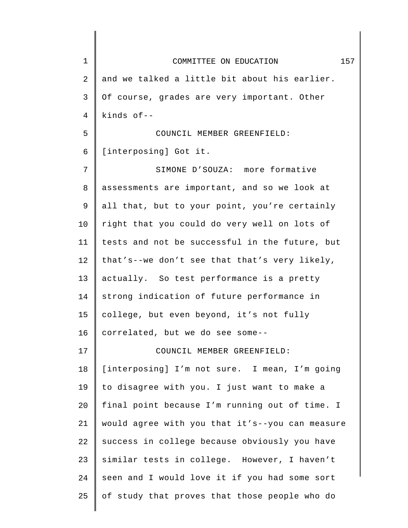| $\mathbf 1$ | 157<br>COMMITTEE ON EDUCATION                   |
|-------------|-------------------------------------------------|
| 2           | and we talked a little bit about his earlier.   |
| 3           | Of course, grades are very important. Other     |
| 4           | kinds $of --$                                   |
| 5           | COUNCIL MEMBER GREENFIELD:                      |
| 6           | [interposing] Got it.                           |
| 7           | SIMONE D'SOUZA: more formative                  |
| 8           | assessments are important, and so we look at    |
| 9           | all that, but to your point, you're certainly   |
| 10          | right that you could do very well on lots of    |
| 11          | tests and not be successful in the future, but  |
| 12          | that's--we don't see that that's very likely,   |
| 13          | actually. So test performance is a pretty       |
| 14          | strong indication of future performance in      |
| 15          | college, but even beyond, it's not fully        |
| 16          | correlated, but we do see some--                |
| 17          | COUNCIL MEMBER GREENFIELD:                      |
| 18          | [interposing] I'm not sure. I mean, I'm going   |
| 19          | to disagree with you. I just want to make a     |
| 20          | final point because I'm running out of time. I  |
| 21          | would agree with you that it's--you can measure |
| 22          | success in college because obviously you have   |
| 23          | similar tests in college. However, I haven't    |
| 24          | seen and I would love it if you had some sort   |
| 25          | of study that proves that those people who do   |
|             |                                                 |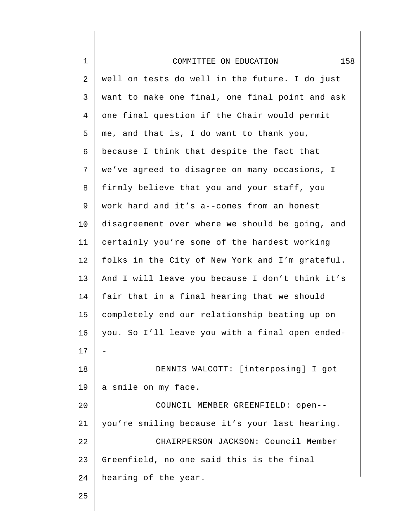| $1\,$          | 158<br>COMMITTEE ON EDUCATION                   |
|----------------|-------------------------------------------------|
| $\mathbf{2}$   | well on tests do well in the future. I do just  |
| 3              | want to make one final, one final point and ask |
| $\overline{4}$ | one final question if the Chair would permit    |
| 5              | me, and that is, I do want to thank you,        |
| 6              | because I think that despite the fact that      |
| 7              | we've agreed to disagree on many occasions, I   |
| 8              | firmly believe that you and your staff, you     |
| 9              | work hard and it's a--comes from an honest      |
| 10             | disagreement over where we should be going, and |
| 11             | certainly you're some of the hardest working    |
| 12             | folks in the City of New York and I'm grateful. |
| 13             | And I will leave you because I don't think it's |
| 14             | fair that in a final hearing that we should     |
| 15             | completely end our relationship beating up on   |
| 16             | you. So I'll leave you with a final open ended- |
| 17             |                                                 |
| 18             | DENNIS WALCOTT: [interposing] I got             |
| 19             | a smile on my face.                             |
| 20             | COUNCIL MEMBER GREENFIELD: open--               |
| 21             | you're smiling because it's your last hearing.  |
| 22             | CHAIRPERSON JACKSON: Council Member             |
| 23             | Greenfield, no one said this is the final       |
| 24             | hearing of the year.                            |
| 25             |                                                 |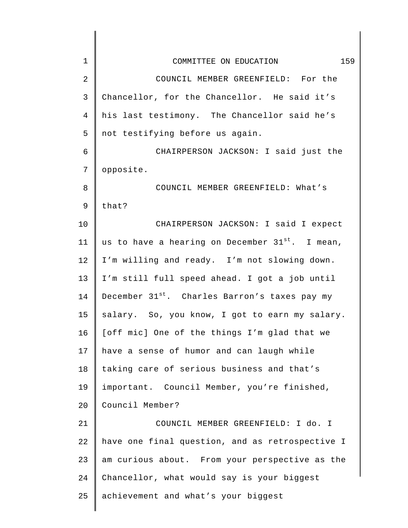| $\mathbf 1$    | 159<br>COMMITTEE ON EDUCATION                               |
|----------------|-------------------------------------------------------------|
| $\overline{2}$ | COUNCIL MEMBER GREENFIELD: For the                          |
| 3              | Chancellor, for the Chancellor. He said it's                |
| 4              | his last testimony. The Chancellor said he's                |
| 5              | not testifying before us again.                             |
| 6              | CHAIRPERSON JACKSON: I said just the                        |
| 7              | opposite.                                                   |
| 8              | COUNCIL MEMBER GREENFIELD: What's                           |
| $\mathsf 9$    | that?                                                       |
| 10             | CHAIRPERSON JACKSON: I said I expect                        |
| 11             | us to have a hearing on December 31 <sup>st</sup> . I mean, |
| 12             | I'm willing and ready. I'm not slowing down.                |
| 13             | I'm still full speed ahead. I got a job until               |
| 14             | December 31 <sup>st</sup> . Charles Barron's taxes pay my   |
| 15             | salary. So, you know, I got to earn my salary.              |
| 16             | [off mic] One of the things I'm glad that we                |
| 17             | have a sense of humor and can laugh while                   |
| 18             | taking care of serious business and that's                  |
| 19             | important. Council Member, you're finished,                 |
| 20             | Council Member?                                             |
| 21             | COUNCIL MEMBER GREENFIELD: I do. I                          |
| 22             | have one final question, and as retrospective I             |
| 23             | am curious about. From your perspective as the              |
| 24             | Chancellor, what would say is your biggest                  |
| 25             | achievement and what's your biggest                         |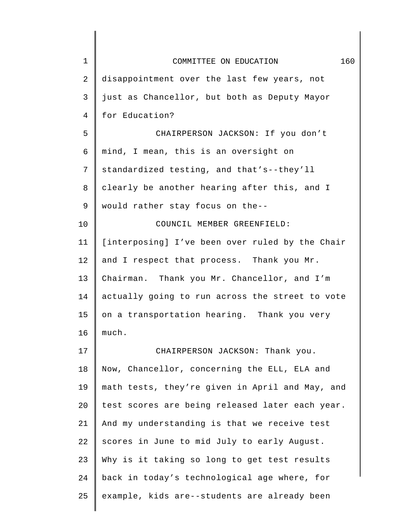| $\mathbf 1$ | 160<br>COMMITTEE ON EDUCATION                   |
|-------------|-------------------------------------------------|
| 2           | disappointment over the last few years, not     |
| 3           | just as Chancellor, but both as Deputy Mayor    |
| 4           | for Education?                                  |
| 5           | CHAIRPERSON JACKSON: If you don't               |
| 6           | mind, I mean, this is an oversight on           |
| 7           | standardized testing, and that's--they'll       |
| 8           | clearly be another hearing after this, and I    |
| 9           | would rather stay focus on the--                |
| 10          | COUNCIL MEMBER GREENFIELD:                      |
| 11          | [interposing] I've been over ruled by the Chair |
| 12          | and I respect that process. Thank you Mr.       |
| 13          | Chairman. Thank you Mr. Chancellor, and I'm     |
| 14          | actually going to run across the street to vote |
| 15          | on a transportation hearing. Thank you very     |
| 16          | much.                                           |
| 17          | CHAIRPERSON JACKSON: Thank you.                 |
| 18          | Now, Chancellor, concerning the ELL, ELA and    |
| 19          | math tests, they're given in April and May, and |
| 20          | test scores are being released later each year. |
| 21          | And my understanding is that we receive test    |
| 22          | scores in June to mid July to early August.     |
| 23          | Why is it taking so long to get test results    |
| 24          | back in today's technological age where, for    |
| 25          | example, kids are--students are already been    |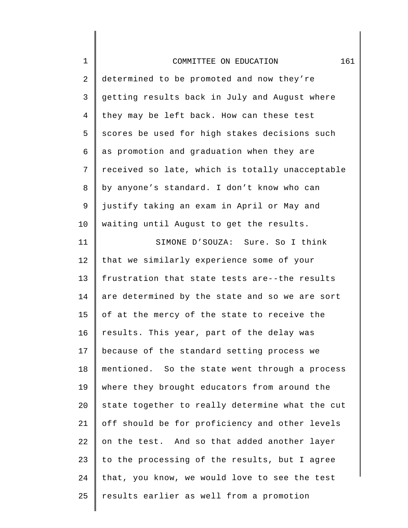| $\mathbf 1$ | 161<br>COMMITTEE ON EDUCATION                   |
|-------------|-------------------------------------------------|
| 2           | determined to be promoted and now they're       |
| 3           | getting results back in July and August where   |
| 4           | they may be left back. How can these test       |
| 5           | scores be used for high stakes decisions such   |
| 6           | as promotion and graduation when they are       |
| 7           | received so late, which is totally unacceptable |
| 8           | by anyone's standard. I don't know who can      |
| 9           | justify taking an exam in April or May and      |
| 10          | waiting until August to get the results.        |
| 11          | SIMONE D'SOUZA: Sure. So I think                |
| 12          | that we similarly experience some of your       |
| 13          | frustration that state tests are--the results   |
| 14          | are determined by the state and so we are sort  |
| 15          | of at the mercy of the state to receive the     |
| 16          | results. This year, part of the delay was       |
| 17          | because of the standard setting process we      |
| 18          | mentioned. So the state went through a process  |
| 19          | where they brought educators from around the    |
| 20          | state together to really determine what the cut |
| 21          | off should be for proficiency and other levels  |
| 22          | on the test. And so that added another layer    |
| 23          | to the processing of the results, but I agree   |
| 24          | that, you know, we would love to see the test   |
| 25          | results earlier as well from a promotion        |
|             |                                                 |

 $\mathsf I$ ∥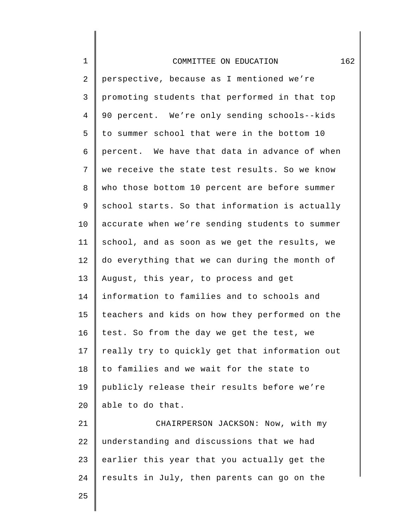## COMMITTEE ON EDUCATION 162

2 3 4 5 6 7 8 9 10 11 12 13 14 15 16 17 18 19  $20^{\circ}$ perspective, because as I mentioned we're promoting students that performed in that top 90 percent. We're only sending schools--kids to summer school that were in the bottom 10 percent. We have that data in advance of when we receive the state test results. So we know who those bottom 10 percent are before summer school starts. So that information is actually accurate when we're sending students to summer school, and as soon as we get the results, we do everything that we can during the month of August, this year, to process and get information to families and to schools and teachers and kids on how they performed on the test. So from the day we get the test, we really try to quickly get that information out to families and we wait for the state to publicly release their results before we're able to do that.

21 22 23 24 CHAIRPERSON JACKSON: Now, with my understanding and discussions that we had earlier this year that you actually get the results in July, then parents can go on the

25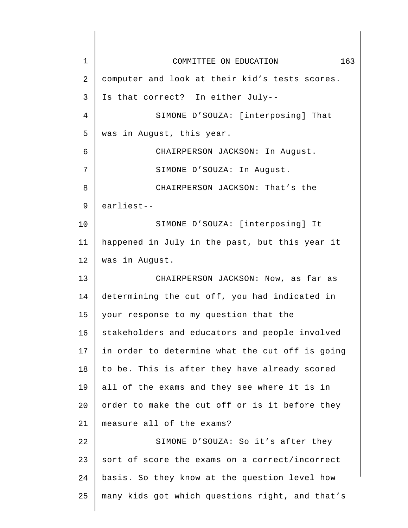1 2 3 4 5 6 7 8 9 10 11 12 13 14 15 16 17 18 19 20 21 22 23 24 25 COMMITTEE ON EDUCATION 163 computer and look at their kid's tests scores. Is that correct? In either July-- SIMONE D'SOUZA: [interposing] That was in August, this year. CHAIRPERSON JACKSON: In August. SIMONE D'SOUZA: In August. CHAIRPERSON JACKSON: That's the earliest-- SIMONE D'SOUZA: [interposing] It happened in July in the past, but this year it was in August. CHAIRPERSON JACKSON: Now, as far as determining the cut off, you had indicated in your response to my question that the stakeholders and educators and people involved in order to determine what the cut off is going to be. This is after they have already scored all of the exams and they see where it is in order to make the cut off or is it before they measure all of the exams? SIMONE D'SOUZA: So it's after they sort of score the exams on a correct/incorrect basis. So they know at the question level how many kids got which questions right, and that's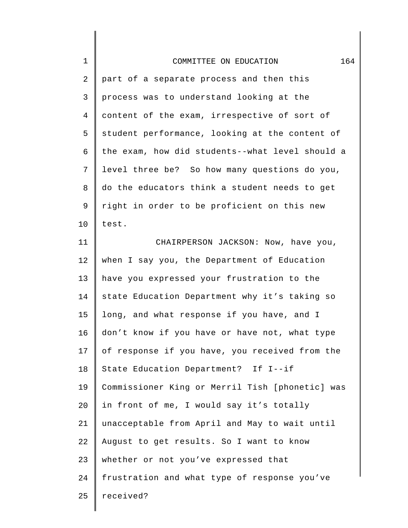| $\mathbf 1$ | 164<br>COMMITTEE ON EDUCATION                   |
|-------------|-------------------------------------------------|
| 2           | part of a separate process and then this        |
| 3           | process was to understand looking at the        |
| 4           | content of the exam, irrespective of sort of    |
| 5           | student performance, looking at the content of  |
| 6           | the exam, how did students--what level should a |
| 7           | level three be? So how many questions do you,   |
| 8           | do the educators think a student needs to get   |
| 9           | right in order to be proficient on this new     |
| 10          | test.                                           |
| 11          | CHAIRPERSON JACKSON: Now, have you,             |
| 12          | when I say you, the Department of Education     |
| 13          | have you expressed your frustration to the      |
| 14          | state Education Department why it's taking so   |
| 15          | long, and what response if you have, and I      |
| 16          | don't know if you have or have not, what type   |
| 17          | of response if you have, you received from the  |
| 18          | State Education Department? If I--if            |
| 19          | Commissioner King or Merril Tish [phonetic] was |
| 20          | in front of me, I would say it's totally        |
| 21          | unacceptable from April and May to wait until   |
| 22          | August to get results. So I want to know        |
| 23          | whether or not you've expressed that            |
| 24          | frustration and what type of response you've    |
| 25          | received?                                       |
|             |                                                 |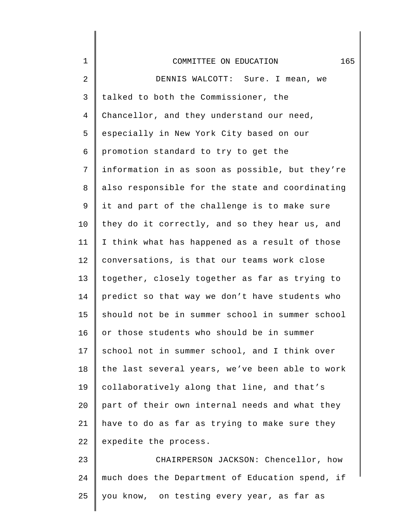| $\mathbf 1$    | 165<br>COMMITTEE ON EDUCATION                   |
|----------------|-------------------------------------------------|
| 2              | DENNIS WALCOTT: Sure. I mean, we                |
| 3              | talked to both the Commissioner, the            |
| $\overline{4}$ | Chancellor, and they understand our need,       |
| 5              | especially in New York City based on our        |
| 6              | promotion standard to try to get the            |
| 7              | information in as soon as possible, but they're |
| 8              | also responsible for the state and coordinating |
| 9              | it and part of the challenge is to make sure    |
| 10             | they do it correctly, and so they hear us, and  |
| 11             | I think what has happened as a result of those  |
| 12             | conversations, is that our teams work close     |
| 13             | together, closely together as far as trying to  |
| 14             | predict so that way we don't have students who  |
| 15             | should not be in summer school in summer school |
| 16             | or those students who should be in summer       |
| 17             | school not in summer school, and I think over   |
| 18             | the last several years, we've been able to work |
| 19             | collaboratively along that line, and that's     |
| 20             | part of their own internal needs and what they  |
| 21             | have to do as far as trying to make sure they   |
| 22             | expedite the process.                           |
| 23             | CHAIRPERSON JACKSON: Chencellor, how            |
| 24             | much does the Department of Education spend, if |
| 25             | you know, on testing every year, as far as      |

∥

∥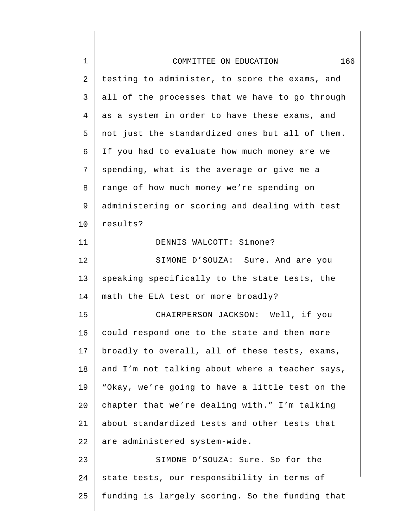| $\mathbf 1$    | 166<br>COMMITTEE ON EDUCATION                   |
|----------------|-------------------------------------------------|
| $\overline{a}$ | testing to administer, to score the exams, and  |
| 3              | all of the processes that we have to go through |
| 4              | as a system in order to have these exams, and   |
| 5              | not just the standardized ones but all of them. |
| 6              | If you had to evaluate how much money are we    |
| 7              | spending, what is the average or give me a      |
| 8              | range of how much money we're spending on       |
| 9              | administering or scoring and dealing with test  |
| 10             | results?                                        |
| 11             | DENNIS WALCOTT: Simone?                         |
| 12             | SIMONE D'SOUZA: Sure. And are you               |
| 13             | speaking specifically to the state tests, the   |
| 14             | math the ELA test or more broadly?              |
| 15             | CHAIRPERSON JACKSON: Well, if you               |
| 16             | could respond one to the state and then more    |
| 17             | broadly to overall, all of these tests, exams,  |
| 18             | and I'm not talking about where a teacher says, |
| 19             | "Okay, we're going to have a little test on the |
| 20             | chapter that we're dealing with." I'm talking   |
| 21             | about standardized tests and other tests that   |
| 22             | are administered system-wide.                   |
| 23             | SIMONE D'SOUZA: Sure. So for the                |
| 24             | state tests, our responsibility in terms of     |
| 25             | funding is largely scoring. So the funding that |
|                |                                                 |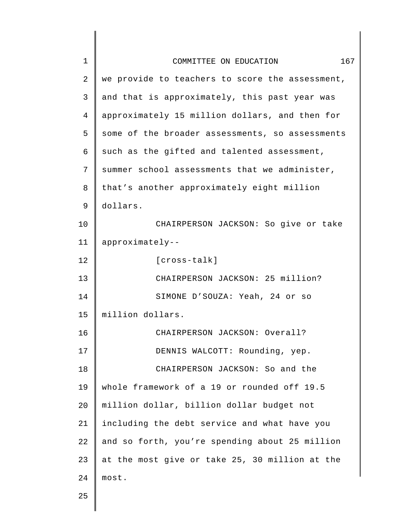| 1  | 167<br>COMMITTEE ON EDUCATION                   |
|----|-------------------------------------------------|
| 2  | we provide to teachers to score the assessment, |
| 3  | and that is approximately, this past year was   |
| 4  | approximately 15 million dollars, and then for  |
| 5  | some of the broader assessments, so assessments |
| 6  | such as the gifted and talented assessment,     |
| 7  | summer school assessments that we administer,   |
| 8  | that's another approximately eight million      |
| 9  | dollars.                                        |
| 10 | CHAIRPERSON JACKSON: So give or take            |
| 11 | approximately--                                 |
| 12 | $[cross-talk]$                                  |
| 13 | CHAIRPERSON JACKSON: 25 million?                |
| 14 | SIMONE D'SOUZA: Yeah, 24 or so                  |
| 15 | million dollars.                                |
| 16 | CHAIRPERSON JACKSON: Overall?                   |
| 17 | DENNIS WALCOTT: Rounding, yep.                  |
| 18 | CHAIRPERSON JACKSON: So and the                 |
| 19 | whole framework of a 19 or rounded off 19.5     |
| 20 | million dollar, billion dollar budget not       |
| 21 | including the debt service and what have you    |
| 22 | and so forth, you're spending about 25 million  |
| 23 | at the most give or take 25, 30 million at the  |
| 24 | most.                                           |
| 25 |                                                 |
|    |                                                 |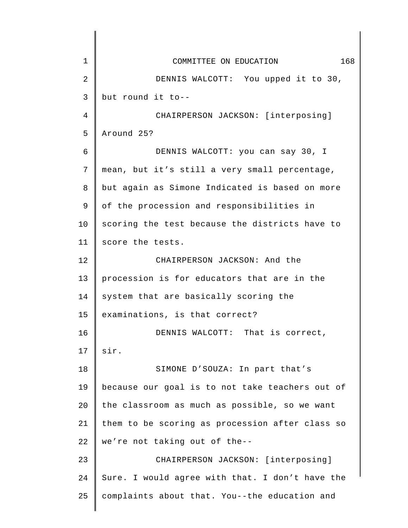| $\mathbf 1$    | 168<br>COMMITTEE ON EDUCATION                   |
|----------------|-------------------------------------------------|
| $\overline{2}$ | DENNIS WALCOTT: You upped it to 30,             |
| 3              | but round it to--                               |
| 4              | CHAIRPERSON JACKSON: [interposing]              |
| 5              | Around 25?                                      |
| 6              | DENNIS WALCOTT: you can say 30, I               |
| 7              | mean, but it's still a very small percentage,   |
| 8              | but again as Simone Indicated is based on more  |
| 9              | of the procession and responsibilities in       |
| 10             | scoring the test because the districts have to  |
| 11             | score the tests.                                |
| 12             | CHAIRPERSON JACKSON: And the                    |
| 13             | procession is for educators that are in the     |
| 14             | system that are basically scoring the           |
| 15             | examinations, is that correct?                  |
| 16             | DENNIS WALCOTT: That is correct,                |
| 17             | sir.                                            |
| 18             | SIMONE D'SOUZA: In part that's                  |
| 19             | because our goal is to not take teachers out of |
| 20             | the classroom as much as possible, so we want   |
| 21             | them to be scoring as procession after class so |
| 22             | we're not taking out of the--                   |
| 23             | CHAIRPERSON JACKSON: [interposing]              |
| 24             | Sure. I would agree with that. I don't have the |
| 25             | complaints about that. You--the education and   |
|                |                                                 |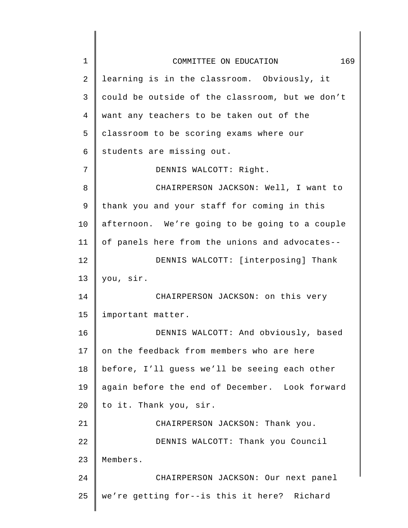| $\mathbf 1$ | 169<br>COMMITTEE ON EDUCATION                   |
|-------------|-------------------------------------------------|
| 2           | learning is in the classroom. Obviously, it     |
| 3           | could be outside of the classroom, but we don't |
| 4           | want any teachers to be taken out of the        |
| 5           | classroom to be scoring exams where our         |
| 6           | students are missing out.                       |
| 7           | DENNIS WALCOTT: Right.                          |
| 8           | CHAIRPERSON JACKSON: Well, I want to            |
| 9           | thank you and your staff for coming in this     |
| 10          | afternoon. We're going to be going to a couple  |
| 11          | of panels here from the unions and advocates--  |
| 12          | DENNIS WALCOTT: [interposing] Thank             |
| 13          | you, sir.                                       |
| 14          | CHAIRPERSON JACKSON: on this very               |
| 15          | important matter.                               |
| 16          | DENNIS WALCOTT: And obviously, based            |
| 17          | on the feedback from members who are here       |
| 18          | before, I'll guess we'll be seeing each other   |
| 19          | again before the end of December. Look forward  |
| 20          | to it. Thank you, sir.                          |
| 21          | CHAIRPERSON JACKSON: Thank you.                 |
| 22          | DENNIS WALCOTT: Thank you Council               |
| 23          | Members.                                        |
| 24          | CHAIRPERSON JACKSON: Our next panel             |
| 25          | we're getting for--is this it here? Richard     |
|             |                                                 |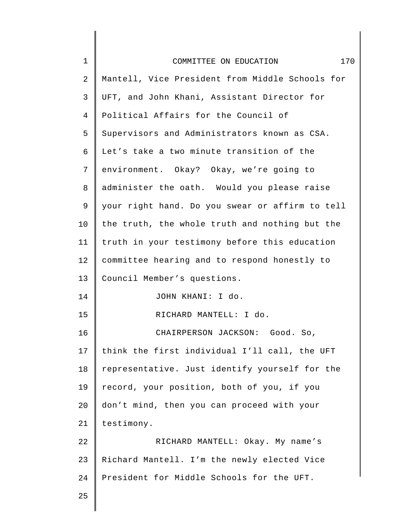| $\mathbf 1$ | 170<br>COMMITTEE ON EDUCATION                   |
|-------------|-------------------------------------------------|
| 2           | Mantell, Vice President from Middle Schools for |
| 3           | UFT, and John Khani, Assistant Director for     |
| 4           | Political Affairs for the Council of            |
| 5           | Supervisors and Administrators known as CSA.    |
| 6           | Let's take a two minute transition of the       |
| 7           | environment. Okay? Okay, we're going to         |
| 8           | administer the oath. Would you please raise     |
| 9           | your right hand. Do you swear or affirm to tell |
| 10          | the truth, the whole truth and nothing but the  |
| 11          | truth in your testimony before this education   |
| 12          | committee hearing and to respond honestly to    |
| 13          | Council Member's questions.                     |
| 14          | JOHN KHANI: I do.                               |
| 15          | RICHARD MANTELL: I do.                          |
| 16          | CHAIRPERSON JACKSON: Good. So,                  |
| 17          | think the first individual I'll call, the UFT   |
| 18          | representative. Just identify yourself for the  |
| 19          | record, your position, both of you, if you      |
| 20          | don't mind, then you can proceed with your      |
| 21          | testimony.                                      |
| 22          | RICHARD MANTELL: Okay. My name's                |
| 23          | Richard Mantell. I'm the newly elected Vice     |
| 24          | President for Middle Schools for the UFT.       |
| 25          |                                                 |

I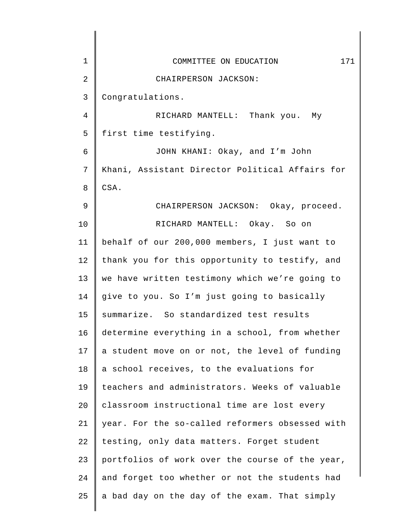| 1  | 171<br>COMMITTEE ON EDUCATION                   |
|----|-------------------------------------------------|
| 2  | CHAIRPERSON JACKSON:                            |
| 3  | Congratulations.                                |
| 4  | RICHARD MANTELL: Thank you. My                  |
| 5  | first time testifying.                          |
| 6  | JOHN KHANI: Okay, and I'm John                  |
| 7  | Khani, Assistant Director Political Affairs for |
| 8  | CSA.                                            |
| 9  | CHAIRPERSON JACKSON: Okay, proceed.             |
| 10 | RICHARD MANTELL: Okay. So on                    |
| 11 | behalf of our 200,000 members, I just want to   |
| 12 | thank you for this opportunity to testify, and  |
| 13 | we have written testimony which we're going to  |
| 14 | give to you. So I'm just going to basically     |
| 15 | summarize. So standardized test results         |
| 16 | determine everything in a school, from whether  |
| 17 | a student move on or not, the level of funding  |
| 18 | a school receives, to the evaluations for       |
| 19 | teachers and administrators. Weeks of valuable  |
| 20 | classroom instructional time are lost every     |
| 21 | year. For the so-called reformers obsessed with |
| 22 | testing, only data matters. Forget student      |
| 23 | portfolios of work over the course of the year, |
| 24 | and forget too whether or not the students had  |
| 25 | a bad day on the day of the exam. That simply   |
|    |                                                 |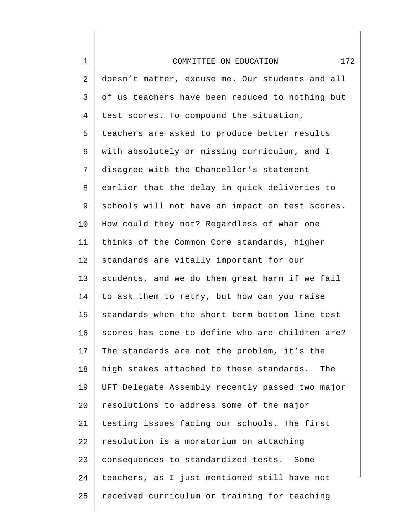| $1\,$          | 172<br>COMMITTEE ON EDUCATION                   |
|----------------|-------------------------------------------------|
| $\overline{2}$ | doesn't matter, excuse me. Our students and all |
| 3              | of us teachers have been reduced to nothing but |
| $\overline{4}$ | test scores. To compound the situation,         |
| 5              | teachers are asked to produce better results    |
| 6              | with absolutely or missing curriculum, and I    |
| 7              | disagree with the Chancellor's statement        |
| 8              | earlier that the delay in quick deliveries to   |
| 9              | schools will not have an impact on test scores. |
| 10             | How could they not? Regardless of what one      |
| 11             | thinks of the Common Core standards, higher     |
| 12             | standards are vitally important for our         |
| 13             | students, and we do them great harm if we fail  |
| 14             | to ask them to retry, but how can you raise     |
| 15             | standards when the short term bottom line test  |
| 16             | scores has come to define who are children are? |
| 17             | The standards are not the problem, it's the     |
| 18             | high stakes attached to these standards.<br>The |
| 19             | UFT Delegate Assembly recently passed two major |
| 20             | resolutions to address some of the major        |
| 21             | testing issues facing our schools. The first    |
| 22             | resolution is a moratorium on attaching         |
| 23             | consequences to standardized tests. Some        |
| 24             | teachers, as I just mentioned still have not    |
| 25             | received curriculum or training for teaching    |
|                |                                                 |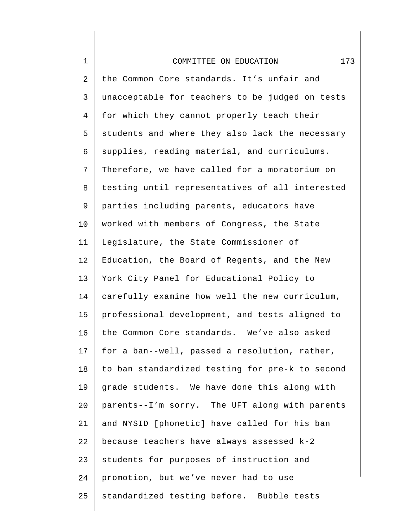| $\mathbf 1$    | 173<br>COMMITTEE ON EDUCATION                   |
|----------------|-------------------------------------------------|
| $\overline{2}$ | the Common Core standards. It's unfair and      |
| 3              | unacceptable for teachers to be judged on tests |
| $\overline{4}$ | for which they cannot properly teach their      |
| 5              | students and where they also lack the necessary |
| 6              | supplies, reading material, and curriculums.    |
| 7              | Therefore, we have called for a moratorium on   |
| 8              | testing until representatives of all interested |
| 9              | parties including parents, educators have       |
| $10 \,$        | worked with members of Congress, the State      |
| 11             | Legislature, the State Commissioner of          |
| 12             | Education, the Board of Regents, and the New    |
| 13             | York City Panel for Educational Policy to       |
| 14             | carefully examine how well the new curriculum,  |
| 15             | professional development, and tests aligned to  |
| 16             | the Common Core standards. We've also asked     |
| 17             | for a ban--well, passed a resolution, rather,   |
| 18             | to ban standardized testing for pre-k to second |
| 19             | grade students. We have done this along with    |
| 20             | parents--I'm sorry. The UFT along with parents  |
| 21             | and NYSID [phonetic] have called for his ban    |
| 22             | because teachers have always assessed k-2       |
| 23             | students for purposes of instruction and        |
| 24             | promotion, but we've never had to use           |
| 25             | standardized testing before. Bubble tests       |
|                |                                                 |

∥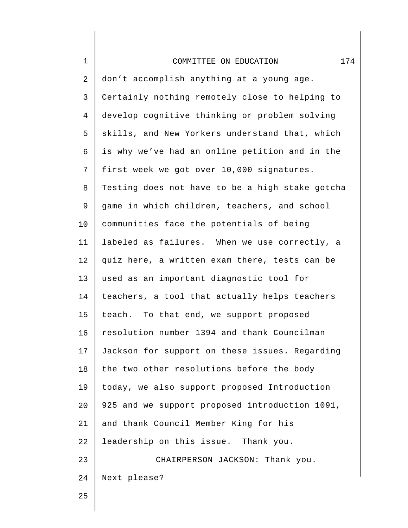| $\mathbf 1$    | 174<br>COMMITTEE ON EDUCATION                   |
|----------------|-------------------------------------------------|
| $\mathbf{2}$   | don't accomplish anything at a young age.       |
| 3              | Certainly nothing remotely close to helping to  |
| $\overline{4}$ | develop cognitive thinking or problem solving   |
| 5              | skills, and New Yorkers understand that, which  |
| 6              | is why we've had an online petition and in the  |
| 7              | first week we got over 10,000 signatures.       |
| 8              | Testing does not have to be a high stake gotcha |
| 9              | game in which children, teachers, and school    |
| 10             | communities face the potentials of being        |
| 11             | labeled as failures. When we use correctly, a   |
| 12             | quiz here, a written exam there, tests can be   |
| 13             | used as an important diagnostic tool for        |
| 14             | teachers, a tool that actually helps teachers   |
| 15             | teach. To that end, we support proposed         |
| 16             | resolution number 1394 and thank Councilman     |
| 17             | Jackson for support on these issues. Regarding  |
| 18             | the two other resolutions before the body       |
| 19             | today, we also support proposed Introduction    |
| 20             | 925 and we support proposed introduction 1091,  |
| 21             | and thank Council Member King for his           |
| 22             | leadership on this issue. Thank you.            |
| 23             | CHAIRPERSON JACKSON: Thank you.                 |
| 24             | Next please?                                    |
| 25             |                                                 |
|                |                                                 |

∥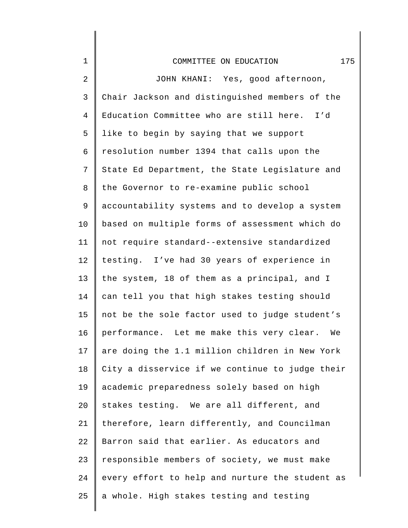| $\mathbf 1$    | 175<br>COMMITTEE ON EDUCATION                   |
|----------------|-------------------------------------------------|
| 2              | JOHN KHANI: Yes, good afternoon,                |
| 3              | Chair Jackson and distinguished members of the  |
| $\overline{4}$ | Education Committee who are still here. I'd     |
| 5              | like to begin by saying that we support         |
| 6              | resolution number 1394 that calls upon the      |
| 7              | State Ed Department, the State Legislature and  |
| 8              | the Governor to re-examine public school        |
| 9              | accountability systems and to develop a system  |
| $10 \,$        | based on multiple forms of assessment which do  |
| 11             | not require standard--extensive standardized    |
| 12             | testing. I've had 30 years of experience in     |
| 13             | the system, 18 of them as a principal, and I    |
| 14             | can tell you that high stakes testing should    |
| 15             | not be the sole factor used to judge student's  |
| 16             | performance. Let me make this very clear. We    |
| 17             | are doing the 1.1 million children in New York  |
| 18             | City a disservice if we continue to judge their |
| 19             | academic preparedness solely based on high      |
| 20             | stakes testing. We are all different, and       |
| 21             | therefore, learn differently, and Councilman    |
| 22             | Barron said that earlier. As educators and      |
| 23             | responsible members of society, we must make    |
| 24             | every effort to help and nurture the student as |
| 25             | a whole. High stakes testing and testing        |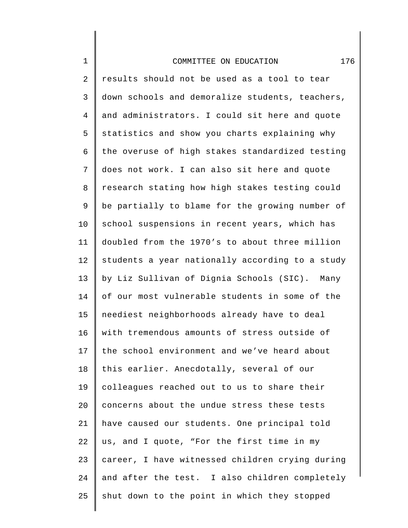## COMMITTEE ON EDUCATION 176

1

2 3 4 5 6 7 8 9 10 11 12 13 14 15 16 17 18 19 20 21 22 23 24 25 results should not be used as a tool to tear down schools and demoralize students, teachers, and administrators. I could sit here and quote statistics and show you charts explaining why the overuse of high stakes standardized testing does not work. I can also sit here and quote research stating how high stakes testing could be partially to blame for the growing number of school suspensions in recent years, which has doubled from the 1970's to about three million students a year nationally according to a study by Liz Sullivan of Dignia Schools (SIC). Many of our most vulnerable students in some of the neediest neighborhoods already have to deal with tremendous amounts of stress outside of the school environment and we've heard about this earlier. Anecdotally, several of our colleagues reached out to us to share their concerns about the undue stress these tests have caused our students. One principal told us, and I quote, "For the first time in my career, I have witnessed children crying during and after the test. I also children completely shut down to the point in which they stopped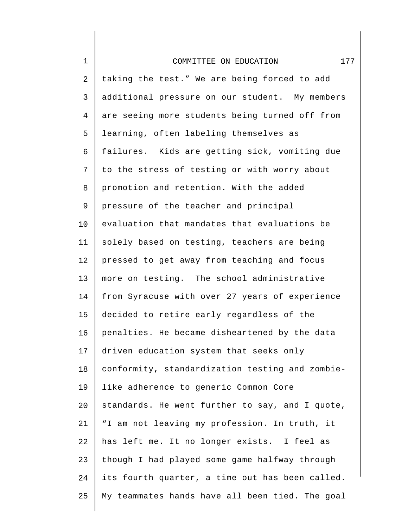| $\mathbf 1$    | 177<br>COMMITTEE ON EDUCATION                   |
|----------------|-------------------------------------------------|
| $\overline{2}$ | taking the test." We are being forced to add    |
| 3              | additional pressure on our student. My members  |
| $\overline{4}$ | are seeing more students being turned off from  |
| 5              | learning, often labeling themselves as          |
| 6              | failures. Kids are getting sick, vomiting due   |
| 7              | to the stress of testing or with worry about    |
| 8              | promotion and retention. With the added         |
| 9              | pressure of the teacher and principal           |
| 10             | evaluation that mandates that evaluations be    |
| 11             | solely based on testing, teachers are being     |
| 12             | pressed to get away from teaching and focus     |
| 13             | more on testing. The school administrative      |
| 14             | from Syracuse with over 27 years of experience  |
| 15             | decided to retire early regardless of the       |
| 16             | penalties. He became disheartened by the data   |
| 17             | driven education system that seeks only         |
| $18\,$         | conformity, standardization testing and zombie- |
| 19             | like adherence to generic Common Core           |
| 20             | standards. He went further to say, and I quote, |
| 21             | "I am not leaving my profession. In truth, it   |
| 22             | has left me. It no longer exists. I feel as     |
| 23             | though I had played some game halfway through   |
| 24             | its fourth quarter, a time out has been called. |
| 25             | My teammates hands have all been tied. The goal |
|                |                                                 |

I ∥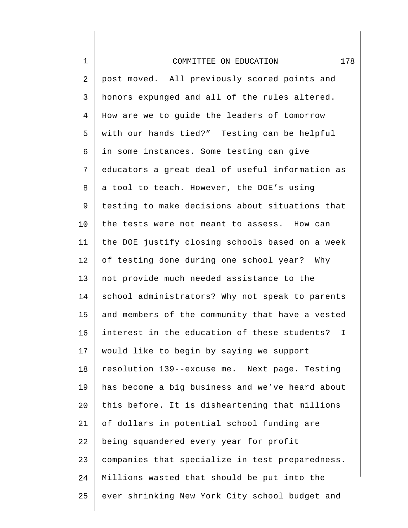| $\mathbf 1$    | 178<br>COMMITTEE ON EDUCATION                     |
|----------------|---------------------------------------------------|
| $\overline{2}$ | post moved. All previously scored points and      |
| 3              | honors expunged and all of the rules altered.     |
| $\overline{4}$ | How are we to guide the leaders of tomorrow       |
| 5              | with our hands tied?" Testing can be helpful      |
| 6              | in some instances. Some testing can give          |
| 7              | educators a great deal of useful information as   |
| 8              | a tool to teach. However, the DOE's using         |
| $\mathsf 9$    | testing to make decisions about situations that   |
| 10             | the tests were not meant to assess. How can       |
| 11             | the DOE justify closing schools based on a week   |
| 12             | of testing done during one school year? Why       |
| 13             | not provide much needed assistance to the         |
| 14             | school administrators? Why not speak to parents   |
| 15             | and members of the community that have a vested   |
| 16             | interest in the education of these students?<br>Ι |
| 17             | would like to begin by saying we support          |
| 18             | resolution 139--excuse me. Next page. Testing     |
| 19             | has become a big business and we've heard about   |
| 20             | this before. It is disheartening that millions    |
| 21             | of dollars in potential school funding are        |
| 22             | being squandered every year for profit            |
| 23             | companies that specialize in test preparedness.   |
| 24             | Millions wasted that should be put into the       |
| 25             | ever shrinking New York City school budget and    |
|                |                                                   |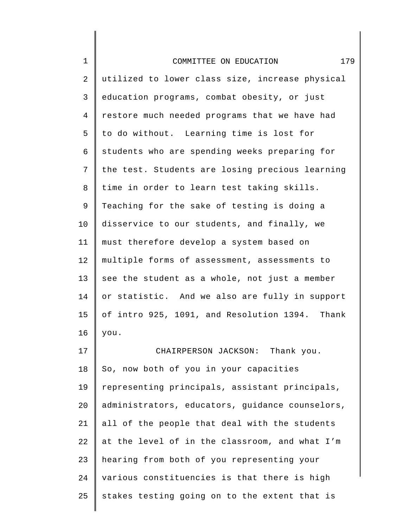| $\mathbf 1$ | 179<br>COMMITTEE ON EDUCATION                   |
|-------------|-------------------------------------------------|
| 2           | utilized to lower class size, increase physical |
| 3           | education programs, combat obesity, or just     |
| 4           | restore much needed programs that we have had   |
| 5           | to do without. Learning time is lost for        |
| 6           | students who are spending weeks preparing for   |
| 7           | the test. Students are losing precious learning |
| 8           | time in order to learn test taking skills.      |
| 9           | Teaching for the sake of testing is doing a     |
| 10          | disservice to our students, and finally, we     |
| 11          | must therefore develop a system based on        |
| 12          | multiple forms of assessment, assessments to    |
| 13          | see the student as a whole, not just a member   |
| 14          | or statistic. And we also are fully in support  |
| 15          | of intro 925, 1091, and Resolution 1394. Thank  |
| 16          | you.                                            |
| 17          | CHAIRPERSON JACKSON: Thank you.                 |
| 18          | So, now both of you in your capacities          |
| 19          | representing principals, assistant principals,  |
| 20          | administrators, educators, guidance counselors, |
| 21          | all of the people that deal with the students   |
| 22          | at the level of in the classroom, and what I'm  |
| 23          | hearing from both of you representing your      |
| 24          | various constituencies is that there is high    |
| 25          | stakes testing going on to the extent that is   |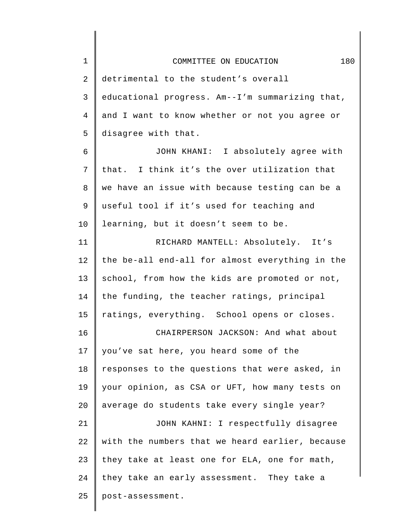| $\mathbf 1$    | 180<br>COMMITTEE ON EDUCATION                   |
|----------------|-------------------------------------------------|
| 2              | detrimental to the student's overall            |
| $\mathsf{3}$   | educational progress. Am--I'm summarizing that, |
| $\overline{4}$ | and I want to know whether or not you agree or  |
| 5              | disagree with that.                             |
| 6              | JOHN KHANI: I absolutely agree with             |
| 7              | that. I think it's the over utilization that    |
| 8              | we have an issue with because testing can be a  |
| 9              | useful tool if it's used for teaching and       |
| 10             | learning, but it doesn't seem to be.            |
| 11             | RICHARD MANTELL: Absolutely. It's               |
| 12             | the be-all end-all for almost everything in the |
| 13             | school, from how the kids are promoted or not,  |
| 14             | the funding, the teacher ratings, principal     |
| 15             | ratings, everything. School opens or closes.    |
| 16             | CHAIRPERSON JACKSON: And what about             |
| 17             | you've sat here, you heard some of the          |
| 18             | responses to the questions that were asked, in  |
| 19             | your opinion, as CSA or UFT, how many tests on  |
| 20             | average do students take every single year?     |
| 21             | JOHN KAHNI: I respectfully disagree             |
| 22             | with the numbers that we heard earlier, because |
| 23             | they take at least one for ELA, one for math,   |
| 24             | they take an early assessment. They take a      |
| 25             | post-assessment.                                |
|                |                                                 |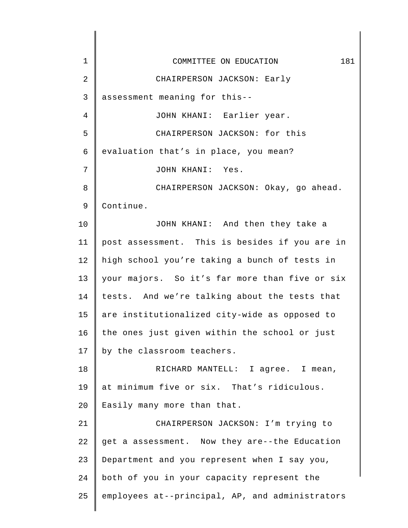| 1  | 181<br>COMMITTEE ON EDUCATION                   |
|----|-------------------------------------------------|
| 2  | CHAIRPERSON JACKSON: Early                      |
| 3  | assessment meaning for this--                   |
| 4  | JOHN KHANI: Earlier year.                       |
| 5  | CHAIRPERSON JACKSON: for this                   |
| 6  | evaluation that's in place, you mean?           |
| 7  | JOHN KHANI: Yes.                                |
| 8  | CHAIRPERSON JACKSON: Okay, go ahead.            |
| 9  | Continue.                                       |
| 10 | JOHN KHANI: And then they take a                |
| 11 | post assessment. This is besides if you are in  |
| 12 | high school you're taking a bunch of tests in   |
| 13 | your majors. So it's far more than five or six  |
| 14 | tests. And we're talking about the tests that   |
| 15 | are institutionalized city-wide as opposed to   |
| 16 | the ones just given within the school or just   |
| 17 | by the classroom teachers.                      |
| 18 | RICHARD MANTELL: I agree. I mean,               |
| 19 | at minimum five or six. That's ridiculous.      |
| 20 | Easily many more than that.                     |
| 21 | CHAIRPERSON JACKSON: I'm trying to              |
| 22 | get a assessment. Now they are--the Education   |
| 23 | Department and you represent when I say you,    |
| 24 | both of you in your capacity represent the      |
| 25 | employees at--principal, AP, and administrators |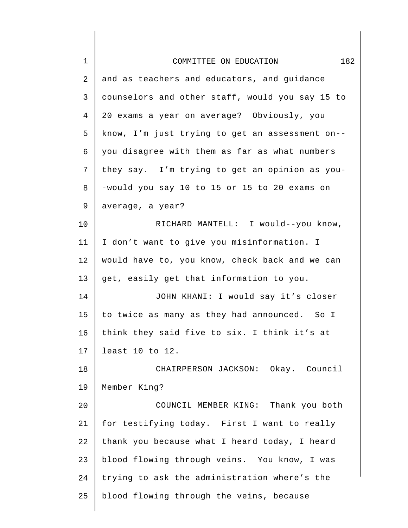| $\mathbf 1$ | 182<br>COMMITTEE ON EDUCATION                   |
|-------------|-------------------------------------------------|
| 2           | and as teachers and educators, and guidance     |
| 3           | counselors and other staff, would you say 15 to |
| 4           | 20 exams a year on average? Obviously, you      |
| 5           | know, I'm just trying to get an assessment on-- |
| 6           | you disagree with them as far as what numbers   |
| 7           | they say. I'm trying to get an opinion as you-  |
| 8           | -would you say 10 to 15 or 15 to 20 exams on    |
| 9           | average, a year?                                |
| 10          | RICHARD MANTELL: I would--you know,             |
| 11          | I don't want to give you misinformation. I      |
| 12          | would have to, you know, check back and we can  |
| 13          | get, easily get that information to you.        |
| 14          | JOHN KHANI: I would say it's closer             |
| 15          | to twice as many as they had announced. So I    |
| 16          | think they said five to six. I think it's at    |
| 17          | least 10 to 12.                                 |
| 18          | CHAIRPERSON JACKSON: Okay. Council              |
| 19          | Member King?                                    |
| 20          | COUNCIL MEMBER KING: Thank you both             |
| 21          | for testifying today. First I want to really    |
| 22          | thank you because what I heard today, I heard   |
| 23          | blood flowing through veins. You know, I was    |
| 24          | trying to ask the administration where's the    |
| 25          | blood flowing through the veins, because        |
|             |                                                 |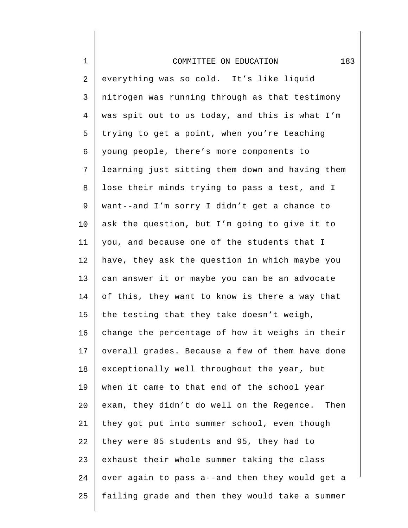| $1\,$          | 183<br>COMMITTEE ON EDUCATION                   |
|----------------|-------------------------------------------------|
| $\overline{2}$ | everything was so cold. It's like liquid        |
| 3              | nitrogen was running through as that testimony  |
| $\overline{4}$ | was spit out to us today, and this is what I'm  |
| 5              | trying to get a point, when you're teaching     |
| 6              | young people, there's more components to        |
| 7              | learning just sitting them down and having them |
| 8              | lose their minds trying to pass a test, and I   |
| 9              | want--and I'm sorry I didn't get a chance to    |
| 10             | ask the question, but I'm going to give it to   |
| 11             | you, and because one of the students that I     |
| 12             | have, they ask the question in which maybe you  |
| 13             | can answer it or maybe you can be an advocate   |
| 14             | of this, they want to know is there a way that  |
| 15             | the testing that they take doesn't weigh,       |
| 16             | change the percentage of how it weighs in their |
| 17             | overall grades. Because a few of them have done |
| 18             | exceptionally well throughout the year, but     |
| 19             | when it came to that end of the school year     |
| 20             | exam, they didn't do well on the Regence. Then  |
| 21             | they got put into summer school, even though    |
| 22             | they were 85 students and 95, they had to       |
| 23             | exhaust their whole summer taking the class     |
| 24             | over again to pass a--and then they would get a |
| 25             | failing grade and then they would take a summer |
|                |                                                 |

∥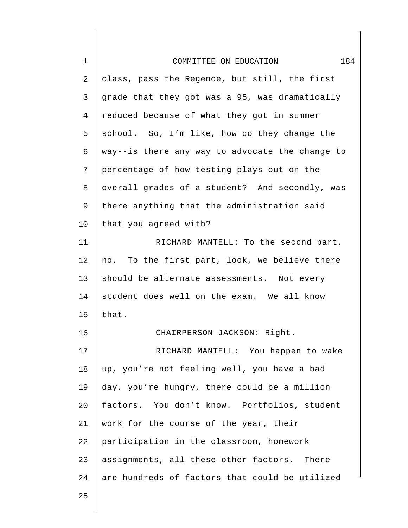| $\mathbf 1$    | 184<br>COMMITTEE ON EDUCATION                   |
|----------------|-------------------------------------------------|
| 2              | class, pass the Regence, but still, the first   |
| 3              | grade that they got was a 95, was dramatically  |
| $\overline{4}$ | reduced because of what they got in summer      |
| 5              | school. So, I'm like, how do they change the    |
| 6              | way--is there any way to advocate the change to |
| 7              | percentage of how testing plays out on the      |
| 8              | overall grades of a student? And secondly, was  |
| 9              | there anything that the administration said     |
| 10             | that you agreed with?                           |
| 11             | RICHARD MANTELL: To the second part,            |
| 12             | no. To the first part, look, we believe there   |
| 13             | should be alternate assessments. Not every      |
| 14             | student does well on the exam. We all know      |
| 15             | that.                                           |
| 16             | CHAIRPERSON JACKSON: Right.                     |
| 17             | RICHARD MANTELL: You happen to wake             |
| 18             | up, you're not feeling well, you have a bad     |
| 19             | day, you're hungry, there could be a million    |
| 20             | factors. You don't know. Portfolios, student    |
| 21             | work for the course of the year, their          |
| 22             | participation in the classroom, homework        |
| 23             | assignments, all these other factors. There     |
| 24             | are hundreds of factors that could be utilized  |
| 25             |                                                 |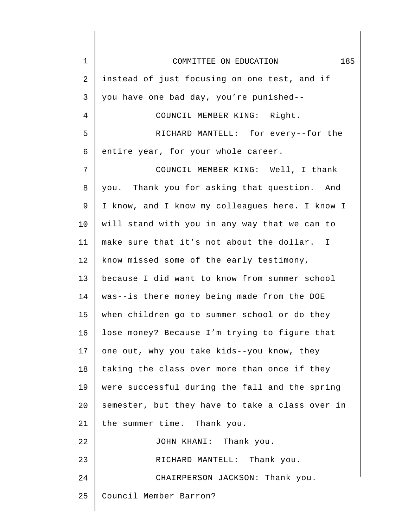| $\mathbf 1$ | 185<br>COMMITTEE ON EDUCATION                   |
|-------------|-------------------------------------------------|
| 2           | instead of just focusing on one test, and if    |
| 3           | you have one bad day, you're punished--         |
| 4           | COUNCIL MEMBER KING: Right.                     |
| 5           | RICHARD MANTELL: for every--for the             |
| 6           | entire year, for your whole career.             |
| 7           | COUNCIL MEMBER KING: Well, I thank              |
| 8           | you. Thank you for asking that question. And    |
| 9           | I know, and I know my colleagues here. I know I |
| 10          | will stand with you in any way that we can to   |
| 11          | make sure that it's not about the dollar. I     |
| 12          | know missed some of the early testimony,        |
| 13          | because I did want to know from summer school   |
| 14          | was--is there money being made from the DOE     |
| 15          | when children go to summer school or do they    |
| 16          | lose money? Because I'm trying to figure that   |
| 17          | one out, why you take kids--you know, they      |
| 18          | taking the class over more than once if they    |
| 19          | were successful during the fall and the spring  |
| 20          | semester, but they have to take a class over in |
| 21          | the summer time. Thank you.                     |
| 22          | JOHN KHANI: Thank you.                          |
| 23          | RICHARD MANTELL: Thank you.                     |
| 24          | CHAIRPERSON JACKSON: Thank you.                 |
| 25          | Council Member Barron?                          |
|             |                                                 |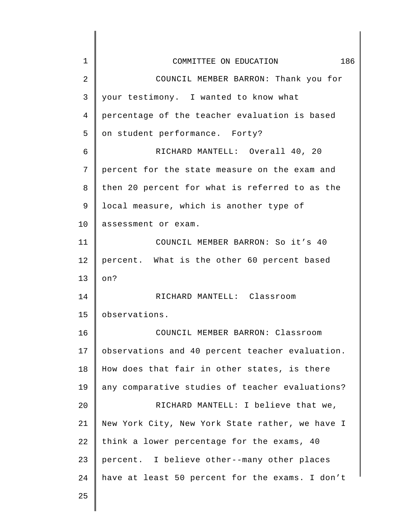| $\mathbf 1$    | 186<br>COMMITTEE ON EDUCATION                   |
|----------------|-------------------------------------------------|
| $\overline{2}$ | COUNCIL MEMBER BARRON: Thank you for            |
| 3              | your testimony. I wanted to know what           |
| 4              | percentage of the teacher evaluation is based   |
| 5              | on student performance. Forty?                  |
| 6              | RICHARD MANTELL: Overall 40, 20                 |
| 7              | percent for the state measure on the exam and   |
| 8              | then 20 percent for what is referred to as the  |
| 9              | local measure, which is another type of         |
| 10             | assessment or exam.                             |
| 11             | COUNCIL MEMBER BARRON: So it's 40               |
| 12             | percent. What is the other 60 percent based     |
| 13             | on?                                             |
| 14             | RICHARD MANTELL: Classroom                      |
| 15             | observations.                                   |
| 16             | COUNCIL MEMBER BARRON: Classroom                |
| 17             | observations and 40 percent teacher evaluation. |
| 18             | How does that fair in other states, is there    |
| 19             | any comparative studies of teacher evaluations? |
| 20             | RICHARD MANTELL: I believe that we,             |
| 21             | New York City, New York State rather, we have I |
| 22             | think a lower percentage for the exams, 40      |
| 23             | percent. I believe other--many other places     |
| 24             | have at least 50 percent for the exams. I don't |
| 25             |                                                 |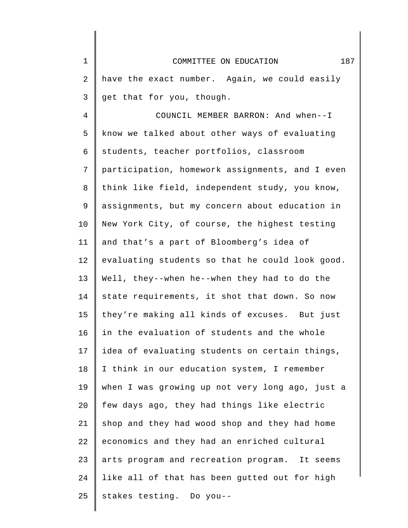| $\mathbf 1$    | 187<br>COMMITTEE ON EDUCATION                   |
|----------------|-------------------------------------------------|
| 2              | have the exact number. Again, we could easily   |
| 3              | get that for you, though.                       |
| $\overline{4}$ | COUNCIL MEMBER BARRON: And when--I              |
| 5              | know we talked about other ways of evaluating   |
| 6              | students, teacher portfolios, classroom         |
| 7              | participation, homework assignments, and I even |
| 8              | think like field, independent study, you know,  |
| 9              | assignments, but my concern about education in  |
| 10             | New York City, of course, the highest testing   |
| 11             | and that's a part of Bloomberg's idea of        |
| 12             | evaluating students so that he could look good. |
| 13             | Well, they--when he--when they had to do the    |
| 14             | state requirements, it shot that down. So now   |
| 15             | they're making all kinds of excuses. But just   |
| 16             | in the evaluation of students and the whole     |
| 17             | idea of evaluating students on certain things,  |
| 18             | I think in our education system, I remember     |
| 19             | when I was growing up not very long ago, just a |
| 20             | few days ago, they had things like electric     |
| 21             | shop and they had wood shop and they had home   |
| 22             | economics and they had an enriched cultural     |
| 23             | arts program and recreation program. It seems   |
| 24             | like all of that has been gutted out for high   |
| 25             | stakes testing. Do you--                        |
|                |                                                 |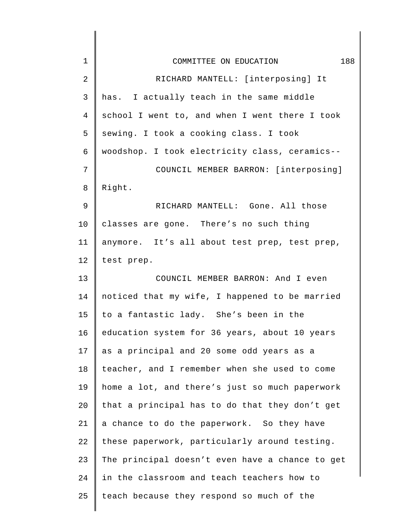| $\mathbf{1}$   | 188<br>COMMITTEE ON EDUCATION                   |
|----------------|-------------------------------------------------|
| $\overline{2}$ | RICHARD MANTELL: [interposing] It               |
| 3              | has. I actually teach in the same middle        |
| 4              | school I went to, and when I went there I took  |
| 5              | sewing. I took a cooking class. I took          |
| 6              | woodshop. I took electricity class, ceramics--  |
| 7              | COUNCIL MEMBER BARRON: [interposing]            |
| 8              | Right.                                          |
| 9              | RICHARD MANTELL: Gone. All those                |
| 10             | classes are gone. There's no such thing         |
| 11             | anymore. It's all about test prep, test prep,   |
| 12             | test prep.                                      |
| 13             | COUNCIL MEMBER BARRON: And I even               |
| 14             | noticed that my wife, I happened to be married  |
| 15             | to a fantastic lady. She's been in the          |
| 16             | education system for 36 years, about 10 years   |
| 17             | as a principal and 20 some odd years as a       |
| 18             | teacher, and I remember when she used to come   |
| 19             | home a lot, and there's just so much paperwork  |
| 20             | that a principal has to do that they don't get  |
| 21             | a chance to do the paperwork. So they have      |
| 22             | these paperwork, particularly around testing.   |
| 23             | The principal doesn't even have a chance to get |
| 24             | in the classroom and teach teachers how to      |
| 25             | teach because they respond so much of the       |
|                |                                                 |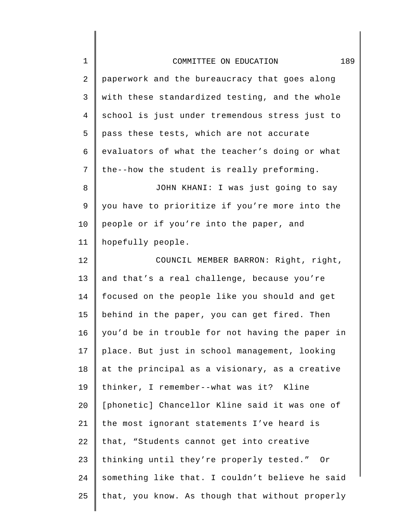| $\mathbf 1$    | 189<br>COMMITTEE ON EDUCATION                   |
|----------------|-------------------------------------------------|
| 2              | paperwork and the bureaucracy that goes along   |
| 3              | with these standardized testing, and the whole  |
| $\overline{4}$ | school is just under tremendous stress just to  |
| 5              | pass these tests, which are not accurate        |
| 6              | evaluators of what the teacher's doing or what  |
| 7              | the--how the student is really preforming.      |
| 8              | JOHN KHANI: I was just going to say             |
| 9              | you have to prioritize if you're more into the  |
| 10             | people or if you're into the paper, and         |
| 11             | hopefully people.                               |
| 12             | COUNCIL MEMBER BARRON: Right, right,            |
| 13             | and that's a real challenge, because you're     |
| 14             | focused on the people like you should and get   |
| 15             | behind in the paper, you can get fired. Then    |
| 16             | you'd be in trouble for not having the paper in |
| 17             | place. But just in school management, looking   |
| 18             | at the principal as a visionary, as a creative  |
| 19             | thinker, I remember--what was it? Kline         |
| 20             | [phonetic] Chancellor Kline said it was one of  |
| 21             | the most ignorant statements I've heard is      |
| 22             | that, "Students cannot get into creative        |
| 23             | thinking until they're properly tested." Or     |
| 24             | something like that. I couldn't believe he said |
| 25             | that, you know. As though that without properly |
|                |                                                 |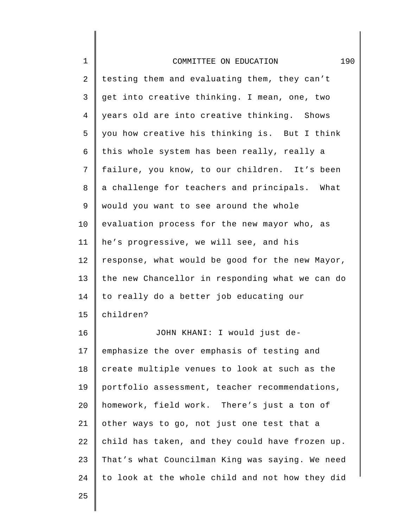| $\mathbf 1$    | 190<br>COMMITTEE ON EDUCATION                   |
|----------------|-------------------------------------------------|
| 2              | testing them and evaluating them, they can't    |
| 3              | get into creative thinking. I mean, one, two    |
| $\overline{4}$ | years old are into creative thinking. Shows     |
| 5              | you how creative his thinking is. But I think   |
| 6              | this whole system has been really, really a     |
| 7              | failure, you know, to our children. It's been   |
| 8              | a challenge for teachers and principals. What   |
| 9              | would you want to see around the whole          |
| 10             | evaluation process for the new mayor who, as    |
| 11             | he's progressive, we will see, and his          |
| 12             | response, what would be good for the new Mayor, |
| 13             | the new Chancellor in responding what we can do |
| 14             | to really do a better job educating our         |
| 15             | children?                                       |
| 16             | JOHN KHANI: I would just de-                    |
| 17             | emphasize the over emphasis of testing and      |
| 18             | create multiple venues to look at such as the   |
| 19             | portfolio assessment, teacher recommendations,  |
| 20             | homework, field work. There's just a ton of     |
| 21             | other ways to go, not just one test that a      |
| 22             | child has taken, and they could have frozen up. |
| 23             | That's what Councilman King was saying. We need |
| 24             | to look at the whole child and not how they did |
|                |                                                 |

II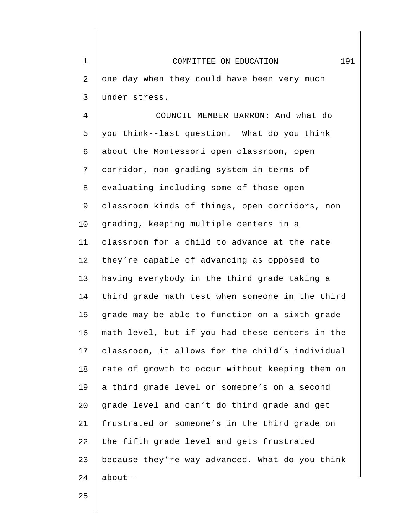4 5 6 7 8 9 10 11 12 13 14 15 16 17 18 19 20 21 22 23 24 COUNCIL MEMBER BARRON: And what do you think--last question. What do you think about the Montessori open classroom, open corridor, non-grading system in terms of evaluating including some of those open classroom kinds of things, open corridors, non grading, keeping multiple centers in a classroom for a child to advance at the rate they're capable of advancing as opposed to having everybody in the third grade taking a third grade math test when someone in the third grade may be able to function on a sixth grade math level, but if you had these centers in the classroom, it allows for the child's individual rate of growth to occur without keeping them on a third grade level or someone's on a second grade level and can't do third grade and get frustrated or someone's in the third grade on the fifth grade level and gets frustrated because they're way advanced. What do you think about--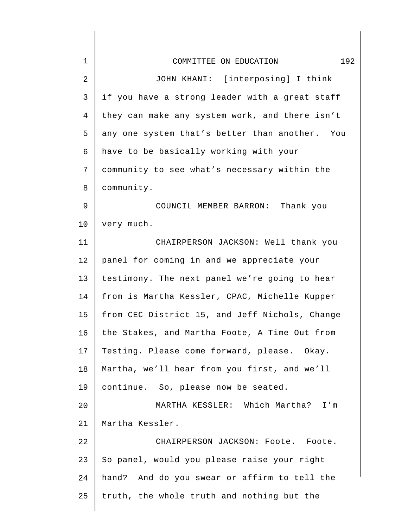| $\mathbf 1$ | 192<br>COMMITTEE ON EDUCATION                  |
|-------------|------------------------------------------------|
| 2           | JOHN KHANI: [interposing] I think              |
| 3           | if you have a strong leader with a great staff |
| 4           | they can make any system work, and there isn't |
| 5           | any one system that's better than another. You |
| 6           | have to be basically working with your         |
| 7           | community to see what's necessary within the   |
| 8           | community.                                     |
| 9           | COUNCIL MEMBER BARRON: Thank you               |
| 10          | very much.                                     |
| 11          | CHAIRPERSON JACKSON: Well thank you            |
| 12          | panel for coming in and we appreciate your     |
| 13          | testimony. The next panel we're going to hear  |
| 14          | from is Martha Kessler, CPAC, Michelle Kupper  |
| 15          | from CEC District 15, and Jeff Nichols, Change |
| 16          | the Stakes, and Martha Foote, A Time Out from  |
| 17          | Testing. Please come forward, please. Okay.    |
| 18          | Martha, we'll hear from you first, and we'll   |
| 19          | continue. So, please now be seated.            |
| 20          | MARTHA KESSLER: Which Martha? I'm              |
| 21          | Martha Kessler.                                |
| 22          | CHAIRPERSON JACKSON: Foote. Foote.             |
| 23          | So panel, would you please raise your right    |
| 24          | hand? And do you swear or affirm to tell the   |
| 25          | truth, the whole truth and nothing but the     |
|             |                                                |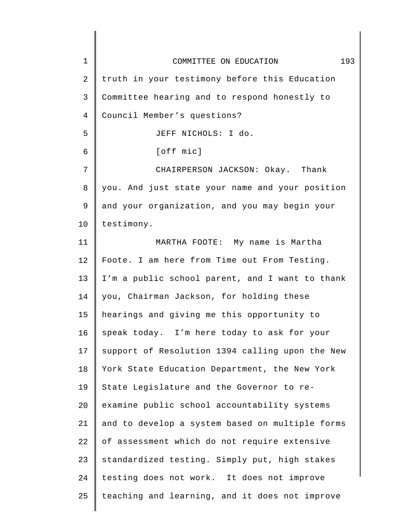| $\mathbf{1}$ | 193<br>COMMITTEE ON EDUCATION                   |
|--------------|-------------------------------------------------|
| 2            | truth in your testimony before this Education   |
| 3            | Committee hearing and to respond honestly to    |
| 4            | Council Member's questions?                     |
| 5            | JEFF NICHOLS: I do.                             |
| 6            | [off mic]                                       |
| 7            | CHAIRPERSON JACKSON: Okay. Thank                |
| 8            | you. And just state your name and your position |
| 9            | and your organization, and you may begin your   |
| 10           | testimony.                                      |
| 11           | MARTHA FOOTE: My name is Martha                 |
| 12           | Foote. I am here from Time out From Testing.    |
| 13           | I'm a public school parent, and I want to thank |
| 14           | you, Chairman Jackson, for holding these        |
| 15           | hearings and giving me this opportunity to      |
| 16           | speak today. I'm here today to ask for your     |
| 17           | support of Resolution 1394 calling upon the New |
| 18           | York State Education Department, the New York   |
| 19           | State Legislature and the Governor to re-       |
| 20           | examine public school accountability systems    |
| 21           | and to develop a system based on multiple forms |
| 22           | of assessment which do not require extensive    |
| 23           | standardized testing. Simply put, high stakes   |
| 24           | testing does not work. It does not improve      |
| 25           | teaching and learning, and it does not improve  |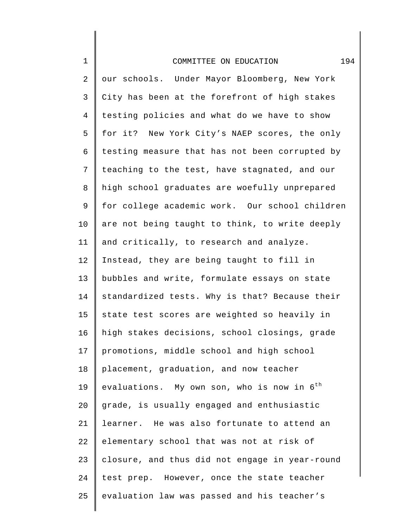| $\mathbf 1$    | 194<br>COMMITTEE ON EDUCATION                          |
|----------------|--------------------------------------------------------|
| 2              | our schools. Under Mayor Bloomberg, New York           |
| 3              | City has been at the forefront of high stakes          |
| $\overline{4}$ | testing policies and what do we have to show           |
| 5              | for it? New York City's NAEP scores, the only          |
| 6              | testing measure that has not been corrupted by         |
| 7              | teaching to the test, have stagnated, and our          |
| 8              | high school graduates are woefully unprepared          |
| 9              | for college academic work. Our school children         |
| 10             | are not being taught to think, to write deeply         |
| 11             | and critically, to research and analyze.               |
| 12             | Instead, they are being taught to fill in              |
| 13             | bubbles and write, formulate essays on state           |
| 14             | standardized tests. Why is that? Because their         |
| 15             | state test scores are weighted so heavily in           |
| 16             | high stakes decisions, school closings, grade          |
| 17             | promotions, middle school and high school              |
| 18             | placement, graduation, and now teacher                 |
| 19             | evaluations. My own son, who is now in $6^{\text{th}}$ |
| 20             | grade, is usually engaged and enthusiastic             |
| 21             | learner. He was also fortunate to attend an            |
| 22             | elementary school that was not at risk of              |
| 23             | closure, and thus did not engage in year-round         |
| 24             | test prep. However, once the state teacher             |
| 25             | evaluation law was passed and his teacher's            |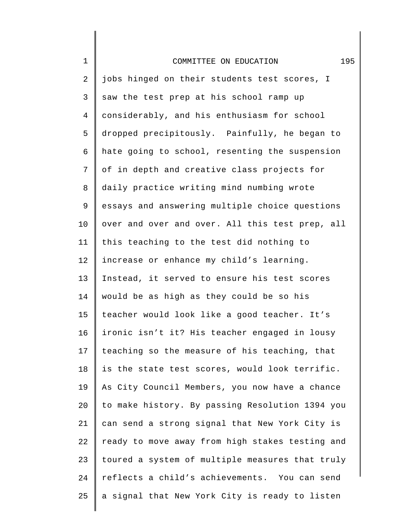| $\mathbf 1$    | 195<br>COMMITTEE ON EDUCATION                   |
|----------------|-------------------------------------------------|
| $\overline{c}$ | jobs hinged on their students test scores, I    |
| 3              | saw the test prep at his school ramp up         |
| 4              | considerably, and his enthusiasm for school     |
| 5              | dropped precipitously. Painfully, he began to   |
| 6              | hate going to school, resenting the suspension  |
| 7              | of in depth and creative class projects for     |
| 8              | daily practice writing mind numbing wrote       |
| 9              | essays and answering multiple choice questions  |
| 10             | over and over and over. All this test prep, all |
| 11             | this teaching to the test did nothing to        |
| 12             | increase or enhance my child's learning.        |
| 13             | Instead, it served to ensure his test scores    |
| 14             | would be as high as they could be so his        |
| 15             | teacher would look like a good teacher. It's    |
| 16             | ironic isn't it? His teacher engaged in lousy   |
| 17             | teaching so the measure of his teaching, that   |
| 18             | is the state test scores, would look terrific.  |
| 19             | As City Council Members, you now have a chance  |
| 20             | to make history. By passing Resolution 1394 you |
| 21             | can send a strong signal that New York City is  |
| 22             | ready to move away from high stakes testing and |
| 23             | toured a system of multiple measures that truly |
| 24             | reflects a child's achievements. You can send   |
| 25             | a signal that New York City is ready to listen  |
|                |                                                 |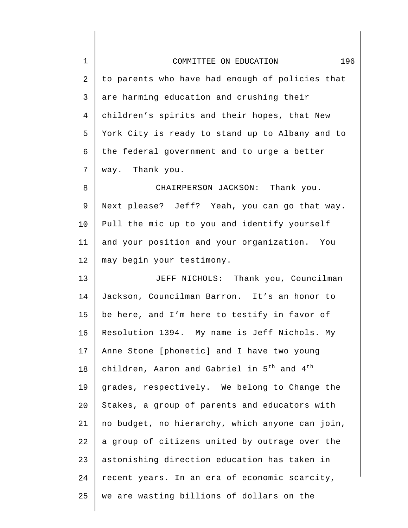| $\mathbf 1$    | 196<br>COMMITTEE ON EDUCATION                                      |
|----------------|--------------------------------------------------------------------|
| $\overline{2}$ | to parents who have had enough of policies that                    |
| $\mathsf 3$    | are harming education and crushing their                           |
| $\overline{4}$ | children's spirits and their hopes, that New                       |
| 5              | York City is ready to stand up to Albany and to                    |
| 6              | the federal government and to urge a better                        |
| 7              | way. Thank you.                                                    |
| 8              | CHAIRPERSON JACKSON: Thank you.                                    |
| 9              | Next please? Jeff? Yeah, you can go that way.                      |
| 10             | Pull the mic up to you and identify yourself                       |
| 11             | and your position and your organization. You                       |
| 12             | may begin your testimony.                                          |
| 13             | JEFF NICHOLS: Thank you, Councilman                                |
| 14             | Jackson, Councilman Barron. It's an honor to                       |
| 15             | be here, and I'm here to testify in favor of                       |
| 16             | Resolution 1394. My name is Jeff Nichols. My                       |
| 17             | Anne Stone [phonetic] and I have two young                         |
| 18             | children, Aaron and Gabriel in 5 <sup>th</sup> and 4 <sup>th</sup> |
| 19             | grades, respectively. We belong to Change the                      |
| 20             | Stakes, a group of parents and educators with                      |
| 21             | no budget, no hierarchy, which anyone can join,                    |
| 22             | a group of citizens united by outrage over the                     |
| 23             | astonishing direction education has taken in                       |
| 24             | recent years. In an era of economic scarcity,                      |
| 25             | we are wasting billions of dollars on the                          |
|                |                                                                    |

 $\begin{array}{c} \hline \end{array}$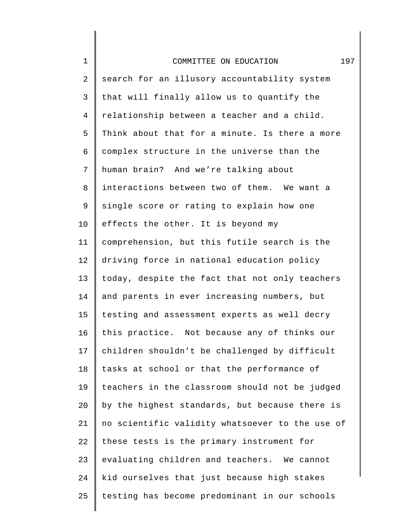## COMMITTEE ON EDUCATION 197

1

2 3 4 5 6 7 8 9 10 11 12 13 14 15 16 17 18 19 20 21 22 23 24 25 search for an illusory accountability system that will finally allow us to quantify the relationship between a teacher and a child. Think about that for a minute. Is there a more complex structure in the universe than the human brain? And we're talking about interactions between two of them. We want a single score or rating to explain how one effects the other. It is beyond my comprehension, but this futile search is the driving force in national education policy today, despite the fact that not only teachers and parents in ever increasing numbers, but testing and assessment experts as well decry this practice. Not because any of thinks our children shouldn't be challenged by difficult tasks at school or that the performance of teachers in the classroom should not be judged by the highest standards, but because there is no scientific validity whatsoever to the use of these tests is the primary instrument for evaluating children and teachers. We cannot kid ourselves that just because high stakes testing has become predominant in our schools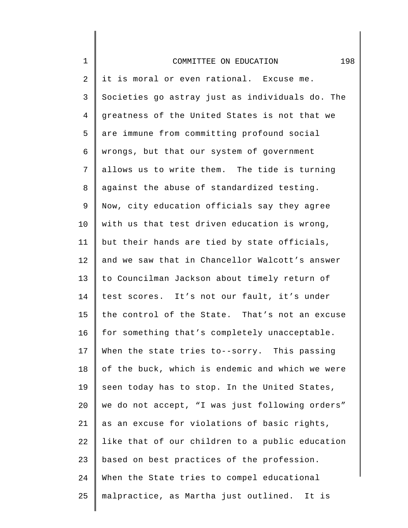| $1\,$          | 198<br>COMMITTEE ON EDUCATION                   |
|----------------|-------------------------------------------------|
| 2              | it is moral or even rational. Excuse me.        |
| 3              | Societies go astray just as individuals do. The |
| $\overline{4}$ | greatness of the United States is not that we   |
| 5              | are immune from committing profound social      |
| 6              | wrongs, but that our system of government       |
| 7              | allows us to write them. The tide is turning    |
| 8              | against the abuse of standardized testing.      |
| 9              | Now, city education officials say they agree    |
| 10             | with us that test driven education is wrong,    |
| 11             | but their hands are tied by state officials,    |
| 12             | and we saw that in Chancellor Walcott's answer  |
| 13             | to Councilman Jackson about timely return of    |
| 14             | test scores. It's not our fault, it's under     |
| 15             | the control of the State. That's not an excuse  |
| 16             | for something that's completely unacceptable.   |
| 17             | When the state tries to--sorry. This passing    |
| 18             | of the buck, which is endemic and which we were |
| 19             | seen today has to stop. In the United States,   |
| 20             | we do not accept, "I was just following orders" |
| 21             | as an excuse for violations of basic rights,    |
| 22             | like that of our children to a public education |
| 23             | based on best practices of the profession.      |
| 24             | When the State tries to compel educational      |
| 25             | malpractice, as Martha just outlined. It is     |
|                |                                                 |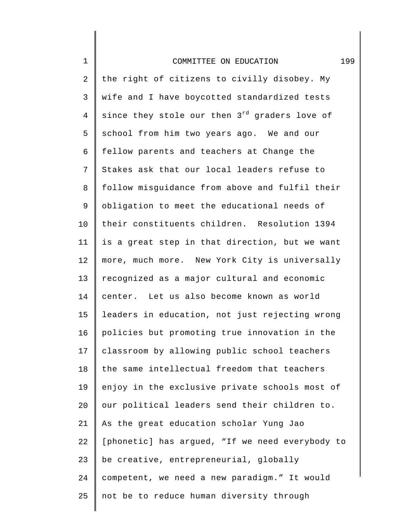| $\mathbf 1$     | 199<br>COMMITTEE ON EDUCATION                             |
|-----------------|-----------------------------------------------------------|
| 2               | the right of citizens to civilly disobey. My              |
| 3               | wife and I have boycotted standardized tests              |
| $\overline{4}$  | since they stole our then 3 <sup>rd</sup> graders love of |
| 5               | school from him two years ago. We and our                 |
| 6               | fellow parents and teachers at Change the                 |
| 7               | Stakes ask that our local leaders refuse to               |
| 8               | follow misguidance from above and fulfil their            |
| 9               | obligation to meet the educational needs of               |
| $10 \,$         | their constituents children. Resolution 1394              |
| 11              | is a great step in that direction, but we want            |
| 12              | more, much more. New York City is universally             |
| 13              | recognized as a major cultural and economic               |
| 14              | center. Let us also become known as world                 |
| 15              | leaders in education, not just rejecting wrong            |
| 16              | policies but promoting true innovation in the             |
| 17 <sub>2</sub> | classroom by allowing public school teachers              |
| 18              | the same intellectual freedom that teachers               |
| 19              | enjoy in the exclusive private schools most of            |
| 20              | our political leaders send their children to.             |
| 21              | As the great education scholar Yung Jao                   |
| 22              | [phonetic] has argued, "If we need everybody to           |
| 23              | be creative, entrepreneurial, globally                    |
| 24              | competent, we need a new paradigm." It would              |
| 25              | not be to reduce human diversity through                  |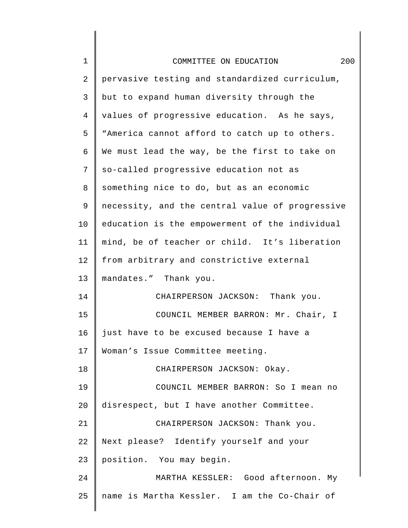| $\mathbf 1$ | 200<br>COMMITTEE ON EDUCATION                   |
|-------------|-------------------------------------------------|
| 2           | pervasive testing and standardized curriculum,  |
| 3           | but to expand human diversity through the       |
| 4           | values of progressive education. As he says,    |
| 5           | "America cannot afford to catch up to others.   |
| 6           | We must lead the way, be the first to take on   |
| 7           | so-called progressive education not as          |
| 8           | something nice to do, but as an economic        |
| 9           | necessity, and the central value of progressive |
| 10          | education is the empowerment of the individual  |
| 11          | mind, be of teacher or child. It's liberation   |
| 12          | from arbitrary and constrictive external        |
| 13          | mandates." Thank you.                           |
| 14          | CHAIRPERSON JACKSON: Thank you.                 |
| 15          | COUNCIL MEMBER BARRON: Mr. Chair, I             |
| 16          | just have to be excused because I have a        |
| 17          | Woman's Issue Committee meeting.                |
| 18          | CHAIRPERSON JACKSON: Okay.                      |
| 19          | COUNCIL MEMBER BARRON: So I mean no             |
| 20          | disrespect, but I have another Committee.       |
| 21          | CHAIRPERSON JACKSON: Thank you.                 |
| 22          | Next please? Identify yourself and your         |
| 23          | position. You may begin.                        |
| 24          | MARTHA KESSLER: Good afternoon. My              |
| 25          | name is Martha Kessler. I am the Co-Chair of    |
|             |                                                 |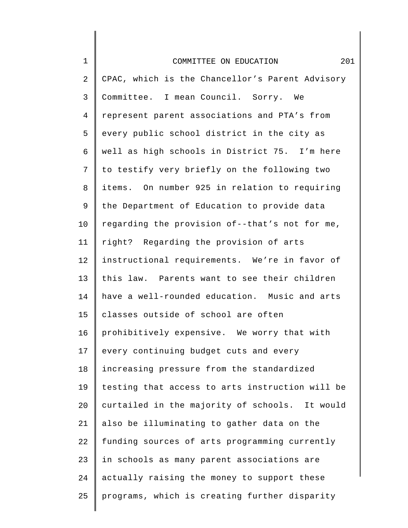| $\mathbf 1$    | 201<br>COMMITTEE ON EDUCATION                   |
|----------------|-------------------------------------------------|
| $\mathbf{2}$   | CPAC, which is the Chancellor's Parent Advisory |
| 3              | Committee. I mean Council. Sorry. We            |
| $\overline{4}$ | represent parent associations and PTA's from    |
| 5              | every public school district in the city as     |
| 6              | well as high schools in District 75. I'm here   |
| 7              | to testify very briefly on the following two    |
| 8              | items. On number 925 in relation to requiring   |
| 9              | the Department of Education to provide data     |
| $10 \,$        | regarding the provision of--that's not for me,  |
| 11             | right? Regarding the provision of arts          |
| 12             | instructional requirements. We're in favor of   |
| 13             | this law. Parents want to see their children    |
| 14             | have a well-rounded education. Music and arts   |
| 15             | classes outside of school are often             |
| 16             | prohibitively expensive. We worry that with     |
| 17             | every continuing budget cuts and every          |
| 18             | increasing pressure from the standardized       |
| 19             | testing that access to arts instruction will be |
| 20             | curtailed in the majority of schools. It would  |
| 21             | also be illuminating to gather data on the      |
| 22             | funding sources of arts programming currently   |
| 23             | in schools as many parent associations are      |
| 24             | actually raising the money to support these     |
| 25             | programs, which is creating further disparity   |
|                |                                                 |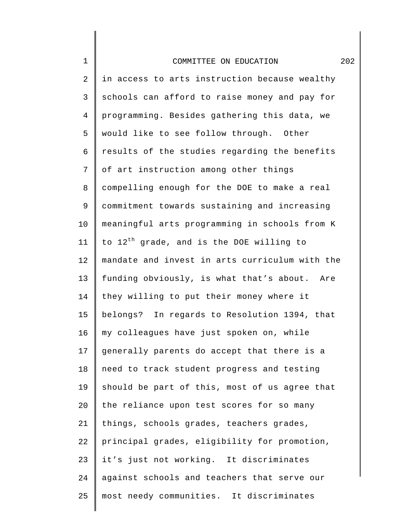| $\mathbf 1$    | 202<br>COMMITTEE ON EDUCATION                        |
|----------------|------------------------------------------------------|
| 2              | in access to arts instruction because wealthy        |
| 3              | schools can afford to raise money and pay for        |
| $\overline{4}$ | programming. Besides gathering this data, we         |
| 5              | would like to see follow through. Other              |
| 6              | results of the studies regarding the benefits        |
| 7              | of art instruction among other things                |
| 8              | compelling enough for the DOE to make a real         |
| 9              | commitment towards sustaining and increasing         |
| 10             | meaningful arts programming in schools from K        |
| 11             | to 12 <sup>th</sup> grade, and is the DOE willing to |
| 12             | mandate and invest in arts curriculum with the       |
| 13             | funding obviously, is what that's about. Are         |
| 14             | they willing to put their money where it             |
| 15             | belongs? In regards to Resolution 1394, that         |
| 16             | my colleagues have just spoken on, while             |
| 17             | generally parents do accept that there is a          |
| 18             | need to track student progress and testing           |
| 19             | should be part of this, most of us agree that        |
| 20             | the reliance upon test scores for so many            |
| 21             | things, schools grades, teachers grades,             |
| 22             | principal grades, eligibility for promotion,         |
| 23             | it's just not working. It discriminates              |
| 24             | against schools and teachers that serve our          |
| 25             | most needy communities. It discriminates             |
|                |                                                      |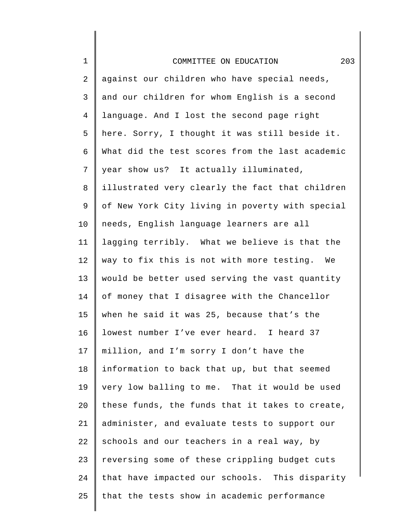| $\mathbf 1$    | 203<br>COMMITTEE ON EDUCATION                   |
|----------------|-------------------------------------------------|
| 2              | against our children who have special needs,    |
| $\mathsf{3}$   | and our children for whom English is a second   |
| $\overline{4}$ | language. And I lost the second page right      |
| 5              | here. Sorry, I thought it was still beside it.  |
| 6              | What did the test scores from the last academic |
| 7              | year show us? It actually illuminated,          |
| 8              | illustrated very clearly the fact that children |
| 9              | of New York City living in poverty with special |
| 10             | needs, English language learners are all        |
| 11             | lagging terribly. What we believe is that the   |
| 12             | way to fix this is not with more testing. We    |
| 13             | would be better used serving the vast quantity  |
| 14             | of money that I disagree with the Chancellor    |
| 15             | when he said it was 25, because that's the      |
| 16             | lowest number I've ever heard. I heard 37       |
| 17             | million, and I'm sorry I don't have the         |
| 18             | information to back that up, but that seemed    |
| 19             | very low balling to me. That it would be used   |
| 20             | these funds, the funds that it takes to create, |
| 21             | administer, and evaluate tests to support our   |
| 22             | schools and our teachers in a real way, by      |
| 23             | reversing some of these crippling budget cuts   |
| 24             | that have impacted our schools. This disparity  |
| 25             | that the tests show in academic performance     |
|                |                                                 |

∥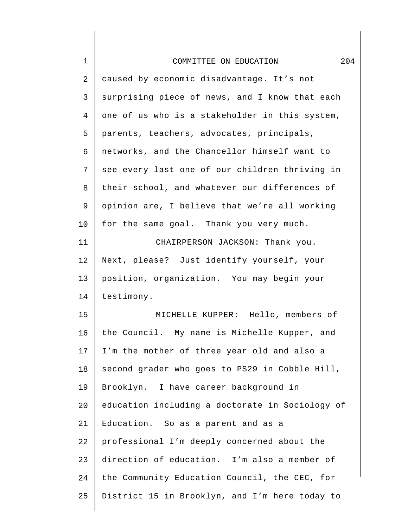| $\mathbf 1$ | 204<br>COMMITTEE ON EDUCATION                   |
|-------------|-------------------------------------------------|
| 2           | caused by economic disadvantage. It's not       |
| 3           | surprising piece of news, and I know that each  |
| 4           | one of us who is a stakeholder in this system,  |
| 5           | parents, teachers, advocates, principals,       |
| 6           | networks, and the Chancellor himself want to    |
| 7           | see every last one of our children thriving in  |
| 8           | their school, and whatever our differences of   |
| 9           | opinion are, I believe that we're all working   |
| 10          | for the same goal. Thank you very much.         |
| 11          | CHAIRPERSON JACKSON: Thank you.                 |
| 12          | Next, please? Just identify yourself, your      |
| 13          | position, organization. You may begin your      |
| 14          | testimony.                                      |
| 15          | MICHELLE KUPPER: Hello, members of              |
| 16          | the Council. My name is Michelle Kupper, and    |
| 17          | I'm the mother of three year old and also a     |
| 18          | second grader who goes to PS29 in Cobble Hill,  |
| 19          | Brooklyn. I have career background in           |
| 20          | education including a doctorate in Sociology of |
| 21          | Education. So as a parent and as a              |
| 22          | professional I'm deeply concerned about the     |
| 23          | direction of education. I'm also a member of    |
| 24          | the Community Education Council, the CEC, for   |
| 25          | District 15 in Brooklyn, and I'm here today to  |
|             |                                                 |

 $\begin{array}{c} \hline \end{array}$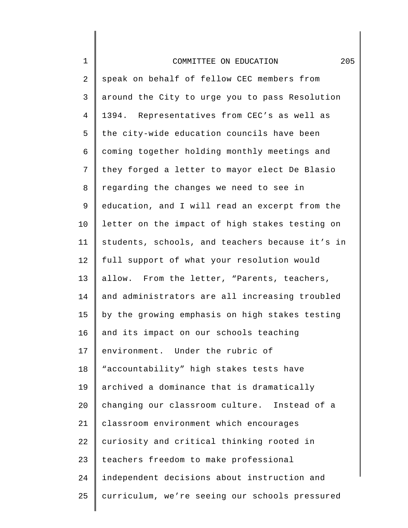| $\mathbf 1$    | 205<br>COMMITTEE ON EDUCATION                   |
|----------------|-------------------------------------------------|
| 2              | speak on behalf of fellow CEC members from      |
| $\mathsf{3}$   | around the City to urge you to pass Resolution  |
| $\overline{4}$ | 1394. Representatives from CEC's as well as     |
| 5              | the city-wide education councils have been      |
| 6              | coming together holding monthly meetings and    |
| 7              | they forged a letter to mayor elect De Blasio   |
| $\,8\,$        | regarding the changes we need to see in         |
| 9              | education, and I will read an excerpt from the  |
| 10             | letter on the impact of high stakes testing on  |
| 11             | students, schools, and teachers because it's in |
| 12             | full support of what your resolution would      |
| 13             | allow. From the letter, "Parents, teachers,     |
| 14             | and administrators are all increasing troubled  |
| 15             | by the growing emphasis on high stakes testing  |
| 16             | and its impact on our schools teaching          |
| 17             | environment. Under the rubric of                |
| 18             | "accountability" high stakes tests have         |
| 19             | archived a dominance that is dramatically       |
| 20             | changing our classroom culture. Instead of a    |
| 21             | classroom environment which encourages          |
| 22             | curiosity and critical thinking rooted in       |
| 23             | teachers freedom to make professional           |
| 24             | independent decisions about instruction and     |
| 25             | curriculum, we're seeing our schools pressured  |
|                |                                                 |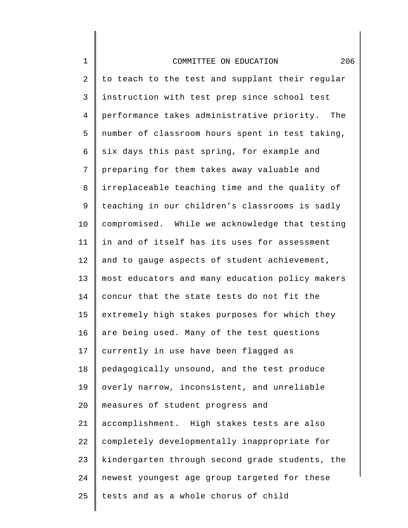| 1  | 206<br>COMMITTEE ON EDUCATION                   |
|----|-------------------------------------------------|
| 2  | to teach to the test and supplant their regular |
| 3  | instruction with test prep since school test    |
| 4  | performance takes administrative priority. The  |
| 5  | number of classroom hours spent in test taking, |
| б  | six days this past spring, for example and      |
| 7  | preparing for them takes away valuable and      |
| 8  | irreplaceable teaching time and the quality of  |
| 9  | teaching in our children's classrooms is sadly  |
| 10 | compromised. While we acknowledge that testing  |
| 11 | in and of itself has its uses for assessment    |
| 12 | and to gauge aspects of student achievement,    |
| 13 | most educators and many education policy makers |
| 14 | concur that the state tests do not fit the      |
| 15 | extremely high stakes purposes for which they   |
| 16 | are being used. Many of the test questions      |
| 17 | currently in use have been flagged as           |
| 18 | pedagogically unsound, and the test produce     |
| 19 | overly narrow, inconsistent, and unreliable     |
| 20 | measures of student progress and                |
| 21 | accomplishment. High stakes tests are also      |
| 22 | completely developmentally inappropriate for    |
| 23 | kindergarten through second grade students, the |
| 24 | newest youngest age group targeted for these    |
| 25 | tests and as a whole chorus of child            |
|    |                                                 |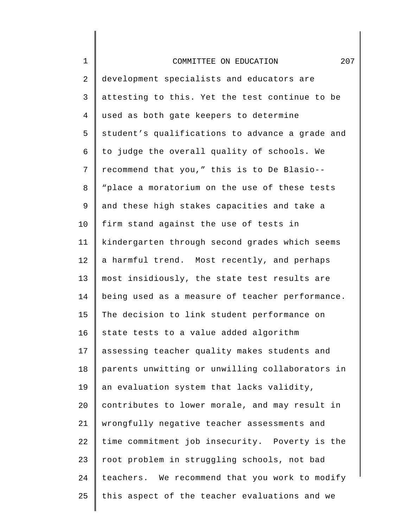| $1\,$          | 207<br>COMMITTEE ON EDUCATION                   |
|----------------|-------------------------------------------------|
| $\overline{2}$ | development specialists and educators are       |
| 3              | attesting to this. Yet the test continue to be  |
| $\overline{4}$ | used as both gate keepers to determine          |
| 5              | student's qualifications to advance a grade and |
| 6              | to judge the overall quality of schools. We     |
| 7              | recommend that you," this is to De Blasio--     |
| 8              | "place a moratorium on the use of these tests   |
| 9              | and these high stakes capacities and take a     |
| 10             | firm stand against the use of tests in          |
| 11             | kindergarten through second grades which seems  |
| 12             | a harmful trend. Most recently, and perhaps     |
| 13             | most insidiously, the state test results are    |
| 14             | being used as a measure of teacher performance. |
| 15             | The decision to link student performance on     |
| 16             | state tests to a value added algorithm          |
| 17             | assessing teacher quality makes students and    |
| 18             | parents unwitting or unwilling collaborators in |
| 19             | an evaluation system that lacks validity,       |
| 20             | contributes to lower morale, and may result in  |
| 21             | wrongfully negative teacher assessments and     |
| 22             | time commitment job insecurity. Poverty is the  |
| 23             | root problem in struggling schools, not bad     |
| 24             | teachers. We recommend that you work to modify  |
| 25             | this aspect of the teacher evaluations and we   |
|                |                                                 |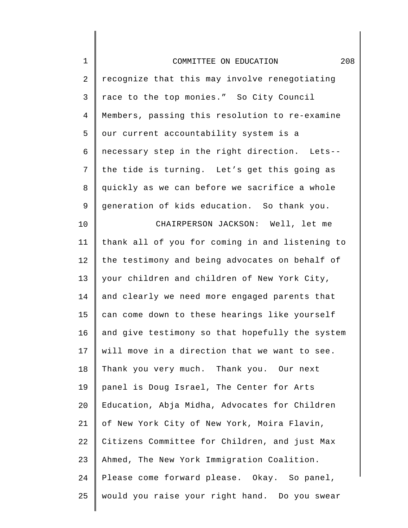| $\mathbf 1$    | 208<br>COMMITTEE ON EDUCATION                   |
|----------------|-------------------------------------------------|
| $\overline{2}$ | recognize that this may involve renegotiating   |
| 3              | race to the top monies." So City Council        |
| 4              | Members, passing this resolution to re-examine  |
| 5              | our current accountability system is a          |
| 6              | necessary step in the right direction. Lets--   |
| 7              | the tide is turning. Let's get this going as    |
| 8              | quickly as we can before we sacrifice a whole   |
| 9              | generation of kids education. So thank you.     |
| 10             | CHAIRPERSON JACKSON: Well, let me               |
| 11             | thank all of you for coming in and listening to |
| 12             | the testimony and being advocates on behalf of  |
| 13             | your children and children of New York City,    |
| 14             | and clearly we need more engaged parents that   |
| 15             | can come down to these hearings like yourself   |
| 16             | and give testimony so that hopefully the system |
| 17             | will move in a direction that we want to see.   |
| 18             | Thank you very much. Thank you. Our next        |
| 19             | panel is Doug Israel, The Center for Arts       |
| 20             | Education, Abja Midha, Advocates for Children   |
| 21             | of New York City of New York, Moira Flavin,     |
| 22             | Citizens Committee for Children, and just Max   |
| 23             | Ahmed, The New York Immigration Coalition.      |
| 24             | Please come forward please. Okay. So panel,     |
| 25             | would you raise your right hand. Do you swear   |
|                |                                                 |

∥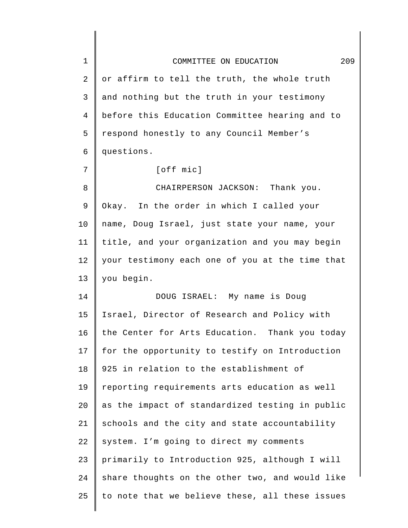| $\mathbf 1$ | 209<br>COMMITTEE ON EDUCATION                   |
|-------------|-------------------------------------------------|
| 2           | or affirm to tell the truth, the whole truth    |
| 3           | and nothing but the truth in your testimony     |
| 4           | before this Education Committee hearing and to  |
| 5           | respond honestly to any Council Member's        |
| 6           | questions.                                      |
| 7           | [off mic]                                       |
| 8           | CHAIRPERSON JACKSON: Thank you.                 |
| 9           | Okay. In the order in which I called your       |
| 10          | name, Doug Israel, just state your name, your   |
| 11          | title, and your organization and you may begin  |
| 12          | your testimony each one of you at the time that |
| 13          | you begin.                                      |
| 14          | DOUG ISRAEL: My name is Doug                    |
| 15          | Israel, Director of Research and Policy with    |
| 16          | the Center for Arts Education. Thank you today  |
| 17          | for the opportunity to testify on Introduction  |
| 18          | 925 in relation to the establishment of         |
| 19          | reporting requirements arts education as well   |
| 20          | as the impact of standardized testing in public |
| 21          | schools and the city and state accountability   |
| 22          | system. I'm going to direct my comments         |
| 23          | primarily to Introduction 925, although I will  |
| 24          | share thoughts on the other two, and would like |
| 25          | to note that we believe these, all these issues |
|             |                                                 |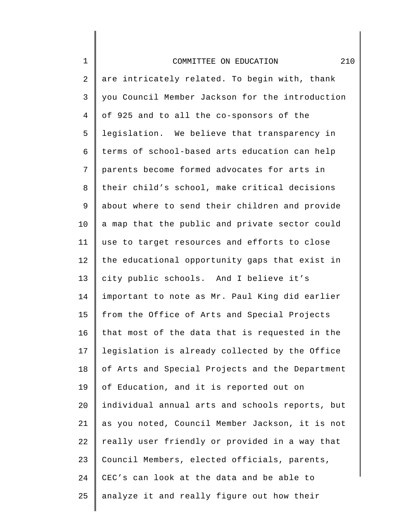| $\mathbf 1$    | 210<br>COMMITTEE ON EDUCATION                   |
|----------------|-------------------------------------------------|
| 2              | are intricately related. To begin with, thank   |
| $\mathsf{3}$   | you Council Member Jackson for the introduction |
| $\overline{4}$ | of 925 and to all the co-sponsors of the        |
| 5              | legislation. We believe that transparency in    |
| 6              | terms of school-based arts education can help   |
| 7              | parents become formed advocates for arts in     |
| 8              | their child's school, make critical decisions   |
| 9              | about where to send their children and provide  |
| 10             | a map that the public and private sector could  |
| 11             | use to target resources and efforts to close    |
| 12             | the educational opportunity gaps that exist in  |
| 13             | city public schools. And I believe it's         |
| 14             | important to note as Mr. Paul King did earlier  |
| 15             | from the Office of Arts and Special Projects    |
| 16             | that most of the data that is requested in the  |
| 17             | legislation is already collected by the Office  |
| 18             | of Arts and Special Projects and the Department |
| 19             | of Education, and it is reported out on         |
| 20             | individual annual arts and schools reports, but |
| 21             | as you noted, Council Member Jackson, it is not |
| 22             | really user friendly or provided in a way that  |
| 23             | Council Members, elected officials, parents,    |
| 24             | CEC's can look at the data and be able to       |
| 25             | analyze it and really figure out how their      |
|                |                                                 |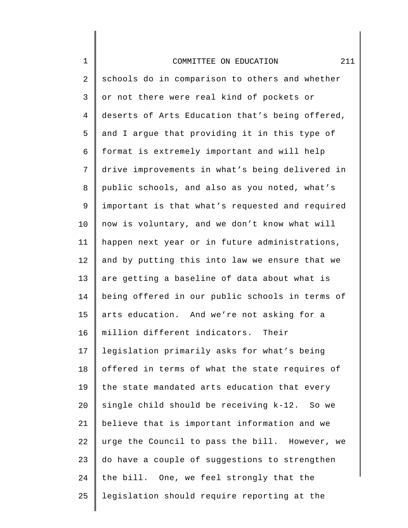| $\mathbf 1$    | 211<br>COMMITTEE ON EDUCATION                   |
|----------------|-------------------------------------------------|
| 2              | schools do in comparison to others and whether  |
| 3              | or not there were real kind of pockets or       |
| $\overline{4}$ | deserts of Arts Education that's being offered, |
| 5              | and I argue that providing it in this type of   |
| 6              | format is extremely important and will help     |
| 7              | drive improvements in what's being delivered in |
| 8              | public schools, and also as you noted, what's   |
| 9              | important is that what's requested and required |
| 10             | now is voluntary, and we don't know what will   |
| 11             | happen next year or in future administrations,  |
| 12             | and by putting this into law we ensure that we  |
| 13             | are getting a baseline of data about what is    |
| 14             | being offered in our public schools in terms of |
| 15             | arts education. And we're not asking for a      |
| 16             | million different indicators. Their             |
| 17             | legislation primarily asks for what's being     |
| 18             | offered in terms of what the state requires of  |
| 19             | the state mandated arts education that every    |
| 20             | single child should be receiving k-12. So we    |
| 21             | believe that is important information and we    |
| 22             | urge the Council to pass the bill. However, we  |
| 23             | do have a couple of suggestions to strengthen   |
| 24             | the bill. One, we feel strongly that the        |
| 25             | legislation should require reporting at the     |
|                |                                                 |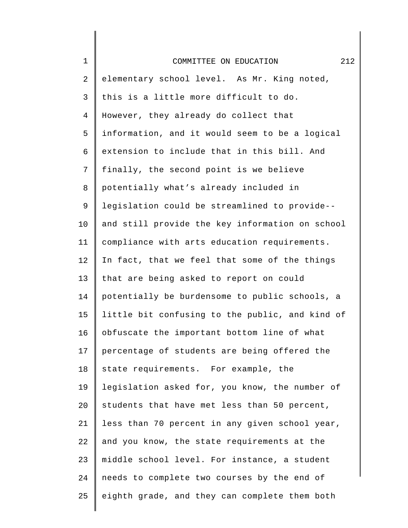| $\mathbf 1$    | 212<br>COMMITTEE ON EDUCATION                   |
|----------------|-------------------------------------------------|
| $\sqrt{2}$     | elementary school level. As Mr. King noted,     |
| $\mathsf{3}$   | this is a little more difficult to do.          |
| $\overline{4}$ | However, they already do collect that           |
| 5              | information, and it would seem to be a logical  |
| 6              | extension to include that in this bill. And     |
| $\overline{7}$ | finally, the second point is we believe         |
| 8              | potentially what's already included in          |
| 9              | legislation could be streamlined to provide--   |
| 10             | and still provide the key information on school |
| 11             | compliance with arts education requirements.    |
| 12             | In fact, that we feel that some of the things   |
| 13             | that are being asked to report on could         |
| 14             | potentially be burdensome to public schools, a  |
| 15             | little bit confusing to the public, and kind of |
| 16             | obfuscate the important bottom line of what     |
| 17             | percentage of students are being offered the    |
| 18             | state requirements. For example, the            |
| 19             | legislation asked for, you know, the number of  |
| 20             | students that have met less than 50 percent,    |
| 21             | less than 70 percent in any given school year,  |
| 22             | and you know, the state requirements at the     |
| 23             | middle school level. For instance, a student    |
| 24             | needs to complete two courses by the end of     |
| 25             | eighth grade, and they can complete them both   |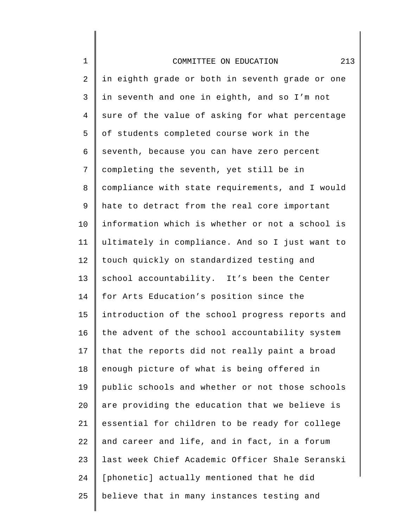| $\mathbf 1$    | 213<br>COMMITTEE ON EDUCATION                   |
|----------------|-------------------------------------------------|
| $\overline{a}$ | in eighth grade or both in seventh grade or one |
| 3              | in seventh and one in eighth, and so I'm not    |
| $\overline{4}$ | sure of the value of asking for what percentage |
| 5              | of students completed course work in the        |
| 6              | seventh, because you can have zero percent      |
| 7              | completing the seventh, yet still be in         |
| 8              | compliance with state requirements, and I would |
| 9              | hate to detract from the real core important    |
| 10             | information which is whether or not a school is |
| 11             | ultimately in compliance. And so I just want to |
| 12             | touch quickly on standardized testing and       |
| 13             | school accountability. It's been the Center     |
| 14             | for Arts Education's position since the         |
| 15             | introduction of the school progress reports and |
| 16             | the advent of the school accountability system  |
| 17             | that the reports did not really paint a broad   |
| 18             | enough picture of what is being offered in      |
| 19             | public schools and whether or not those schools |
| 20             | are providing the education that we believe is  |
| 21             | essential for children to be ready for college  |
| 22             | and career and life, and in fact, in a forum    |
| 23             | last week Chief Academic Officer Shale Seranski |
| 24             | [phonetic] actually mentioned that he did       |
| 25             | believe that in many instances testing and      |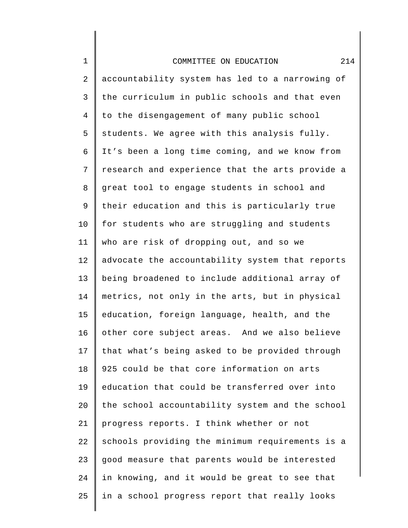| $\mathbf 1$    | 214<br>COMMITTEE ON EDUCATION                   |
|----------------|-------------------------------------------------|
| 2              | accountability system has led to a narrowing of |
| 3              | the curriculum in public schools and that even  |
| $\overline{4}$ | to the disengagement of many public school      |
| 5              | students. We agree with this analysis fully.    |
| 6              | It's been a long time coming, and we know from  |
| 7              | research and experience that the arts provide a |
| 8              | great tool to engage students in school and     |
| 9              | their education and this is particularly true   |
| 10             | for students who are struggling and students    |
| 11             | who are risk of dropping out, and so we         |
| 12             | advocate the accountability system that reports |
| 13             | being broadened to include additional array of  |
| 14             | metrics, not only in the arts, but in physical  |
| 15             | education, foreign language, health, and the    |
| 16             | other core subject areas. And we also believe   |
| 17             | that what's being asked to be provided through  |
| 18             | 925 could be that core information on arts      |
| 19             | education that could be transferred over into   |
| 20             | the school accountability system and the school |
| 21             | progress reports. I think whether or not        |
| 22             | schools providing the minimum requirements is a |
| 23             | good measure that parents would be interested   |
| 24             | in knowing, and it would be great to see that   |
| 25             | in a school progress report that really looks   |
|                |                                                 |

∥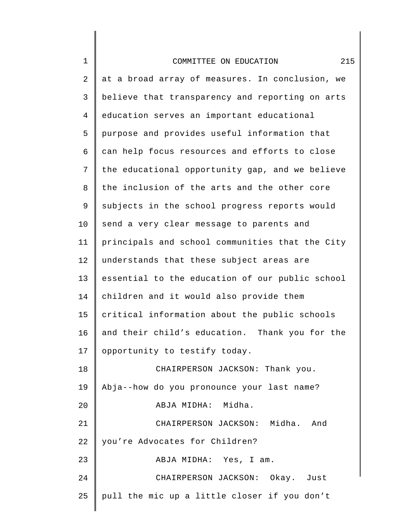| $\mathbf 1$    | 215<br>COMMITTEE ON EDUCATION                   |
|----------------|-------------------------------------------------|
| 2              | at a broad array of measures. In conclusion, we |
| 3              | believe that transparency and reporting on arts |
| $\overline{4}$ | education serves an important educational       |
| 5              | purpose and provides useful information that    |
| 6              | can help focus resources and efforts to close   |
| 7              | the educational opportunity gap, and we believe |
| 8              | the inclusion of the arts and the other core    |
| 9              | subjects in the school progress reports would   |
| 10             | send a very clear message to parents and        |
| 11             | principals and school communities that the City |
| 12             | understands that these subject areas are        |
| 13             | essential to the education of our public school |
| 14             | children and it would also provide them         |
| 15             | critical information about the public schools   |
| 16             | and their child's education. Thank you for the  |
| 17             | opportunity to testify today.                   |
| 18             | CHAIRPERSON JACKSON: Thank you.                 |
| 19             | Abja--how do you pronounce your last name?      |
| 20             | ABJA MIDHA: Midha.                              |
| 21             | CHAIRPERSON JACKSON: Midha. And                 |
| 22             | you're Advocates for Children?                  |
| 23             | ABJA MIDHA: Yes, I am.                          |
| 24             | CHAIRPERSON JACKSON: Okay. Just                 |
| 25             | pull the mic up a little closer if you don't    |
|                |                                                 |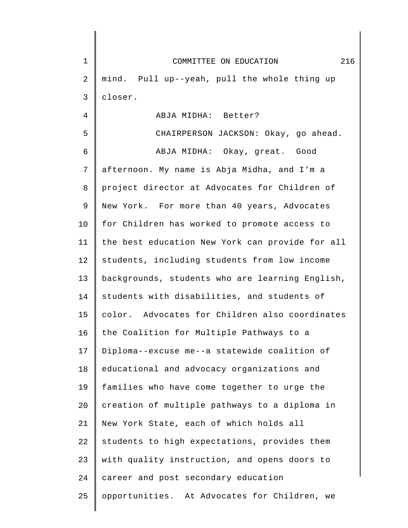| 1  | 216<br>COMMITTEE ON EDUCATION                   |
|----|-------------------------------------------------|
| 2  | mind. Pull up--yeah, pull the whole thing up    |
| 3  | closer.                                         |
| 4  | ABJA MIDHA: Better?                             |
| 5  | CHAIRPERSON JACKSON: Okay, go ahead.            |
| 6  | ABJA MIDHA: Okay, great. Good                   |
| 7  | afternoon. My name is Abja Midha, and I'm a     |
| 8  | project director at Advocates for Children of   |
| 9  | New York. For more than 40 years, Advocates     |
| 10 | for Children has worked to promote access to    |
| 11 | the best education New York can provide for all |
| 12 | students, including students from low income    |
| 13 | backgrounds, students who are learning English, |
| 14 | students with disabilities, and students of     |
| 15 | color. Advocates for Children also coordinates  |
| 16 | the Coalition for Multiple Pathways to a        |
| 17 | Diploma--excuse me--a statewide coalition of    |
| 18 | educational and advocacy organizations and      |
| 19 | families who have come together to urge the     |
| 20 | creation of multiple pathways to a diploma in   |
| 21 | New York State, each of which holds all         |
| 22 | students to high expectations, provides them    |
| 23 | with quality instruction, and opens doors to    |
| 24 | career and post secondary education             |
| 25 | opportunities. At Advocates for Children, we    |
|    |                                                 |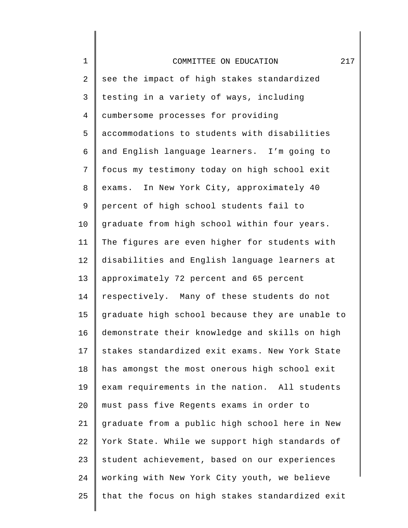| $\mathbf 1$    | 217<br>COMMITTEE ON EDUCATION                   |
|----------------|-------------------------------------------------|
| $\overline{2}$ | see the impact of high stakes standardized      |
| 3              | testing in a variety of ways, including         |
| $\overline{4}$ | cumbersome processes for providing              |
| 5              | accommodations to students with disabilities    |
| 6              | and English language learners. I'm going to     |
| 7              | focus my testimony today on high school exit    |
| 8              | exams. In New York City, approximately 40       |
| 9              | percent of high school students fail to         |
| 10             | graduate from high school within four years.    |
| 11             | The figures are even higher for students with   |
| 12             | disabilities and English language learners at   |
| 13             | approximately 72 percent and 65 percent         |
| 14             | respectively. Many of these students do not     |
| 15             | graduate high school because they are unable to |
| 16             | demonstrate their knowledge and skills on high  |
| 17             | stakes standardized exit exams. New York State  |
| 18             | has amongst the most onerous high school exit   |
| 19             | exam requirements in the nation. All students   |
| 20             | must pass five Regents exams in order to        |
| 21             | graduate from a public high school here in New  |
| 22             | York State. While we support high standards of  |
| 23             | student achievement, based on our experiences   |
| 24             | working with New York City youth, we believe    |
| 25             | that the focus on high stakes standardized exit |
|                |                                                 |

∥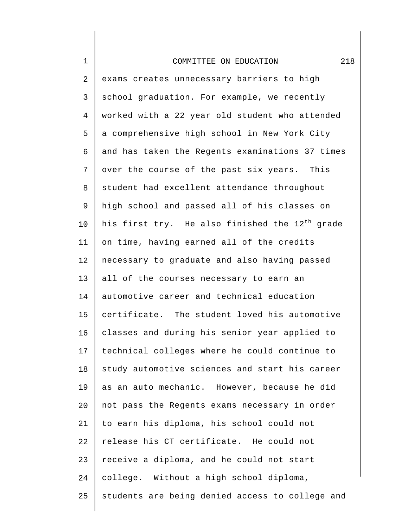| $\mathbf 1$    | 218<br>COMMITTEE ON EDUCATION                              |
|----------------|------------------------------------------------------------|
| 2              | exams creates unnecessary barriers to high                 |
| 3              | school graduation. For example, we recently                |
| $\overline{4}$ | worked with a 22 year old student who attended             |
| 5              | a comprehensive high school in New York City               |
| 6              | and has taken the Regents examinations 37 times            |
| 7              | over the course of the past six years. This                |
| 8              | student had excellent attendance throughout                |
| 9              | high school and passed all of his classes on               |
| 10             | his first try. He also finished the 12 <sup>th</sup> grade |
| 11             | on time, having earned all of the credits                  |
| 12             | necessary to graduate and also having passed               |
| 13             | all of the courses necessary to earn an                    |
| 14             | automotive career and technical education                  |
| 15             | certificate. The student loved his automotive              |
| 16             | classes and during his senior year applied to              |
| 17             | technical colleges where he could continue to              |
| 18             | study automotive sciences and start his career             |
| 19             | as an auto mechanic. However, because he did               |
| 20             | not pass the Regents exams necessary in order              |
| 21             | to earn his diploma, his school could not                  |
| 22             | release his CT certificate. He could not                   |
| 23             | receive a diploma, and he could not start                  |
| 24             | college. Without a high school diploma,                    |
| 25             | students are being denied access to college and            |
|                |                                                            |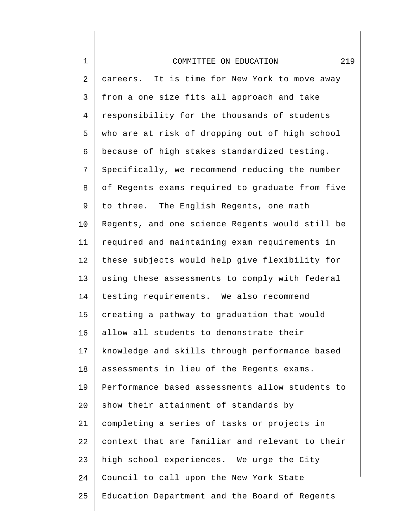| $\mathbf 1$ | 219<br>COMMITTEE ON EDUCATION                   |
|-------------|-------------------------------------------------|
| 2           | careers. It is time for New York to move away   |
| 3           | from a one size fits all approach and take      |
| 4           | responsibility for the thousands of students    |
| 5           | who are at risk of dropping out of high school  |
| 6           | because of high stakes standardized testing.    |
| 7           | Specifically, we recommend reducing the number  |
| 8           | of Regents exams required to graduate from five |
| 9           | to three. The English Regents, one math         |
| 10          | Regents, and one science Regents would still be |
| 11          | required and maintaining exam requirements in   |
| 12          | these subjects would help give flexibility for  |
| 13          | using these assessments to comply with federal  |
| 14          | testing requirements. We also recommend         |
| 15          | creating a pathway to graduation that would     |
| 16          | allow all students to demonstrate their         |
| 17          | knowledge and skills through performance based  |
| 18          | assessments in lieu of the Regents exams.       |
| 19          | Performance based assessments allow students to |
| 20          | show their attainment of standards by           |
| 21          | completing a series of tasks or projects in     |
| 22          | context that are familiar and relevant to their |
| 23          | high school experiences. We urge the City       |

25 Education Department and the Board of Regents

Council to call upon the New York State

24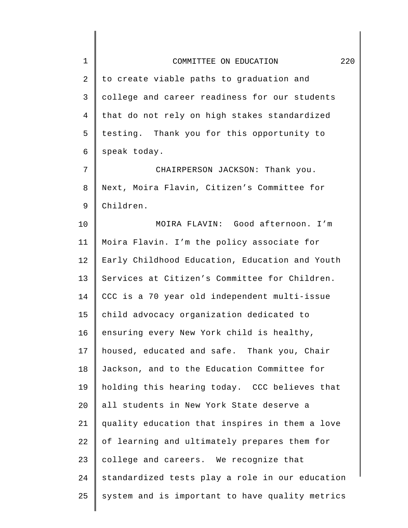| $\mathbf 1$    | 220<br>COMMITTEE ON EDUCATION                   |
|----------------|-------------------------------------------------|
| $\overline{2}$ | to create viable paths to graduation and        |
| 3              | college and career readiness for our students   |
| 4              | that do not rely on high stakes standardized    |
| 5              | testing. Thank you for this opportunity to      |
| 6              | speak today.                                    |
| 7              | CHAIRPERSON JACKSON: Thank you.                 |
| 8              | Next, Moira Flavin, Citizen's Committee for     |
| 9              | Children.                                       |
| 10             | MOIRA FLAVIN: Good afternoon. I'm               |
| 11             | Moira Flavin. I'm the policy associate for      |
| 12             | Early Childhood Education, Education and Youth  |
| 13             | Services at Citizen's Committee for Children.   |
| 14             | CCC is a 70 year old independent multi-issue    |
| 15             | child advocacy organization dedicated to        |
| 16             | ensuring every New York child is healthy,       |
| 17             | housed, educated and safe. Thank you, Chair     |
| 18             | Jackson, and to the Education Committee for     |
| 19             | holding this hearing today. CCC believes that   |
| 20             | all students in New York State deserve a        |
| 21             | quality education that inspires in them a love  |
| 22             | of learning and ultimately prepares them for    |
| 23             | college and careers. We recognize that          |
| 24             | standardized tests play a role in our education |
| 25             | system and is important to have quality metrics |
|                |                                                 |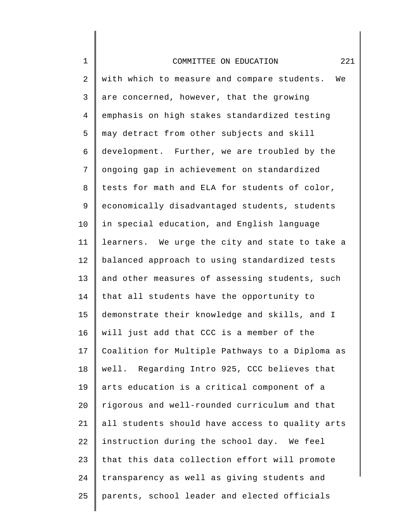| $\mathbf 1$    | 221<br>COMMITTEE ON EDUCATION                     |
|----------------|---------------------------------------------------|
| 2              | with which to measure and compare students.<br>We |
| $\mathsf{3}$   | are concerned, however, that the growing          |
| $\overline{4}$ | emphasis on high stakes standardized testing      |
| 5              | may detract from other subjects and skill         |
| 6              | development. Further, we are troubled by the      |
| 7              | ongoing gap in achievement on standardized        |
| 8              | tests for math and ELA for students of color,     |
| 9              | economically disadvantaged students, students     |
| 10             | in special education, and English language        |
| 11             | learners. We urge the city and state to take a    |
| 12             | balanced approach to using standardized tests     |
| 13             | and other measures of assessing students, such    |
| 14             | that all students have the opportunity to         |
| 15             | demonstrate their knowledge and skills, and I     |
| 16             | will just add that CCC is a member of the         |
| 17             | Coalition for Multiple Pathways to a Diploma as   |
| 18             | well. Regarding Intro 925, CCC believes that      |
| 19             | arts education is a critical component of a       |
| 20             | rigorous and well-rounded curriculum and that     |
| 21             | all students should have access to quality arts   |
| 22             | instruction during the school day. We feel        |
| 23             | that this data collection effort will promote     |
| 24             | transparency as well as giving students and       |
| 25             | parents, school leader and elected officials      |
|                |                                                   |

∥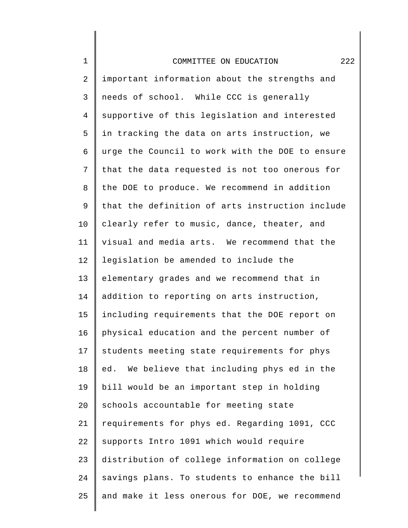## COMMITTEE ON EDUCATION 222

1

2 3 4 5 6 7 8 9 10 11 12 13 14 15 16 17 18 19 20 21 22 23 24 25 important information about the strengths and needs of school. While CCC is generally supportive of this legislation and interested in tracking the data on arts instruction, we urge the Council to work with the DOE to ensure that the data requested is not too onerous for the DOE to produce. We recommend in addition that the definition of arts instruction include clearly refer to music, dance, theater, and visual and media arts. We recommend that the legislation be amended to include the elementary grades and we recommend that in addition to reporting on arts instruction, including requirements that the DOE report on physical education and the percent number of students meeting state requirements for phys ed. We believe that including phys ed in the bill would be an important step in holding schools accountable for meeting state requirements for phys ed. Regarding 1091, CCC supports Intro 1091 which would require distribution of college information on college savings plans. To students to enhance the bill and make it less onerous for DOE, we recommend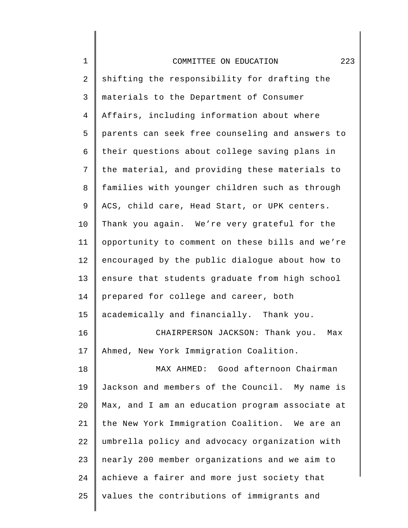| COMMITTEE ON EDUCATION |
|------------------------|
|                        |

1

2 3 4 5 6 7 8 9 10 11 12 13 14 15 16 17 18 19 20 21 22 23 24 25 shifting the responsibility for drafting the materials to the Department of Consumer Affairs, including information about where parents can seek free counseling and answers to their questions about college saving plans in the material, and providing these materials to families with younger children such as through ACS, child care, Head Start, or UPK centers. Thank you again. We're very grateful for the opportunity to comment on these bills and we're encouraged by the public dialogue about how to ensure that students graduate from high school prepared for college and career, both academically and financially. Thank you. CHAIRPERSON JACKSON: Thank you. Max Ahmed, New York Immigration Coalition. MAX AHMED: Good afternoon Chairman Jackson and members of the Council. My name is Max, and I am an education program associate at the New York Immigration Coalition. We are an umbrella policy and advocacy organization with nearly 200 member organizations and we aim to achieve a fairer and more just society that values the contributions of immigrants and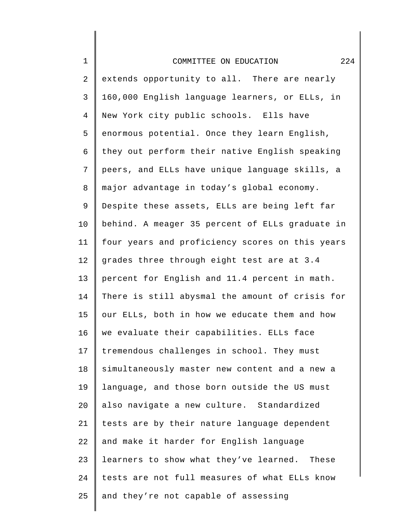| $1\,$          | 224<br>COMMITTEE ON EDUCATION                   |
|----------------|-------------------------------------------------|
| $\sqrt{2}$     | extends opportunity to all. There are nearly    |
| 3              | 160,000 English language learners, or ELLs, in  |
| $\overline{4}$ | New York city public schools. Ells have         |
| 5              | enormous potential. Once they learn English,    |
| 6              | they out perform their native English speaking  |
| $\overline{7}$ | peers, and ELLs have unique language skills, a  |
| 8              | major advantage in today's global economy.      |
| 9              | Despite these assets, ELLs are being left far   |
| 10             | behind. A meager 35 percent of ELLs graduate in |
| 11             | four years and proficiency scores on this years |
| 12             | grades three through eight test are at 3.4      |
| 13             | percent for English and 11.4 percent in math.   |
| 14             | There is still abysmal the amount of crisis for |
| 15             | our ELLs, both in how we educate them and how   |
| 16             | we evaluate their capabilities. ELLs face       |
| 17             | tremendous challenges in school. They must      |
| 18             | simultaneously master new content and a new a   |
| 19             | language, and those born outside the US must    |
| 20             | also navigate a new culture. Standardized       |
| 21             | tests are by their nature language dependent    |
| 22             | and make it harder for English language         |
| 23             | learners to show what they've learned. These    |
| 24             | tests are not full measures of what ELLs know   |
| 25             | and they're not capable of assessing            |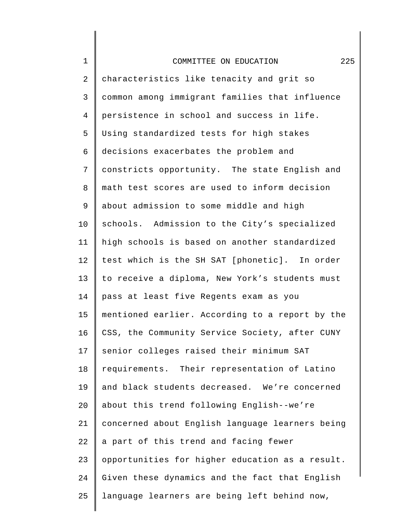| $\mathbf 1$    | 225<br>COMMITTEE ON EDUCATION                   |
|----------------|-------------------------------------------------|
| $\overline{2}$ | characteristics like tenacity and grit so       |
| 3              | common among immigrant families that influence  |
| $\overline{4}$ | persistence in school and success in life.      |
| 5              | Using standardized tests for high stakes        |
| 6              | decisions exacerbates the problem and           |
| 7              | constricts opportunity. The state English and   |
| 8              | math test scores are used to inform decision    |
| 9              | about admission to some middle and high         |
| 10             | schools. Admission to the City's specialized    |
| 11             | high schools is based on another standardized   |
| 12             | test which is the SH SAT [phonetic]. In order   |
| 13             | to receive a diploma, New York's students must  |
| 14             | pass at least five Regents exam as you          |
| 15             | mentioned earlier. According to a report by the |
| 16             | CSS, the Community Service Society, after CUNY  |
| 17             | senior colleges raised their minimum SAT        |
| 18             | requirements. Their representation of Latino    |
| 19             | and black students decreased. We're concerned   |
| 20             | about this trend following English--we're       |
| 21             | concerned about English language learners being |
| 22             | a part of this trend and facing fewer           |
| 23             | opportunities for higher education as a result. |
| 24             | Given these dynamics and the fact that English  |
| 25             | language learners are being left behind now,    |
|                |                                                 |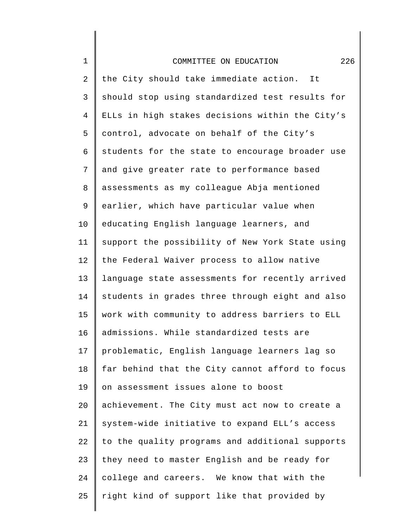| $\mathbf 1$    | 226<br>COMMITTEE ON EDUCATION                   |
|----------------|-------------------------------------------------|
| $\overline{2}$ | the City should take immediate action. It       |
| 3              | should stop using standardized test results for |
| $\overline{4}$ | ELLs in high stakes decisions within the City's |
| 5              | control, advocate on behalf of the City's       |
| 6              | students for the state to encourage broader use |
| 7              | and give greater rate to performance based      |
| 8              | assessments as my colleague Abja mentioned      |
| 9              | earlier, which have particular value when       |
| 10             | educating English language learners, and        |
| 11             | support the possibility of New York State using |
| 12             | the Federal Waiver process to allow native      |
| 13             | language state assessments for recently arrived |
| 14             | students in grades three through eight and also |
| 15             | work with community to address barriers to ELL  |
| 16             | admissions. While standardized tests are        |
| 17             | problematic, English language learners lag so   |
| 18             | far behind that the City cannot afford to focus |
| 19             | on assessment issues alone to boost             |
| 20             | achievement. The City must act now to create a  |
| 21             | system-wide initiative to expand ELL's access   |
| 22             | to the quality programs and additional supports |
| 23             | they need to master English and be ready for    |
| 24             | college and careers. We know that with the      |
| 25             | right kind of support like that provided by     |
|                |                                                 |

I ∥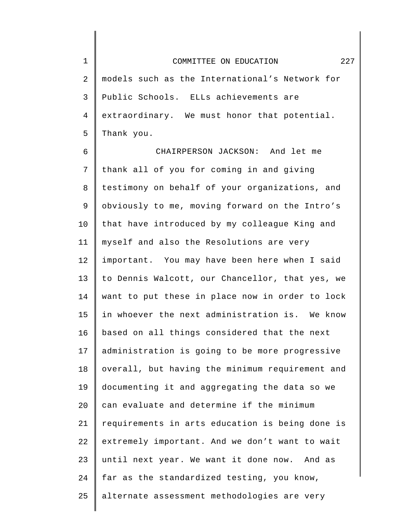1 2 3 4 5 COMMITTEE ON EDUCATION 227 models such as the International's Network for Public Schools. ELLs achievements are extraordinary. We must honor that potential. Thank you.

6 7 8 9 10 11 12 13 14 15 16 17 18 19 20 21 22 23 24 25 CHAIRPERSON JACKSON: And let me thank all of you for coming in and giving testimony on behalf of your organizations, and obviously to me, moving forward on the Intro's that have introduced by my colleague King and myself and also the Resolutions are very important. You may have been here when I said to Dennis Walcott, our Chancellor, that yes, we want to put these in place now in order to lock in whoever the next administration is. We know based on all things considered that the next administration is going to be more progressive overall, but having the minimum requirement and documenting it and aggregating the data so we can evaluate and determine if the minimum requirements in arts education is being done is extremely important. And we don't want to wait until next year. We want it done now. And as far as the standardized testing, you know, alternate assessment methodologies are very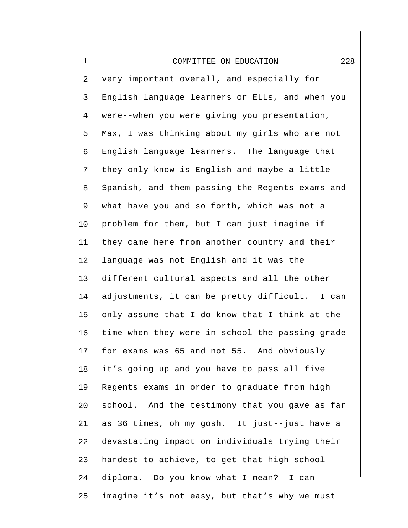| $\mathbf 1$ | 228<br>COMMITTEE ON EDUCATION                   |
|-------------|-------------------------------------------------|
| 2           | very important overall, and especially for      |
| 3           | English language learners or ELLs, and when you |
| 4           | were--when you were giving you presentation,    |
| 5           | Max, I was thinking about my girls who are not  |
| 6           | English language learners. The language that    |
| 7           | they only know is English and maybe a little    |
| 8           | Spanish, and them passing the Regents exams and |
| $\mathsf 9$ | what have you and so forth, which was not a     |
| 10          | problem for them, but I can just imagine if     |
| 11          | they came here from another country and their   |
| 12          | language was not English and it was the         |
| 13          | different cultural aspects and all the other    |
| 14          | adjustments, it can be pretty difficult. I can  |
| 15          | only assume that I do know that I think at the  |
| 16          | time when they were in school the passing grade |
| 17          | for exams was 65 and not 55. And obviously      |
| 18          | it's going up and you have to pass all five     |
| 19          | Regents exams in order to graduate from high    |
| 20          | school. And the testimony that you gave as far  |
| 21          | as 36 times, oh my gosh. It just--just have a   |
| 22          | devastating impact on individuals trying their  |
| 23          | hardest to achieve, to get that high school     |
| 24          | diploma. Do you know what I mean? I can         |
| 25          | imagine it's not easy, but that's why we must   |
|             |                                                 |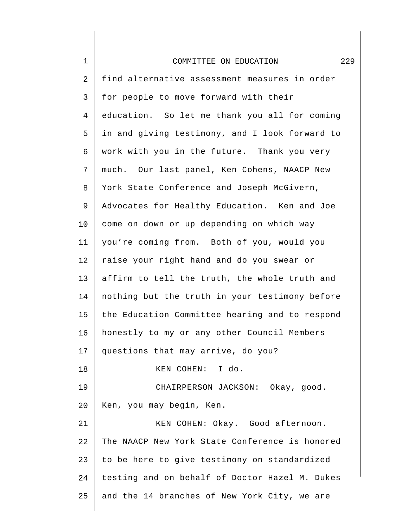| $\mathbf 1$ | 229<br>COMMITTEE ON EDUCATION                  |
|-------------|------------------------------------------------|
| 2           | find alternative assessment measures in order  |
| 3           | for people to move forward with their          |
| 4           | education. So let me thank you all for coming  |
| 5           | in and giving testimony, and I look forward to |
| 6           | work with you in the future. Thank you very    |
| 7           | much. Our last panel, Ken Cohens, NAACP New    |
| 8           | York State Conference and Joseph McGivern,     |
| 9           | Advocates for Healthy Education. Ken and Joe   |
| 10          | come on down or up depending on which way      |
| 11          | you're coming from. Both of you, would you     |
| 12          | raise your right hand and do you swear or      |
| 13          | affirm to tell the truth, the whole truth and  |
| 14          | nothing but the truth in your testimony before |
| 15          | the Education Committee hearing and to respond |
| 16          | honestly to my or any other Council Members    |
| 17          | questions that may arrive, do you?             |
| 18          | KEN COHEN: I do.                               |
| 19          | CHAIRPERSON JACKSON: Okay, good.               |
| 20          | Ken, you may begin, Ken.                       |
| 21          | KEN COHEN: Okay. Good afternoon.               |
| 22          | The NAACP New York State Conference is honored |
| 23          | to be here to give testimony on standardized   |
| 24          | testing and on behalf of Doctor Hazel M. Dukes |
| 25          | and the 14 branches of New York City, we are   |
|             |                                                |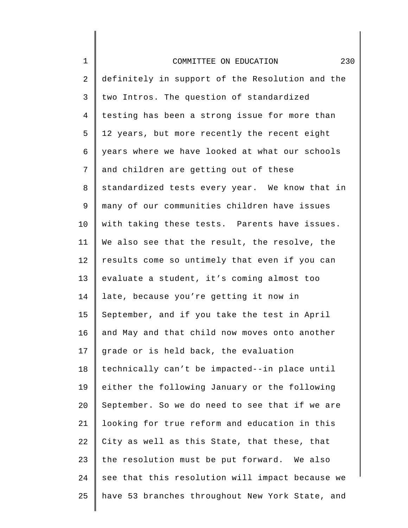| $\mathbf 1$    | 230<br>COMMITTEE ON EDUCATION                   |
|----------------|-------------------------------------------------|
| 2              | definitely in support of the Resolution and the |
| $\mathsf{3}$   | two Intros. The question of standardized        |
| $\overline{4}$ | testing has been a strong issue for more than   |
| 5              | 12 years, but more recently the recent eight    |
| 6              | years where we have looked at what our schools  |
| 7              | and children are getting out of these           |
| 8              | standardized tests every year. We know that in  |
| 9              | many of our communities children have issues    |
| 10             | with taking these tests. Parents have issues.   |
| 11             | We also see that the result, the resolve, the   |
| 12             | results come so untimely that even if you can   |
| 13             | evaluate a student, it's coming almost too      |
| 14             | late, because you're getting it now in          |
| 15             | September, and if you take the test in April    |
| 16             | and May and that child now moves onto another   |
| 17             | grade or is held back, the evaluation           |
| 18             | technically can't be impacted--in place until   |
| 19             | either the following January or the following   |
| 20             | September. So we do need to see that if we are  |
| 21             | looking for true reform and education in this   |
| 22             | City as well as this State, that these, that    |
| 23             | the resolution must be put forward. We also     |
| 24             | see that this resolution will impact because we |
| 25             | have 53 branches throughout New York State, and |
|                |                                                 |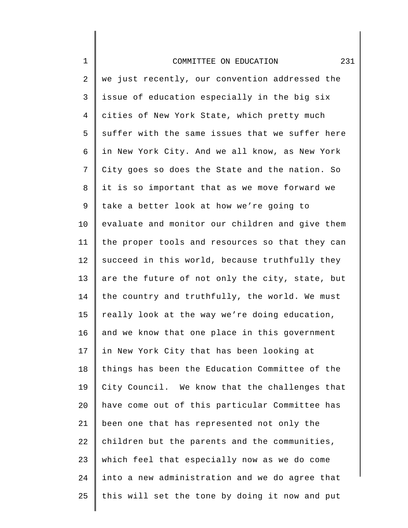| $\mathbf 1$ | 231<br>COMMITTEE ON EDUCATION                   |
|-------------|-------------------------------------------------|
| 2           | we just recently, our convention addressed the  |
| 3           | issue of education especially in the big six    |
| 4           | cities of New York State, which pretty much     |
| 5           | suffer with the same issues that we suffer here |
| 6           | in New York City. And we all know, as New York  |
| 7           | City goes so does the State and the nation. So  |
| 8           | it is so important that as we move forward we   |
| 9           | take a better look at how we're going to        |
| 10          | evaluate and monitor our children and give them |
| 11          | the proper tools and resources so that they can |
| 12          | succeed in this world, because truthfully they  |
| 13          | are the future of not only the city, state, but |
| 14          | the country and truthfully, the world. We must  |
| 15          | really look at the way we're doing education,   |
| 16          | and we know that one place in this government   |
| 17          | in New York City that has been looking at       |
| 18          | things has been the Education Committee of the  |
| 19          | City Council. We know that the challenges that  |
| 20          | have come out of this particular Committee has  |
| 21          | been one that has represented not only the      |
| 22          | children but the parents and the communities,   |
| 23          | which feel that especially now as we do come    |
| 24          | into a new administration and we do agree that  |
| 25          | this will set the tone by doing it now and put  |

 $\parallel$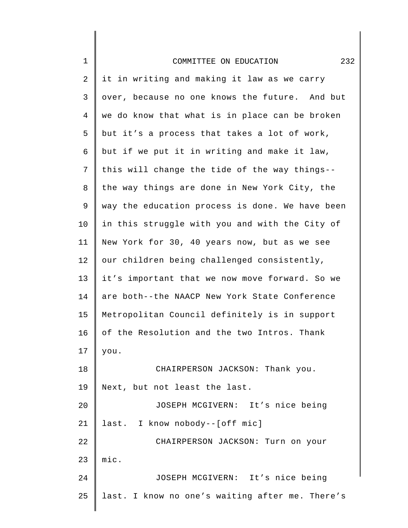| $\mathbf 1$ | 232<br>COMMITTEE ON EDUCATION                   |
|-------------|-------------------------------------------------|
| 2           | it in writing and making it law as we carry     |
| 3           | over, because no one knows the future. And but  |
| 4           | we do know that what is in place can be broken  |
| 5           | but it's a process that takes a lot of work,    |
| 6           | but if we put it in writing and make it law,    |
| 7           | this will change the tide of the way things--   |
| 8           | the way things are done in New York City, the   |
| 9           | way the education process is done. We have been |
| 10          | in this struggle with you and with the City of  |
| 11          | New York for 30, 40 years now, but as we see    |
| 12          | our children being challenged consistently,     |
| 13          | it's important that we now move forward. So we  |
| 14          | are both--the NAACP New York State Conference   |
| 15          | Metropolitan Council definitely is in support   |
| 16          | of the Resolution and the two Intros. Thank     |
| 17          | you.                                            |
| 18          | CHAIRPERSON JACKSON: Thank you.                 |
| 19          | Next, but not least the last.                   |
| 20          | JOSEPH MCGIVERN: It's nice being                |
| 21          | last. I know nobody--[off mic]                  |
| 22          | CHAIRPERSON JACKSON: Turn on your               |
| 23          | mic.                                            |
| 24          | JOSEPH MCGIVERN: It's nice being                |
| 25          | last. I know no one's waiting after me. There's |
|             |                                                 |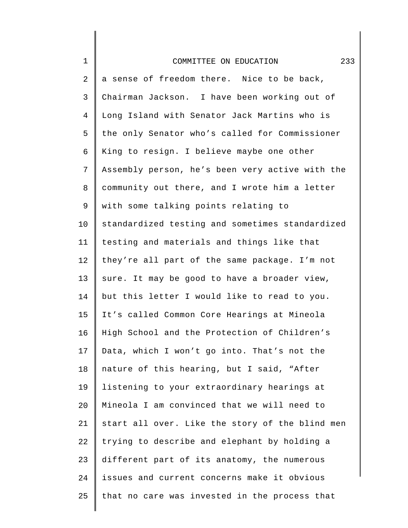| $\mathbf 1$    | 233<br>COMMITTEE ON EDUCATION                   |
|----------------|-------------------------------------------------|
| $\overline{2}$ | a sense of freedom there. Nice to be back,      |
| 3              | Chairman Jackson. I have been working out of    |
| $\overline{4}$ | Long Island with Senator Jack Martins who is    |
| 5              | the only Senator who's called for Commissioner  |
| 6              | King to resign. I believe maybe one other       |
| 7              | Assembly person, he's been very active with the |
| 8              | community out there, and I wrote him a letter   |
| 9              | with some talking points relating to            |
| 10             | standardized testing and sometimes standardized |
| 11             | testing and materials and things like that      |
| 12             | they're all part of the same package. I'm not   |
| 13             | sure. It may be good to have a broader view,    |
| 14             | but this letter I would like to read to you.    |
| 15             | It's called Common Core Hearings at Mineola     |
| 16             | High School and the Protection of Children's    |
| 17             | Data, which I won't go into. That's not the     |
| 18             | nature of this hearing, but I said, "After      |
| 19             | listening to your extraordinary hearings at     |
| 20             | Mineola I am convinced that we will need to     |
| 21             | start all over. Like the story of the blind men |
| 22             | trying to describe and elephant by holding a    |
| 23             | different part of its anatomy, the numerous     |
| 24             | issues and current concerns make it obvious     |
| 25             | that no care was invested in the process that   |
|                |                                                 |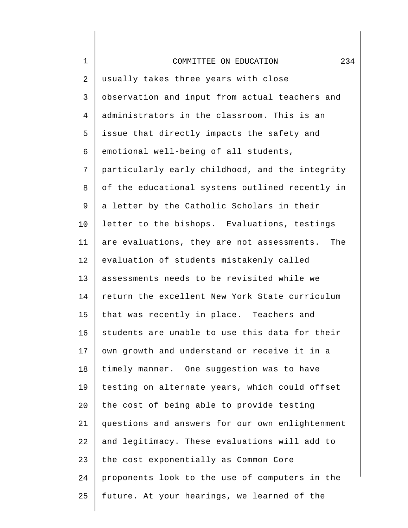| $\mathbf 1$      | 234<br>COMMITTEE ON EDUCATION                     |
|------------------|---------------------------------------------------|
| $\boldsymbol{2}$ | usually takes three years with close              |
| 3                | observation and input from actual teachers and    |
| $\overline{4}$   | administrators in the classroom. This is an       |
| 5                | issue that directly impacts the safety and        |
| 6                | emotional well-being of all students,             |
| 7                | particularly early childhood, and the integrity   |
| 8                | of the educational systems outlined recently in   |
| 9                | a letter by the Catholic Scholars in their        |
| 10               | letter to the bishops. Evaluations, testings      |
| 11               | are evaluations, they are not assessments.<br>The |
| 12               | evaluation of students mistakenly called          |
| 13               | assessments needs to be revisited while we        |
| 14               | return the excellent New York State curriculum    |
| 15               | that was recently in place. Teachers and          |
| 16               | students are unable to use this data for their    |
| 17               | own growth and understand or receive it in a      |
| 18               | timely manner. One suggestion was to have         |
| 19               | testing on alternate years, which could offset    |
| 20               | the cost of being able to provide testing         |
| 21               | questions and answers for our own enlightenment   |
| 22               | and legitimacy. These evaluations will add to     |
| 23               | the cost exponentially as Common Core             |
| 24               | proponents look to the use of computers in the    |
| 25               | future. At your hearings, we learned of the       |
|                  |                                                   |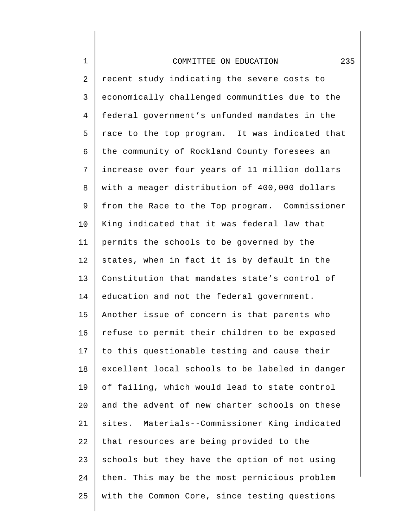## COMMITTEE ON EDUCATION 235

1

25

2 3 4 5 6 7 8 9 10 11 12 13 14 15 16 17 18 19  $20^{\circ}$ 21 22 23 24 recent study indicating the severe costs to economically challenged communities due to the federal government's unfunded mandates in the race to the top program. It was indicated that the community of Rockland County foresees an increase over four years of 11 million dollars with a meager distribution of 400,000 dollars from the Race to the Top program. Commissioner King indicated that it was federal law that permits the schools to be governed by the states, when in fact it is by default in the Constitution that mandates state's control of education and not the federal government. Another issue of concern is that parents who refuse to permit their children to be exposed to this questionable testing and cause their excellent local schools to be labeled in danger of failing, which would lead to state control and the advent of new charter schools on these sites. Materials--Commissioner King indicated that resources are being provided to the schools but they have the option of not using them. This may be the most pernicious problem

with the Common Core, since testing questions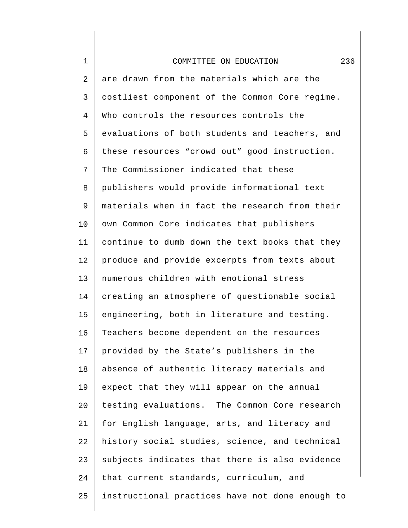| $1\,$          | 236<br>COMMITTEE ON EDUCATION                   |
|----------------|-------------------------------------------------|
| 2              | are drawn from the materials which are the      |
| 3              | costliest component of the Common Core regime.  |
| $\overline{4}$ | Who controls the resources controls the         |
| 5              | evaluations of both students and teachers, and  |
| 6              | these resources "crowd out" good instruction.   |
| 7              | The Commissioner indicated that these           |
| 8              | publishers would provide informational text     |
| 9              | materials when in fact the research from their  |
| 10             | own Common Core indicates that publishers       |
| 11             | continue to dumb down the text books that they  |
| 12             | produce and provide excerpts from texts about   |
| 13             | numerous children with emotional stress         |
| 14             | creating an atmosphere of questionable social   |
| 15             | engineering, both in literature and testing.    |
| 16             | Teachers become dependent on the resources      |
| 17             | provided by the State's publishers in the       |
| 18             | absence of authentic literacy materials and     |
| 19             | expect that they will appear on the annual      |
| 20             | testing evaluations. The Common Core research   |
| 21             | for English language, arts, and literacy and    |
| 22             | history social studies, science, and technical  |
| 23             | subjects indicates that there is also evidence  |
| 24             | that current standards, curriculum, and         |
| 25             | instructional practices have not done enough to |
|                |                                                 |

∥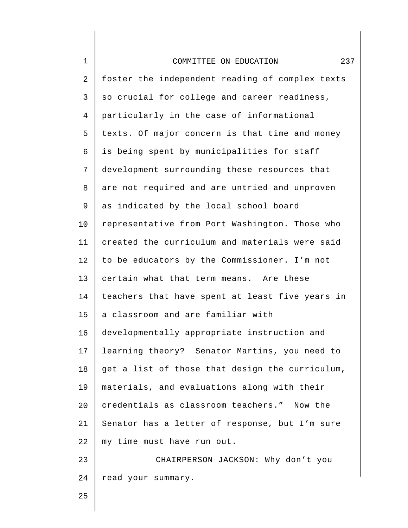| $\mathbf 1$    | 237<br>COMMITTEE ON EDUCATION                   |
|----------------|-------------------------------------------------|
| $\sqrt{2}$     | foster the independent reading of complex texts |
| 3              | so crucial for college and career readiness,    |
| $\overline{4}$ | particularly in the case of informational       |
| 5              | texts. Of major concern is that time and money  |
| 6              | is being spent by municipalities for staff      |
| 7              | development surrounding these resources that    |
| 8              | are not required and are untried and unproven   |
| 9              | as indicated by the local school board          |
| 10             | representative from Port Washington. Those who  |
| 11             | created the curriculum and materials were said  |
| 12             | to be educators by the Commissioner. I'm not    |
| 13             | certain what that term means. Are these         |
| 14             | teachers that have spent at least five years in |
| 15             | a classroom and are familiar with               |
| 16             | developmentally appropriate instruction and     |
| 17             | learning theory? Senator Martins, you need to   |
| 18             | get a list of those that design the curriculum, |
| 19             | materials, and evaluations along with their     |
| 20             | credentials as classroom teachers." Now the     |
| 21             | Senator has a letter of response, but I'm sure  |
| 22             | my time must have run out.                      |
| 23             | CHAIRPERSON JACKSON: Why don't you              |
| 24             | read your summary.                              |
| 25             |                                                 |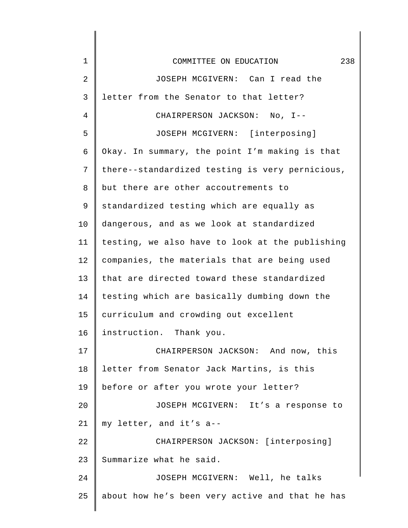| $\mathbf{1}$ | 238<br>COMMITTEE ON EDUCATION                   |
|--------------|-------------------------------------------------|
| 2            | JOSEPH MCGIVERN: Can I read the                 |
| 3            | letter from the Senator to that letter?         |
| 4            | CHAIRPERSON JACKSON: No, I--                    |
| 5            | JOSEPH MCGIVERN: [interposing]                  |
| 6            | Okay. In summary, the point I'm making is that  |
| 7            | there--standardized testing is very pernicious, |
| 8            | but there are other accoutrements to            |
| 9            | standardized testing which are equally as       |
| 10           | dangerous, and as we look at standardized       |
| 11           | testing, we also have to look at the publishing |
| 12           | companies, the materials that are being used    |
| 13           | that are directed toward these standardized     |
| 14           | testing which are basically dumbing down the    |
| 15           | curriculum and crowding out excellent           |
| 16           | instruction. Thank you.                         |
| 17           | CHAIRPERSON JACKSON: And now, this              |
| 18           | letter from Senator Jack Martins, is this       |
| 19           | before or after you wrote your letter?          |
| 20           | JOSEPH MCGIVERN: It's a response to             |
| 21           | my letter, and it's a--                         |
| 22           | CHAIRPERSON JACKSON: [interposing]              |
| 23           | Summarize what he said.                         |
| 24           | JOSEPH MCGIVERN: Well, he talks                 |
| 25           | about how he's been very active and that he has |
|              |                                                 |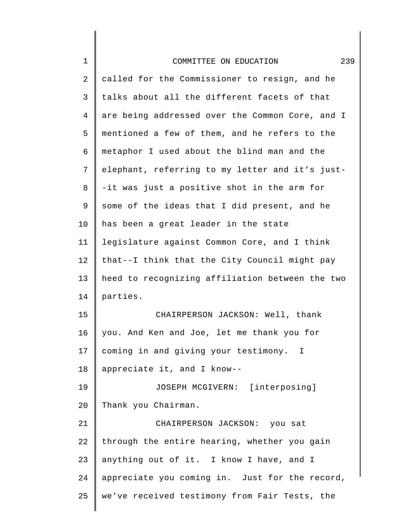| $\mathbf 1$ | 239<br>COMMITTEE ON EDUCATION                   |
|-------------|-------------------------------------------------|
| 2           | called for the Commissioner to resign, and he   |
| 3           | talks about all the different facets of that    |
| 4           | are being addressed over the Common Core, and I |
| 5           | mentioned a few of them, and he refers to the   |
| 6           | metaphor I used about the blind man and the     |
| 7           | elephant, referring to my letter and it's just- |
| 8           | -it was just a positive shot in the arm for     |
| 9           | some of the ideas that I did present, and he    |
| 10          | has been a great leader in the state            |
| 11          | legislature against Common Core, and I think    |
| 12          | that--I think that the City Council might pay   |
| 13          | heed to recognizing affiliation between the two |
| 14          | parties.                                        |
| 15          | CHAIRPERSON JACKSON: Well, thank                |
| 16          | you. And Ken and Joe, let me thank you for      |
| 17          | coming in and giving your testimony. I          |
| 18          | appreciate it, and I know--                     |
| 19          | JOSEPH MCGIVERN: [interposing]                  |
| 20          | Thank you Chairman.                             |
| 21          | CHAIRPERSON JACKSON: you sat                    |
| 22          | through the entire hearing, whether you gain    |
| 23          | anything out of it. I know I have, and I        |
| 24          | appreciate you coming in. Just for the record,  |
| 25          | we've received testimony from Fair Tests, the   |
|             |                                                 |

 $\begin{array}{c} \hline \end{array}$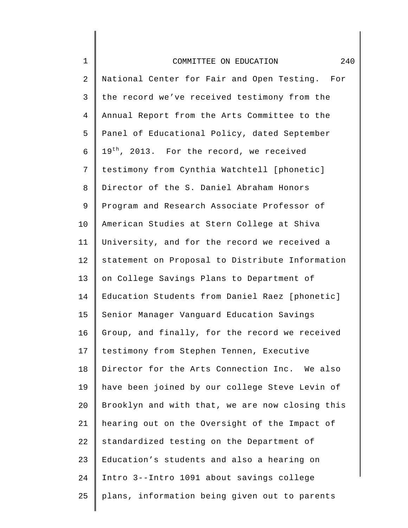| $1\,$          | 240<br>COMMITTEE ON EDUCATION                        |
|----------------|------------------------------------------------------|
| 2              | National Center for Fair and Open Testing. For       |
| $\mathsf{3}$   | the record we've received testimony from the         |
| $\overline{4}$ | Annual Report from the Arts Committee to the         |
| 5              | Panel of Educational Policy, dated September         |
| 6              | 19 <sup>th</sup> , 2013. For the record, we received |
| 7              | testimony from Cynthia Watchtell [phonetic]          |
| 8              | Director of the S. Daniel Abraham Honors             |
| 9              | Program and Research Associate Professor of          |
| $10 \,$        | American Studies at Stern College at Shiva           |
| 11             | University, and for the record we received a         |
| 12             | statement on Proposal to Distribute Information      |
| 13             | on College Savings Plans to Department of            |
| 14             | Education Students from Daniel Raez [phonetic]       |
| 15             | Senior Manager Vanguard Education Savings            |
| 16             | Group, and finally, for the record we received       |
| 17             | testimony from Stephen Tennen, Executive             |
| 18             | Director for the Arts Connection Inc. We also        |
| 19             | have been joined by our college Steve Levin of       |
| 20             | Brooklyn and with that, we are now closing this      |
| 21             | hearing out on the Oversight of the Impact of        |
| 22             | standardized testing on the Department of            |
| 23             | Education's students and also a hearing on           |
| 24             | Intro 3--Intro 1091 about savings college            |
| 25             | plans, information being given out to parents        |
|                |                                                      |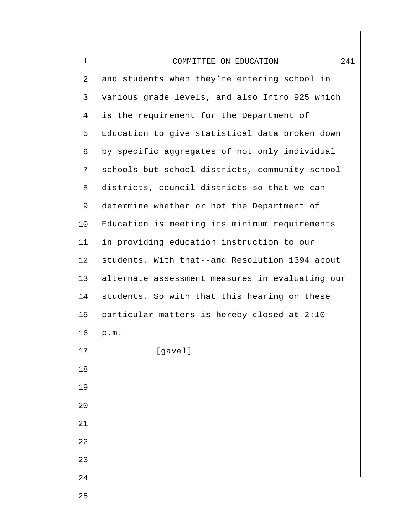| $\mathbf 1$    | 241<br>COMMITTEE ON EDUCATION                   |
|----------------|-------------------------------------------------|
| 2              | and students when they're entering school in    |
| 3              | various grade levels, and also Intro 925 which  |
| $\overline{4}$ | is the requirement for the Department of        |
| 5              | Education to give statistical data broken down  |
| 6              | by specific aggregates of not only individual   |
| 7              | schools but school districts, community school  |
| 8              | districts, council districts so that we can     |
| 9              | determine whether or not the Department of      |
| 10             | Education is meeting its minimum requirements   |
| 11             | in providing education instruction to our       |
| 12             | students. With that--and Resolution 1394 about  |
| 13             | alternate assessment measures in evaluating our |
| 14             | students. So with that this hearing on these    |
| 15             | particular matters is hereby closed at 2:10     |
| 16             | p.m.                                            |
| 17             | [gavel]                                         |
| 18             |                                                 |
| 19             |                                                 |
| 20             |                                                 |
| 21             |                                                 |
| 22             |                                                 |
| 23             |                                                 |
| 24             |                                                 |
| 25             |                                                 |